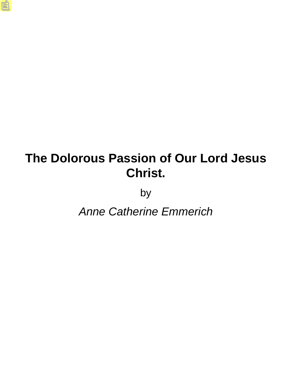# **The Dolorous Passion of Our Lord Jesus Christ.**

by

*Anne Catherine Emmerich*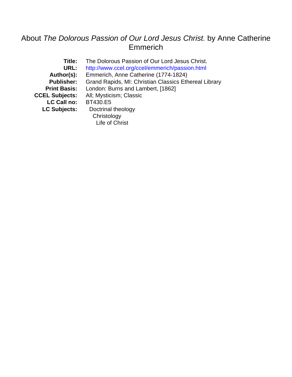# <span id="page-1-0"></span>About *The Dolorous Passion of Our Lord Jesus Christ.* by Anne Catherine Emmerich

| Title:                | The Dolorous Passion of Our Lord Jesus Christ.        |
|-----------------------|-------------------------------------------------------|
| URL:                  | http://www.ccel.org/ccel/emmerich/passion.html        |
| Author(s):            | Emmerich, Anne Catherine (1774-1824)                  |
| <b>Publisher:</b>     | Grand Rapids, MI: Christian Classics Ethereal Library |
| <b>Print Basis:</b>   | London: Burns and Lambert, [1862]                     |
| <b>CCEL Subjects:</b> | All; Mysticism; Classic                               |
| <b>LC Call no:</b>    | BT430.E5                                              |
| <b>LC Subjects:</b>   | Doctrinal theology                                    |
|                       | Christology                                           |
|                       | Life of Christ                                        |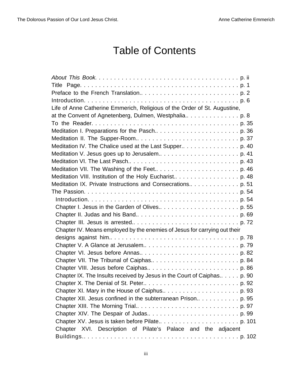# Table of Contents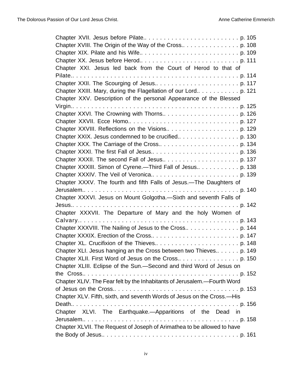| Chapter XXI. Jesus led back from the Court of Herod to that of           |
|--------------------------------------------------------------------------|
|                                                                          |
|                                                                          |
| Chapter XXIII. Mary, during the Flagellation of our Lord p. 121          |
| Chapter XXV. Description of the personal Appearance of the Blessed       |
|                                                                          |
|                                                                          |
|                                                                          |
|                                                                          |
|                                                                          |
|                                                                          |
|                                                                          |
|                                                                          |
| Chapter XXXIII. Simon of Cyrene.-Third Fall of Jesus p. 138              |
|                                                                          |
| Chapter XXXV. The fourth and fifth Falls of Jesus.-The Daughters of      |
|                                                                          |
| Chapter XXXVI. Jesus on Mount Golgotha.-Sixth and seventh Falls of       |
|                                                                          |
| Chapter XXXVII. The Departure of Mary and the holy Women of              |
|                                                                          |
|                                                                          |
|                                                                          |
|                                                                          |
| Chapter XLI. Jesus hanging an the Cross between two Thieves p. 149       |
|                                                                          |
| Chapter XLIII. Eclipse of the Sun.-Second and third Word of Jesus on     |
|                                                                          |
| Chapter XLIV. The Fear felt by the Inhabitants of Jerusalem.-Fourth Word |
|                                                                          |
| Chapter XLV. Fifth, sixth, and seventh Words of Jesus on the Cross.-His  |
|                                                                          |
| Chapter XLVI. The Earthquake.- Apparitions of the Dead in                |
|                                                                          |
| Chapter XLVII. The Request of Joseph of Arimathea to be allowed to have  |
|                                                                          |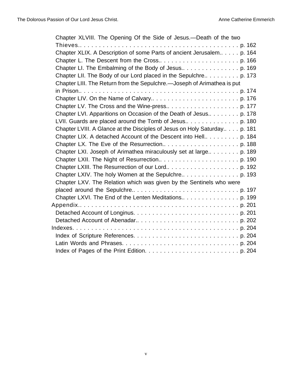| Chapter XLVIII. The Opening Of the Side of Jesus.—Death of the two       |
|--------------------------------------------------------------------------|
|                                                                          |
| Chapter XLIX. A Description of some Parts of ancient Jerusalem p. 164    |
|                                                                          |
|                                                                          |
|                                                                          |
| Chapter LIII. The Return from the Sepulchre.-Joseph of Arimathea is put  |
|                                                                          |
|                                                                          |
|                                                                          |
| Chapter LVI. Apparitions on Occasion of the Death of Jesus p. 178        |
|                                                                          |
| Chapter LVIII. A Glance at the Disciples of Jesus on Holy Saturdayp. 181 |
| Chapter LIX. A detached Account of the Descent into Hell p. 184          |
|                                                                          |
| Chapter LXI. Joseph of Arimathea miraculously set at large p. 189        |
|                                                                          |
|                                                                          |
|                                                                          |
| Chapter LXV. The Relation which was given by the Sentinels who were      |
|                                                                          |
|                                                                          |
|                                                                          |
|                                                                          |
|                                                                          |
|                                                                          |
|                                                                          |
|                                                                          |
|                                                                          |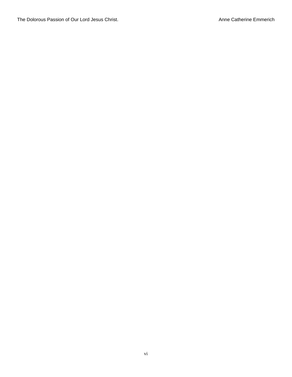The Dolorous Passion of Our Lord Jesus Christ. Anne Catherine Emmerich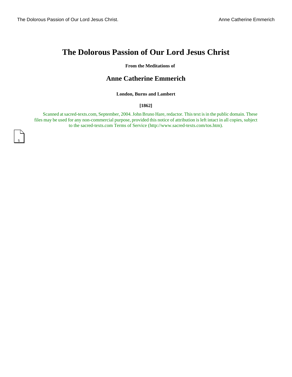## <span id="page-6-0"></span>**The Dolorous Passion of Our Lord Jesus Christ**

#### **From the Meditations of**

### **Anne Catherine Emmerich**

**London, Burns and Lambert**

#### **[1862]**

Scanned at sacred-texts.com, September, 2004. John Bruno Hare, redactor. This text is in the public domain. These files may be used for any non-commercial purpose, provided this notice of attribution is left intact in all copies, subject to the sacred-texts.com Terms of Service (http://www.sacred-texts.com/tos.htm).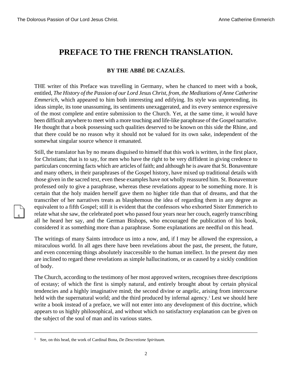# <span id="page-7-0"></span>**PREFACE TO THE FRENCH TRANSLATION.**

### **BY THE ABBÉ DE CAZALÈS.**

THE writer of this Preface was travelling in Germany, when he chanced to meet with a book, entitled, *The History of the Passion of our Lord Jesus Christ, from, the Meditations of Anne Catherine Emmerich*, which appeared to him both interesting and edifying. Its style was unpretending, its ideas simple, its tone unassuming, its sentiments unexaggerated, and its every sentence expressive of the most complete and entire submission to the Church. Yet, at the same time, it would have been difficult anywhere to meet with a more touching and life-like paraphrase of the Gospel narrative. He thought that a book possessing such qualities deserved to be known on this side the Rhine, and that there could be no reason why it should not be valued for its own sake, independent of the somewhat singular source whence it emanated.

Still, the translator has by no means disguised to himself that this work is written, in the first place, for Christians; that is to say, for men who have the right to be very diffident in giving credence to particulars concerning facts which are articles of faith; and although he is aware that St. Bonaventure and many others, in their paraphrases of the Gospel history, have mixed up traditional details with those given in the sacred text, even these examples have not wholly reassured him. St. Bonaventure professed only to give a paraphrase, whereas these revelations appear to be something more. It is certain that the holy maiden herself gave them no higher title than that of dreams, and that the transcriber of her narratives treats as blasphemous the idea of regarding them in any degree as equivalent to a fifth Gospel; still it is evident that the confessors who exhorted Sister Emmerich to relate what she saw, the celebrated poet who passed four years near her couch, eagerly transcribing all he heard her say, and the German Bishops, who encouraged the publication of his book, considered it as something more than a paraphrase. Some explanations are needful on this head.

The writings of many Saints introduce us into a now, and, if I may be allowed the expression, a miraculous world. In all ages there have been revelations about the past, the present, the future, and even concerning things absolutely inaccessible to the human intellect. In the present day men are inclined to regard these revelations as simple hallucinations, or as caused by a sickly condition of body.

The Church, according to the testimony of her most approved writers, recognises three descriptions of ecstasy; of which the first is simply natural, and entirely brought about by certain physical tendencies and a highly imaginative mind; the second divine or angelic, arising from intercourse held with the supernatural world; and the third produced by infernal agency.<sup>1</sup> Lest we should here write a book instead of a preface, we will not enter into any development of this doctrine, which appears to us highly philosophical, and without which no satisfactory explanation can be given on the subject of the soul of man and its various states.

<sup>1</sup> See, on this head, the work of Cardinal Bona, *De Descretione Spirituum*.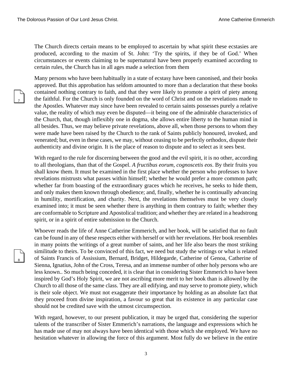8

The Church directs certain means to be employed to ascertain by what spirit these ecstasies are produced, according to the maxim of St. John: 'Try the spirits, if they be of God.' When circumstances or events claiming to be supernatural have been properly examined according to certain rules, the Church has in all ages made a selection from them

Many persons who have been habitually in a state of ecstasy have been canonised, and their books approved. But this approbation has seldom amounted to more than a declaration that these books contained nothing contrary to faith, and that they were likely to promote a spirit of piety among the faithful. For the Church is only founded on the word of Christ and on the revelations made to the Apostles. Whatever may since have been revealed to certain saints possesses purely a relative value, the reality of which may even be disputed—it being one of the admirable characteristics of the Church, that, though inflexibly one in dogma, she allows entire liberty to the human mind in all besides. Thus, we may believe private revelations, above all, when those persons to whom they were made have been raised by the Church to the rank of Saints publicly honoured, invoked, and venerated; but, even in these cases, we may, without ceasing to be perfectly orthodox, dispute their authenticity and divine origin. It is the place of reason to dispute and to select as it sees best.

With regard to the rule for discerning between the good and the evil spirit, it is no other, according to all theologians, than that of the Gospel. *A fructibus eorum, cognoscetis eos*. By their fruits you shall know them. It must be examined in the first place whether the person who professes to have revelations mistrusts what passes within himself; whether he would prefer a more common path; whether far from boasting of the extraordinary graces which he receives, he seeks to hide them, and only makes them known through obedience; and, finally, whether he is continually advancing in humility, mortification, and charity. Next, the revelations themselves must be very closely examined into; it must be seen whether there is anything in them contrary to faith; whether they are conformable to Scripture and Apostolical tradition; and whether they are related in a headstrong spirit, or in a spirit of entire submission to the Church.

Whoever reads the life of Anne Catherine Emmerich, and her book, will be satisfied that no fault can be found in any of these respects either with herself or with her revelations. Her book resembles in many points the writings of a great number of saints, and her life also bears the most striking similitude to theirs. To be convinced of this fact, we need but study the writings or what is related of Saints Francis of Assissium, Bernard, Bridget, Hildegarde, Catherine of Genoa, Catherine of Sienna, Ignatius, John of the Cross, Teresa, and an immense number of other holy persons who are less known.. So much being conceded, it is clear that in considering Sister Emmerich to have been inspired by God's Holy Spirit, we are not ascribing more merit to her book than is allowed by the Church to all those of the same class. They are all edifying, and may serve to promote piety, which is their sole object. We must not exaggerate their importance by holding as an absolute fact that they proceed from divine inspiration, a favour so great that its existence in any particular case should not be credited save with the utmost circumspection.

With regard, however, to our present publication, it may be urged that, considering the superior talents of the transcriber of Sister Emmerich's narrations, the language and expressions which he has made use of may not always have been identical with those which she employed. We have no hesitation whatever in allowing the force of this argument. Most fully do we believe in the entire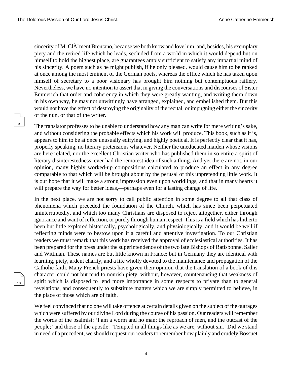sincerity of M. CIA ment Brentano, because we both know and love him, and, besides, his exemplary piety and the retired life which he leads, secluded from a world in which it would depend but on himself to hold the highest place, are guarantees amply sufficient to satisfy any impartial mind of his sincerity. A poem such as he might publish, if he only pleased, would cause him to be ranked at once among the most eminent of the German poets, whereas the office which he has taken upon himself of secretary to a poor visionary has brought him nothing but contemptuous raillery. Nevertheless, we have no intention to assert that in giving the conversations and discourses of Sister Emmerich that order and coherency in which they were greatly wanting, and writing them down in his own way, he may not unwittingly have arranged, explained, and embellished them. But this would not have the effect of destroying the originality of the recital, or impugning either the sincerity of the nun, or that of the writer.

The translator professes to be unable to understand how any man can write for mere writing's sake, and without considering the probable effects which his work will produce. This book, such as it is, appears to him to be at once unusually edifying, and highly poetical. It is perfectly clear that it has, properly speaking, no literary pretensions whatever. Neither the uneducated maiden whose visions are here related, nor the excellent Christian writer who has published them in so entire a spirit of literary disinterestedness, ever had the remotest idea of such a thing. And yet there are not, in our opinion, many highly worked-up compositions calculated to produce an effect in any degree comparable to that which will be brought about by the perusal of this unpretending little work. It is our hope that it will make a strong impression even upon worldlings, and that in many hearts it will prepare the way for better ideas,—perhaps even for a lasting change of life.

In the next place, we are not sorry to call public attention in some degree to all that class of phenomena which preceded the foundation of the Church, which has since been perpetuated uninterruptedly, and which too many Christians are disposed to reject altogether, either through ignorance and want of reflection, or purely through human respect. This is a field which has hitherto been but little explored historically, psychologically, and physiologically; and it would be well if reflecting minds were to bestow upon it a careful and attentive investigation. To our Christian readers we must remark that this work has received the approval of ecclesiastical authorities. It has been prepared for the press under the superintendence of the two late Bishops of Ratisbonne, Sailer and Wittman. These names are but little known in France; but in Germany they are identical with learning, piety, ardent charity, and a life wholly devoted to the maintenance and propagation of the Catholic faith. Many French priests have given their opinion that the translation of a book of this character could not but tend to nourish piety, without, however, countenancing that weakness of spirit which is disposed to lend more importance in some respects to private than to general revelations, and consequently to substitute matters which we are simply permitted to believe, in the place of those which are of faith.

We feel convinced that no one will take offence at certain details given on the subject of the outrages which were suffered by our divine Lord during the course of his passion. Our readers will remember the words of the psalmist: 'I am a worm and no man; the reproach of men, and the outcast of the people;' and those of the apostle: 'Tempted in all things like as we are, without sin.' Did we stand in need of a precedent, we should request our readers to remember how plainly and crudely Bossuet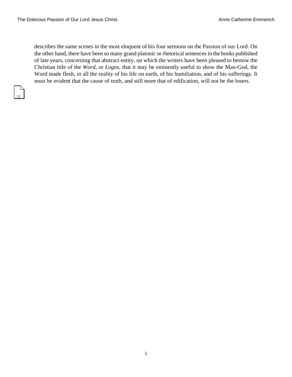describes the same scenes in the most eloquent of his four sermons on the Passion of our Lord. On the other hand, there have been so many grand platonic or rhetorical sentences in the books published of late years, concerning that abstract entity, on which the writers have been pleased to bestow the Christian title of the *Word*, or *Logos*, that it may be eminently useful to show the Man-God, the Word made flesh, in all the reality of his life on earth, of his humiliation, and of his sufferings. It must be evident that the cause of truth, and still more that of edification, will not be the losers.

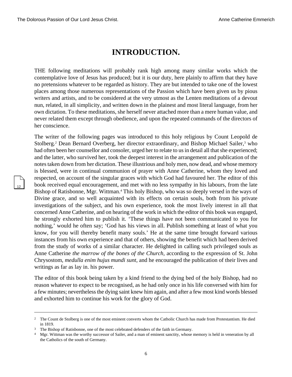### **INTRODUCTION.**

<span id="page-11-0"></span>THE following meditations will probably rank high among many similar works which the contemplative love of Jesus has produced; but it is our duty, here plainly to affirm that they have no pretensions whatever to be regarded as history. They are but intended to take one of the lowest places among those numerous representations of the Passion which have been given us by pious writers and artists, and to be considered at the very utmost as the Lenten meditations of a devout nun, related, in all simplicity, and written down in the plainest and most literal language, from her own dictation. To these meditations, she herself never attached more than a mere human value, and never related them except through obedience, and upon the repeated commands of the directors of her conscience.

The writer of the following pages was introduced to this holy religious by Count Leopold de Stolberg.<sup>2</sup> Dean Bernard Overberg, her director extraordinary, and Bishop Michael Sailer,<sup>3</sup> who had often been her counsellor and consoler, urged her to relate to us in detail all that she experienced; and the latter, who survived her, took the deepest interest in the arrangement and publication of the notes taken down from her dictation. These illustrious and holy men, now dead, and whose memory is blessed, were in continual communion of prayer with Anne Catherine, whom they loved and respected, on account of the singular graces with which God had favoured her. The editor of this book received equal encouragement, and met with no less sympathy in his labours, from the late Bishop of Ratisbonne, Mgr. Wittman.<sup>4</sup> This holy Bishop, who was so deeply versed in the ways of Divine grace, and so well acquainted with its effects on certain souls, both from his private investigations of the subject, and his own experience, took the most lively interest in all that concerned Anne Catherine, and on hearing of the work in which the editor of this book was engaged, he strongly exhorted him to publish it. 'These things have not been communicated to you for nothing,' would he often say; 'God has his views in all. Publish something at least of what you know, for you will thereby benefit many souls.' He at the same time brought forward various instances from his own experience and that of others, showing the benefit which had been derived from the study of works of a similar character. He delighted in calling such privileged souls as Anne Catherine *the marrow of the bones of the Church*, according to the expression of St. John Chrysostom, *medulla enim hujus mundi sunt*, and he encouraged the publication of their lives and writings as far as lay in. his power.

The editor of this book being taken by a kind friend to the dying bed of the holy Bishop, had no reason whatever to expect to be recognised, as he had only once in his life conversed with him for a few minutes; nevertheless the dying saint knew him again, and after a few most kind words blessed and exhorted him to continue his work for the glory of God.

<sup>&</sup>lt;sup>2</sup> The Count de Stolberg is one of the most eminent converts whom the Catholic Church has made from Protestantism. He died in 1819.

The Bishop of Ratisbonne, one of the most celebrated defenders of the faith in Germany.

<sup>4</sup> Mgr. Wittman was the worthy successor of Sailer, and a man of eminent sanctity, whose memory is held in veneration by all the Catholics of the south of Germany.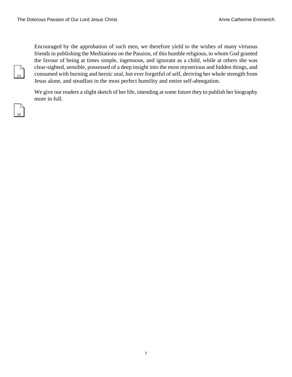

Encouraged by the approbation of such men, we therefore yield to the wishes of many virtuous friends in publishing the Meditations on the Passion, of this humble religious, to whom God granted the favour of being at times simple, ingenuous, and ignorant as a child, while at others she was clear-sighted, sensible, possessed of a deep insight into the most mysterious and hidden things, and consumed with burning and heroic zeal, but ever forgetful of self, deriving her whole strength from Jesus alone, and steadfast in the most perfect humility and entire self-abnegation.

We give our readers a slight sketch of her life, intending at some future they to publish her biography more in full.

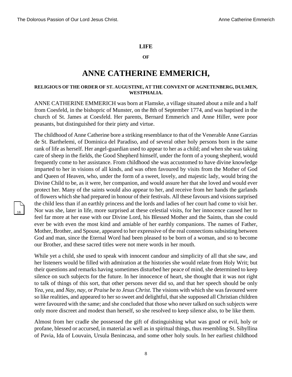### **LIFE**

### **OF**

### **ANNE CATHERINE EMMERICH,**

#### <span id="page-13-0"></span>**RELIGIOUS OF THE ORDER OF ST. AUGUSTINE, AT THE CONVENT OF AGNETENBERG, DULMEN, WESTPHALIA.**

ANNE CATHERINE EMMERICH was born at Flamske, a village situated about a mile and a half from Coesfeld, in the bishopric of Munster, on the 8th of September 1774, and was baptised in the church of St. James at Coesfeld. Her parents, Bernard Emmerich and Anne Hiller, were poor peasants, but distinguished for their piety and virtue.

The childhood of Anne Catherine bore a striking resemblance to that of the Venerable Anne Garzias de St. Barthelemi, of Dominica del Paradiso, and of several other holy persons born in the same rank of life as herself. Her angel-guardian used to appear to her as a child; and when she was taking care of sheep in the fields, the Good Shepherd himself, under the form of a young shepherd, would frequently come to her assistance. From childhood she was accustomed to have divine knowledge imparted to her in visions of all kinds, and was often favoured by visits from the Mother of God and Queen of Heaven, who, under the form of a sweet, lovely, and majestic lady, would bring the Divine Child to be, as it were, her companion, and would assure her that she loved and would ever protect her. Many of the saints would also appear to her, and receive from her hands the garlands of flowers which she had prepared in honour of their festivals. All these favours and visions surprised the child less than if an earthly princess and the lords and ladies of her court had come to visit her. Nor was she, later in life, more surprised at these celestial visits, for her innocence caused her to feel far more at her ease with our Divine Lord, his Blessed Mother and the Saints, than she could ever be with even the most kind and amiable of her earthly companions. The names of Father, Mother, Brother, and Spouse, appeared to her expressive of the real connections subsisting between God and man, since the Eternal Word had been pleased to be born of a woman, and so to become our Brother, and these sacred titles were not mere words in her mouth.

While yet a child, she used to speak with innocent candour and simplicity of all that she saw, and her listeners would be filled with admiration at the histories she would relate from Holy Writ; but their questions and remarks having sometimes disturbed her peace of mind, she determined to keep silence on such subjects for the future. In her innocence of heart, she thought that it was not right to talk of things of this sort, that other persons never did so, and that her speech should be only *Yea, yea*, and *Nay, nay*, or *Praise be to Jesus Christ*. The visions with which she was favoured were so like realities, and appeared to her so sweet and delightful, that she supposed all Christian children were favoured with the same; and she concluded that those who never talked on such subjects were only more discreet and modest than herself, so she resolved to keep silence also, to be like them.

Almost from her cradle she possessed the gift of distinguishing what was good or evil, holy or profane, blessed or accursed, in material as well as in spiritual things, thus resembling St. Sibyllina of Pavia, Ida of Louvain, Ursula Benincasa, and some other holy souls. In her earliest childhood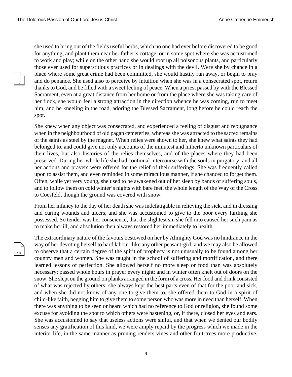18

she used to bring out of the fields useful herbs, which no one had ever before discovered to be good for anything, and plant them near her father's cottage, or in some spot where she was accustomed to work and play; while on the other hand she would root up all poisonous plants, and particularly those ever used for superstitious practices or in dealings with the devil. Were she by chance in a place where some great crime had been committed, she would hastily run away, or begin to pray and do penance. She used also to perceive by intuition when she was in a consecrated spot, return thanks to God, and be filled with a sweet feeling of peace. When a priest passed by with the Blessed Sacrament, even at a great distance from her home or from the place where she was taking care of her flock, she would feel a strong attraction in the direction whence he was coming, run to meet him, and be kneeling in the road, adoring the Blessed Sacrament, long before he could reach the spot.

She knew when any object was consecrated, and experienced a feeling of disgust and repugnance when in the neighbourhood of old pagan cemeteries, whereas she was attracted to the sacred remains of the saints as steel by the magnet. When relies were shown to her, she knew what saints they had belonged to, and could give not only accounts of the minutest and hitherto unknown particulars of their lives, but also histories of the relies themselves, and of the places where they had been preserved. During her whole life she had continual intercourse with the souls in purgatory; and all her actions and prayers were offered for the relief of their sufferings. She was frequently called upon to assist them, and even reminded in some miraculous manner, if she chanced to forget them. Often, while yet very young, she used to be awakened out of her sleep by bands of suffering souls, and to follow them on cold winter's nights with bare feet, the whole length of the Way of the Cross to Coesfeld, though the ground was covered with snow.

From her infancy to the day of her death she was indefatigable in relieving the sick, and in dressing and curing wounds and ulcers, and she was accustomed to give to the poor every farthing she possessed. So tender was her conscience, that the slightest sin she fell into caused her such pain as to make her ill, and absolution then always restored her immediately to health.

The extraordinary nature of the favours bestowed on her by Almighty God was no hindrance in the way of her devoting herself to hard labour, like any other peasant-girl; and we may also be allowed to observe that a certain degree of the spirit of prophecy is not unusually to be found among her country men and women. She was taught in the school of suffering and mortification, and there learned lessons of perfection. She allowed herself no more sleep or food than was absolutely necessary; passed whole hours in prayer every night; and in winter often knelt out of doors on the snow. She slept on the ground on planks arranged in the form of a cross. Her food and drink consisted of what was rejected by others; she always kept the best parts even of that for the poor and sick, and when she did not know of any one to give them to, she offered them to God in a spirit of child-like faith, begging him to give them to some person who was more in need than herself. When there was anything to be seen or heard which had no reference to God or religion, she found some excuse for avoiding the spot to which others were hastening, or, if there, closed her eyes and ears. She was accustomed to say that useless actions were sinful, and that when we denied our bodily senses any gratification of this kind, we were amply repaid by the progress which we made in the interior life, in the same manner as pruning renders vines and other fruit-trees more productive.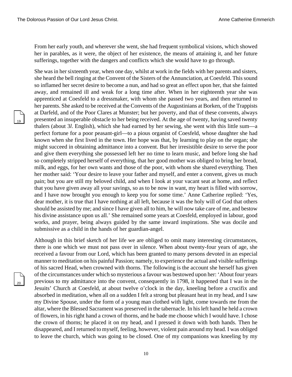20

From her early youth, and wherever she went, she had frequent symbolical visions, which showed her in parables, as it were, the object of her existence, the means of attaining it, and her future sufferings, together with the dangers and conflicts which she would have to go through.

She was in her sixteenth year, when one day, whilst at work in the fields with her parents and sisters, she heard the bell ringing at the Convent of the Sisters of the Annunciation, at Coesfeld. This sound so inflamed her secret desire to become a nun, and had so great an effect upon her, that she fainted away, and remained ill and weak for a long time after. When in her eighteenth year she was apprenticed at Coesfeld to a dressmaker, with whom she passed two years, and then returned to her parents. She asked to be received at the Convents of the Augustinians at Borken, of the Trappists at Darfeld, and of the Poor Clares at Munster; but her poverty, and that of these convents, always presented an insuperable obstacle to her being received. At the age of twenty, having saved twenty thalers (about 3*l*. English), which she had earned by her sewing, she went with this little sum—a perfect fortune for a poor peasant-girl—to a pious organist of Coesfeld, whose daughter she had known when she first lived in the town. Her hope was that, by learning to play on the organ; she might succeed in obtaining admittance into a convent. But her irresistible desire to serve the poor and give them everything she possessed left her no time to learn music, and before long she had so completely stripped herself of everything, that her good mother was obliged to bring her bread, milk, and eggs, for her own wants and those of the poor, with whom she shared everything. Then her mother said: 'Your desire to leave your father and myself, and enter a convent, gives us much pain; but you are still my beloved child, and when I look at your vacant seat at home, and reflect that you have given away all your savings, so as to be now in want, my heart is filled with sorrow, and I have now brought you enough to keep you for some time.' Anne Catherine replied: 'Yes, dear mother, it is true that I have nothing at all left, because it was the holy will of God that others should be assisted by me; and since I have given all to him, he will now take care of me, and bestow his divine assistance upon us all.' She remained some years at Coesfeld, employed in labour, good works, and prayer, being always guided by the same inward inspirations. She was docile and submissive as a child in the hands of her guardian-angel.

Although in this brief sketch of her life we are obliged to omit many interesting circumstances, there is one which we must not pass over in silence. When about twenty-four years of age, she received a favour from our Lord, which has been granted to many persons devoted in an especial manner to meditation on his painful Passion; namely, to experience the actual and visible sufferings of his sacred Head, when crowned with thorns. The following is the account she herself has given of the circumstances under which so mysterious a favour was bestowed upon her: 'About four years previous to my admittance into the convent, consequently in 1798, it happened that I was in the Jesuits' Church at Coesfeld, at about twelve o'clock in the day, kneeling before a crucifix and absorbed in meditation, when all on a sudden I felt a strong but pleasant heat in my head, and I saw my Divine Spouse, under the form of a young man clothed with light, come towards me from the altar, where the Blessed Sacrament was preserved in the tabernacle. In his left hand he held a crown of flowers, in his right hand a crown of thorns, and he bade me choose which I would have. I chose the crown of thorns; he placed it on my head, and I pressed it down with both hands. Then he disappeared, and I returned to myself, feeling, however, violent pain around my head. I was obliged to leave the church, which was going to be closed. One of my companions was kneeling by my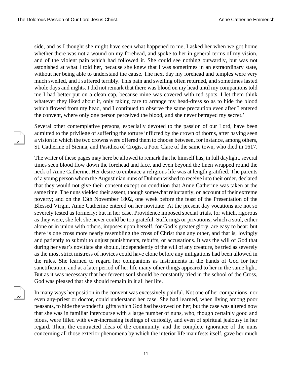side, and as I thought she might have seen what happened to me, I asked her when we got home whether there was not a wound on my forehead, and spoke to her in general terms of my vision, and of the violent pain which had followed it. She could see nothing outwardly, but was not astonished at what I told her, because she knew that I was sometimes in an extraordinary state, without her being able to understand the cause. The next day my forehead and temples were very much swelled, and I suffered terribly. This pain and swelling often returned, and sometimes lasted whole days and nights. I did not remark that there was blood on my head until my companions told me I had better put on a clean cap, because mine was covered with red spots. I let them think whatever they liked about it, only taking care to arrange my head-dress so as to hide the blood which flowed from my head, and I continued to observe the same precaution even after I entered the convent, where only one person perceived the blood, and she never betrayed my secret.'

Several other contemplative persons, especially devoted to the passion of our Lord, have been admitted to the privilege of suffering the torture inflicted by the crown of thorns, after having seen a vision in which the two crowns were offered them to choose between, for instance, among others, St. Catherine of Sienna, and Pasithea of Crogis, a Poor Clare of the same town, who died in 1617.

The writer of these pages may here be allowed to remark that he himself has, in full daylight, several times seen blood flow down the forehead and face, and even beyond the linen wrapped round the neck of Anne Catherine. Her desire to embrace a religious life was at length gratified. The parents of a young person whom the Augustinian nuns of Dulmen wished to receive into their order, declared that they would not give their consent except on condition that Anne Catherine was taken at the same time. The nuns yielded their assent, though somewhat reluctantly, on account of their extreme poverty; and on the 13th November 1802, one week before the feast of the Presentation of the Blessed Virgin, Anne Catherine entered on her novitiate. At the present day vocations are not so severely tested as formerly; but in her case, Providence imposed special trials, for which, rigorous as they were, she felt she never could be too grateful. Sufferings or privations, which a soul, either alone or in union with others, imposes upon herself, for God's greater glory, are easy to bear; but there is one cross more nearly resembling the cross of Christ than any other, and that is, lovingly and patiently to submit to unjust punishments, rebuffs, or accusations. It was the will of God that during her year's novitiate she should, independently of the will of any creature, be tried as severely as the most strict mistress of novices could have clone before any mitigations had been allowed in the rules. She learned to regard her companions as instruments in the hands of God for her sanctification; and at a later period of her life many other things appeared to her in the same light. But as it was necessary that her fervent soul should be constantly tried in the school of the Cross, God was pleased that she should remain in it all her life.

22

21

In many ways her position in the convent was excessively painful. Not one of her companions, nor even any-priest or doctor, could understand her case. She had learned, when living among poor peasants, to hide the wonderful gifts which God had bestowed on her; but the case was altered now that she was in familiar intercourse with a large number of nuns, who, though certainly good and pious, were filled with ever-increasing feelings of curiosity, and even of spiritual jealousy in her regard. Then, the contracted ideas of the community, and the complete ignorance of the nuns concerning all those exterior phenomena by which the interior life manifests itself, gave her much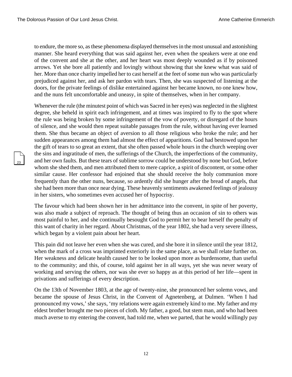to endure, the more so, as these phenomena displayed themselves in the most unusual and astonishing manner. She heard everything that was said against her, even when the speakers were at one end of the convent and she at the other, and her heart was most deeply wounded as if by poisoned arrows. Yet she bore all patiently and lovingly without showing that she knew what was said of her. More than once charity impelled her to cast herself at the feet of some nun who was particularly prejudiced against her, and ask her pardon with tears. Then, she was suspected of listening at the doors, for the private feelings of dislike entertained against her became known, no one knew how, and the nuns felt uncomfortable and uneasy, in spite of themselves, when in her company.

Whenever the rule (the minutest point of which was Sacred in her eyes) was neglected in the slightest degree, she beheld in spirit each infringement, and at times was inspired to fly to the spot where the rule was being broken by some infringement of the vow of poverty, or disregard of the hours of silence, and she would then repeat suitable passages from the rule, without having ever learned them. She thus became an object of aversion to all those religious who broke the rule; and her sudden appearances among them had almost the effect of apparitions. God had bestowed upon her the gift of tears to so great an extent, that she often passed whole hours in the church weeping over the sins and ingratitude of men, the sufferings of the Church, the imperfections of the community, and her own faults. But these tears of sublime sorrow could be understood by none but God, before whom she shed them, and men attributed them to mere caprice, a spirit of discontent, or some other similar cause. Her confessor had enjoined that she should receive the holy communion more frequently than the other nuns, because, so ardently did she hunger after the bread of angels, that she had been more than once near dying. These heavenly sentiments awakened feelings of jealousy in her sisters, who sometimes even accused her of hypocrisy.

The favour which had been shown her in her admittance into the convent, in spite of her poverty, was also made a subject of reproach. The thought of being thus an occasion of sin to others was most painful to her, and she continually besought God to permit her to bear herself the penalty of this want of charity in her regard. About Christmas, of the year 1802, she had a very severe illness, which began by a violent pain about her heart.

This pain did not leave her even when she was cured, and she bore it in silence until the year 1812, when the mark of a cross was imprinted exteriorly in the same place, as we shall relate further on. Her weakness and delicate health caused her to be looked upon more as burdensome, than useful to the community; and this, of course, told against her in all ways, yet she was never weary of working and serving the others, nor was she ever so happy as at this period of her life—spent in privations and sufferings of every description.

On the 13th of November 1803, at the age of twenty-nine, she pronounced her solemn vows, and became the spouse of Jesus Christ, in the Convent of Agnetenberg, at Dulmen. 'When I had pronounced my vows,' she says, 'my relations were again extremely kind to me. My father and my eldest brother brought me two pieces of cloth. My father, a good, but stem man, and who had been much averse to my entering the convent, had told me, when we parted, that he would willingly pay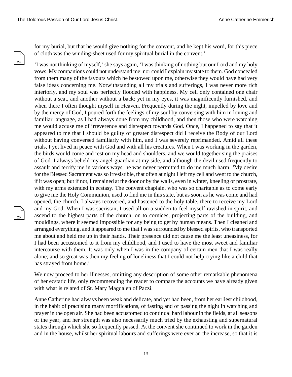25

for my burial, but that he would give nothing for the convent, and he kept his word, for this piece of cloth was the winding-sheet used for my spiritual burial in the convent.'

'I was not thinking of myself,' she says again, 'I was thinking of nothing but our Lord and my holy vows. My companions could not understand me; nor could I explain my state to them. God concealed from them many of the favours which he bestowed upon me, otherwise they would have had very false ideas concerning me. Notwithstanding all my trials and sufferings, I was never more rich interiorly, and my soul was perfectly flooded with happiness. My cell only contained one chair without a seat, and another without a back; yet in my eyes, it was magnificently furnished, and when there I often thought myself in Heaven. Frequently during the night, impelled by love and by the mercy of God, I poured forth the feelings of my soul by conversing with him in loving and familiar language, as I had always done from my childhood, and then those who were watching me would accuse me of irreverence and disrespect towards God. Once, I happened to say that it appeared to me that I should be guilty of greater disrespect did I receive the Body of our Lord without having conversed familiarly with him, and I was severely reprimanded. Amid all these trials, I yet lived in peace with God and with all his creatures. When I was working in the garden, the birds would come and rest on my head and shoulders, and we would together sing the praises of God. I always beheld my angel-guardian at my side, and although the devil used frequently to assault and terrify me in various ways, he was never permitted to do me much harm. 'My desire for the Blessed Sacrament was so irresistible, that often at night I left my cell and went to the church, if it was open; but if not, I remained at the door or by the walls, even in winter, kneeling or prostrate, with my arms extended in ecstasy. The convent chaplain, who was so charitable as to come early to give me the Holy Communion, used to find me in this state, but as soon as he was come and had opened, the church, I always recovered, and hastened to the holy table, there to receive my Lord and my God. When I was sacristan, I used all on a sudden to feel myself ravished in spirit, and ascend to the highest parts of the church, on to cornices, projecting parts of the building, and mouldings, where it seemed impossible for any being to get by human means. Then I cleaned and arranged everything, and it appeared to me that I was surrounded by blessed spirits, who transported me about and held me up in their hands. Their presence did not cause me the least uneasiness, for I had been accustomed to it from my childhood, and I used to have the most sweet and familiar intercourse with them. It was only when I was in the company of certain men that I was really alone; and so great was then my feeling of loneliness that I could not help crying like a child that has strayed from home.'

We now proceed to her illnesses, omitting any description of some other remarkable phenomena of her ecstatic life, only recommending the reader to compare the accounts we have already given with what is related of St. Mary Magdalen of Pazzi.

Anne Catherine had always been weak and delicate, and yet had been, from her earliest childhood, in the habit of practising many mortifications, of fasting and of passing the night in watching and prayer in the open air. She had been accustomed to continual hard labour in the fields, at all seasons of the year, and her strength was also necessarily much tried by the exhausting and supernatural states through which she so frequently passed. At the convent she continued to work in the garden and in the house, whilst her spiritual labours and sufferings were ever an the increase, so that it is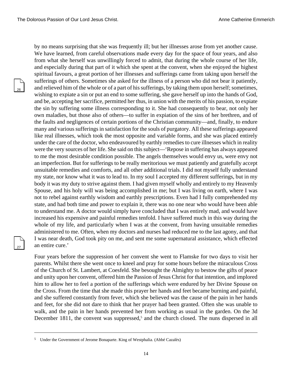27

by no means surprising that she was frequently ill; but her illnesses arose from yet another cause. We have learned, from careful observations made every day for the space of four years, and also from what she herself was unwillingly forced to admit, that during the whole course of her life, and especially during that part of it which she spent at the convent, when she enjoyed the highest spiritual favours, a great portion of her illnesses and sufferings came from taking upon herself the sufferings of others. Sometimes she asked for the illness of a person who did not bear it patiently, and relieved him of the whole or of a part of his sufferings, by taking them upon herself; sometimes, wishing to expiate a sin or put an end to some suffering, she gave herself up into the hands of God, and be, accepting her sacrifice, permitted her thus, in union with the merits of his passion, to expiate the sin by suffering some illness corresponding to it. She had consequently to bear, not only her own maladies, but those also of others—to suffer in expiation of the sins of her brethren, and of the faults and negligences of certain portions of the Christian community—and, finally, to endure many and various sufferings in satisfaction for the souls of purgatory. All these sufferings appeared like real illnesses, which took the most opposite and variable forms, and she was placed entirely under the care of the doctor, who endeavoured by earthly remedies to cure illnesses which in reality were the very sources of her life. She said on this subject—'Repose in suffering has always appeared to me the most desirable condition possible. The angels themselves would envy us, were envy not an imperfection. But for sufferings to be really meritorious we must patiently and gratefully accept unsuitable remedies and comforts, and all other additional trials. I did not myself fully understand my state, nor know what it was to lead to. In my soul I accepted my different sufferings, but in my body it was my duty to strive against them. I had given myself wholly and entirely to my Heavenly Spouse, and his holy will was being accomplished in me; but I was living on earth, where I was not to rebel against earthly wisdom and earthly prescriptions. Even had I fully comprehended my state, and had both time and power to explain it, there was no one near who would have been able to understand me. A doctor would simply have concluded that I was entirely mad, and would have increased his expensive and painful remedies tenfold. I have suffered much in this way during the whole of my life, and particularly when I was at the convent, from having unsuitable remedies administered to me. Often, when my doctors and nurses had reduced me to the last agony, and that I was near death, God took pity on me, and sent me some supernatural assistance, which effected an entire cure.'

Four years before the suppression of her convent she went to Flamske for two days to visit her parents. Whilst there she went once to kneel and pray for some hours before the miraculous Cross of the Church of St. Lambert, at Coesfeld. She besought the Almighty to bestow the gifts of peace and unity upon her convent, offered him the Passion of Jesus Christ for that intention, and implored him to allow her to feel a portion of the sufferings which were endured by her Divine Spouse on the Cross. From the time that she made this prayer her hands and feet became burning and painful, and she suffered constantly from fever, which she believed was the cause of the pain in her hands and feet, for she did not dare to think that her prayer had been granted. Often she was unable to walk, and the pain in her hands prevented her from working as usual in the garden. On the 3d December 1811, the convent was suppressed,<sup>5</sup> and the church closed. The nuns dispersed in all

<sup>5</sup> Under the Government of Jerome Bonaparte. King of Westphalia. (Abbé Cazalès)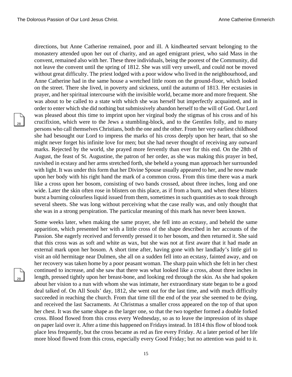directions, but Anne Catherine remained, poor and ill. A kindhearted servant belonging to the monastery attended upon her out of charity, and an aged emigrant priest, who said Mass in the convent, remained also with her. These three individuals, being the poorest of the Community, did not leave the convent until the spring of 1812. She was still very unwell, and could not be moved without great difficulty. The priest lodged with a poor widow who lived in the neighbourhood, and Anne Catherine had in the same house a wretched little room on the ground-floor, which looked on the street. There she lived, in poverty and sickness, until the autumn of 1813. Her ecstasies in prayer, and her spiritual intercourse with the invisible world, became more and more frequent. She was about to be called to a state with which she was herself but imperfectly acquainted, and in order to enter which she did nothing but submissively abandon herself to the will of God. Our Lord was pleased about this time to imprint upon her virginal body the stigmas of his cross and of his crucifixion, which were to the Jews a stumbling-block, and to the Gentiles folly, and to many persons who call themselves Christians, both the one and the other. From her very earliest childhood she had besought our Lord to impress the marks of his cross deeply upon her heart, that so she might never forget his infinite love for men; but she had never thought of receiving any outward marks. Rejected by the world, she prayed more fervently than ever for this end. On the 28th of August, the feast of St. Augustine, the patron of her order, as she was making this prayer in bed, ravished in ecstasy and her arms stretched forth, she beheld a young man approach her surrounded with light. It was under this form that her Divine Spouse usually appeared to her, and he now made upon her body with his right hand the mark of a common cross. From this time there was a mark like a cross upon her bosom, consisting of two bands crossed, about three inches, long and one wide. Later the skin often rose in blisters on this place, as if from a burn, and when these blisters burst a burning colourless liquid issued from them, sometimes in such quantities as to soak through several sheets. She was long without perceiving what the case really was, and only thought that she was in a strong perspiration. The particular meaning of this mark has never been known.

Some weeks later, when making the same prayer, she fell into an ecstasy, and beheld the same apparition, which presented her with a little cross of the shape described in her accounts of the Passion. She eagerly received and fervently pressed it to her bosom, and then returned it. She said that this cross was as soft and white as wax, but she was not at first aware that it had made an external mark upon her bosom. A short time after, having gone with her landlady's little girl to visit an old hermitage near Dulmen, she all on a sudden fell into an ecstasy, fainted away, and on her recovery was taken home by a poor peasant woman. The sharp pain which she felt in her chest continued to increase, and she saw that there was what looked like a cross, about three inches in length, pressed tightly upon her breast-bone, and looking red through the skin. As she had spoken about her vision to a nun with whom she was intimate, her extraordinary state began to be a good deal talked of. On All Souls' day, 1812, she went out for the last time, and with much difficulty succeeded in reaching the church. From that time till the end of the year she seemed to be dying, and received the last Sacraments. At Christmas a smaller cross appeared on the top of that upon her chest. It was the same shape as the larger one, so that the two together formed a double forked cross. Blood flowed from this cross every Wednesday, so as to leave the impression of its shape on paper laid over it. After a time this happened on Fridays instead. In 1814 this flow of blood took place less frequently, but the cross became as red as fire every Friday. At a later period of her life more blood flowed from this cross, especially every Good Friday; but no attention was paid to it.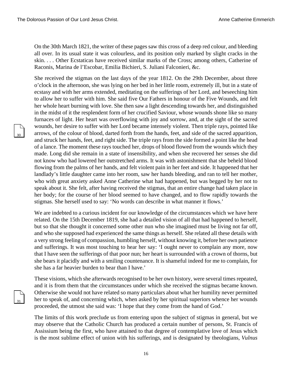On the 30th March 1821, the writer of these pages saw this cross of a deep red colour, and bleeding all over. In its usual state it was colourless, and its position only marked by slight cracks in the skin. . . . Other Ecstaticas have received similar marks of the Cross; among others, Catherine of Raconis, Marina de l'Escobar, Emilia Bichieri, S. Juliani Falconieri, &c.

She received the stigmas on the last days of the year 1812. On the 29th December, about three o'clock in the afternoon, she was lying on her bed in her little room, extremely ill, but in a state of ecstasy and with her arms extended, meditating on the sufferings of her Lord, and beseeching him to allow her to suffer with him. She said five Our Fathers in honour of the Five Wounds, and felt her whole heart burning with love. She then saw a light descending towards her, and distinguished in the midst of it the resplendent form of her crucified Saviour, whose wounds shone like so many furnaces of light. Her heart was overflowing with joy and sorrow, and, at the sight of the sacred wounds, her desire to suffer with her Lord became intensely violent. Then triple rays, pointed like arrows, of the colour of blood, darted forth from the hands, feet, and side of the sacred apparition, and struck her hands, feet, and right side. The triple rays from the side formed a point like the head of a lance. The moment these rays touched her, drops of blood flowed from the wounds which they made. Long did she remain in a state of insensibility, and when she recovered her senses she did not know who had lowered her outstretched arms. It was with astonishment that she beheld blood flowing from the palms of her hands, and felt violent pain in her feet and side. It happened that her landlady's little daughter came into her room, saw her hands bleeding, and ran to tell her mother, who with great anxiety asked Anne Catherine what had happened, but was begged by her not to speak about it. She felt, after having received the stigmas, that an entire change had taken place in her body; for the course of her blood seemed to have changed, and to flow rapidly towards the stigmas. She herself used to say: 'No words can describe in what manner it flows.'

We are indebted to a curious incident for our knowledge of the circumstances which we have here related. On the 15th December 1819, she had a detailed vision of all that had happened to herself, but so that she thought it concerned some other nun who she imagined must be living not far off, and who she supposed had experienced the same things as herself. She related all these details with a very strong feeling of compassion, humbling herself, without knowing it, before her own patience and sufferings. It was most touching to hear her say: 'I ought never to complain any more, now that I have seen the sufferings of that poor nun; her heart is surrounded with a crown of thorns, but she bears it placidly and with a smiling countenance. It is shameful indeed for me to complain, for she has a far heavier burden to bear than I have.'

These visions, which she afterwards recognised to be her own history, were several times repeated, and it is from them that the circumstances under which she received the stigmas became known. Otherwise she would not have related so many particulars about what her humility never permitted her to speak of, and concerning which, when asked by her spiritual superiors whence her wounds proceeded, the utmost she said was: 'I hope that they come from the hand of God.'

The limits of this work preclude us from entering upon the subject of stigmas in general, but we may observe that the Catholic Church has produced a certain number of persons, St. Francis of Assissium being the first, who have attained to that degree of contemplative love of Jesus which is the most sublime effect of union with his sufferings, and is designated by theologians, *Vulnus*

31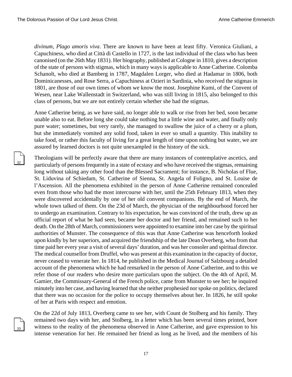33

*divinum, Plago amoris viva*. There are known to have been at least fifty. Veronica Giuliani, a Capuchiness, who died at Città di Castello in 1727, is the last individual of the class who has been canonised (on the 26th May 1831). Her biography, published at Cologne in 1810, gives a description of the state of persons with stigmas, which in many ways is applicable to Anne Catherine. Colomba Schanolt, who died at Bamberg in 1787, Magdalen Lorger, who died at Hadamar in 1806, both Dominicanesses, and Rose Serra, a Capuchiness at Ozieri in Sardinia, who received the stigmas in 1801, are those of our own times of whom we know the most. Josephine Kumi, of the Convent of Wesen, near Lake Wallenstadt in Switzerland, who was still living in 1815, also belonged to this class of persons, but we are not entirely certain whether she had the stigmas.

Anne Catherine being, as we have said, no longer able to walk or rise from her bed, soon became unable also to eat. Before long she could take nothing but a little wine and water, and finally only pure water; sometimes, but very rarely, she managed to swallow the juice of a cherry or a plum, but she immediately vomited any solid food, taken in ever so small a quantity. This inability to take food, or rather this faculty of living for a great length of time upon nothing but water, we are assured by learned doctors is not quite unexampled in the history of the sick.

Theologians will be perfectly aware that there are many instances of contemplative ascetics, and particularly of persons frequently in a state of ecstasy and who have received the stigmas, remaining long without taking any other food than the Blessed Sacrament; for instance, B. Nicholas of Flue, St. Liduvina of Schiedam, St. Catherine of Sienna, St. Angela of Foligno, and St. Louise de l'Ascension. All the phenomena exhibited in the person of Anne Catherine remained concealed even from those who had the most intercourse with her, until the 25th February 1813, when they were discovered accidentally by one of her old convent companions. By the end of March, the whole town talked of them. On the 23d of March, the physician of the neighbourhood forced her to undergo an examination. Contrary to his expectation, he was convinced of the truth, drew up an official report of what be had seen, became her doctor and her friend, and remained such to her death. On the 28th of March, commissioners were appointed to examine into her case by the spiritual authorities of Munster. The consequence of this was that Anne Catherine was henceforth looked upon kindly by her superiors, and acquired the friendship of the late Dean Overberg, who from that time paid her every year a visit of several days' duration, and was her consoler and spiritual director. The medical counsellor from Druffel, who was present at this examination in the capacity of doctor, never ceased to venerate her. In 1814, he published in the Medical Journal of Salzbourg a detailed account of the phenomena which he had remarked in the person of Anne Catherine, and to this we refer those of our readers who desire more particulars upon the subject. On the 4th of April, M. Gamier, the Commissary-General of the French police, came from Munster to see her; he inquired minutely into her case, and having learned that she neither prophesied nor spoke on politics, declared that there was no occasion for the police to occupy themselves about her. In 1826, he still spoke of her at Paris with respect and emotion.

On the 22d of July 1813, Overberg came to see her, with Count de Stolberg and his family. They remained two days with her, and Stolberg, in a letter which has been several times printed, bore witness to the reality of the phenomena observed in Anne Catherine, and gave expression to his intense veneration for her. He remained her friend as long as he lived, and the members of his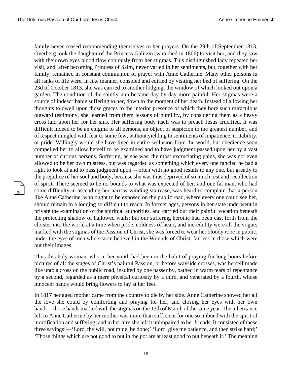family never ceased recommending themselves to her prayers. On the 29th of September 1813, Overberg took the daughter of the Princess Galitzin (who died in 1806) to visit her, and they saw with their own eyes blood flow copiously from her stigmas. This distinguished lady repeated her visit, and, after becoming Princess of Salm, never varied in her sentiments, but, together with her family, remained in constant communion of prayer with Anne Catherine. Many other persons in all ranks of life were, in like manner, consoled and edified by visiting her bed of suffering. On the 23d of October 1813, she was carried to another lodging, the window of which looked out upon a garden. The condition of the saintly nun became day by day more painful. Her stigmas were a source of indescribable suffering to her, down to the moment of her death. Instead of allowing her thoughts to dwell upon those graces to the interior presence of which they bore such miraculous outward testimony, she learned from them lessons of humility, by considering them as a heavy cross laid upon her for her sins. Her suffering body itself was to preach Jesus crucified. It was difficult indeed to be an enigma to all persons, an object of suspicion to the greatest number, and of respect mingled with fear to some few, without yielding to sentiments of impatience, irritability, or pride. Willingly would she have lived in entire seclusion from the world, but obedience soon compelled her to allow herself to be examined and to have judgment passed upon her by a vast number of curious persons. Suffering, as she was, the most excruciating pains, she was not even allowed to be her own mistress, but was regarded as something which every one fancied he had a right to look at and to pass judgment upon,—often with no good results to any one, but greatly to the prejudice of her soul and body, because she was thus deprived of so much rest and recollection of spirit. There seemed to be no bounds to what was expected of her, and one fat man, who had some difficulty in ascending her narrow winding staircase, was heard to complain that a person like Anne Catherine, who ought to be exposed on the public road, where every one could see her, should remain in a lodging so difficult to reach. In former ages, persons in her state underwent in private the examination of the spiritual authorities, and carried out their painful vocation beneath the protecting shadow of hallowed walls; but our suffering heroine had been cast forth from the cloister into the world at a time when pride, coldness of heart, and incredulity were all the vogue; marked with the stigmas of the Passion of Christ, she was forced to wear her bloody robe in public, under the eyes of men who scarce believed in the Wounds of Christ, far less in those which were but their images.

Thus this holy woman, who in her youth had been in the habit of praying for long hours before pictures of all the stages of Christ's painful Passion, or before wayside crosses, was herself made like unto a cross on the public road, insulted by one passer by, bathed in warm tears of repentance by a second, regarded as a mere physical curiosity by a third, and venerated by a fourth, whose innocent hands would bring flowers to lay at her feet.

In 1817 her aged mother came from the country to die by her side. Anne Catherine showed her all the love she could by comforting and praying for her, and closing her eyes with her own hands—those hands marked with the stigmas on the 13th of March of the same year. The inheritance left to Anne Catherine by her mother was more than sufficient for one so imbued with the spirit of mortification and suffering; and in her turn she left it unimpaired to her friends. It consisted of these three sayings:—'Lord, thy will, not mine, be done;' 'Lord, give me patience, and then strike hard;' 'Those things which are not good to put in the pot are at least good to put beneath it.' The meaning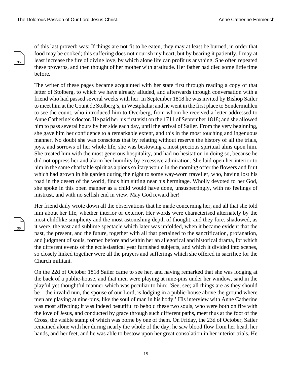36

of this last proverb was: If things are not fit to be eaten, they may at least be burned, in order that food may be cooked; this suffering does not nourish my heart, but by bearing it patiently, I may at least increase the fire of divine love, by which alone life can profit us anything. She often repeated these proverbs, and then thought of her mother with gratitude. Her father had died some little time before.

The writer of these pages became acquainted with her state first through reading a copy of that letter of Stolberg, to which we have already alluded, and afterwards through conversation with a friend who had passed several weeks with her. In September 1818 he was invited by Bishop Sailer to meet him at the Count de Stolberg's, in Westphalia; and he went in the first place to Sondermuhlen to see the count, who introduced him to Overberg, from whom he received a letter addressed to Anne Catherine's doctor. He paid her his first visit on the 1711 of September 1818; and she allowed him to pass several hours by her side each day, until the arrival of Sailer. From the very beginning, she gave him her confidence to a remarkable extent, and this in the most touching and ingenuous manner. No doubt she was conscious that by relating without reserve the history of all the trials, joys, and sorrows of her whole life, she was bestowing a most precious spiritual alms upon him. She treated him with the most generous hospitality, and had no hesitation in doing so, because he did not oppress her and alarm her humility by excessive admiration. She laid open her interior to him in the same charitable spirit as a pious solitary would in the morning offer the flowers and fruit which had grown in his garden during the night to some way-worn traveller, who, having lost his road in the desert of the world, finds him sitting near his hermitage. Wholly devoted to her God, she spoke in this open manner as a child would have done, unsuspectingly, with no feelings of mistrust, and with no selfish end in view. May God reward her!

Her friend daily wrote down all the observations that he made concerning her, and all that she told him about her life, whether interior or exterior. Her words were characterised alternately by the most childlike simplicity and the most astonishing depth of thought, and they fore. shadowed, as it were, the vast and sublime spectacle which later was unfolded, when it became evident that the past, the present, and the future, together with all that pertained to the sanctification, profanation, and judgment of souls, formed before and within her an allegorical and historical drama, for which the different events of the ecclesiastical year furnished subjects, and which it divided into scenes, so closely linked together were all the prayers and sufferings which she offered in sacrifice for the Church militant.

On the 22d of October 1818 Sailer came to see her, and having remarked that she was lodging at the back of a public-house, and that men were playing at nine-pins under her window, said in the playful yet thoughtful manner which was peculiar to him: 'See, see; all things are as they should be—the invalid nun, the spouse of our Lord, is lodging in a public-house above the ground where men are playing at nine-pins, like the soul of man in his body.' His interview with Anne Catherine was most affecting; it was indeed beautiful to behold these two souls, who were both on fire with the love of Jesus, and conducted by grace through such different paths, meet thus at the foot of the Cross, the visible stamp of which was borne by one of them. On Friday, the 23d of October, Sailer remained alone with her during nearly the whole of the day; he saw blood flow from her head, her hands, and her feet, and he was able to bestow upon her great consolation in her interior trials. He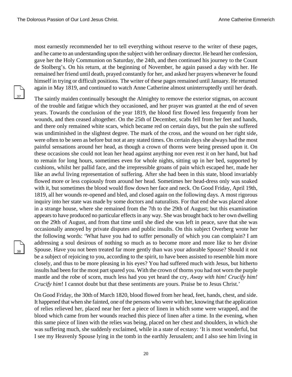38

most earnestly recommended her to tell everything without reserve to the writer of these pages, and he came to an understanding upon the subject with her ordinary director. He heard her confession, gave her the Holy Communion on Saturday, the 24th, and then continued his journey to the Count de Stolberg's. On his return, at the beginning of November, he again passed a day with her. He remained her friend until death, prayed constantly for her, and asked her prayers whenever he found himself in trying or difficult positions. The writer of these pages remained until January. He returned again in May 1819, and continued to watch Anne Catherine almost uninterruptedly until her death.

The saintly maiden continually besought the Almighty to remove the exterior stigmas, on account of the trouble and fatigue which they occasioned, and her prayer was granted at the end of seven years. Towards the conclusion of the year 1819, the blood first flowed less frequently from her wounds, and then ceased altogether. On the 25th of December, scabs fell from her feet and hands, and there only remained white scars, which became red on certain days, but the pain she suffered was undiminished in the slightest degree. The mark of the cross, and the wound on her right side, were often to be seen as before but not at any stated times. On certain days she always had the most painful sensations around her head, as though a crown of thorns were being pressed upon it. On these occasions she could not lean her head against anything nor even rest it on her hand, but had to remain for long hours, sometimes even for whole nights, sitting up in her bed, supported by cushions, whilst her pallid face, and the irrepressible groans of pain which escaped her, made her like an awful living representation of suffering. After she had been in this state, blood invariably flowed more or less copiously from around her head. Sometimes her head-dress only was soaked with it, but sometimes the blood would flow down her face and neck. On Good Friday, April 19th, 1819, all her wounds re-opened and bled, and closed again on the following days. A most rigorous inquiry into her state was made by some doctors and naturalists. For that end she was placed alone in a strange house, where she remained from the 7th to the 29th of August; but this examination appears to have produced no particular effects in any way. She was brought back to her own dwelling on the 29th of August, and from that time until she died she was left in peace, save that she was occasionally annoyed by private disputes and public insults. On this subject Overberg wrote her the following words: 'What have you had to suffer personally of which you can complain? I am addressing a soul desirous of nothing so much as to become more and more like to her divine Spouse. Have you not been treated far more gently than was your adorable Spouse? Should it not be a subject of rejoicing to you, according to the spirit, to have been assisted to resemble him more closely, and thus to be more pleasing in his eyes? You had suffered much with Jesus, but hitherto insults had been for the most part spared you. With the crown of thorns you had not worn the purple mantle and the robe of scorn, much less had you yet heard the cry, *Away with him! Crucify him! Crucify him!* I cannot doubt but that these sentiments are yours. Praise be to Jesus Christ.'

On Good Friday, the 30th of March 1820, blood flowed from her head, feet, hands, chest, and side. It happened that when she fainted, one of the persons who were with her, knowing that the application of relies relieved her, placed near her feet a piece of linen in which some were wrapped, and the blood which came from her wounds reached this piece of linen after a time. In the evening, when this same piece of linen with the relies was being, placed on her chest and shoulders, in which she was suffering much, she suddenly exclaimed, while in a state of ecstasy: 'It is most wonderful, but I see my Heavenly Spouse lying in the tomb in the earthly Jerusalem; and I also see him living in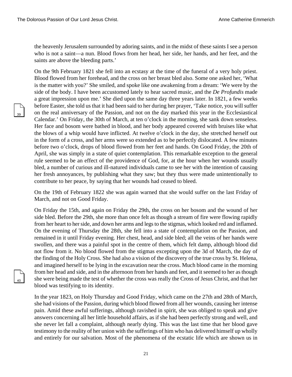40

the heavenly Jerusalem surrounded by adoring saints, and in the midst of these saints I see a person who is not a saint—a nun. Blood flows from her head, her side, her hands, and her feet, and the saints are above the bleeding parts.'

On the 9th February 1821 she fell into an ecstasy at the time of the funeral of a very holy priest. Blood flowed from her forehead, and the cross on her breast bled also. Some one asked her, 'What is the matter with you?' She smiled, and spoke like one awakening from a dream: 'We were by the side of the body. I have been accustomed lately to hear sacred music, and the *De Profundis* made a great impression upon me.' She died upon the same day three years later. In 1821, a few weeks before Easter, she told us that it had been said to her during her prayer, 'Take notice, you will suffer on the real anniversary of the Passion, and not on the day marked this year in the Ecclesiastical Calendar.' On Friday, the 30th of March, at ten o'clock in the morning, she sank down senseless. Her face and bosom were bathed in blood, and her body appeared covered with bruises like what the blows of a whip would have inflicted. At twelve o'clock in the day, she stretched herself out in the form of a cross, and her arms were so extended as to be perfectly dislocated. A few minutes before two o'clock, drops of blood flowed from her feet and hands. On Good Friday, the 20th of April, she was simply in a state of quiet contemplation. This remarkable exception to the general rule seemed to be an effect of the providence of God, for, at the hour when her wounds usually bled, a number of curious and ill-natured individuals came to see her with the intention of causing her fresh annoyances, by publishing what they saw; but they thus were made unintentionally to contribute to her peace, by saying that her wounds had ceased to bleed.

On the 19th of February 1822 she was again warned that she would suffer on the last Friday of March, and not on Good Friday.

On Friday the 15th, and again on Friday the 29th, the cross on her bosom and the wound of her side bled. Before the 29th, she more than once felt as though a stream of fire were flowing rapidly from her heart to her side, and down her arms and legs to the stigmas, which looked red and inflamed. On the evening of Thursday the 28th, she fell into a state of contemplation on the Passion, and remained in it until Friday evening. Her chest, head, and side bled; all the veins of her hands were swollen, and there was a painful spot in the centre of them, which felt damp, although blood did not flow from it. No blood flowed from the stigmas excepting upon the 3d of March, the day of the finding of the Holy Cross. She had also a vision of the discovery of the true cross by St. Helena, and imagined herself to be lying in the excavation near the cross. Much blood came in the morning from her head and side, and in the afternoon from her hands and feet, and it seemed to her as though she were being made the test of whether the cross was really the Cross of Jesus Christ, and that her blood was testifying to its identity.

In the year 1823, on Holy Thursday and Good Friday, which came on the 27th and 28th of March, she had visions of the Passion, during which blood flowed from all her wounds, causing her intense pain. Amid these awful sufferings, although ravished in spirit, she was obliged to speak and give answers concerning all her little household affairs, as if she had been perfectly strong and well, and she never let fall a complaint, although nearly dying. This was the last time that her blood gave testimony to the reality of her union with the sufferings of him who has delivered himself up wholly and entirely for our salvation. Most of the phenomena of the ecstatic life which are shown us in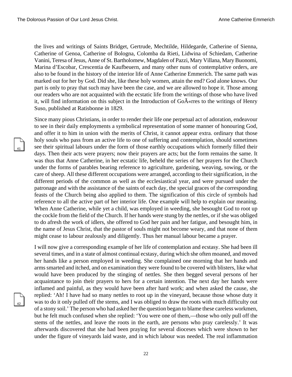42

the lives and writings of Saints Bridget, Gertrude, Mechtilde, Hildegarde, Catherine of Sienna, Catherine of Genoa, Catherine of Bologna, Colomba da Rieti, Lidwina of Schiedam, Catherine Vanini, Teresa of Jesus, Anne of St. Bartholomew, Magdalen of Pazzi, Mary Villana, Mary Buonomi, Marina d'Escobar, Crescentia de Kaufbeuern, and many other nuns of contemplative orders, are also to be found in the history of the interior life of Anne Catherine Emmerich. The same path was marked out for her by God. Did she, like these holy women, attain the end? God alone knows. Our part is only to pray that such may have been the case, and we are allowed to hope it. Those among our readers who are not acquainted with the ecstatic life from the writings of those who have lived it, will find information on this subject in the Introduction of Go $\ddot{A}$  k arres to the writings of Henry Suso, published at Ratisbonne in 1829.

Since many pious Christians, in order to render their life one perpetual act of adoration, endeavour to see in their daily employments a symbolical representation of some manner of honouring God, and offer it to him in union with the merits of Christ, it cannot appear extra. ordinary that those holy souls who pass from an active life to one of suffering and contemplation, should sometimes see their spiritual labours under the form of those earthly occupations which formerly filled their days. Then their acts were prayers; now their prayers are acts; but the form remains the same. It was thus that Anne Catherine, in her ecstatic life, beheld the series of her prayers for the Church under the forms of parables bearing reference to agriculture, gardening, weaving, sowing, or the care of sheep. All these different occupations were arranged, according to their signification, in the different periods of the common as well as the ecclesiastical year, and were pursued under the patronage and with the assistance of the saints of each day, the special graces of the corresponding feasts of the Church being also applied to them. The signification of this circle of symbols had reference to all the active part of her interior life. One example will help to explain our meaning. When Anne Catherine, while yet a child, was employed in weeding, she besought God to root up the cockle from the field of the Church. If her hands were stung by the nettles, or if she was obliged to do afresh the work of idlers, she offered to God her pain and her fatigue, and besought him, in the name of Jesus Christ, that the pastor of souls might not become weary, and that none of them might cease to labour zealously and diligently. Thus her manual labour became a prayer.

I will now give a corresponding example of her life of contemplation and ecstasy. She had been ill several times, and in a state of almost continual ecstasy, during which she often moaned, and moved her hands like a person employed in weeding. She complained one morning that her hands and arms smarted and itched, and on examination they were found to be covered with blisters, like what would have been produced by the stinging of nettles. She then begged several persons of her acquaintance to join their prayers to hers for a certain intention. The next day her hands were inflamed and painful, as they would have been after hard work; and when asked the cause, she replied: 'Ah! I have had so many nettles to root up in the vineyard, because those whose duty it was to do it only pulled off the stems, and I was obliged to draw the roots with much difficulty out of a stony soil.' The person who had asked her the question began to blame these careless workmen, but he felt much confused when she replied: 'You were one of them,—those who only pull off the stems of the nettles, and leave the roots in the earth, are persons who pray carelessly.' It was afterwards discovered that she had been praying for several dioceses which were shown to her under the figure of vineyards laid waste, and in which labour was needed. The real inflammation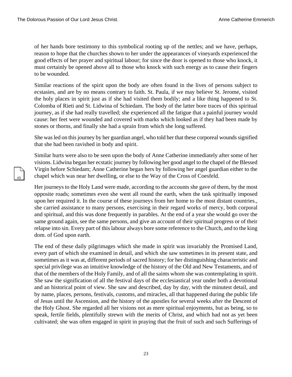of her hands bore testimony to this symbolical rooting up of the nettles; and we have, perhaps, reason to hope that the churches shown to her under the appearances of vineyards experienced the good effects of her prayer and spiritual labour; for since the door is opened to those who knock, it must certainly be opened above all to those who knock with such energy as to cause their fingers to be wounded.

Similar reactions of the spirit upon the body are often found in the lives of persons subject to ecstasies, and are by no means contrary to faith. St. Paula, if we may believe St. Jerome, visited the holy places in spirit just as if she had visited them bodily; and a like thing happened to St. Colomba of Rieti and St. Lidwina of Schiedam. The body of the latter bore traces of this spiritual journey, as if she had really travelled; she experienced all the fatigue that a painful journey would cause: her feet were wounded and covered with marks which looked as if they had been made by stones or thorns, and finally she had a sprain from which she long suffered.

She was led on this journey by her guardian angel, who told her that these corporeal wounds signified that she had been ravished in body and spirit.

Similar hurts were also to be seen upon the body of Anne Catherine immediately after some of her visions. Lidwina began her ecstatic journey by following her good angel to the chapel of the Blessed Virgin before Schiedam; Anne Catherine began hers by following her angel guardian either to the chapel which was near her dwelling, or else to the Way of the Cross of Coesfeld.

Her journeys to the Holy Land were made, according to the accounts she gave of them, by the most opposite roads; sometimes even she went all round the earth, when the task spiritually imposed upon her required it. In the course of these journeys from her home to the most distant countries., she carried assistance to many persons, exercising in their regard works of mercy, both corporal and spiritual, and this was done frequently in parables. At the end of a year she would go over the same ground again, see the same persons, and give an account of their spiritual progress or of their relapse into sin. Every part of this labour always bore some reference to the Church, and to the king dom. of God upon earth.

The end of these daily pilgrimages which she made in spirit was invariably the Promised Land, every part of which she examined in detail, and which she saw sometimes in its present state, and sometimes as it was at, different periods of sacred history; for her distinguishing characteristic and special privilege was an intuitive knowledge of the history of the Old and New Testaments, and of that of the members of the Holy Family, and of all the saints whom she was contemplating in spirit. She saw the signification of all the festival days of the ecclesiastical year under both a devotional and an historical point of view. She saw and described, day by day, with the minutest detail, and by name, places, persons, festivals, customs, and miracles, all that happened during the public life of Jesus until the Ascension, and the history of the apostles for several weeks after the Descent of the Holy Ghost. She regarded all her visions not as mere spiritual enjoyments, but as being, so to speak, fertile fields, plentifully strewn with the merits of Christ, and which had not as yet been cultivated; she was often engaged in spirit in praying that the fruit of such and such Sufferings of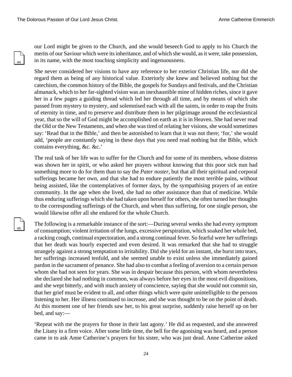45

our Lord might be given to the Church, and she would beseech God to apply to his Church the merits of our Saviour which were its inheritance, and of which she would, as it were, take possession, in its name, with the most touching simplicity and ingenuousness.

She never considered her visions to have any reference to her exterior Christian life, nor did she regard them as being of any historical value. Exteriorly she knew and believed nothing but the catechism, the common history of the Bible, the gospels for Sundays and festivals, and the Christian almanack, which to her far-sighted vision was an inexhaustible mine of hidden riches, since it gave her in a few pages a guiding thread which led her through all time, and by means of which she passed from mystery to mystery, and solemnised each with all the saints, in order to reap the fruits of eternity in time, and to preserve and distribute them in her pilgrimage around the ecclesiastical year, that so the will of God might be accomplished on earth as it is in Heaven. She had never read the Old or the New Testaments, and when she was tired of relating her visions, she would sometimes say: 'Read that in the Bible,' and then be astonished to learn that it was not there; 'for,' she would add, 'people are constantly saying in these days that you need read nothing but the Bible, which contains everything, &c. &c.'

The real task of her life was to suffer for the Church and for some of its members, whose distress was shown her in spirit, or who asked her prayers without knowing that this poor sick nun had something more to do for them than to say the *Pater noster*, but that all their spiritual and corporal sufferings became her own, and that she had to endure patiently the most terrible pains, without being assisted, like the contemplatives of former days, by the sympathising prayers of an entire community. In the age when she lived, she had no other assistance than that of medicine. While thus enduring sufferings which she had taken upon herself for others, she often turned her thoughts to the corresponding sufferings of the Church, and when thus suffering, for one single person, she would likewise offer all she endured for the whole Church.

The following is a remarkable instance of the sort:—During several weeks she had every symptom of consumption; violent irritation of the lungs, excessive perspiration, which soaked her whole bed, a racking cough, continual expectoration, and a strong continual fever. So fearful were her sufferings that her death was hourly expected and even desired. It was remarked that she had to struggle strangely against a strong temptation to irritability. Did she yield for an instant, she burst into tears, her sufferings increased tenfold, and she seemed unable to exist unless she immediately gained pardon in the sacrament of penance. She had also to combat a feeling of aversion to a certain person whom she had not seen for years. She was in despair because this person, with whom nevertheless she declared she had nothing in common, was always before her eyes in the most evil dispositions, and she wept bitterly, and with much anxiety of conscience, saying that she would not commit sin, that her grief must be evident to all, and other things which were quite unintelligible to the persons listening to her. Her illness continued to increase, and she was thought to be on the point of death. At this moment one of her friends saw her, to his great surprise, suddenly raise herself up on her bed, and say:—

'Repeat with me the prayers for those in their last agony.' He did as requested, and she answered the Litany in a firm voice. After some little time, the bell for the agonising was heard, and a person came in to ask Anne Catherine's prayers for his sister, who was just dead. Anne Catherine asked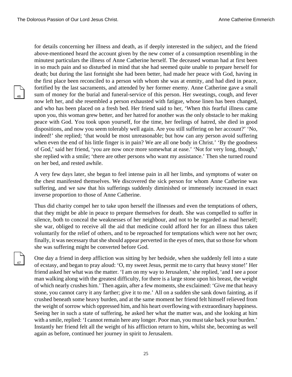47

for details concerning her illness and death, as if deeply interested in the subject, and the friend above-mentioned heard the account given by the new comer of a consumption resembling in the minutest particulars the illness of Anne Catherine herself. The deceased woman had at first been in so much pain and so disturbed in mind that she had seemed quite unable to prepare herself for death; but during the last fortnight she had been better, had made her peace with God, having in the first place been reconciled to a person with whom she was at enmity, and had died in peace, fortified by the last sacraments, and attended by her former enemy. Anne Catherine gave a small sum of money for the burial and funeral-service of this person. Her sweatings, cough, and fever now left her, and she resembled a person exhausted with fatigue, whose linen has been changed, and who has been placed on a fresh bed. Her friend said to her, 'When this fearful illness came upon you, this woman grew better, and her hatred for another was the only obstacle to her making peace with God. You took upon yourself, for the time, her feelings of hatred, she died in good dispositions, and now you seem tolerably well again. Are you still suffering on her account?' 'No, indeed!' she replied; 'that would be most unreasonable; but how can any person avoid suffering when even the end of his little finger is in pain? We are all one body in Christ.' 'By the goodness of God,' said her friend, 'you are now once more somewhat at ease.' 'Not for very long, though,' she replied with a smile; 'there are other persons who want my assistance.' Then she turned round on her bed, and rested awhile.

A very few days later, she began to feel intense pain in all her limbs, and symptoms of water on the chest manifested themselves. We discovered the sick person for whom Anne Catherine was suffering, and we saw that his sufferings suddenly diminished or immensely increased in exact inverse proportion to those of Anne Catherine.

Thus did charity compel her to take upon herself the illnesses and even the temptations of others, that they might be able in peace to prepare themselves for death. She was compelled to suffer in silence, both to conceal the weaknesses of her neighbour, and not to be regarded as mad herself; she war, obliged to receive all the aid that medicine could afford her for an illness thus taken voluntarily for the relief of others, and to be reproached for temptations which were not her own; finally, it was necessary that she should appear perverted in the eyes of men, that so those for whom she was suffering might be converted before God.

One day a friend in deep affliction was sitting by her bedside, when she suddenly fell into a state of ecstasy, and began to pray aloud: 'O, my sweet Jesus, permit me to carry that heavy stone!' Her friend asked her what was the matter. 'I am on my way to Jerusalem,' she replied, 'and I see a poor man walking along with the greatest difficulty, for there is a large stone upon his breast, the weight of which nearly crushes him.' Then again, after a few moments, she exclaimed: 'Give me that heavy stone, you cannot carry it any farther; give it to me.' All on a sudden she sank down fainting, as if crushed beneath some heavy burden, and at the same moment her friend felt himself relieved from the weight of sorrow which oppressed him, and his heart overflowing with extraordinary happiness. Seeing her in such a state of suffering, he asked her what the matter was, and she looking at him with a smile, replied: 'I cannot remain here any longer. Poor man, you must take back your burden.' Instantly her friend felt all the weight of his affliction return to him, whilst she, becoming as well again as before, continued her journey in spirit to Jerusalem.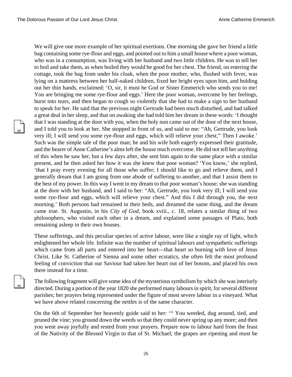49

We will give one more example of her spiritual exertions. One morning she gave her friend a little bag containing some rye-flour and eggs, and pointed out to him a small house where a poor woman, who was in a consumption, was living with her husband and two little children. He was to tell her to boil and take them, as when boiled they would be good for her chest. The friend, on entering the cottage, took the bag from under his cloak, when the poor mother, who, flushed with fever, was lying on a mattress between her half-naked children, fixed her bright eyes upon him, and holding out her thin hands, exclaimed: 'O, sir, it must be God or Sister Emmerich who sends you to me! You are bringing me some rye-flour and eggs.' Here the poor woman, overcome by her feelings, burst into tears, and then began to cough so violently that she had to make a sign to her husband to speak for her. He said that the previous night Gertrude had been much disturbed, and had talked a great deal in her sleep, and that on awaking she had told him her dream in these words: 'I thought that I was standing at the door with you, when the holy nun came out of the door of the next house, and I told you to look at her. She stopped in front of us, and said to me: "Ah, Gertrude, you look very ill; I will send you some rye-flour and eggs, which will relieve your chest." Then I awoke.' Such was the simple tale of the poor man; he and his wife both eagerly expressed their gratitude, and the bearer of Anne Catherine's alms left the house much overcome. He did not tell her anything of this when he saw her, but a few days after, she sent him again to the same place with a similar present, and he then asked her how it was she knew that poor woman? 'You know,' she replied, 'that I pray every evening for all those who suffer; I should like to go and relieve them, and I generally dream that I am going from one abode of suffering to another, and that I assist them to the best of my power. In this way I went in my dream to that poor woman's house; she was standing at the door with her husband, and I said to her: "Ah, Gertrude, you look very ill; I will send you some rye-flour and eggs, which will relieve your chest." And this I did through you, the next morning.' Both persons had remained in their beds, and dreamed the same thing, and the dream came true. St. Augustin, in his *City of God*, book xviii., c. 18, relates a similar thing of two philosophers, who visited each other in a dream, and explained some passages of Plato, both remaining asleep in their own houses.

These sufferings, and this peculiar species of active labour, were like a single ray of light, which enlightened her whole life. Infinite was the number of spiritual labours and sympathetic sufferings which came from all parts and entered into her heart—that heart so burning with love of Jesus Christ. Like St. Catherine of Sienna and some other ecstatics, she often felt the most profound feeling of conviction that our Saviour had taken her heart out of her bosom, and placed his own there instead for a time.

The following fragment will give some idea of the mysterious symbolism by which she was interiorly directed. During a portion of the year 1820 she performed many labours in spirit, for several different parishes; her prayers being represented under the figure of most severe labour in a vineyard. What we have above related concerning the nettles is of the same character.

On the 6th of September her heavenly guide said to her: '" You weeded, dug around, tied, and pruned the vine; you ground down the weeds so that they could never spring up any more; and then you went away joyfully and rested from your prayers. Prepare now to labour hard from the feast of the Nativity of the Blessed Virgin to that of St. Michael; the grapes are ripening and must be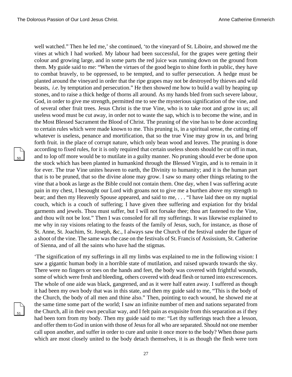51

well watched." Then he led me,' she continued, 'to the vineyard of St. Liboire, and showed me the vines at which I had worked. My labour had been successful, for the grapes were getting their colour and growing large, and in some parts the red juice was running down on the ground from them. My guide said to me: "When the virtues of the good begin to shine forth in public, they have to combat bravely, to be oppressed, to be tempted, and to suffer persecution. A hedge must be planted around the vineyard in order that the ripe grapes may not be destroyed by thieves and wild beasts, *i.e.* by temptation and persecution." He then showed me how to build a wall by heaping up stones, and to raise a thick hedge of thorns all around. As my hands bled from such severe labour, God, in order to give me strength, permitted me to see the mysterious signification of the vine, and of several other fruit trees. Jesus Christ is the true Vine, who is to take root and grow in us; all useless wood must be cut away, in order not to waste the sap, which is to become the wine, and in the Most Blessed Sacrament the Blood of Christ. The pruning of the vine has to be done according to certain rules which were made known to me. This pruning is, in a spiritual sense, the cutting off whatever is useless, penance and mortification, that so the true Vine may grow in us, and bring forth fruit. in the place of corrupt nature, which only bean wood and leaves. The pruning is done according to fixed rules, for it is only required that certain useless shoots should be cut off in man, and to lop off more would be to mutilate in a guilty manner. No pruning should ever be done upon the stock which has been planted in humankind through the Blessed Virgin, and is to remain in it for ever. The true Vine unites heaven to earth, the Divinity to humanity; and it is the human part that is to be pruned, that so the divine alone may grow. I saw so many other things relating to the vine that a book as large as the Bible could not contain them. One day, when I was suffering acute pain in my chest, I besought our Lord with groans not to give me a burthen above my strength to bear; and then my Heavenly Spouse appeared, and said to me, . . . "I have laid thee on my nuptial couch, which is a couch of suffering; I have given thee suffering and expiation for thy bridal garments and jewels. Thou must suffer, but I will not forsake thee; thou art fastened to the Vine, and thou wilt not be lost." Then I was consoled for all my sufferings. It was likewise explained to me why in ray visions relating to the feasts of the family of Jesus, such, for instance, as those of St. Anne, St. Joachim, St. Joseph, &c., I always saw the Church of the festival under the figure of a shoot of the vine. The same was the case on the festivals of St. Francis of Assissium, St. Catherine of Sienna, and of all the saints who have had the stigmas.

'The signification of my sufferings in all my limbs was explained to me in the following vision: I saw a gigantic human body in a horrible state of mutilation, and raised upwards towards the sky. There were no fingers or toes on the hands and feet, the body was covered with frightful wounds, some of which were fresh and bleeding, others covered with dead flesh or turned into excrescences. The whole of one aide was black, gangrened, and as it were half eaten away. I suffered as though it had been my own body that was in this state, and then my guide said to me, "This is the body of the Church, the body of all men and thine also." Then, pointing to each wound, he showed me at the same time some part of the world; I saw an infinite number of men and nations separated from the Church, all in their own peculiar way, and I felt pain as exquisite from this separation as if they had been torn from my body. Then my guide said to me: "Let thy sufferings teach thee a lesson, and offer them to God in union with those of Jesus for all who are separated. Should not one member call upon another, and suffer in order to cure and unite it once more to the body? When those parts which are most closely united to the body detach themselves, it is as though the flesh were torn

27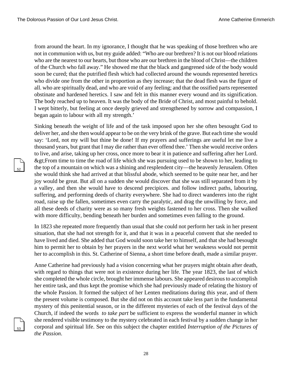53

from around the heart. In my ignorance, I thought that he was speaking of those brethren who are not in communion with us, but my guide added: "Who are our brethren? It is not our blood relations who are the nearest to our hearts, but those who are our brethren in the blood of Christ—the children of the Church who fall away." He showed me that the black and gangrened side of the body would soon be cured; that the putrified flesh which had collected around the wounds represented heretics who divide one from the other in proportion as they increase; that the dead flesh was the figure of all. who are spiritually dead, and who are void of any feeling; and that the ossified parts represented obstinate and hardened heretics. I saw and felt in this manner every wound and its signification. The body reached up to heaven. It was the body of the Bride of Christ, and most painful to behold. I wept bitterly, but feeling at once deeply grieved and strengthened by sorrow and compassion, I began again to labour with all my strength.'

Sinking beneath the weight of life and of the task imposed upon her she often besought God to deliver her, and she then would appear to be on the very brink of the grave. But each time she would say: 'Lord, not my will but thine be done! If my prayers and sufferings are useful let me live a thousand years, but grant that I may die rather than ever offend thee.' Then she would receive orders to live, and arise, taking up her cross, once more to bear it in patience and suffering after her Lord. >From time to time the road of life which she was pursuing used to be shown to her, leading to the top of a mountain on which was a shining and resplendent city—the heavenly Jerusalem. Often she would think she had arrived at that blissful abode, which seemed to be quite near her, and her joy would be great. But all on a sudden she would discover that she was still separated from it by a valley, and then she would have to descend precipices. and follow indirect paths, labouring, suffering, and performing deeds of charity everywhere. She had to direct wanderers into the right road, raise up the fallen, sometimes even carry the paralytic, and drag the unwilling by force, and all these deeds of charity were as so many fresh weights fastened to her cross. Then she walked with more difficulty, bending beneath her burden and sometimes even falling to the ground.

In 1823 she repeated more frequently than usual that she could not perform her task in her present situation, that she had not strength for it, and that it was in a peaceful convent that she needed to have lived and died. She added that God would soon take her to himself, and that she had besought him to permit her to obtain by her prayers in the next world what her weakness would not permit her to accomplish in this. St. Catherine of Sienna, a short time before death, made a similar prayer.

Anne Catherine had previously had a vision concerning what her prayers might obtain after death, with regard to things that were not in existence during her life. The year 1823, the last of which she completed the whole circle, brought her immense labours. She appeared desirous to accomplish her entire task, and thus kept the promise which she had previously made of relating the history of the whole Passion. It formed the subject of her Lenten meditations during this year, and of them the present volume is composed. But she did not on this account take less part in the fundamental mystery of this penitential season, or in the different mysteries of each of the festival days of the Church, if indeed the words *to take part* be sufficient to express the wonderful manner in which she rendered visible testimony to the mystery celebrated in each festival by a sudden change in her corporal and spiritual life. See on this subject the chapter entitled *Interruption of the Pictures of the Passion*.

28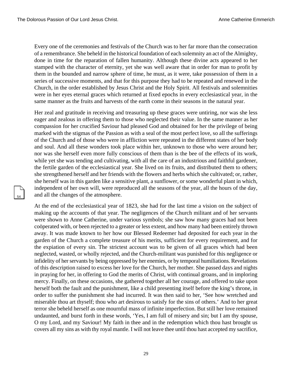Every one of the ceremonies and festivals of the Church was to her far more than the consecration of a remembrance. She beheld in the historical foundation of each solemnity an act of the Almighty, done in time for the reparation of fallen humanity. Although these divine acts appeared to her stamped with the character of eternity, yet she was well aware that in order for man to profit by them in the bounded and narrow sphere of time, he must, as it were, take possession of them in a series of successive moments, and that for this purpose they had to be repeated and renewed in the Church, in the order established by Jesus Christ and the Holy Spirit. All festivals and solemnities were in her eyes eternal graces which returned at fixed epochs in every ecclesiastical year, in the same manner as the fruits and harvests of the earth come in their seasons in the natural year.

Her zeal and gratitude in receiving and treasuring up these graces were untiring, nor was she less eager and zealous in offering them to those who neglected their value. In the same manner as her compassion for her crucified Saviour had pleased God and obtained for her the privilege of being marked with the stigmas of the Passion as with a seal of the most perfect love, so all the sufferings of the Church and of those who were in affliction were repeated in the different states of her body and soul. And all these wonders took place within her, unknown to those who were around her; nor was she herself even more fully conscious of them than is the bee of the effects of its work, while yet she was tending and cultivating, with all the care of an industrious and faithful gardener, the fertile garden of the ecclesiastical year. She lived on its fruits, and distributed them to others; she strengthened herself and her friends with the flowers and herbs which she cultivated; or, rather, she herself was in this garden like a sensitive plant, a sunflower, or some wonderful plant in which, independent of her own will, were reproduced all the seasons of the year, all the hours of the day, and all the changes of the atmosphere.

At the end of the ecclesiastical year of 1823, she had for the last time a vision on the subject of making up the accounts of that year. The negligences of the Church militant and of her servants were shown to Anne Catherine, under various symbols; she saw how many graces had not been coöperated with, or been rejected to a greater or less extent, and how many had been entirely thrown away. It was made known to her how our Blessed Redeemer had deposited for each year in the garden of the Church a complete treasure of his merits, sufficient for every requirement, and for the expiation of every sin. The strictest account was to be given of all graces which had been neglected, wasted, or wholly rejected, and the Church-militant was punished for this negligence or infidelity of her servants by being oppressed by her enemies, or by temporal humiliations. Revelations of this description raised to excess her love for the Church, her mother. She passed days and nights in praying for her, in offering to God the merits of Christ, with continual groans, and in imploring mercy. Finally, on these occasions, she gathered together all her courage, and offered to take upon herself both the fault and the punishment, like a child presenting itself before the king's throne, in order to suffer the punishment she had incurred. It was then said to her, 'See how wretched and miserable thou art thyself; thou who art desirous to satisfy for the sins of others.' And to her great terror she beheld herself as one mournful mass of infinite imperfection. But still her love remained undaunted, and burst forth in these words, 'Yes, I am full of misery and sin; but I am thy spouse, O my Lord, and my Saviour! My faith in thee and in the redemption which thou hast brought us covers all my sins as with thy royal mantle. I will not leave thee until thou hast accepted my sacrifice,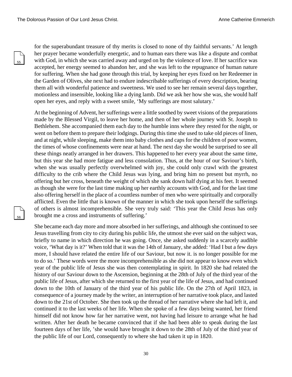56

for the superabundant treasure of thy merits is closed to none of thy faithful servants.' At length her prayer became wonderfully energetic, and to human ears there was like a dispute and combat with God, in which she was carried away and urged on by the violence of love. If her sacrifice was accepted, her energy seemed to abandon her, and she was left to the repugnance of human nature for suffering. When she had gone through this trial, by keeping her eyes fixed on her Redeemer in the Garden of Olives, she next had to endure indescribable sufferings of every description, bearing them all with wonderful patience and sweetness. We used to see her remain several days together, motionless and insensible, looking like a dying lamb. Did we ask her how she was, she would half open her eyes, and reply with a sweet smile, 'My sufferings are most salutary.'

At the beginning of Advent, her sufferings were a little soothed by sweet visions of the preparations made by the Blessed Virgil, to leave her home, and then of her whole journey with St. Joseph to Bethlehem. She accompanied them each day to the humble inns where they rested for the night, or went on before them to prepare their lodgings. During this time she used to take old pieces of linen, and at night, while sleeping, make them into baby clothes and caps for the children of poor women, the times of whose confinements were near at hand. The next day she would be surprised to see all these things neatly arranged in her drawers. This happened to her every year about the same time, but this year she had more fatigue and less consolation. Thus, at the hour of our Saviour's birth, when she was usually perfectly overwhelmed with joy, she could only crawl with the greatest difficulty to the crib where the Child Jesus was lying, and bring him no present but myrrh, no offering but her cross, beneath the weight of which she sank down half dying at his feet. It seemed as though she were for the last time making up her earthly accounts with God, and for the last time also offering herself in the place of a countless number of men who were spiritually and corporally afflicted. Even the little that is known of the manner in which she took upon herself the sufferings of others is almost incomprehensible. She very truly said: 'This year the Child Jesus has only brought me a cross and instruments of suffering.'

She became each day more and more absorbed in her sufferings, and although she continued to see Jesus travelling from city to city during his public life, the utmost she ever said on the subject was, briefly to name in which direction he was going. Once, she asked suddenly in a scarcely audible voice, 'What day is it?' When told that it was the 14th of January, she added: 'Had I but a few days more, I should have related the entire life of our Saviour, but now it. is no longer possible for me to do so.' These words were the more incomprehensible as she did not appear to know even which year of the public life of Jesus she was then contemplating in spirit. In 1820 she had related the history of our Saviour down to the Ascension, beginning at the 28th of July of the third year of the public life of Jesus, after which she returned to the first year of the life of Jesus, and had continued down to the 10th of January of the third year of his public life. On the 27th of April 1823, in consequence of a journey made by the writer, an interruption of her narrative took place, and lasted down to the 21st of October. She then took up the thread of her narrative where she had left it, and continued it to the last weeks of her life. When she spoke of a few days being wanted, her friend himself did not know how far her narrative went, not having had leisure to arrange what he had written. After her death he became convinced that if she had been able to speak during the last fourteen days of her life, 'she would have brought it down to the 28th of July of the third year of the public life of our Lord, consequently to where she had taken it up in 1820.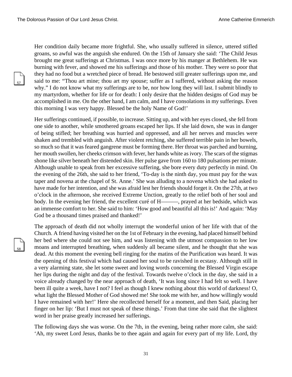58

Her condition daily became more frightful. She, who usually suffered in silence, uttered stifled groans, so awful was the anguish she endured. On the 15th of January she said: 'The Child Jesus brought me great sufferings at Christmas. I was once more by his manger at Bethlehem. He was burning with fever, and showed me his sufferings and those of his mother. They were so poor that they had no food but a wretched piece of bread. He bestowed still greater sufferings upon me, and said to me: "Thou art mine; thou art my spouse; suffer as I suffered, without asking the reason why." I do not know what my sufferings are to be, nor how long they will last. I submit blindly to my martyrdom, whether for life or for death: I only desire that the hidden designs of God may be accomplished in me. On the other hand, I am calm, and I have consolations in my sufferings. Even this morning I was very happy. Blessed be the holy Name of God!'

Her sufferings continued, if possible, to increase. Sitting up, and with her eyes closed, she fell from one side to another, while smothered groans escaped her lips. If she laid down, she was in danger of being stifled; her breathing was hurried and oppressed, and all her nerves and muscles were shaken and trembled with anguish. After violent retching, she suffered terrible pain in her bowels, so much so that it was feared gangrene must be forming there. Her throat was parched and burning, her mouth swollen, her cheeks crimson with fever, her hands white as ivory. The scars of the stigmas shone like silver beneath her distended skin. Her pulse gave from 160 to 180 pulsations per minute. Although unable to speak from her excessive suffering, she bore every duty perfectly in mind. On the evening of the 26th, she said to her friend, 'To-day is the ninth day, you must pay for the wax taper and novena at the chapel of St. Anne.' She was alluding to a novena which she had asked to have made for her intention, and she was afraid lest her friends should forget it. On the 27th, at two o'clock in the afternoon, she received Extreme Unction, greatly to the relief both of her soul and body. In the evening her friend, the excellent curé of H———, prayed at her bedside, which was an immense comfort to her. She said to him: 'How good and beautiful all this is!' And again: 'May God be a thousand times praised and thanked!'

The approach of death did not wholly interrupt the wonderful union of her life with that of the Church. A friend having visited her on the 1st of February in the evening, had placed himself behind her bed where she could not see him, and was listening with the utmost compassion to her low moans and interrupted breathing, when suddenly all became silent, and he thought that she was dead. At this moment the evening bell ringing for the matins of the Purification was heard. It was the opening of this festival which had caused her soul to be ravished in ecstasy. Although still in a very alarming state, she let some sweet and loving words concerning the Blessed Virgin escape her lips during the night and day of the festival. Towards twelve o'clock in the day, she said in a voice already changed by the near approach of death, 'It was long since I had felt so well. I have been ill quite a week, have I not? I feel as though I knew nothing about this world of darkness! O, what light the Blessed Mother of God showed me! She took me with her, and how willingly would I have remained with her!' Here she recollected herself for a moment, and then Said, placing her finger on her lip: 'But I must not speak of these things.' From that time she said that the slightest word in her praise greatly increased her sufferings.

The following days she was worse. On the 7th, in the evening, being rather more calm, she said: 'Ah, my sweet Lord Jesus, thanks be to thee again and again for every part of my life. Lord, thy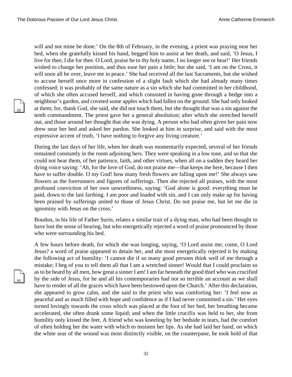$60$ 

will and not mine be done.' On the 8th of February, in the evening, a priest was praying near her bed, when she gratefully kissed his hand, begged him to assist at her death, and said, 'O Jesus, I live for thee, I die for thee. O Lord, praise be to thy holy name, I no longer see or hear!' Her friends wished to change her position, and thus ease her pain a little; but she said, 'I am on the Cross, it will soon all be over, leave me in peace.' She had received all the last Sacraments, but she wished to accuse herself once more in confession of a slight fault which she had already many times confessed; it was probably of the same nature as a sin which she had committed in her childhood, of which she often accused herself, and which consisted in having gone through a hedge into a neighbour's garden, and coveted some apples which had fallen on the ground. She had only looked at them; for, thank God, she said, she did not touch them, but she thought that was a sin against the tenth commandment. The priest gave her a general absolution; after which she stretched herself out, and those around her thought that she was dying. A person who had often given her pain now drew near her bed and asked her pardon. She looked at him in surprise, and said with the most expressive accent of truth, 'I have nothing to forgive any living creature.'

During the last days of her life, when her death was momentarily expected, several of her friends remained constantly in the room adjoining hers. They were speaking in a low tone, and so that she could not hear them, of her patience, faith, and other virtues, when all on a sudden they heard her dying voice saying: 'Ah, for the love of God, do not praise me—that keeps me here, because I then have to suffer double. O my God! how many fresh flowers are falling upon me!' She always saw flowers as the forerunners and figures of sufferings. Then she rejected all praises, with the most profound conviction of her own unworthiness, saying: 'God alone is good: everything must be paid, down to the last farthing. I am poor and loaded with sin, and I can only make up for having been praised by sufferings united to those of Jesus Christ. Do not praise me, but let me die in ignominy with Jesus on the cross.'

Boudon, in his life of Father Surin, relates a similar trait of a dying man, who had been thought to have lost the sense of hearing, but who energetically rejected a word of praise pronounced by those who were surrounding his bed.

A few hours before death, for which she was longing, saying, 'O Lord assist me; come, O Lord Jesus? a word of praise appeared to detain her, and she most energetically rejected it by making the following act of humility: 'I cannot die if so many good persons think well of me through a mistake; I beg of you to tell them all that I am a wretched sinner! Would that I could proclaim so as to be heard by all men, how great a sinner I am! I am far beneath the good thief who was crucified by the side of Jesus, for he and all his contemporaries had not so terrible an account as we shall have to render of all the graces which have been bestowed upon the Church.' After this declaration, she appeared to grow calm, and she said to the priest who was comforting her: 'I feel now as peaceful and as much filled with hope and confidence as if I had never committed a sin.' Her eyes turned lovingly towards the cross which was placed at the foot of her bed, her breathing became accelerated, she often drank some liquid; and when the little crucifix was held to her, she from humility only kissed the feet. A friend who was kneeling by her bedside in tears, had the comfort of often holding her the water with which to moisten her lips. As she had laid her hand, on which the white sear of the wound was most distinctly visible, on the counterpane, he took hold of that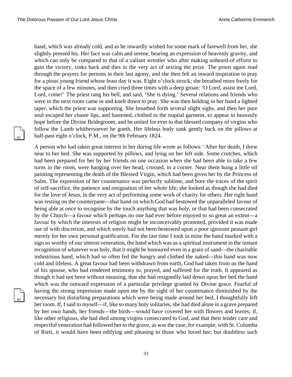62

hand, which was already cold, and as he inwardly wished for some mark of farewell from her, she slightly pressed his. Her face was calm and serene, bearing an expression of heavenly gravity, and which can only be compared to that of a valiant wrestler who after making unheard-of efforts to gain the victory, sinks back and dies in the very act of seizing the prize. The priest again read through the prayers for persons in their last agony, and she then felt an inward inspiration to pray for a pious young friend whose feast day it was. Eight o'clock struck; she breathed more freely for the space of a few minutes, and then cried three times with a deep groan: 'O Lord, assist me Lord, Lord, come!' The priest rang his bell, and said, 'She is dying.' Several relations and friends who were in the next room came in and knelt down to pray. She was then holding in her hand a lighted taper, which the priest was supporting. She breathed forth several slight sighs, and then her pure soul escaped her chaste lips, and hastened, clothed in the nuptial garment, to appear in heavenly hope before the Divine Bridegroom, and be united for ever to that blessed company of virgins who follow the Lamb whithersoever he goeth. Her lifeless body sank gently back on the pillows at half-past eight o'clock, P.M., on the 9th February 1824.

A person who had taken great interest in her during life wrote as follows: 'After her death, I drew near to her bed. She was supported by pillows, and lying on her left side. Some crutches, which had been prepared for her by her friends on one occasion when she had been able to take a few turns in the room, were hanging over her head, crossed, in a corner. Near them hung a little oil painting representing the death of the Blessed Virgin, which had been given her by the Princess of Salm. The expression of her countenance was perfectly sublime, and bore the traces of the spirit of self-sacrifice, the patience and resignation of her whole life; she looked as though she had died for the love of Jesus, in the very act of performing some work of charity for others. Her right hand was resting on the counterpane—that hand on which God had bestowed the unparalleled favour of being able at once to recognise by the touch anything that was holy, or that had been consecrated by the Church—a favour which perhaps no one had ever before enjoyed to so great an extent—a favour by which the interests of religion might be inconceivably promoted, provided it was made use of with discretion, and which surely had not been bestowed upon a poor ignorant peasant girl merely for her own personal gratification. For the last time I took in mine the band marked with a sign so worthy of our utmost veneration, the hand which was as a spiritual instrument in the instant recognition of whatever was holy, that it might be honoured even in a grain of sand—the charitable industrious hand, which had so often fed the hungry and clothed the naked—this hand was now cold and lifeless. A great favour had been withdrawn from earth, God had taken from us the hand of his spouse, who had rendered testimony to, prayed, and suffered for the truth. It appeared as though it had not been without meaning, that she had resignedly laid down upon her bed the hand which was the outward expression of a particular privilege granted by Divine grace. Fearful of having the strong impression made upon me by the sight of her countenance diminished by the necessary but disturbing preparations which were being made around her bed, I thoughtfully left her room. If, I said to myself—if, like so many holy solitaries, she had died alone in a grave prepared by her own hands, her friends—the birds—would have covered her with flowers and leaves; if, like other religious, she had died among virgins consecrated to God, and that their tender care and respectful veneration had followed her to the grave, as was the case, for example, with St. Columba of Rieti, it would have been edifying and pleasing to those who loved her; but doubtless such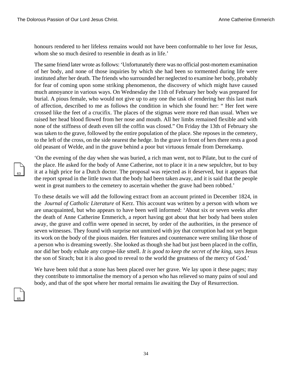honours rendered to her lifeless remains would not have been conformable to her love for Jesus, whom she so much desired to resemble in death as in life.'

The same friend later wrote as follows: 'Unfortunately there was no official post-mortem examination of her body, and none of those inquiries by which she had been so tormented during life were instituted after her death. The friends who surrounded her neglected to examine her body, probably for fear of coming upon some striking phenomenon, the discovery of which might have caused much annoyance in various ways. On Wednesday the 11th of February her body was prepared for burial. A pious female, who would not give up to any one the task of rendering her this last mark of affection, described to me as follows the condition in which she found her: " Her feet were crossed like the feet of a crucifix. The places of the stigmas were more red than usual. When we raised her head blood flowed from her nose and mouth. All her limbs remained flexible and with none of the stiffness of death even till the coffin was closed." On Friday the 13th of February she was taken to the grave, followed by the entire population of the place. She reposes in the cemetery, to the left of the cross, on the side nearest the hedge. In the grave in front of hers there rests a good old peasant of Welde, and in the grave behind a poor but virtuous female from Dernekamp.

'On the evening of the day when she was buried, a rich man went, not to Pilate, but to the curé of the place. He asked for the body of Anne Catherine, not to place it in a new sepulchre, but to buy it at a high price for a Dutch doctor. The proposal was rejected as it deserved, but it appears that the report spread in the little town that the body had been taken away, and it is said that the people went in great numbers to the cemetery to ascertain whether the grave had been robbed.'

To these details we will add the following extract from an account printed in December 1824, in the *Journal of Catholic Literature* of Kerz. This account was written by a person with whom we are unacquainted, but who appears to have been well informed: 'About six or seven weeks after the death of Anne Catherine Emmerich, a report having got about that her body had been stolen away, the grave and coffin were opened in secret, by order of the authorities, in the presence of seven witnesses. They found with surprise not unmixed with joy that corruption had not yet begun its work on the body of the pious maiden. Her features and countenance were smiling like those of a person who is dreaming sweetly. She looked as though she had but just been placed in the coffin, nor did her body exhale any corpse-like smell. *It is good to keep the secret of the king*, says Jesus the son of Sirach; but it is also good to reveal to the world the greatness of the mercy of God.'

We have been told that a stone has been placed over her grave. We lay upon it these pages; may they contribute to immortalise the memory of a person who has relieved so many pains of soul and body, and that of the spot where her mortal remains lie awaiting the Day of Resurrection.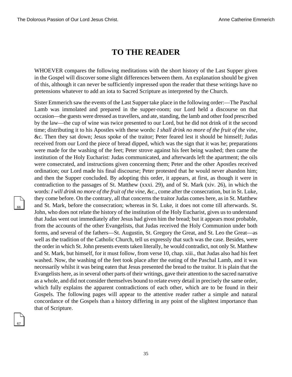# **TO THE READER**

WHOEVER compares the following meditations with the short history of the Last Supper given in the Gospel will discover some slight differences between them. An explanation should be given of this, although it can never be sufficiently impressed upon the reader that these writings have no pretensions whatever to add an iota to Sacred Scripture as interpreted by the Church.

Sister Emmerich saw the events of the Last Supper take place in the following order:—The Paschal Lamb was immolated and prepared in the supper-room; our Lord held a discourse on that occasion—the guests were dressed as travellers, and ate, standing, the lamb and other food prescribed by the law—the cup of wine was twice presented to our Lord, but he did not drink of it the second time; distributing it to his Apostles with these words: *I shall drink no more of the fruit of the vine*, &c. Then they sat down; Jesus spoke of the traitor; Peter feared lest it should be himself; Judas received from our Lord the piece of bread dipped, which was the sign that it was he; preparations were made for the washing of the feet; Peter strove against his feet being washed; then came the institution of the Holy Eucharist: Judas communicated, and afterwards left the apartment; the oils were consecrated, and instructions given concerning them; Peter and the other Apostles received ordination; our Lord made his final discourse; Peter protested that he would never abandon him; and then the Supper concluded. By adopting this order, it appears, at first, as though it were in contradiction to the passages of St. Matthew ([xxxi. 29\)](http://www.ccel.org/b/bible/asv/xml/asv.Matt.31.xml#Matt.31.29), and of St. Mark [\(xiv. 26](http://www.ccel.org/b/bible/asv/xml/asv.Mark.14.xml#Mark.14.26)), in which the words: *I will drink no more of the fruit of the vine*, &c., come after the consecration, but in St. Luke, they come before. On the contrary, all that concerns the traitor Judas comes here, as in St. Matthew and St. Mark, before the consecration; whereas in St. Luke, it does not come till afterwards. St. John, who does not relate the history of the institution of the Holy Eucharist, gives us to understand that Judas went out immediately after Jesus had given him the bread; but it appears most probable, from the accounts of the other Evangelists, that Judas received the Holy Communion under both forms, and several of the fathers—St. Augustin, St. Gregory the Great, and St. Leo the Great—as well as the tradition of the Catholic Church, tell us expressly that such was the case. Besides, were the order in which St. John presents events taken literally, he would contradict, not only St. Matthew and St. Mark, but himself, for it must follow, from [verse 10, chap. xiii.,](http://www.ccel.org/b/bible/asv/xml/asv.John.13.xml#John.13.10) that Judas also had his feet washed. Now, the washing of the feet took place after the eating of the Paschal Lamb, and it was necessarily whilst it was being eaten that Jesus presented the bread to the traitor. It is plain that the Evangelists here, as in several other parts of their writings, gave their attention to the sacred narrative as a whole, and did not consider themselves bound to relate every detail in precisely the same order, which fully explains the apparent contradictions of each other, which are to be found in their Gospels. The following pages will appear to the attentive reader rather a simple and natural concordance of the Gospels than a history differing in any point of the slightest importance than that of Scripture.

66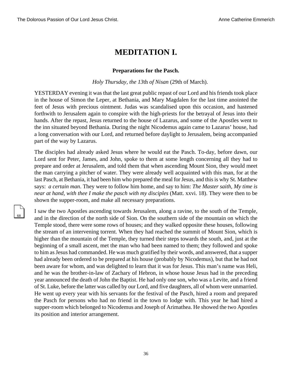# **MEDITATION I.**

### **Preparations for the Pasch.**

### *Holy Thursday, the 13*th *of Nisan* (29th of March).

YESTERDAY evening it was that the last great public repast of our Lord and his friends took place in the house of Simon the Leper, at Bethania, and Mary Magdalen for the last time anointed the feet of Jesus with precious ointment. Judas was scandalised upon this occasion, and hastened forthwith to Jerusalem again to conspire with the high-priests for the betrayal of Jesus into their hands. After the repast, Jesus returned to the house of Lazarus, and some of the Apostles went to the inn situated beyond Bethania. During the night Nicodemus again came to Lazarus' house, had a long conversation with our Lord, and returned before daylight to Jerusalem, being accompanied part of the way by Lazarus.

The disciples had already asked Jesus where he would eat the Pasch. To-day, before dawn, our Lord sent for Peter, James, and John, spoke to them at some length concerning all they had to prepare and order at Jerusalem, and told them that when ascending Mount Sion, they would meet the man carrying a pitcher of water. They were already well acquainted with this man, for at the last Pasch, at Bethania, it had been him who prepared the meal for Jesus, and this is why St. Matthew says: *a certain man*. They were to follow him home, and say to him: *The Master saith, My time is near at hand, with thee I make the pasch with my disciples* [\(Matt. xxvi. 18](http://www.ccel.org/b/bible/asv/xml/asv.Matt.26.xml#Matt.26.18)). They were then to be shown the supper-room, and make all necessary preparations.

I saw the two Apostles ascending towards Jerusalem, along a ravine, to the south of the Temple, and in the direction of the north side of Sion. On the southern side of the mountain on which the Temple stood, there were some rows of houses; and they walked opposite these houses, following the stream of an intervening torrent. When they had reached the summit of Mount Sion, which is higher than the mountain of the Temple, they turned their steps towards the south, and, just at the beginning of a small ascent, met the man who had been named to them; they followed and spoke to him as Jesus had commanded. He was much gratified by their words, and answered, that a supper had already been ordered to be prepared at his house (probably by Nicodemus), but that he had not been aware for whom, and was delighted to learn that it was for Jesus. This man's name was Heli, and he was the brother-in-law of Zachary of Hebron, in whose house Jesus had in the preceding year announced the death of John the Baptist. He had only one son, who was a Levite, and a friend of St. Luke, before the latter was called by our Lord, and five daughters, all of whom were unmarried. He went up every year with his servants for the festival of the Pasch, hired a room and prepared the Pasch for persons who had no friend in the town to lodge with. This year he had hired a supper-room which belonged to Nicodemus and Joseph of Arimathea. He showed the two Apostles its position and interior arrangement.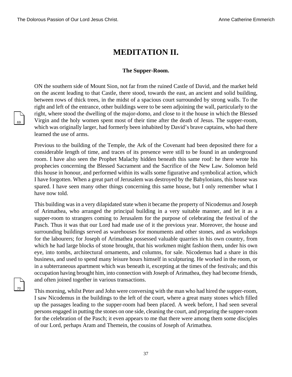# **MEDITATION II.**

### **The Supper-Room.**

ON the southern side of Mount Sion, not far from the ruined Castle of David, and the market held on the ascent leading to that Castle, there stood, towards the east, an ancient and solid building, between rows of thick trees, in the midst of a spacious court surrounded by strong walls. To the right and left of the entrance, other buildings were to be seen adjoining the wall, particularly to the right, where stood the dwelling of the major-domo, and close to it the house in which the Blessed Virgin and the holy women spent most of their time after the death of Jesus. The supper-room, which was originally larger, had formerly been inhabited by David's brave captains, who had there learned the use of arms.

Previous to the building of the Temple, the Ark of the Covenant had been deposited there for a considerable length of time, and traces of its presence were still to be found in an underground room. I have also seen the Prophet Malachy hidden beneath this same roof: he there wrote his prophecies concerning the Blessed Sacrament and the Sacrifice of the New Law. Solomon held this house in honour, and performed within its walls some figurative and symbolical action, which I have forgotten. When a great part of Jerusalem was destroyed by the Babylonians, this house was spared. I have seen many other things concerning this same house, but I only remember what I have now told.

This building was in a very dilapidated state when it became the property of Nicodemus and Joseph of Arimathea, who arranged the principal building in a very suitable manner, and let it as a supper-room to strangers coming to Jerusalem for the purpose of celebrating the festival of the Pasch. Thus it was that our Lord had made use of it the previous year. Moreover, the house and surrounding buildings served as warehouses for monuments and other stones, and as workshops for the labourers; for Joseph of Arimathea possessed valuable quarries in his own country, from which he had large blocks of stone brought, that his workmen might fashion them, under his own eye, into tombs, architectural ornaments, and columns, for sale. Nicodemus had a share in this business, and used to spend many leisure hours himself in sculpturing. He worked in the room, or in a subterraneous apartment which was beneath it, excepting at the times of the festivals; and this occupation having brought him, into connection with Joseph of Arimathea, they had become friends, and often joined together in various transactions.

This morning, whilst Peter and John were conversing with the man who had hired the supper-room, I saw Nicodemus in the buildings to the left of the court, where a great many stones which filled up the passages leading to the supper-room had been placed. A week before, I had seen several persons engaged in putting the stones on one side, cleaning the court, and preparing the supper-room for the celebration of the Pasch; it even appears to me that there were among them some disciples of our Lord, perhaps Aram and Themein, the cousins of Joseph of Arimathea.

# 69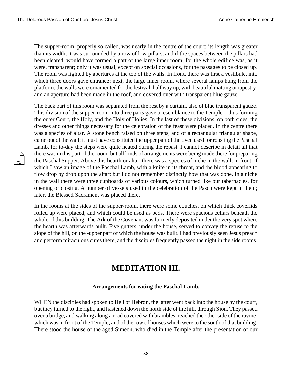The supper-room, properly so called, was nearly in the centre of the court; its length was greater than its width; it was surrounded by a row of low pillars, and if the spaces between the pillars had been cleared, would have formed a part of the large inner room, for the whole edifice was, as it were, transparent; only it was usual, except on special occasions, for the passages to be closed up. The room was lighted by apertures at the top of the walls. In front, there was first a vestibule, into which three doors gave entrance; next, the large inner room, where several lamps hung from the platform; the walls were ornamented for the festival, half way up, with beautiful matting or tapestry, and an aperture had been made in the roof, and covered over with transparent blue gauze.

The back part of this room was separated from the rest by a curtain, also of blue transparent gauze. This division of the supper-room into three parts gave a resemblance to the Temple—thus forming the outer Court, the Holy, and the Holy of Holies. In the last of these divisions, on both sides, the dresses and other things necessary for the celebration of the feast were placed. In the centre there was a species of altar. A stone bench raised on three steps, and of a rectangular triangular shape, came out of the wall; it must have constituted the upper part of the oven used for roasting the Paschal Lamb, for to-day the steps were quite heated during the repast. I cannot describe in detail all that there was in this part of the room, but all kinds of arrangements were being made there for preparing the Paschal Supper. Above this hearth or altar, there was a species of niche in the wall, in front of which I saw an image of the Paschal Lamb, with a knife in its throat, and the blood appearing to flow drop by drop upon the altar; but I do not remember distinctly how that was done. In a niche in the wall there were three cupboards of various colours, which turned like our tabernacles, for opening or closing. A number of vessels used in the celebration of the Pasch were kept in them; later, the Blessed Sacrament was placed there.

In the rooms at the sides of the supper-room, there were some couches, on which thick coverlids rolled up were placed, and which could be used as beds. There were spacious cellars beneath the whole of this building. The Ark of the Covenant was formerly deposited under the very spot where the hearth was afterwards built. Five gutters, under the house, served to convey the refuse to the slope of the hill, on the -upper part of which the house was built. I had previously seen Jesus preach and perform miraculous cures there, and the disciples frequently passed the night in the side rooms.

# **MEDITATION III.**

### **Arrangements for eating the Paschal Lamb.**

WHEN the disciples had spoken to Heli of Hebron, the latter went back into the house by the court, but they turned to the right, and hastened down the north side of the hill, through Sion. They passed over a bridge, and walking along a road covered with brambles, reached the other side of the ravine, which was in front of the Temple, and of the row of houses which were to the south of that building. There stood the house of the aged Simeon, who died in the Temple after the presentation of our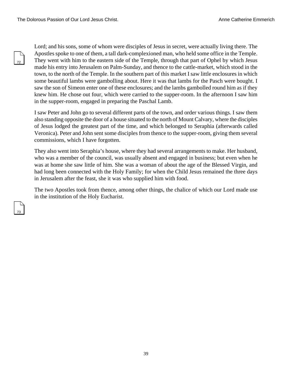Lord; and his sons, some of whom were disciples of Jesus in secret, were actually living there. The Apostles spoke to one of them, a tall dark-complexioned man, who held some office in the Temple. They went with him to the eastern side of the Temple, through that part of Ophel by which Jesus made his entry into Jerusalem on Palm-Sunday, and thence to the cattle-market, which stood in the town, to the north of the Temple. In the southern part of this market I saw little enclosures in which some beautiful lambs were gambolling about. Here it was that lambs for the Pasch were bought. I saw the son of Simeon enter one of these enclosures; and the lambs gambolled round him as if they knew him. He chose out four, which were carried to the supper-room. In the afternoon I saw him in the supper-room, engaged in preparing the Paschal Lamb.

I saw Peter and John go to several different parts of the town, and order various things. I saw them also standing opposite the door of a house situated to the north of Mount Calvary, where the disciples of Jesus lodged the greatest part of the time, and which belonged to Seraphia (afterwards called Veronica). Peter and John sent some disciples from thence to the supper-room, giving them several commissions, which I have forgotten.

They also went into Seraphia's house, where they had several arrangements to make. Her husband, who was a member of the council, was usually absent and engaged in business; but even when he was at home she saw little of him. She was a woman of about the age of the Blessed Virgin, and had long been connected with the Holy Family; for when the Child Jesus remained the three days in Jerusalem after the feast, she it was who supplied him with food.

The two Apostles took from thence, among other things, the chalice of which our Lord made use in the institution of the Holy Eucharist.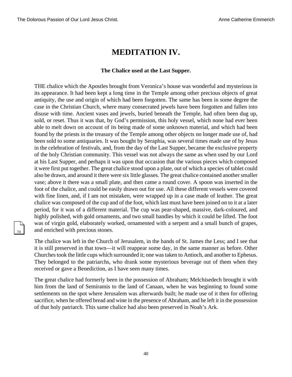# **MEDITATION IV.**

### **The Chalice used at the Last Supper.**

THE chalice which the Apostles brought from Veronica's house was wonderful and mysterious in its appearance. It had been kept a long time in the Temple among other precious objects of great antiquity, the use and origin of which had been forgotten. The same has been in some degree the case in the Christian Church, where many consecrated jewels have been forgotten and fallen into disuse with time. Ancient vases and jewels, buried beneath the Temple, had often been dug up, sold, or reset. Thus it was that, by God's permission, this holy vessel, which none had ever been able to melt down on account of its being made of some unknown material, and which had been found by the priests in the treasury of the Temple among other objects no longer made use of, had been sold to some antiquaries. It was bought by Seraphia, was several times made use of by Jesus in the celebration of festivals, and, from the day of the Last Supper, became the exclusive property of the holy Christian community. This vessel was not always the same as when used by our Lord at his Last Supper, and perhaps it was upon that occasion that the various pieces which composed it were first put together. The great chalice stood upon a plate, out of which a species of tablet could also be drawn, and around it there were six little glasses. The great chalice contained another smaller vase; above it there was a small plate, and then came a round cover. A spoon was inserted in the foot of the chalice, and could be easily drawn out for use. All these different vessels were covered with fine linen, and, if I am not mistaken, were wrapped up in a case made of leather. The great chalice was composed of the cup and of the foot, which last must have been joined on to it at a later period, for it was of a different material. The cup was pear-shaped, massive, dark-coloured, and highly polished, with gold ornaments, and two small handles by which it could be lifted. The foot was of virgin gold, elaborately worked, ornamented with a serpent and a small bunch of grapes, and enriched with precious stones.

The chalice was left in the Church of Jerusalem, in the hands of St. James the Less; and I see that it is still preserved in that town—it will reappear some day, in the same manner as before. Other Churches took the little cups which surrounded it; one was taken to Antioch, and another to Ephesus. They belonged to the patriarchs, who drank some mysterious beverage out of them when they received or gave a Benediction, as I have seen many times.

The great chalice had formerly been in the possession of Abraham; Melchisedech brought it with him from the land of Semiramis to the land of Canaan, when he was beginning to found some settlements on the spot where Jerusalem was afterwards built; he made use of it then for offering sacrifice, when he offered bread and wine in the presence of Abraham, and he left it in the possession of that holy patriarch. This same chalice had also been preserved in Noah's Ark.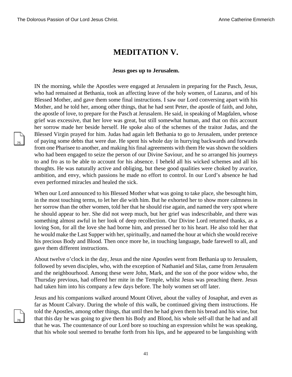# **MEDITATION V.**

### **Jesus goes up to Jerusalem.**

IN the morning, while the Apostles were engaged at Jerusalem in preparing for the Pasch, Jesus, who had remained at Bethania, took an affecting leave of the holy women, of Lazarus, and of his Blessed Mother, and gave them some final instructions. I saw our Lord conversing apart with his Mother, and he told her, among other things, that he had sent Peter, the apostle of faith, and John, the apostle of love, to prepare for the Pasch at Jerusalem. He said, in speaking of Magdalen, whose grief was excessive, that her love was great, but still somewhat human, and that on this account her sorrow made her beside herself. He spoke also of the schemes of the traitor Judas, and the Blessed Virgin prayed for him. Judas had again left Bethania to go to Jerusalem, under pretence of paying some debts that were due. He spent his whole day in hurrying backwards and forwards from one Pharisee to another, and making his final agreements with them He was shown the soldiers who had been engaged to seize the person of our Divine Saviour, and he so arranged his journeys to and fro as to be able to account for his absence. I beheld all his wicked schemes and all his thoughts. He was naturally active and obliging, but these good qualities were choked by avarice, ambition, and envy, which passions he made no effort to control. In our Lord's absence he had even performed miracles and healed the sick.

When our Lord announced to his Blessed Mother what was going to take place, she besought him, in the most touching terms, to let her die with him. But he exhorted her to show more calmness in her sorrow than the other women, told her that he should rise again, and named the very spot where he should appear to her. She did not weep much, but her grief was indescribable, and there was something almost awful in her look of deep recollection. Our Divine Lord returned thanks, as a loving Son, for all the love she had borne him, and pressed her to his heart. He also told her that he would make the Last Supper with her, spiritually, and named the hour at which she would receive his precious Body and Blood. Then once more he, in touching language, bade farewell to all, and gave them different instructions.

About twelve o'clock in the day, Jesus and the nine Apostles went from Bethania up to Jerusalem, followed by seven disciples, who, with the exception of Nathaniel and Silas, came from Jerusalem and the neighbourhood. Among these were John, Mark, and the son of the poor widow who, the Thursday previous, had offered her mite in the Temple, whilst Jesus was preaching there. Jesus had taken him into his company a few days before. The holy women set off later.

Jesus and his companions walked around Mount Olivet, about the valley of Josaphat, and even as far as Mount Calvary. During the whole of this walk, be continued giving them instructions. He told the Apostles, among other things, that until then he had given them his bread and his wine, but that this day he was going to give them his Body and Blood, his whole self-all that he had and all that he was. The countenance of our Lord bore so touching an expression whilst he was speaking, that his whole soul seemed to breathe forth from his lips, and he appeared to be languishing with

75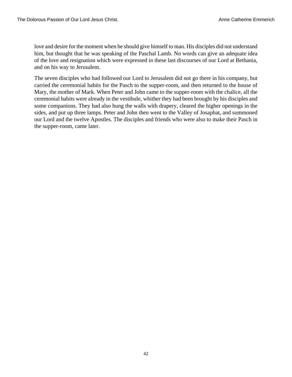love and desire for the moment when he should give himself to man. His disciples did not understand him, but thought that he was speaking of the Paschal Lamb. No words can give an adequate idea of the love and resignation which were expressed in these last discourses of our Lord at Bethania, and on his way to Jerusalem.

The seven disciples who had followed our Lord to Jerusalem did not go there in his company, but carried the ceremonial habits for the Pasch to the supper-room, and then returned to the house of Mary, the mother of Mark. When Peter and John came to the supper-room with the chalice, all the ceremonial habits were already in the vestibule, whither they had been brought by his disciples and some companions. They had also hung the walls with drapery, cleared the higher openings in the sides, and put up three lamps. Peter and John then went to the Valley of Josaphat, and summoned our Lord and the twelve Apostles. The disciples and friends who were also to make their Pasch in the supper-room, came later.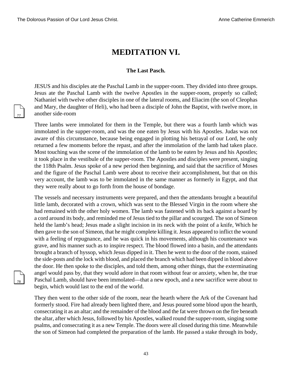### **MEDITATION VI.**

### **The Last Pasch.**

JESUS and his disciples ate the Paschal Lamb in the supper-room. They divided into three groups. Jesus ate the Paschal Lamb with the twelve Apostles in the supper-room, properly so called; Nathaniel with twelve other disciples in one of the lateral rooms, and Eliacim (the son of Cleophas and Mary, the daughter of Heli), who had been a disciple of John the Baptist, with twelve more, in another side-room

Three lambs were immolated for them in the Temple, but there was a fourth lamb which was immolated in the supper-room, and was the one eaten by Jesus with his Apostles. Judas was not aware of this circumstance, because being engaged in plotting his betrayal of our Lord, he only returned a few moments before the repast, and after the immolation of the lamb had taken place. Most touching was the scene of the immolation of the lamb to be eaten by Jesus and his Apostles; it took place in the vestibule of the supper-room. The Apostles and disciples were present, singing the 118th Psalm. Jesus spoke of a new period then beginning, and said that the sacrifice of Moses and the figure of the Paschal Lamb were about to receive their accomplishment, but that on this very account, the lamb was to be immolated in the same manner as formerly in Egypt, and that they were really about to go forth from the house of bondage.

The vessels and necessary instruments were prepared, and then the attendants brought a beautiful little lamb, decorated with a crown, which was sent to the Blessed Virgin in the room where she had remained with the other holy women. The lamb was fastened with its back against a board by a cord around its body, and reminded me of Jesus tied to the pillar and scourged. The son of Simeon held the lamb's head; Jesus made a slight incision in its neck with the point of a knife, Which he then gave to the son of Simeon, that he might complete killing it. Jesus appeared to inflict the wound with a feeling of repugnance, and he was quick in his movements, although his countenance was grave, and his manner such as to inspire respect. The blood flowed into a basin, and the attendants brought a branch of hyssop, which Jesus dipped in it. Then he went to the door of the room, stained the side-posts and the lock with blood, and placed the branch which had been dipped in blood above the door. He then spoke to the disciples, and told them, among other things, that the exterminating angel would pass by, that they would adore in that room without fear or anxiety, when he, the true Paschal Lamb, should have been immolated—that a new epoch, and a new sacrifice were about to begin, which would last to the end of the world.

They then went to the other side of the room, near the hearth where the Ark of the Covenant had formerly stood. Fire had already been lighted there, and Jesus poured some blood upon the hearth, consecrating it as an altar; and the remainder of the blood and the fat were thrown on the fire beneath the altar, after which Jesus, followed by his Apostles, walked round the supper-room, singing some psalms, and consecrating it as a new Temple. The doors were all closed during this time. Meanwhile the son of Simeon had completed the preparation of the lamb. He passed a stake through its body,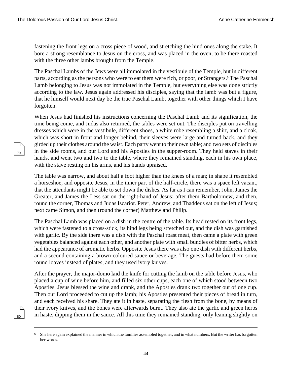fastening the front legs on a cross piece of wood, and stretching the hind ones along the stake. It bore a strong resemblance to Jesus on the cross, and was placed in the oven, to be there roasted with the three other lambs brought from the Temple.

The Paschal Lambs of the Jews were all immolated in the vestibule of the Temple, but in different parts, according as the persons who were to eat them were rich, or poor, or Strangers.<sup>6</sup> The Paschal Lamb belonging to Jesus was not immolated in the Temple, but everything else was done strictly according to the law. Jesus again addressed his disciples, saying that the lamb was but a figure, that he himself would next day be the true Paschal Lamb, together with other things which I have forgotten.

When Jesus had finished his instructions concerning the Paschal Lamb and its signification, the time being come, and Judas also returned, the tables were set out. The disciples put on travelling dresses which were in the vestibule, different shoes, a white robe resembling a shirt, and a cloak, which was short in front and longer behind, their sleeves were large and turned back, and they girded up their clothes around the waist. Each party went to their own table; and two sets of disciples in the side rooms, and our Lord and his Apostles in the supper-room. They held staves in their hands, and went two and two to the table, where they remained standing, each in his own place, with the stave resting on his arms, and his hands upraised.

The table was narrow, and about half a foot higher than the knees of a man; in shape it resembled a horseshoe, and opposite Jesus, in the inner part of the half-circle, there was a space left vacant, that the attendants might be able to set down the dishes. As far as I can remember, John, James the Greater, and James the Less sat on the right-hand of Jesus; after them Bartholomew, and then, round the corner, Thomas and Judas Iscariot. Peter, Andrew, and Thaddeus sat on the left of Jesus; next came Simon, and then (round the corner) Matthew and Philip.

The Paschal Lamb was placed on a dish in the centre of the table. Its head rested on its front legs, which were fastened to a cross-stick, its hind legs being stretched out, and the dish was garnished with garlic. By the side there was a dish with the Paschal roast meat, then came a plate with green vegetables balanced against each other, and another plate with small bundles of bitter herbs, which had the appearance of aromatic herbs. Opposite Jesus there was also one dish with different herbs, and a second containing a brown-coloured sauce or beverage. The guests had before them some round loaves instead of plates, and they used ivory knives.

After the prayer, the major-domo laid the knife for cutting the lamb on the table before Jesus, who placed a cup of wine before him, and filled six other cups, each one of which stood between two Apostles. Jesus blessed the wine and drank, and the Apostles drank two together out of one cup. Then our Lord proceeded to cut up the lamb; his Apostles presented their pieces of bread in turn, and each received his share. They ate it in haste, separating the flesh from the bone, by means of their ivory knives, and the bones were afterwards burnt. They also ate the garlic and green herbs in haste, dipping them in the sauce. All this time they remained standing, only leaning slightly on

<sup>6</sup> She here again explained the manner in which the families assembled together, and in what numbers. But the writer has forgotten her words.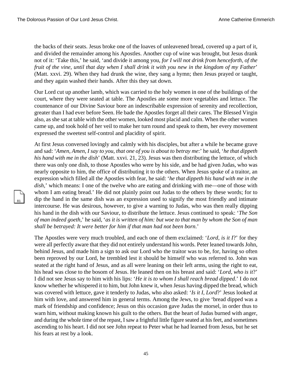the backs of their seats. Jesus broke one of the loaves of unleavened bread, covered up a part of it, and divided the remainder among his Apostles. Another cup of wine was brought, but Jesus drank not of it: 'Take this,' he said, 'and divide it among you, *for I will not drink from henceforth, of the fruit of the vine, until that day when I shall drink it with you new in the kingdom of my Father*' ([Matt. xxvi. 29\)](http://www.ccel.org/b/bible/asv/xml/asv.Matt.26.xml#Matt.26.29). When they had drunk the wine, they sang a hymn; then Jesus prayed or taught, and they again washed their hands. After this they sat down.

Our Lord cut up another lamb, which was carried to the holy women in one of the buildings of the court, where they were seated at table. The Apostles ate some more vegetables and lettuce. The countenance of our Divine Saviour bore an indescribable expression of serenity and recollection, greater than I had ever before Seen. He bade the Apostles forget all their cares. The Blessed Virgin also, as she sat at table with the other women, looked most placid and calm. When the other women came up, and took hold of her veil to make her turn round and speak to them, her every movement expressed the sweetest self-control and placidity of spirit.

At first Jesus conversed lovingly and calmly with his disciples, but after a while he became grave and sad: '*Amen, Amen, I say to you, that one of you is about to betray me*:' he said, '*he that dippeth his hand with me in the dish*' [\(Matt. xxvi. 21, 23\)](http://www.ccel.org/b/bible/asv/xml/asv.Matt.26.xml#Matt.26.21 Bible:Matt.26.23). Jesus was then distributing the lettuce, of which there was only one dish, to those Apostles who were by his side, and be had given Judas, who was nearly opposite to him, the office of distributing it to the others. When Jesus spoke of a traitor, an expression which filled all the Apostles with fear, he said: '*he that dippeth his hand with me in the dish*,' which means: I one of the twelve who are eating and drinking with me—one of those with whom I am eating bread.' He did not plainly point out Judas to the others by these words; for to dip the hand in the same dish was an expression used to signify the most friendly and intimate intercourse. He was desirous, however, to give a warning to Judas, who was then really dipping his hand in the dish with our Saviour, to distribute the lettuce. Jesus continued to speak: '*The Son of man indeed goeth*,' he said, '*as it is written of him: but woe to that man by whom the Son of man shall be betrayed: It were better for him if that man had not been born*.'

The Apostles were very much troubled, and each one of them exclaimed: '*Lord, is it I*?' for they were all perfectly aware that they did not entirely understand his words. Peter leaned towards John, behind Jesus, and made him a sign to ask our Lord who the traitor was to be, for, having so often been reproved by our Lord, he trembled lest it should be himself who was referred to. John was seated at the right hand of Jesus, and as all were leaning on their left arms, using the right to eat, his head was close to the bosom of Jesus. He leaned then on his breast and said: '*Lord, who is it*?' I did not see Jesus say to him with his lips: '*He it is to whom I shall reach bread dipped*.' I do not know whether he whispered it to him, but John knew it, when Jesus having dipped the bread, which was covered with lettuce, gave it tenderly to Judas, who also asked: '*Is it I, Lord*?' Jesus looked at him with love, and answered him in general terms. Among the Jews, to give 'bread dipped was a mark of friendship and confidence; Jesus on this occasion gave Judas the morsel, in order thus to warn him, without making known his guilt to the others. But the heart of Judas burned with anger, and during the whole time of the repast, I saw a frightful little figure seated at his feet, and sometimes ascending to his heart. I did not see John repeat to Peter what he had learned from Jesus, but he set his fears at rest by a look.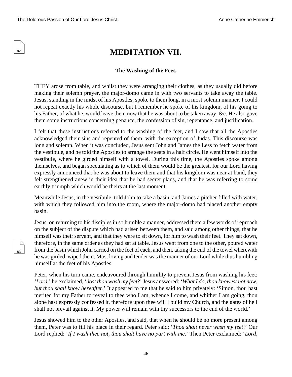

# <sup>82</sup> **MEDITATION VII.**

### **The Washing of the Feet.**

THEY arose from table, and whilst they were arranging their clothes, as they usually did before making their solemn prayer, the major-domo came in with two servants to take away the table. Jesus, standing in the midst of his Apostles, spoke to them long, in a most solemn manner. I could not repeat exactly his whole discourse, but I remember he spoke of his kingdom, of his going to his Father, of what he, would leave them now that he was about to be taken away, &c. He also gave them some instructions concerning penance, the confession of sin, repentance, and justification.

I felt that these instructions referred to the washing of the feet, and I saw that all the Apostles acknowledged their sins and repented of them, with the exception of Judas. This discourse was long and solemn. When it was concluded, Jesus sent John and James the Less to fetch water from the vestibule, and he told the Apostles to arrange the seats in a half circle. He went himself into the vestibule, where he girded himself with a towel. During this time, the Apostles spoke among themselves, and began speculating as to which of them would be the greatest, for our Lord having expressly announced that he was about to leave them and that his kingdom was near at hand, they felt strengthened anew in their idea that he had secret plans, and that he was referring to some earthly triumph which would be theirs at the last moment.

Meanwhile Jesus, in the vestibule, told John to take a basin, and James a pitcher filled with water, with which they followed him into the room, where the major-domo had placed another empty basin.

Jesus, on returning to his disciples in so humble a manner, addressed them a few words of reproach on the subject of the dispute which had arisen between them, and said among other things, that he himself was their servant, and that they were to sit down, for him to wash their feet. They sat down, therefore, in the same order as they had sat at table. Jesus went from one to the other, poured water from the basin which John carried on the feet of each, and then, taking the end of the towel wherewith he was girded, wiped them. Most loving and tender was the manner of our Lord while thus humbling himself at the feet of his Apostles.

Peter, when his turn came, endeavoured through humility to prevent Jesus from washing his feet: '*Lord*,' he exclaimed, '*dost thou wash my feet*?' Jesus answered: '*What I do, thou knowest not now, but thou shall know hereafter*.' It appeared to me that he said to him privately: 'Simon, thou hast merited for my Father to reveal to thee who I am, whence I come, and whither I am going, thou alone hast expressly confessed it, therefore upon thee will I build my Church, and the gates of hell shall not prevail against it. My power will remain with thy successors to the end of the world.'

Jesus showed him to the other Apostles, and said, that when he should be no more present among them, Peter was to fill his place in their regard. Peter said: '*Thou shalt never wash my feet*!' Our Lord replied: '*If I wash thee not, thou shalt have no part with me*.' Then Peter exclaimed: '*Lord,*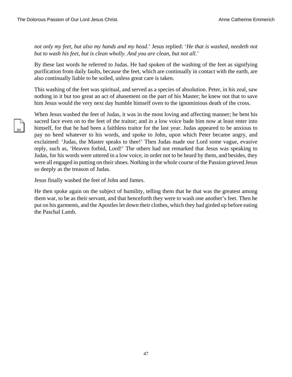*not only my feet, but also my hands and my head*.' Jesus replied: '*He that is washed, needeth not but to wash his feet, but is clean wholly. And you are clean, but not all*.'

By these last words he referred to Judas. He had spoken of the washing of the feet as signifying purification from daily faults, because the feet, which are continually in contact with the earth, are also continually liable to be soiled, unless great care is taken.

This washing of the feet was spiritual, and served as a species of absolution. Peter, in his zeal, saw nothing in it but too great an act of abasement on the part of his Master; he knew not that to save him Jesus would the very next day humble himself oven to the ignominious death of the cross.



When Jesus washed the feet of Judas, it was in the most loving and affecting manner; he bent his sacred face even on to the feet of the traitor; and in a low voice bade him now at least enter into himself, for that he had been a faithless traitor for the last year. Judas appeared to be anxious to pay no heed whatever to his words, and spoke to John, upon which Peter became angry, and exclaimed: 'Judas, the Master speaks to thee!' Then Judas made our Lord some vague, evasive reply, such as, 'Heaven forbid, Lord!' The others had not remarked that Jesus was speaking to Judas, for his words were uttered in a low voice, in order not to be heard by them, and besides, they were all engaged in putting on their shoes. Nothing in the whole course of the Passion grieved Jesus so deeply as the treason of Judas.

Jesus finally washed the feet of John and James.

He then spoke again on the subject of humility, telling them that he that was the greatest among them war, to be as their servant, and that henceforth they were to wash one another's feet. Then he put on his garments, and the Apostles let down their clothes, which they had girded up before eating the Paschal Lamb.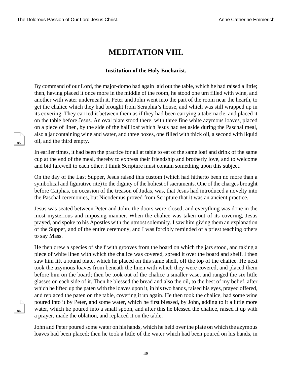86

# **MEDITATION VIII.**

### **Institution of the Holy Eucharist.**

By command of our Lord, the major-domo had again laid out the table, which he had raised a little; then, having placed it once more in the middle of the room, he stood one urn filled with wine, and another with water underneath it. Peter and John went into the part of the room near the hearth, to get the chalice which they had brought from Seraphia's house, and which was still wrapped up in its covering. They carried it between them as if they had been carrying a tabernacle, and placed it on the table before Jesus. An oval plate stood there, with three fine white azymous loaves, placed on a piece of linen, by the side of the half loaf which Jesus had set aside during the Paschal meal, also a jar containing wine and water, and three boxes, one filled with thick oil, a second with liquid oil, and the third empty.

In earlier times, it had been the practice for all at table to eat of the same loaf and drink of the same cup at the end of the meal, thereby to express their friendship and brotherly love, and to welcome and bid farewell to each other. I think Scripture must contain something upon this subject.

On the day of the Last Supper, Jesus raised this custom (which had hitherto been no more than a symbolical and figurative rite) to the dignity of the holiest of sacraments. One of the charges brought before Caiphas, on occasion of the treason of Judas, was, that Jesus had introduced a novelty into the Paschal ceremonies, but Nicodemus proved from Scripture that it was an ancient practice.

Jesus was seated between Peter and John, the doors were closed, and everything was done in the most mysterious and imposing manner. When the chalice was taken out of its covering, Jesus prayed, and spoke to his Apostles with the utmost solemnity. I saw him giving them an explanation of the Supper, and of the entire ceremony, and I was forcibly reminded of a priest teaching others to say Mass.

He then drew a species of shelf with grooves from the board on which the jars stood, and taking a piece of white linen with which the chalice was covered, spread it over the board and shelf. I then saw him lift a round plate, which he placed on this same shelf, off the top of the chalice. He next took the azymous loaves from beneath the linen with which they were covered, and placed them before him on the board; then be took out of the chalice a smaller vase, and ranged the six little glasses on each side of it. Then he blessed the bread and also the oil, to the best of my belief, after which he lifted up the paten with the loaves upon it, in his two hands, raised his eyes, prayed offered, and replaced the paten on the table, covering it up again. He then took the chalice, had some wine poured into it by Peter, and some water, which he first blessed, by John, adding to it a little more water, which he poured into a small spoon, and after this he blessed the chalice, raised it up with a prayer, made the oblation, and replaced it on the table.

John and Peter poured some water on his hands, which he held over the plate on which the azymous loaves had been placed; then he took a little of the water which had been poured on his hands, in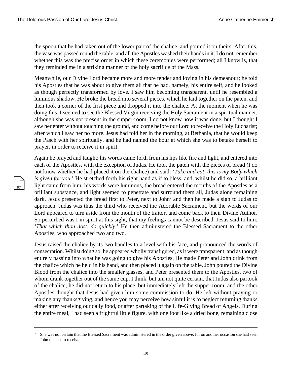the spoon that be had taken out of the lower part of the chalice, and poured it on theirs. After this, the vase was passed round the table, and all the Apostles washed their hands in it. I do not remember whether this was the precise order in which these ceremonies were performed; all I know is, that they reminded me in a striking manner of the holy sacrifice of the Mass.

Meanwhile, our Divine Lord became more and more tender and loving in his demeanour; he told his Apostles that he was about to give them all that he had, namely, his entire self, and he looked as though perfectly transformed by love. I saw him becoming transparent, until he resembled a luminous shadow. He broke the bread into several pieces, which he laid together on the paten, and then took a corner of the first piece and dropped it into the chalice. At the moment when he was doing this, I seemed to see the Blessed Virgin receiving the Holy Sacrament in a spiritual manner, although she was not present in the supper-room. I do not know how it was done, but I thought I saw her enter without touching the ground, and come before our Lord to receive the Holy Eucharist; after which I saw her no more. Jesus had told her in the morning, at Bethania, that he would keep the Pasch with her spiritually, and he had named the hour at which she was to betake herself to prayer, in order to receive it in spirit.

Again he prayed and taught; his words came forth from his lips like fire and light, and entered into each of the Apostles, with the exception of Judas. He took the paten with the pieces of bread (I do not know whether he had placed it on the chalice) and said: '*Take and eat*; *this is my Body which is given for you*.' He stretched forth his right hand as if to bless, and, whilst he did so, a brilliant light came from him, his words were luminous, the bread entered the mouths of the Apostles as a brilliant substance, and light seemed to penetrate and surround them all, Judas alone remaining dark. Jesus presented the bread first to Peter, next to John<sup>7</sup> and then he made a sign to Judas to approach. Judas was thus the third who received the Adorable Sacrament, but the words of our Lord appeared to turn aside from the mouth of the traitor, and come back to their Divine Author. So perturbed was I in spirit at this sight, that my feelings cannot be described. Jesus said to him: '*That which thou dost, do quickly*.' He then administered the Blessed Sacrament to the other Apostles, who approached two and two.

Jesus raised the chalice by its two handles to a level with his face, and pronounced the words of consecration. Whilst doing so, he appeared wholly transfigured, as it were transparent, and as though entirely passing into what he was going to give his Apostles. He made Peter and John drink from the chalice which he held in his hand, and then placed it again on the table. John poured the Divine Blood from the chalice into the smaller glasses, and Peter presented them to the Apostles, two of whom drank together out of the same cup. I think, but am not quite certain, that Judas also partook of the chalice; he did not return to his place, but immediately left the supper-room, and the other Apostles thought that Jesus had given him some commission to do. He left without praying or making any thanksgiving, and hence you may perceive how sinful it is to neglect returning thanks either after receiving our daily food, or after partaking of the Life-Giving Bread of Angels. During the entire meal, I had seen a frightful little figure, with one foot like a dried bone, remaining close

<sup>7</sup> She was not certain that the Blessed Sacrament was administered in the order given above, for on another occasion she had seen John the last to receive.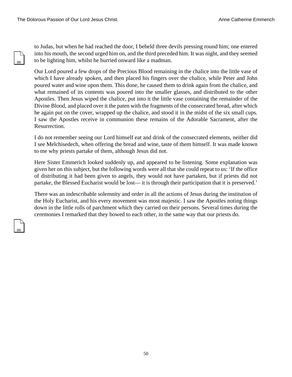to Judas, but when he had reached the door, I beheld three devils pressing round him; one entered into his mouth, the second urged him on, and the third preceded him. It was night, and they seemed to be lighting him, whilst he hurried onward like a madman.

Our Lord poured a few drops of the Precious Blood remaining in the chalice into the little vase of which I have already spoken, and then placed his fingers over the chalice, while Peter and John poured water and wine upon them. This done, he caused them to drink again from the chalice, and what remained of its contents was poured into the smaller glasses, and distributed to the other Apostles. Then Jesus wiped the chalice, put into it the little vase containing the remainder of the Divine Blood, and placed over it the paten with the fragments of the consecrated bread, after which he again put on the cover, wrapped up the chalice, and stood it in the midst of the six small cups. I saw the Apostles receive in communion these remains of the Adorable Sacrament, after the Resurrection.

I do not remember seeing our Lord himself eat and drink of the consecrated elements, neither did I see Melchisedech, when offering the bread and wine, taste of them himself. It was made known to me why priests partake of them, although Jesus did not.

Here Sister Emmerich looked suddenly up, and appeared to be listening. Some explanation was given her on this subject, but the following words were all that she could repeat to us: 'If the office of distributing it had been given to angels, they would not have partaken, but if priests did not partake, the Blessed Eucharist would be lost— it is through their participation that it is preserved.'

There was an indescribable solemnity and order in all the actions of Jesus during the institution of the Holy Eucharist, and his every movement was most majestic. I saw the Apostles noting things down in the little rolls of parchment which they carried on their persons. Several times during the ceremonies I remarked that they bowed to each other, in the same way that our priests do.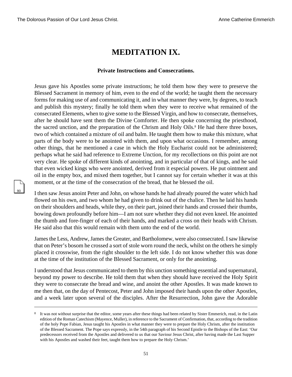# **MEDITATION IX.**

### **Private Instructions and Consecrations.**

Jesus gave his Apostles some private instructions; he told them how they were to preserve the Blessed Sacrament in memory of him, even to the end of the world; he taught them the necessary forms for making use of and communicating it, and in what manner they were, by degrees, to teach and publish this mystery; finally he told them when they were to receive what remained of the consecrated Elements, when to give some to the Blessed Virgin, and how to consecrate, themselves, after he should have sent them the Divine Comforter. He then spoke concerning the priesthood, the sacred unction, and the preparation of the Chrism and Holy Oils.<sup>8</sup> He had there three boxes, two of which contained a mixture of oil and balm. He taught them how to make this mixture, what parts of the body were to be anointed with them, and upon what occasions. I remember, among other things, that he mentioned a case in which the Holy Eucharist could not be administered; perhaps what he said had reference to Extreme Unction, for my recollections on this point are not very clear. He spoke of different kinds of anointing, and in particular of that of kings, and he said that even wicked kings who were anointed, derived from it especial powers. He put ointment and oil in the empty box, and mixed them together, but I cannot say for certain whether it was at this moment, or at the time of the consecration of the bread, that he blessed the oil.

I then saw Jesus anoint Peter and John, on whose hands he had already poured the water which had flowed on his own, and two whom he had given to drink out of the chalice. Then he laid his hands on their shoulders and heads, while they, on their part, joined their hands and crossed their thumbs, bowing down profoundly before him—I am not sure whether they did not even kneel. He anointed the thumb and fore-finger of each of their hands, and marked a cross on their heads with Chrism. He said also that this would remain with them unto the end of the world.

James the Less, Andrew, James the Greater, and Bartholomew, were also consecrated. I saw likewise that on Peter's bosom he crossed a sort of stole worn round the neck, whilst on the others he simply placed it crosswise, from the right shoulder to the left side. I do not know whether this was done at the time of the institution of the Blessed Sacrament, or only for the anointing.

I understood that Jesus communicated to them by this unction something essential and supernatural, beyond my power to describe. He told them that when they should have received the Holy Spirit they were to consecrate the bread and wine, and anoint the other Apostles. It was made known to me then that, on the day of Pentecost, Peter and John imposed their hands upon the other Apostles, and a week later upon several of the disciples. After the Resurrection, John gave the Adorable

<sup>8</sup> It was not without surprise that the editor, some years after these things had been related by Sister Emmerich, read, in the Latin edition of the Roman Catechism (Mayence, Muller), in reference to the Sacrament of Confirmation, that, according to the tradition of the holy Pope Fabian, Jesus taught his Apostles in what manner they were to prepare the Holy Chrism, after the institution of the Blessed Sacrament. The Pope says expressly, in the 54th paragraph of his Second Epistle to the Bishops of the East: 'Our predecessors received from the Apostles and delivered to us that our Saviour Jesus Christ, after having made the Last Supper with his Apostles and washed their feet, taught them how to prepare the Holy Chrism.'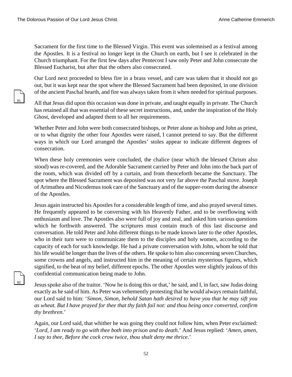Sacrament for the first time to the Blessed Virgin. This event was solemnised as a festival among the Apostles. It is a festival no longer kept in the Church on earth, but I see it celebrated in the Church triumphant. For the first few days after Pentecost I saw only Peter and John consecrate the Blessed Eucharist, but after that the others also consecrated.

Our Lord next proceeded to bless fire in a brass vessel, and care was taken that it should not go out, but it was kept near the spot where the Blessed Sacrament had been deposited, in one division of the ancient Paschal hearth, and fire was always taken from it when needed for spiritual purposes.

All that Jesus did upon this occasion was done in private, and taught equally in private. The Church has retained all that was essential of these secret instructions, and, under the inspiration of the Holy Ghost, developed and adapted them to all her requirements.

Whether Peter and John were both consecrated bishops, or Peter alone as bishop and John as priest, or to what dignity the other four Apostles were raised, I cannot pretend to say. But the different ways in which our Lord arranged the Apostles' stoles appear to indicate different degrees of consecration.

When these holy ceremonies were concluded, the chalice (near which the blessed Chrism also stood) was re-covered, and the Adorable Sacrament carried by Peter and John into the back part of the room, which was divided off by a curtain, and from thenceforth became the Sanctuary. The spot where the Blessed Sacrament was deposited was not very far above the Paschal stove. Joseph of Arimathea and Nicodemus took care of the Sanctuary and of the supper-room during the absence of the Apostles.

Jesus again instructed his Apostles for a considerable length of time, and also prayed several times. He frequently appeared to be conversing with his Heavenly Father, and to be overflowing with enthusiasm and love. The Apostles also were full of joy and zeal, and asked him various questions which he forthwith answered. The scriptures must contain much of this last discourse and conversation. He told Peter and John different things to be made known later to the other Apostles, who in their turn were to communicate them to the disciples and holy women, according to the capacity of each for such knowledge. He had a private conversation with John, whom he told that his life would be longer than the lives of the others. He spoke to him also concerning seven Churches, some crowns and angels, and instructed him in the meaning of certain mysterious figures, which signified, to the beat of my belief, different epochs. The other Apostles were slightly jealous of this confidential communication being made to John.

Jesus spoke also of the traitor. 'Now he is doing this or that,' he said, and I, in fact, saw Judas doing exactly as he said of him. As Peter was vehemently protesting that he would always remain faithful, our Lord said to him: '*Simon, Simon, behold Satan hath desired to have you that he may sift you as wheat. But I have prayed for thee that thy faith fail not: and thou being once converted, confirm thy brethren*.'

Again, our Lord said, that whither he was going they could not follow him, when Peter exclaimed: '*Lord, I am ready to go with thee both into prison and to death*.' And Jesus replied: '*Amen, amen, I say to thee, Before the cock crow twice, thou shalt deny me thrice*.'

91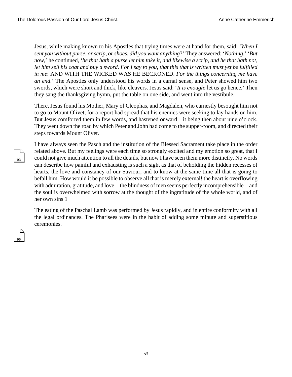Jesus, while making known to his Apostles that trying times were at hand for them, said: '*When I sent you without purse, or scrip, or shoes, did you want anything*?' They answered: '*Nothing*.' '*But now*,' he continued, '*he that hath a purse let him take it, and likewise a scrip, and he that hath not, let him sell his coat and buy a sword. For I say to you, that this that is written must yet be fulfilled in me*: AND WITH THE WICKED WAS HE BECKONED. *For the things concerning me have an end*.' The Apostles only understood his words in a carnal sense, and Peter showed him two swords, which were short and thick, like cleavers. Jesus said: '*It is enough*: let us go hence.' Then they sang the thanksgiving hymn, put the table on one side, and went into the vestibule.

There, Jesus found his Mother, Mary of Cleophas, and Magdalen, who earnestly besought him not to go to Mount Olivet, for a report had spread that his enemies were seeking to lay hands on him. But Jesus comforted them in few words, and hastened onward—it being then about nine o'clock. They went down the road by which Peter and John had come to the supper-room, and directed their steps towards Mount Olivet.

I have always seen the Pasch and the institution of the Blessed Sacrament take place in the order related above. But my feelings were each time so strongly excited and my emotion so great, that I could not give much attention to all the details, but now I have seen them more distinctly. No words can describe how painful and exhausting is such a sight as that of beholding the hidden recesses of hearts, the love and constancy of our Saviour, and to know at the same time all that is going to befall him. How would it be possible to observe all that is merely external! the heart is overflowing with admiration, gratitude, and love—the blindness of men seems perfectly incomprehensible—and the soul is overwhelmed with sorrow at the thought of the ingratitude of the whole world, and of her own sins 1

The eating of the Paschal Lamb was performed by Jesus rapidly, and in entire conformity with all the legal ordinances. The Pharisees were in the habit of adding some minute and superstitious ceremonies.

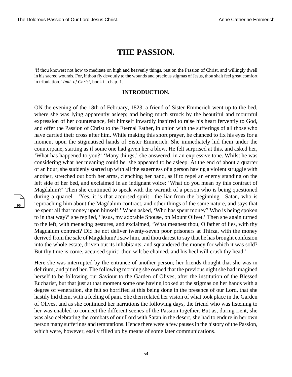### **THE PASSION.**

'If thou knowest not how to meditate on high and heavenly things, rest on the Passion of Christ, and willingly dwell in his sacred wounds. For, if thou fly devoutly to the wounds and precious stigmas of Jesus, thou shalt feel great comfort in tribulation.' *Imit. of Christ*, book ii. chap. 1.

#### **INTRODUCTION.**

ON the evening of the 18th of February, 1823, a friend of Sister Emmerich went up to the bed, where she was lying apparently asleep; and being much struck by the beautiful and mournful expression of her countenance, felt himself inwardly inspired to raise his heart fervently to God, and offer the Passion of Christ to the Eternal Father, in union with the sufferings of all those who have carried their cross after him. While making this short prayer, he chanced to fix his eyes for a moment upon the stigmatised hands of Sister Emmerich. She immediately hid them under the counterpane, starting as if some one had given her a blow. He felt surprised at this, and asked her, 'What has happened to you?' 'Many things,' she answered, in an expressive tone. Whilst he was considering what her meaning could be, she appeared to be asleep. At the end of about a quarter of an hour, she suddenly started up with all the eagerness of a person having a violent struggle with another, stretched out both her arms, clenching her hand, as if to repel an enemy standing on the left side of her bed, and exclaimed in an indignant voice: 'What do you mean by this contract of Magdalum?' Then she continued to speak with the warmth of a person who is being questioned during a quarrel—'Yes, it is that accursed spirit—the liar from the beginning—Satan, who is reproaching him about the Magdalum contract, and other things of the same nature, and says that he spent all that money upon himself.' When asked, 'Who has spent money? Who is being spoken to in that way?' she replied, 'Jesus, my adorable Spouse, on Mount Olivet.' Then she again turned to the left, with menacing gestures, and exclaimed, 'What meanest thou, O father of lies, with thy Magdalum contract? Did he not deliver twenty-seven poor prisoners at Thirza, with the money derived from the sale of Magdalum? I saw him, and thou darest to say that he has brought confusion into the whole estate, driven out its inhabitants, and squandered the money for which it was sold? But thy time is come, accursed spirit! thou wilt be chained, and his heel will crush thy head.'

Here she was interrupted by the entrance of another person; her friends thought that she was in delirium, and pitied her. The following morning she owned that the previous night she had imagined herself to be following our Saviour to the Garden of Olives, after the institution of the Blessed Eucharist, but that just at that moment some one having looked at the stigmas on her hands with a degree of veneration, she felt so horrified at this being done in the presence of our Lord, that she hastily hid them, with a feeling of pain. She then related her vision of what took place in the Garden of Olives, and as she continued her narrations the following days, the friend who was listening to her was enabled to connect the different scenes of the Passion together. But as, during Lent, she was also celebrating the combats of our Lord with Satan in the desert, she had to endure in her own person many sufferings and temptations. Hence there were a few pauses in the history of the Passion, which were, however, easily filled up by means of some later communications.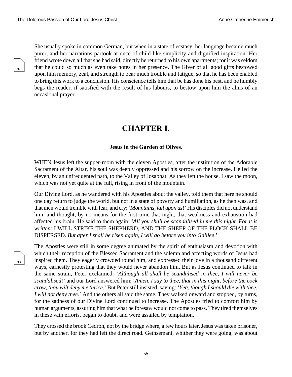

She usually spoke in common German, but when in a state of ecstasy, her language became much purer, and her narrations partook at once of child-like simplicity and dignified inspiration. Her friend wrote down all that she had said, directly he returned to his own apartments; for it was seldom that he could so much as even take notes in her presence. The Giver of all good gifts bestowed upon him memory, zeal, and strength to bear much trouble and fatigue, so that he has been enabled to bring this work to a conclusion. His conscience tells him that be has done his best, and he humbly begs the reader, if satisfied with the result of his labours, to bestow upon him the alms of an occasional prayer.

# **CHAPTER I.**

### **Jesus in the Garden of Olives.**

WHEN Jesus left the supper-room with the eleven Apostles, after the institution of the Adorable Sacrament of the Altar, his soul was deeply oppressed and his sorrow on the increase. He led the eleven, by an unfrequented path, to the Valley of Josaphat. As they left the house, I saw the moon, which was not yet quite at the full, rising in front of the mountain.

Our Divine Lord, as he wandered with his Apostles about the valley, told them that here he should one day return to judge the world, but not in a state of poverty and humiliation, as he then was, and that men would tremble with fear, and cry: '*Mountains, fall upon us*!' His disciples did not understand him, and thought, by no means for the first time that night, that weakness and exhaustion had affected his brain. He said to them again: '*All you shall be scandalised in me this night. For it is written*: I WILL STRIKE THE SHEPHERD, AND THE SHEEP OF THE FLOCK SHALL BE DISPERSED. *But after I shall be risen again, I will go before you into Galilee*.'

The Apostles were still in some degree animated by the spirit of enthusiasm and devotion with which their reception of the Blessed Sacrament and the solemn and affecting words of Jesus had inspired them. They eagerly crowded round him, and expressed their love in a thousand different ways, earnestly protesting that they would never abandon him. But as Jesus continued to talk in the same strain, Peter exclaimed: '*Although all shall be scandalised in thee, I will never be scandalised*!' and our Lord answered him: '*Amen, I say to thee, that in this night, before the cock crow, thou wilt deny me thrice*.' But Peter still insisted, saying: '*Yea, though I should die with thee, I will not deny thee*.' And the others all said the same. They walked onward and stopped, by turns, for the sadness of our Divine Lord continued to increase. The Apostles tried to comfort him by human arguments, assuring him that what he foresaw would not come to pass. They tired themselves in these vain efforts, began to doubt, and were assailed by temptation.

They crossed the brook Cedron, not by the bridge where, a few hours later, Jesus was taken prisoner, but by another, for they had left the direct road. Gethsemani, whither they were going, was about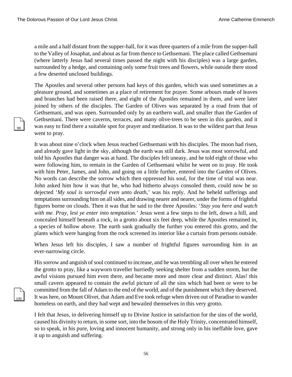$100$ 

a mile and a half distant from the supper-hall, for it was three quarters of a mile from the supper-hall to the Valley of Josaphat, and about as far from thence to Gethsemani. The place called Gethsemani (where latterly Jesus had several times passed the night with his disciples) was a large garden, surrounded by a hedge, and containing only some fruit trees and flowers, while outside there stood a few deserted unclosed buildings.

The Apostles and several other persons had keys of this garden, which was used sometimes as a pleasure ground, and sometimes as a place of retirement for prayer. Some arbours made of leaves and branches had been raised there, and eight of the Apostles remained in them, and were later joined by others of the disciples. The Garden of Olives was separated by a road from that of Gethsemani, and was open. Surrounded only by an earthern wall, and smaller than the Garden of Gethsemani. There were caverns, terraces, and many olive-trees to be seen in this garden, and it was easy to find there a suitable spot for prayer and meditation. It was to the wildest part that Jesus went to pray.

It was about nine o'clock when Jesus reached Gethsemani with his disciples. The moon had risen, and already gave light in the sky, although the earth was still dark. Jesus was most sorrowful, and told his Apostles that danger was at hand. The disciples felt uneasy, and he told eight of those who were following him, to remain in the Garden of Gethsemani whilst he went on to pray. He took with him Peter, James, and John, and going on a little further, entered into the Garden of Olives. No words can describe the sorrow which then oppressed his soul, for the time of trial was near. John asked him how it was that he, who had hitherto always consoled them, could now be so dejected '*My soul is sorrowful even unto death*,' was his reply. And he beheld sufferings and temptations surrounding him on all sides, and drawing nearer and nearer, under the forms of frightful figures borne on clouds. Then it was that he said to the three Apostles: '*Stay you here and watch with me. Pray, lest ye enter into temptation*.' Jesus went a few steps to the left, down a hill, and concealed himself beneath a rock, in a grotto about six feet deep, while the Apostles remained in, a species of hollow above. The earth sank gradually the further you entered this grotto, and the plants which were hanging from the rock screened its interior like a curtain from persons outside.

When Jesus left his disciples, I saw a number of frightful figures surrounding him in an ever-narrowing circle.

His sorrow and anguish of soul continued to increase, and he was trembling all over when he entered the grotto to pray, like a wayworn traveller hurriedly seeking shelter from a sudden storm, but the awful visions pursued him even there, and became more and more clear and distinct. Alas! this small cavern appeared to contain the awful picture of all the sins which had been or were to be committed from the fall of Adam to the end of the world, and of the punishment which they deserved. It was here, on Mount Olivet, that Adam and Eve took refuge when driven out of Paradise to wander homeless on earth, and they had wept and bewailed themselves in this very grotto.

I felt that Jesus, in delivering himself up to Divine Justice in satisfaction for the sins of the world, caused his divinity to return, in some sort, into the bosom of the Holy Trinity, concentrated himself, so to speak, in his pure, loving and innocent humanity, and strong only in his ineffable love, gave it up to anguish and suffering.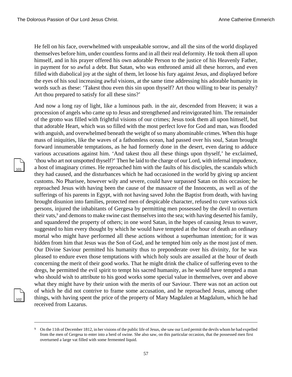102

He fell on his face, overwhelmed with unspeakable sorrow, and all the sins of the world displayed themselves before him, under countless forms and in all their real deformity. He took them all upon himself, and in his prayer offered his own adorable Person to the justice of his Heavenly Father, in payment for so awful a debt. But Satan, who was enthroned amid all these horrors, and even filled with diabolical joy at the sight of them, let loose his fury against Jesus, and displayed before the eyes of his soul increasing awful visions, at the same time addressing his adorable humanity in words such as these: 'Takest thou even this sin upon thyself? Art thou willing to bear its penalty? Art thou prepared to satisfy for all these sins?'

And now a long ray of light, like a luminous path. in the air, descended from Heaven; it was a procession of angels who came up to Jesus and strengthened and reinvigorated him. The remainder of the grotto was filled with frightful visions of our crimes; Jesus took them all upon himself, but that adorable Heart, which was so filled with the most perfect love for God and man, was flooded with anguish, and overwhelmed beneath the weight of so many abominable crimes. When this huge mass of iniquities, like the waves of a fathomless ocean, had passed over his soul, Satan brought forward innumerable temptations, as he had formerly done in the desert, even daring to adduce various accusations against him. 'And takest thou all these things upon thyself,' he exclaimed, 'thou who art not unspotted thyself?' Then he laid to the charge of our Lord, with infernal impudence, a host of imaginary crimes. He reproached him with the faults of his disciples, the scandals which they had caused, and the disturbances which he had occasioned in the world by giving up ancient customs. No Pharisee, however wily and severe, could have surpassed Satan on this occasion; he reproached Jesus with having been the cause of the massacre of the Innocents, as well as of the sufferings of his parents in Egypt, with not having saved John the Baptist from death, with having brought disunion into families, protected men of despicable character, refused to cure various sick persons, injured the inhabitants of Gergesa by permitting men possessed by the devil to overturn their vats,<sup>9</sup> and demons to make swine cast themselves into the sea; with having deserted his family, and squandered the property of others; in one word Satan, in the hopes of causing Jesus to waver, suggested to him every thought by which he would have tempted at the hour of death an ordinary mortal who might have performed all these actions without a superhuman intention; for it was hidden from him that Jesus was the Son of God, and he tempted him only as the most just of men. Our Divine Saviour permitted his humanity thus to preponderate over his divinity, for he was pleased to endure even those temptations with which holy souls are assailed at the hour of death concerning the merit of their good works. That he might drink the chalice of suffering even to the dregs, he permitted the evil spirit to tempt his sacred humanity, as he would have tempted a man who should wish to attribute to his good works some special value in themselves, over and above what they might have by their union with the merits of our Saviour. There was not an action out of which he did not contrive to frame some accusation, and he reproached Jesus, among other things, with having spent the price of the property of Mary Magdalen at Magdalum, which he had received from Lazarus.

<sup>9</sup> On the 11th of December 1812, in her visions of the public life of Jesus, she saw our Lord permit the devils whom he had expelled from the men of Gergesa to enter into a herd of swine. She also saw, on this particular occasion, that the possessed men first overturned a large vat filled with some fermented liquid.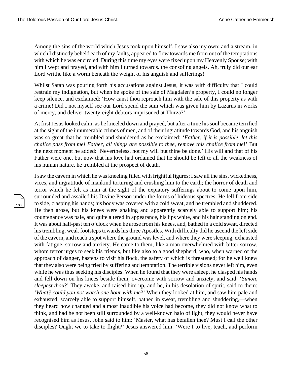Among the sins of the world which Jesus took upon himself, I saw also my own; and a stream, in which I distinctly beheld each of my faults, appeared to flow towards me from out of the temptations with which he was encircled. During this time my eyes were fixed upon my Heavenly Spouse; with him I wept and prayed, and with him I turned towards. the consoling angels. Ah, truly did our ear Lord writhe like a worm beneath the weight of his anguish and sufferings!

Whilst Satan was pouring forth his accusations against Jesus, it was with difficulty that I could restrain my indignation, but when he spoke of the sale of Magdalen's property, I could no longer keep silence, and exclaimed: 'How canst thou reproach him with the sale of this property as with a crime! Did I not myself see our Lord spend the sum which was given him by Lazarus in works of mercy, and deliver twenty-eight debtors imprisoned at Thirza?'

At first Jesus looked calm, as he kneeled down and prayed, but after a time his soul became terrified at the sight of the innumerable crimes of men, and of their ingratitude towards God, and his anguish was so great that he trembled and shuddered as he exclaimed: '*Father, if it is possible, let this chalice pass from me! Father, all things are possible to thee, remove this chalice from me*!' But the next moment he added: 'Nevertheless, not my will but thine be done.' His will and that of his Father were one, but now that his love had ordained that he should be left to all the weakness of his human nature, he trembled at the prospect of death.

I saw the cavern in which he was kneeling filled with frightful figures; I saw all the sins, wickedness, vices, and ingratitude of mankind torturing and crushing him to the earth; the horror of death and terror which he felt as man at the sight of the expiatory sufferings about to come upon him, surrounded and assailed his Divine Person under the forms of hideous spectres. He fell from side to side, clasping his hands; his body was covered with a cold sweat, and he trembled and shuddered. He then arose, but his knees were shaking and apparently scarcely able to support him; his countenance was pale, and quite altered in appearance, his lips white, and his hair standing on end. It was about half-past ten o'clock when he arose from his knees, and, bathed in a cold sweat, directed his trembling, weak footsteps towards his three Apostles. With difficulty did he ascend the left side of the cavern, and reach a spot where the ground was level, and where they were sleeping, exhausted with fatigue, sorrow and anxiety. He came to them, like a man overwhelmed with bitter sorrow, whom terror urges to seek his friends, but like also to a good shepherd, who, when warned of the approach of danger, hastens to visit his flock, the safety of which is threatened; for he well knew that they also were being tried by suffering and temptation. The terrible visions never left him, even while he was thus seeking his disciples. When he found that they were asleep, he clasped his hands and fell down on his knees beside them, overcome with sorrow and anxiety, and said: '*Simon, sleepest thou*?' They awoke, and raised him up, and he, in his desolation of spirit, said to them: '*What? could you not watch one hour with me*?' When they looked at him, and saw him pale and exhausted, scarcely able to support himself, bathed in sweat, trembling and shuddering,—when they heard how changed and almost inaudible his voice had become, they did not know what to think, and had he not been still surrounded by a well-known halo of light, they would never have recognised him as Jesus. John said to him: 'Master, what has befallen thee? Must I call the other disciples? Ought we to take to flight?' Jesus answered him: 'Were I to live, teach, and perform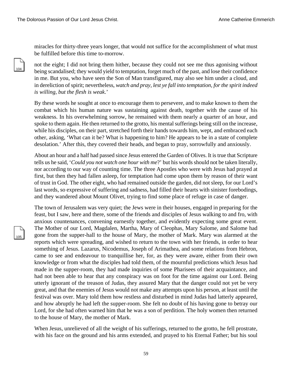105

miracles for thirty-three years longer, that would not suffice for the accomplishment of what must be fulfilled before this time to-morrow.

not the eight; I did not bring them hither, because they could not see me thus agonising without being scandalised; they would yield to temptation, forget much of the past, and lose their confidence in me. But you, who have seen the Son of Man transfigured, may also see him under a cloud, and in dereliction of spirit; nevertheless, *watch and pray, lest ye fall into temptation, for the spirit indeed is willing, but the flesh is weak*.'

By these words he sought at once to encourage them to persevere, and to make known to them the combat which his human nature was sustaining against death, together with the cause of his weakness. In his overwhelming sorrow, he remained with them nearly a quarter of an hour, and spoke to them again. He then returned to the grotto, his mental sufferings being still on the increase, while his disciples, on their part, stretched forth their hands towards him, wept, and embraced each other, asking, 'What can it be? What is happening to him? He appears to be in a state of complete desolation.' After this, they covered their heads, and began to pray, sorrowfully and anxiously.

About an hour and a half had passed since Jesus entered the Garden of Olives. It is true that Scripture tells us he said, '*Could you not watch one hour with me*?' but his words should not be taken literally, nor according to our way of counting time. The three Apostles who were with Jesus had prayed at first, but then they had fallen asleep, for temptation had come upon them by reason of their want of trust in God. The other eight, who had remained outside the garden, did not sleep, for our Lord's last words, so expressive of suffering and sadness, had filled their hearts with sinister forebodings, and they wandered about Mount Olivet, trying to find some place of refuge in case of danger.

The town of Jerusalem was very quiet; the Jews were in their houses, engaged in preparing for the feast, but I saw, here and there, some of the friends and disciples of Jesus walking to and fro, with anxious countenances, convening earnestly together, and evidently expecting some great event. The Mother of our Lord, Magdalen, Martha, Mary of Cleophas, Mary Salome, and Salome had gone from the supper-hall to the house of Mary, the mother of Mark. Mary was alarmed at the reports which were spreading, and wished to return to the town with her friends, in order to hear something of Jesus. Lazarus, Nicodemus, Joseph of Arimathea, and some relations from Hebron, came to see and endeavour to tranquillise her, for, as they were aware, either from their own knowledge or from what the disciples had told them, of the mournful predictions which Jesus had made in the supper-room, they had made inquiries of some Pharisees of their acquaintance, and had not been able to hear that any conspiracy was on foot for the time against our Lord. Being utterly ignorant of the treason of Judas, they assured Mary that the danger could not yet be very great, and that the enemies of Jesus would not make any attempts upon his person, at least until the festival was over. Mary told them how restless and disturbed in mind Judas had latterly appeared, and how abruptly he had left the supper-room. She felt no doubt of his having gone to betray our Lord, for she had often warned him that he was a son of perdition. The holy women then returned to the house of Mary, the mother of Mark.

When Jesus, unrelieved of all the weight of his sufferings, returned to the grotto, he fell prostrate, with his face on the ground and his arms extended, and prayed to his Eternal Father; but his soul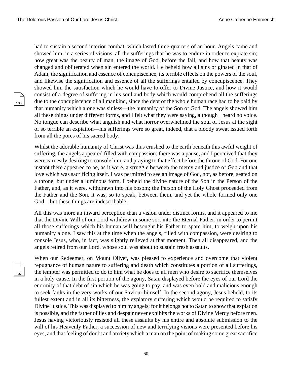had to sustain a second interior combat, which lasted three-quarters of an hour. Angels came and showed him, in a series of visions, all the sufferings that he was to endure in order to expiate sin; how great was the beauty of man, the image of God, before the fall, and how that beauty was changed and obliterated when sin entered the world. He beheld how all sins originated in that of Adam, the signification and essence of concupiscence, its terrible effects on the powers of the soul, and likewise the signification and essence of all the sufferings entailed by concupiscence. They showed him the satisfaction which he would have to offer to Divine Justice, and how it would consist of a degree of suffering in his soul and body which would comprehend all the sufferings due to the concupiscence of all mankind, since the debt of the whole human race had to be paid by that humanity which alone was sinless—the humanity of the Son of God. The angels showed him all these things under different forms, and I felt what they were saying, although I heard no voice. No tongue can describe what anguish and what horror overwhelmed the soul of Jesus at the sight of so terrible an expiation—his sufferings were so great, indeed, that a bloody sweat issued forth from all the pores of his sacred body.

Whilst the adorable humanity of Christ was thus crushed to the earth beneath this awful weight of suffering, the angels appeared filled with compassion; there was a pause, and I perceived that they were earnestly desiring to console him, and praying to that effect before the throne of God. For one instant there appeared to be, as it were, a struggle between the mercy and justice of God and that love which was sacrificing itself. I was permitted to see an image of God, not, as before, seated on a throne, but under a luminous form. I beheld the divine nature of the Son in the Person of the Father, and, as it were, withdrawn into his bosom; the Person of the Holy Ghost proceeded from the Father and the Son, it was, so to speak, between them, and yet the whole formed only one God—but these things are indescribable.

All this was more an inward perception than a vision under distinct forms, and it appeared to me that the Divine Will of our Lord withdrew in some sort into the Eternal Father, in order to permit all those sufferings which his human will besought his Father to spare him, to weigh upon his humanity alone. I saw this at the time when the angels, filled with compassion, were desiring to console Jesus, who, in fact, was slightly relieved at that moment. Then all disappeared, and the angels retired from our Lord, whose soul was about to sustain fresh assaults.

When our Redeemer, on Mount Olivet, was pleased to experience and overcome that violent repugnance of human nature to suffering and death which constitutes a portion of all sufferings, the tempter was permitted to do to him what he does to all men who desire to sacrifice themselves in a holy cause. In the first portion of the agony, Satan displayed before the eyes of our Lord the enormity of that debt of sin which he was going to pay, and was even bold and malicious enough to seek faults in the very works of our Saviour himself. In the second agony, Jesus beheld, to its fullest extent and in all its bitterness, the expiatory suffering which would be required to satisfy Divine Justice. This was displayed to him by angels; for it belongs not to Satan to show that expiation is possible, and the father of lies and despair never exhibits the works of Divine Mercy before men. Jesus having victoriously resisted all these assaults by his entire and absolute submission to the will of his Heavenly Father, a succession of new and terrifying visions were presented before his eyes, and that feeling of doubt and anxiety which a man on the point of making some great sacrifice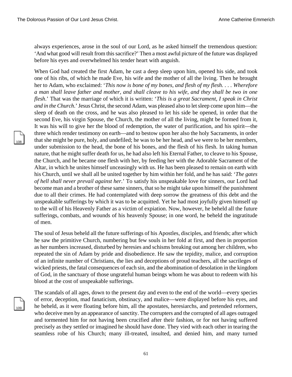always experiences, arose in the soul of our Lord, as he asked himself the tremendous question: 'And what good will result from this sacrifice?' Then a most awful picture of the future was displayed before his eyes and overwhelmed his tender heart with anguish.

When God had created the first Adam, he cast a deep sleep upon him, opened his side, and took one of his ribs, of which he made Eve, his wife and the mother of all the living. Then he brought her to Adam, who exclaimed: '*This now is bone of my bones, and flesh of my flesh. . . . Wherefore a man shall leave father and mother, and shall cleave to his wife, and they shall be two in one flesh*.' That was the marriage of which it is written: '*This is a great Sacrament, I speak in Christ and in the Church*.' Jesus Christ, the second Adam, was pleased also to let sleep come upon him—the sleep of death on the cross, and he was also pleased to let his side be opened, in order that the second Eve, his virgin Spouse, the Church, the mother of all the living, might be formed from it, It was his will to give her the blood of redemption, the water of purification, and his spirit—the three which render testimony on earth—and to bestow upon her also the holy Sacraments, in order that she might be pure, holy, and undefiled; he was to be her head, and we were to be her members, under submission to the head, the bone of his bones, and the flesh of his flesh. In taking human nature, that he might suffer death for us, he had also left his Eternal Father, to cleave to his Spouse, the Church, and he became one flesh with her, by feeding her with the Adorable Sacrament of the Altar, in which he unites himself unceasingly with us. He has been pleased to remain on earth with his Church, until we shall all be united together by him within her fold, and he has said: '*The gates of hell shall never prevail against her*.' To satisfy his unspeakable love for sinners, our Lord had become man and a brother of these same sinners, that so he might take upon himself the punishment due to all their crimes. He had contemplated with deep sorrow the greatness of this debt and the unspeakable sufferings by which it was to be acquitted. Yet he had most joyfully given himself up to the will of his Heavenly Father as a victim of expiation. Now, however, he beheld all the future sufferings, combats, and wounds of his heavenly Spouse; in one word, he beheld the ingratitude of men.

The soul of Jesus beheld all the future sufferings of his Apostles, disciples, and friends; after which he saw the primitive Church, numbering but few souls in her fold at first, and then in proportion as her numbers increased, disturbed by heresies and schisms breaking out among her children, who repeated the sin of Adam by pride and disobedience. He saw the tepidity, malice, and corruption of an infinite number of Christians, the lies and deceptions of proud teachers, all the sacrileges of wicked priests, the fatal consequences of each sin, and the abomination of desolation in the kingdom of God, in the sanctuary of those ungrateful human beings whom he was about to redeem with his blood at the cost of unspeakable sufferings.

109

108

The scandals of all ages, down to the present day and even to the end of the world—every species of error, deception, mad fanaticism, obstinacy, and malice—were displayed before his eyes, and he beheld, as it were floating before him, all the apostates, heresiarchs, and pretended reformers, who deceive men by an appearance of sanctity. The corrupters and the corrupted of all ages outraged and tormented him for not having been crucified after their fashion, or for not having suffered precisely as they settled or imagined he should have done. They vied with each other in tearing the seamless robe of his Church; many ill-treated, insulted, and denied him, and many turned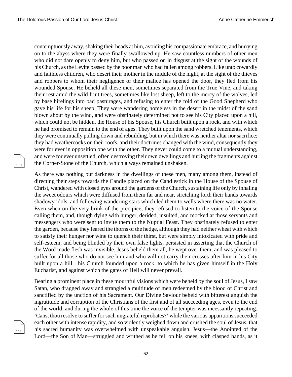contemptuously away, shaking their heads at him, avoiding his compassionate embrace, and hurrying on to the abyss where they were finally swallowed up. He saw countless numbers of other men who did not dare openly to deny him, but who passed on in disgust at the sight of the wounds of his Church, as the Levite passed by the poor man who had fallen among robbers. Like unto cowardly and faithless children, who desert their mother in the middle of the night, at the sight of the thieves and robbers to whom their negligence or their malice has opened the door, they fled from his wounded Spouse. He beheld all these men, sometimes separated from the True Vine, and taking their rest amid the wild fruit trees, sometimes like lost sheep, left to the mercy of the wolves, led by base hirelings into bad pasturages, and refusing to enter the fold of the Good Shepherd who gave his life for his sheep. They were wandering homeless in the desert in the midst of the sand blown about by the wind, and were obstinately determined not to see his City placed upon a hill, which could not be hidden, the House of his Spouse, his Church built upon a rock, and with which he had promised to remain to the end of ages. They built upon the sand wretched tenements, which they were continually pulling down and rebuilding, but in which there was neither altar nor sacrifice; they had weathercocks on their roofs, and their doctrines changed with the wind, consequently they were for ever in opposition one with the other. They never could come to a mutual understanding, and were for ever unsettled, often destroying their own dwellings and hurling the fragments against the Corner-Stone of the Church, which always remained unshaken.

As there was nothing but darkness in the dwellings of these men, many among them, instead of directing their steps towards the Candle placed on the Candlestick in the House of the Spouse of Christ, wandered with closed eyes around the gardens of the Church, sustaining life only by inhaling the sweet odours which were diffused from them far and near, stretching forth their hands towards shadowy idols, and following wandering stars which led them to wells where there was no water. Even when on the very brink of the precipice, they refused to listen to the voice of the Spouse calling them, and, though dying with hunger, derided, insulted, and mocked at those servants and messengers who were sent to invite them to the Nuptial Feast. They obstinately refused to enter the garden, because they feared the thorns of the hedge, although they had neither wheat with which to satisfy their hunger nor wine to quench their thirst, but were simply intoxicated with pride and self-esteem, and being blinded by their own false lights, persisted in asserting that the Church of the Word made flesh was invisible. Jesus beheld them all, he wept over them, and was pleased to suffer for all those who do not see him and who will not carry their crosses after him in his City built upon a hill—his Church founded upon a rock, to which he has given himself in the Holy Eucharist, and against which the gates of Hell will never prevail.

Bearing a prominent place in these mournful visions which were beheld by the soul of Jesus, I saw Satan, who dragged away and strangled a multitude of men redeemed by the blood of Christ and sanctified by the unction of his Sacrament. Our Divine Saviour beheld with bitterest anguish the ingratitude and corruption of the Christians of the first and of all succeeding ages, even to the end of the world, and during the whole of this time the voice of the tempter was incessantly repeating: 'Canst thou resolve to suffer for such ungrateful reprobates?' while the various apparitions succeeded each other with intense rapidity, and so violently weighed down and crushed the soul of Jesus, that his sacred humanity was overwhelmed with unspeakable anguish. Jesus—the Anointed of the Lord—the Son of Man—struggled and writhed as he fell on his knees, with clasped hands, as it



110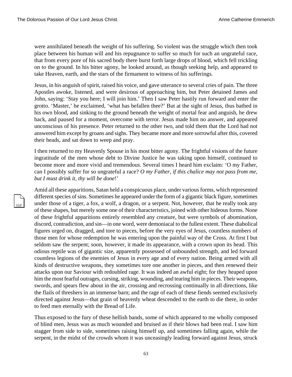were annihilated beneath the weight of his suffering. So violent was the struggle which then took place between his human will and his repugnance to suffer so much for such an ungrateful race, that from every pore of his sacred body there burst forth large drops of blood, which fell trickling on to the ground. In his bitter agony, he looked around, as though seeking help, and appeared to take Heaven, earth, and the stars of the firmament to witness of his sufferings.

Jesus, in his anguish of spirit, raised his voice, and gave utterance to several cries of pain. The three Apostles awoke, listened, and were desirous of approaching him, but Peter detained James and John, saying: 'Stay you here; I will join him.' Then I saw Peter hastily run forward and enter the grotto. 'Master,' he exclaimed, 'what has befallen thee?' But at the sight of Jesus, thus bathed in his own blood, and sinking to the ground beneath the weight of mortal fear and anguish, he drew back, and paused for a moment, overcome with terror. Jesus made him no answer, and appeared unconscious of his presence. Peter returned to the other two, and told them that the Lord had not answered him except by groans and sighs. They became more and more sorrowful after this, covered their heads, and sat down to weep and pray.

I then returned to my Heavenly Spouse in his most bitter agony. The frightful visions of the future ingratitude of the men whose debt to Divine Justice he was taking upon himself, continued to become more and more vivid and tremendous. Several times I heard him exclaim: 'O my Father, can I possibly suffer for so ungrateful a race? *O my Father, if this chalice may not pass from me, but I must drink it, thy will be done*!'

Amid all these apparitions, Satan held a conspicuous place, under various forms, which represented different species of sins. Sometimes he appeared under the form of a gigantic black figure, sometimes under those of a tiger, a fox, a wolf, a dragon, or a serpent. Not, however, that he really took any of these shapes, but merely some one of their characteristics, joined with other hideous forms. None of these frightful apparitions entirely resembled any creature, but were symbols of abomination, discord, contradiction, and sin—in one word, were demoniacal to the fullest extent. These diabolical figures urged on, dragged, and tore to pieces, before the very eyes of Jesus, countless numbers of those men for whose redemption he was entering upon the painful way of the Cross. At first I but seldom saw the serpent; soon, however, it made its appearance, with a crown upon its head. This odious reptile was of gigantic size, apparently possessed of unbounded strength, and led forward countless legions of the enemies of Jesus in every age and of every nation. Being armed with all kinds of destructive weapons, they sometimes tore one another in pieces, and then renewed their attacks upon our Saviour with redoubled rage. It was indeed an awful eight; for they heaped upon him the most fearful outrages, cursing, striking, wounding, and tearing him in pieces. Their weapons, swords, and spears flew about in the air, crossing and recrossing continually in all directions, like the flails of threshers in an immense barn; and the rage of each of these fiends seemed exclusively directed against Jesus—that grain of heavenly wheat descended to the earth to die there, in order to feed men eternally with the Bread of Life.

Thus exposed to the fury of these hellish bands, some of which appeared to me wholly composed of blind men, Jesus was as much wounded and bruised as if their blows had been real. I saw him stagger from side to side, sometimes raising himself up, and sometimes falling again, while the serpent, in the midst of the crowds whom it was unceasingly leading forward against Jesus, struck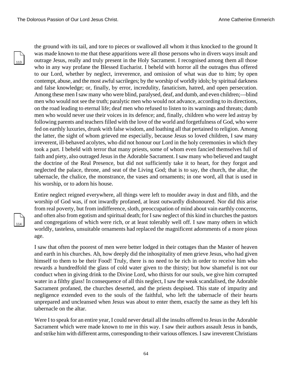

the ground with its tail, and tore to pieces or swallowed all whom it thus knocked to the ground It was made known to me that these apparitions were all those persons who in divers ways insult and outrage Jesus, really and truly present in the Holy Sacrament. I recognised among them all those who in any way profane the Blessed Eucharist. I beheld with horror all the outrages thus offered to our Lord, whether by neglect, irreverence, and omission of what was due to him; by open contempt, abuse, and the most awful sacrileges; by the worship of worldly idols; by spiritual darkness and false knowledge; or, finally, by error, incredulity, fanaticism, hatred, and open persecution. Among these men I saw many who were blind, paralysed, deaf, and dumb, and even children;—blind men who would not see the truth; paralytic men who would not advance, according to its directions, on the road leading to eternal life; deaf men who refused to listen to its warnings and threats; dumb men who would never use their voices in its defence; and, finally, children who were led astray by following parents and teachers filled with the love of the world and forgetfulness of God, who were fed on earthly luxuries, drunk with false wisdom, and loathing all that pertained to religion. Among the latter, the sight of whom grieved me especially, because Jesus so loved children, I saw many irreverent, ill-behaved acolytes, who did not honour our Lord in the holy ceremonies in which they took a part. I beheld with terror that many priests, some of whom even fancied themselves full of faith and piety, also outraged Jesus in the Adorable Sacrament. I saw many who believed and taught the doctrine of the Real Presence, but did not sufficiently take it to heart, for they forgot and neglected the palace, throne, and seat of the Living God; that is to say, the church, the altar, the tabernacle, the chalice, the monstrance, the vases and ornaments; in one word, all that is used in his worship, or to adorn his house.

Entire neglect reigned everywhere, all things were left to moulder away in dust and filth, and the worship of God was, if not inwardly profaned, at least outwardly dishonoured. Nor did this arise from real poverty, but from indifference, sloth, preoccupation of mind about vain earthly concerns, and often also from egotism and spiritual death; for I saw neglect of this kind in churches the pastors and congregations of which were rich, or at least tolerably well off. I saw many others in which worldly, tasteless, unsuitable ornaments had replaced the magnificent adornments of a more pious age.

I saw that often the poorest of men were better lodged in their cottages than the Master of heaven and earth in his churches. Ah, how deeply did the inhospitality of men grieve Jesus, who had given himself to them to be their Food! Truly, there is no need to be rich in order to receive him who rewards a hundredfold the glass of cold water given to the thirsty; but how shameful is not our conduct when in giving drink to the Divine Lord, who thirsts for our souls, we give him corrupted water in a filthy glass! In consequence of all this neglect, I saw the weak scandalised, the Adorable Sacrament profaned, the churches deserted, and the priests despised. This state of impurity and negligence extended even to the souls of the faithful, who left the tabernacle of their hearts unprepared and uncleansed when Jesus was about to enter them, exactly the same as they left his tabernacle on the altar.

Were I to speak for an entire year, I could never detail all the insults offered to Jesus in the Adorable Sacrament which were made known to me in this way. I saw their authors assault Jesus in bands, and strike him with different arms, corresponding to their various offences. I saw irreverent Christians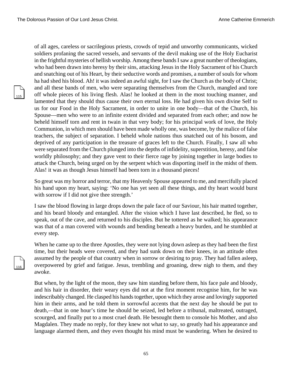of all ages, careless or sacrilegious priests, crowds of tepid and unworthy communicants, wicked soldiers profaning the sacred vessels, and servants of the devil making use of the Holy Eucharist in the frightful mysteries of hellish worship. Among these bands I saw a great number of theologians, who had been drawn into heresy by their sins, attacking Jesus in the Holy Sacrament of his Church and snatching out of his Heart, by their seductive words and promises, a number of souls for whom ha had shed his blood. Ah! it was indeed an awful sight, for I saw the Church as the body of Christ; and all these bands of men, who were separating themselves from the Church, mangled and tore off whole pieces of his living flesh. Alas! he looked at them in the most touching manner, and lamented that they should thus cause their own eternal loss. He had given his own divine Self to us for our Food in the Holy Sacrament, in order to unite in one body—that of the Church, his Spouse—men who were to an infinite extent divided and separated from each other; and now he beheld himself torn and rent in twain in that very body; for his principal work of love, the Holy Communion, in which men should have been made wholly one, was become, by the malice of false teachers, the subject of separation. I beheld whole nations thus snatched out of his bosom, and deprived of any participation in the treasure of graces left to the Church. Finally, I saw all who were separated from the Church plunged into the depths of infidelity, superstition, heresy, and false worldly philosophy; and they gave vent to their fierce rage by joining together in large bodies to attack the Church, being urged on by the serpent which was disporting itself in the midst of them. Alas! it was as though Jesus himself had been torn in a thousand pieces!

So great was my horror and terror, that my Heavenly Spouse appeared to me, and mercifully placed his hand upon my heart, saying: 'No one has yet seen all these things, and thy heart would burst with sorrow if I did not give thee strength.'

I saw the blood flowing in large drops down the pale face of our Saviour, his hair matted together, and his beard bloody and entangled. After the vision which I have last described, he fled, so to speak, out of the cave, and returned to his disciples. But he tottered as he walked; his appearance was that of a man covered with wounds and bending beneath a heavy burden, and he stumbled at every step.

When he came up to the three Apostles, they were not lying down asleep as they had been the first time, but their heads were covered, and they had sunk down on their knees, in an attitude often assumed by the people of that country when in sorrow or desiring to pray. They had fallen asleep, overpowered by grief and fatigue. Jesus, trembling and groaning, drew nigh to them, and they awoke.

But when, by the light of the moon, they saw him standing before them, his face pale and bloody, and his hair in disorder, their weary eyes did not at the first moment recognise him, for he was indescribably changed. He clasped his hands together, upon which they arose and lovingly supported him in their arms, and he told them in sorrowful accents that the next day he should be put to death,—that in one hour's time he should be seized, led before a tribunal, maltreated, outraged, scourged, and finally put to a most cruel death. He besought them to console his Mother, and also Magdalen. They made no reply, for they knew not what to say, so greatly had his appearance and language alarmed them, and they even thought his mind must be wandering. When he desired to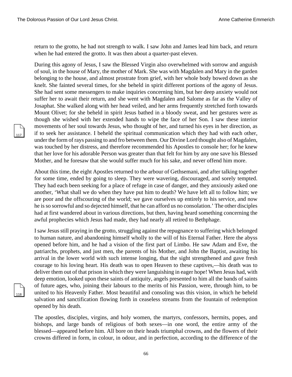return to the grotto, he had not strength to walk. I saw John and James lead him back, and return when he had entered the grotto. It was then about a quarter-past eleven.

During this agony of Jesus, I saw the Blessed Virgin also overwhelmed with sorrow and anguish of soul, in the house of Mary, the mother of Mark. She was with Magdalen and Mary in the garden belonging to the house, and almost prostrate from grief, with her whole body bowed down as she knelt. She fainted several times, for she beheld in spirit different portions of the agony of Jesus. She had sent some messengers to make inquiries concerning him, but her deep anxiety would not suffer her to await their return, and she went with Magdalen and Salome as far as the Valley of Josaphat. She walked along with her head veiled, and her arms frequently stretched forth towards Mount Olivet; for she beheld in spirit Jesus bathed in a bloody sweat, and her gestures were as though she wished with her extended hands to wipe the face of her Son. I saw these interior movements of her soul towards Jesus, who thought of her, and turned his eyes in her direction, as if to seek her assistance. I beheld the spiritual communication which they had with each other, under the form of rays passing to and fro between them. Our Divine Lord thought also of Magdalen, was touched by her distress, and therefore recommended his Apostles to console her; for he knew that her love for his adorable Person was greater than that felt for him by any one save his Blessed Mother, and he foresaw that she would suffer much for his sake, and never offend him more.

About this time, the eight Apostles returned to the arbour of Gethsemani, and after talking together for some time, ended by going to sleep. They were wavering, discouraged, and sorely tempted. They had each been seeking for a place of refuge in case of danger, and they anxiously asked one another, 'What shall we do when they have put him to death? We have left all to follow him; we are poor and the offscouring of the world; we gave ourselves up entirely to his service, and now he is so sorrowful and so dejected himself, that he can afford us no consolation.' The other disciples had at first wandered about in various directions, but then, having heard something concerning the awful prophecies which Jesus had made, they had nearly all retired to Bethphage.

I saw Jesus still praying in the grotto, struggling against the repugnance to suffering which belonged to human nature, and abandoning himself wholly to the will of his Eternal Father. Here the abyss opened before him, and he had a vision of the first part of Limbo. He saw Adam and Eve, the patriarchs, prophets, and just men, the parents of his Mother, and John the Baptist, awaiting his arrival in the lower world with such intense longing, that the sight strengthened and gave fresh courage to his loving heart. His death was to open Heaven to these captives,—his death was to deliver them out of that prison in which they were languishing in eager hope! When Jesus had, with deep emotion, looked upon these saints of antiquity, angels presented to him all the bands of saints of future ages, who, joining their labours to the merits of his Passion, were, through him, to be united to his Heavenly Father. Most beautiful and consoling was this vision, in which he beheld salvation and sanctification flowing forth in ceaseless streams from the fountain of redemption opened by his death.

The apostles, disciples, virgins, and holy women, the martyrs, confessors, hermits, popes, and bishops, and large bands of religious of both sexes—in one word, the entire army of the blessed—appeared before him. All bore on their heads triumphal crowns, and the flowers of their crowns differed in form, in colour, in odour, and in perfection, according to the difference of the

117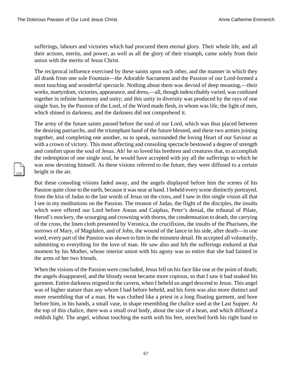sufferings, labours and victories which had procured them eternal glory. Their whole life, and all their actions, merits, and power, as well as all the glory of their triumph, came solely from their union with the merits of Jesus Christ.

The reciprocal influence exercised by these saints upon each other, and the manner in which they all drank from one sole Fountain—the Adorable Sacrament and the Passion of our Lord-formed a most touching and wonderful spectacle. Nothing about them was devoid of deep meaning,—their works, martyrdom, victories, appearance, and dress,—all, though indescribably varied, was confused together in infinite harmony and unity; and this unity in diversity was produced by the rays of one single Sun, by the Passion of the Lord, of the Word made flesh, in whom was life, the light of men, which shined in darkness, and the darkness did not comprehend it.

The army of the future saints passed before the soul of our Lord, which was thus placed between the desiring patriarchs, and the triumphant band of the future blessed, and these two armies joining together, and completing one another, so to speak, surrounded the loving Heart of our Saviour as with a crown of victory. This most affecting and consoling spectacle bestowed a degree of strength and comfort upon the soul of Jesus. Ah! he so loved his brethren and creatures that, to accomplish the redemption of one single soul, he would have accepted with joy all the sufferings to which he was now devoting himself. As these visions referred to the future, they were diffused to a certain height in the air.

But these consoling visions faded away, and the angels displayed before him the scenes of his Passion quite close to the earth, because it was near at hand. I beheld every scene distinctly portrayed, from the kiss of Judas to the last words of Jesus on the cross, and I saw in this single vision all that I see in my meditations on the Passion. The treason of Judas, the flight of the disciples, the insults which were offered our Lord before Annas and Caiphas, Peter's denial, the tribunal of Pilate, Herod's mockery, the scourging and crowning with thorns, the condemnation to death, the carrying of the cross, the linen cloth presented by Veronica, the crucifixion, the insults of the Pharisees, the sorrows of Mary, of Magdalen, and of John, the wound of the lance in his side, after death—in one word, every part of the Passion was shown to him in the minutest detail. He accepted all voluntarily, submitting to everything for the love of man. He saw also and felt the sufferings endured at that moment by his Mother, whose interior union with his agony was so entire that she had fainted in the arms of her two friends.

When the visions of the Passion were concluded, Jesus fell on his face like one at the point of death; the angels disappeared, and the bloody sweat became more copious, so that I saw it had soaked his garment. Entire darkness reigned in the cavern, when I beheld an angel descend to Jesus. This angel was of higher stature than any whom I had before beheld, and his form was also more distinct and more resembling that of a man. He was clothed like a priest in a long floating garment, and bore before him, in his hands, a small vase, in shape resembling the chalice used at the Last Supper. At the top of this chalice, there was a small oval body, about the size of a bean, and which diffused a reddish light. The angel, without touching the earth with his feet, stretched forth his right hand to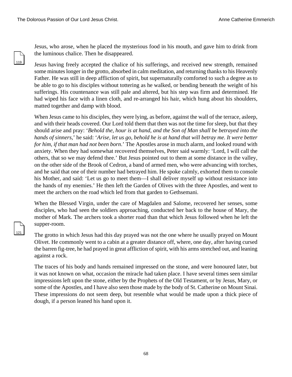Jesus, who arose, when he placed the mysterious food in his mouth, and gave him to drink from the luminous chalice. Then he disappeared.

Jesus having freely accepted the chalice of his sufferings, and received new strength, remained some minutes longer in the grotto, absorbed in calm meditation, and returning thanks to his Heavenly Father. He was still in deep affliction of spirit, but supernaturally comforted to such a degree as to be able to go to his disciples without tottering as he walked, or bending beneath the weight of his sufferings. His countenance was still pale and altered, but his step was firm and determined. He had wiped his face with a linen cloth, and re-arranged his hair, which hung about his shoulders, matted together and damp with blood.

When Jesus came to his disciples, they were lying, as before, against the wall of the terrace, asleep, and with their heads covered. Our Lord told them that then was not the time for sleep, but that they should arise and pray: '*Behold the, hour is at hand, and the Son of Man shall be betrayed into the hands of sinners*,' he said: '*Arise, let us go, behold he is at hand that will betray me. It were better for him, if that man had not been born*.' The Apostles arose in much alarm, and looked round with anxiety. When they had somewhat recovered themselves, Peter said warmly: 'Lord, I will call the others, that so we may defend thee.' But Jesus pointed out to them at some distance in the valley, on the other side of the Brook of Cedron, a band of armed men, who were advancing with torches, and he said that one of their number had betrayed him. He spoke calmly, exhorted them to console his Mother, and said: 'Let us go to meet them—I shall deliver myself up without resistance into the hands of my enemies.' He then left the Garden of Olives with the three Apostles, and went to meet the archers on the road which led from that garden to Gethsemani.

When the Blessed Virgin, under the care of Magdalen and Salome, recovered her senses, some disciples, who had seen the soldiers approaching, conducted her back to the house of Mary, the mother of Mark. The archers took a shorter road than that which Jesus followed when he left the supper-room.

The grotto in which Jesus had this day prayed was not the one where he usually prayed on Mount Olivet. He commonly went to a cabin at a greater distance off, where, one day, after having cursed the barren fig-tree, he had prayed in great affliction of spirit, with his arms stretched out, and leaning against a rock.

The traces of his body and hands remained impressed on the stone, and were honoured later, but it was not known on what, occasion the miracle had taken place. I have several times seen similar impressions left upon the stone, either by the Prophets of the Old Testament, or by Jesus, Mary, or some of the Apostles, and I have also seen those made by the body of St. Catherine on Mount Sinai. These impressions do not seem deep, but resemble what would be made upon a thick piece of dough, if a person leaned his hand upon it.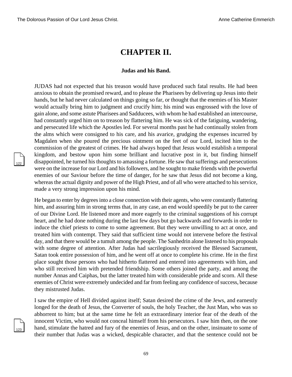### **CHAPTER II.**

#### **Judas and his Band.**

JUDAS had not expected that his treason would have produced such fatal results. He had been anxious to obtain the promised reward, and to please the Pharisees by delivering up Jesus into their hands, but he had never calculated on things going so far, or thought that the enemies of his Master would actually bring him to judgment and crucify him; his mind was engrossed with the love of gain alone, and some astute Pharisees and Sadducees, with whom he had established an intercourse, had constantly urged him on to treason by flattering him. He was sick of the fatiguing, wandering, and persecuted life which the Apostles led. For several months past he had continually stolen from the alms which were consigned to his care, and his avarice, grudging the expenses incurred by Magdalen when she poured the precious ointment on the feet of our Lord, incited him to the commission of the greatest of crimes. He had always hoped that Jesus would establish a temporal kingdom, and bestow upon him some brilliant and lucrative post in it, but finding himself disappointed, he turned his thoughts to amassing a fortune. He saw that sufferings and persecutions were on the increase for our Lord and his followers, and he sought to make friends with the powerful enemies of our Saviour before the time of danger, for he saw that Jesus did not become a king, whereas the actual dignity and power of the High Priest, and of all who were attached to his service, made a very strong impression upon his mind.

He began to enter by degrees into a close connection with their agents, who were constantly flattering him, and assuring him in strong terms that, in any case, an end would speedily be put to the career of our Divine Lord. He listened more and more eagerly to the criminal suggestions of his corrupt heart, and he had done nothing during the last few days but go backwards and forwards in order to induce the chief priests to come to some agreement. But they were unwilling to act at once, and treated him with contempt. They said that sufficient time would not intervene before the festival day, and that there would be a tumult among the people. The Sanhedrin alone listened to his proposals with some degree of attention. After Judas had sacrilegiously received the Blessed Sacrament, Satan took entire possession of him, and he went off at once to complete his crime. He in the first place sought those persons who had hitherto flattered and entered into agreements with him, and who still received him with pretended friendship. Some others joined the party, and among the number Annas and Caiphas, but the latter treated him with considerable pride and scorn. All these enemies of Christ were extremely undecided and far from feeling any confidence of success, because they mistrusted Judas.

I saw the empire of Hell divided against itself; Satan desired the crime of the Jews, and earnestly longed for the death of Jesus, the Converter of souls, the holy Teacher, the Just Man, who was so abhorrent to him; but at the same time he felt an extraordinary interior fear of the death of the innocent Victim, who would not conceal himself from his persecutors. I saw him then, on the one hand, stimulate the hatred and fury of the enemies of Jesus, and on the other, insinuate to some of their number that Judas was a wicked, despicable character, and that the sentence could not be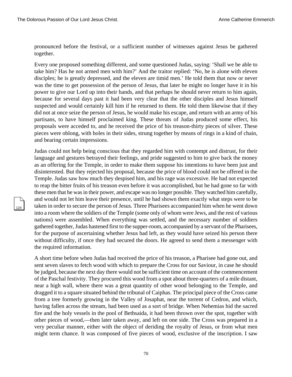pronounced before the festival, or a sufficient number of witnesses against Jesus be gathered together.

Every one proposed something different, and some questioned Judas, saying: 'Shall we be able to take him? Has he not armed men with him?' And the traitor replied: 'No, he is alone with eleven disciples; he is greatly depressed, and the eleven are timid men.' He told them that now or never was the time to get possession of the person of Jesus, that later he might no longer have it in his power to give our Lord up into their hands, and that perhaps he should never return to him again, because for several days past it had been very clear that the other disciples and Jesus himself suspected and would certainly kill him if he returned to them. He told them likewise that if they did not at once seize the person of Jesus, he would make his escape, and return with an army of his partisans, to have himself proclaimed king. These threats of Judas produced some effect, his proposals were acceded to, and he received the price of his treason-thirty pieces of silver. These pieces were oblong, with holes in their sides, strung together by means of rings in a kind of chain, and bearing certain impressions.

Judas could not help being conscious that they regarded him with contempt and distrust, for their language and gestures betrayed their feelings, and pride suggested to him to give back the money as an offering for the Temple, in order to make them suppose his intentions to have been just and disinterested. But they rejected his proposal, because the price of blood could not be offered in the Temple. Judas saw how much they despised him, and his rage was excessive. He had not expected to reap the bitter fruits of his treason even before it was accomplished, but he had gone so far with these men that he was in their power, and escape was no longer possible. They watched him carefully, and would not let him leave their presence, until he had shown them exactly what steps were to be taken in order to secure the person of Jesus. Three Pharisees accompanied him when he went down into a room where the soldiers of the Temple (some only of whom were Jews, and the rest of various nations) were assembled. When everything was settled, and the necessary number of soldiers gathered together, Judas hastened first to the supper-room, accompanied by a servant of the Pharisees, for the purpose of ascertaining whether Jesus had left, as they would have seized his person there without difficulty, if once they had secured the doors. He agreed to send them a messenger with the required information.

A short time before when Judas had received the price of his treason, a Pharisee had gone out, and sent seven slaves to fetch wood with which to prepare the Cross for our Saviour, in case he should be judged, because the next day there would not be sufficient time on account of the commencement of the Paschal festivity. They procured this wood from a spot about three-quarters of a mile distant, near a high wall, where there was a great quantity of other wood belonging to the Temple, and dragged it to a square situated behind the tribunal of Caiphas. The principal piece of the Cross came from a tree formerly growing in the Valley of Josaphat, near the torrent of Cedron, and which, having fallen across the stream, had been used as a sort of bridge. When Nehemias hid the sacred fire and the holy vessels in the pool of Bethsaida, it had been thrown over the spot, together with other pieces of wood,—then later taken away, and left on one side. The Cross was prepared in a very peculiar manner, either with the object of deriding the royalty of Jesus, or from what men might term chance. It was composed of five pieces of wood, exclusive of the inscription. I saw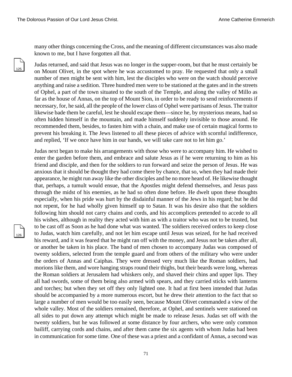126

many other things concerning the Cross, and the meaning of different circumstances was also made known to me, but I have forgotten all that.

Judas returned, and said that Jesus was no longer in the supper-room, but that he must certainly be on Mount Olivet, in the spot where he was accustomed to pray. He requested that only a small number of men might be sent with him, lest the disciples who were on the watch should perceive anything and raise a sedition. Three hundred men were to be stationed at the gates and in the streets of Ophel, a part of the town situated to the south of the Temple, and along the valley of Millo as far as the house of Annas, on the top of Mount Sion, in order to be ready to send reinforcements if necessary, for, he said, all the people of the lower class of Ophel were partisans of Jesus. The traitor likewise bade them be careful, lest he should escape them—since he, by mysterious means, had so often hidden himself in the mountain, and made himself suddenly invisible to those around. He recommended them, besides, to fasten him with a chain, and make use of certain magical forms to prevent his breaking it. The Jews listened to all these pieces of advice with scornful indifference, and replied, 'If we once have him in our hands, we will take care not to let him go.'

Judas next began to make his arrangements with those who were to accompany him. He wished to enter the garden before them, and embrace and salute Jesus as if he were returning to him as his friend and disciple, and then for the soldiers to run forward and seize the person of Jesus. He was anxious that it should be thought they had come there by chance, that so, when they had made their appearance, he might run away like the other disciples and be no more heard of. He likewise thought that, perhaps, a tumult would ensue, that the Apostles might defend themselves, and Jesus pass through the midst of his enemies, as he had so often done before. He dwelt upon these thoughts especially, when his pride was hurt by the disdainful manner of the Jews in his regard; but he did not repent, for he had wholly given himself up to Satan. It was his desire also that the soldiers following him should not carry chains and cords, and his accomplices pretended to accede to all his wishes, although in reality they acted with him as with a traitor who was not to be trusted, but to be cast off as Soon as he had done what was wanted. The soldiers received orders to keep close to Judas, watch him carefully, and not let him escape until Jesus was seized, for he had received his reward, and it was feared that he might ran off with the money, and Jesus not be taken after all, or another be taken in his place. The band of men chosen to accompany Judas was composed of twenty soldiers, selected from the temple guard and from others of the military who were under the orders of Annas and Caiphas. They were dressed very much like the Roman soldiers, had morions like them, and wore hanging straps round their thighs, but their beards were long, whereas the Roman soldiers at Jerusalem had whiskers only, and shaved their chins and upper lips. They all had swords, some of them being also armed with spears, and they carried sticks with lanterns and torches; but when they set off they only lighted one. It had at first been intended that Judas should be accompanied by a more numerous escort, but he drew their attention to the fact that so large a number of men would be too easily seen, because Mount Olivet commanded a view of the whole valley. Most of the soldiers remained, therefore, at Ophel, and sentinels were stationed on all sides to put down any attempt which might be made to release Jesus. Judas set off with the twenty soldiers, but he was followed at some distance by four archers, who were only common bailiff, carrying cords and chains, and after them came the six agents with whom Judas had been in communication for some time. One of these was a priest and a confidant of Annas, a second was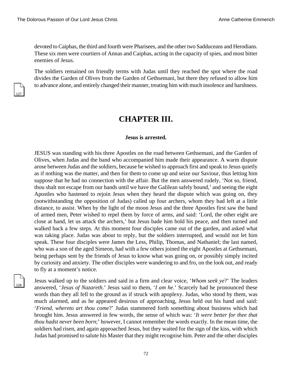128

devoted to Caiphas, the third and fourth were Pharisees, and the other two Sadduceans and Herodians. These six men were courtiers of Annas and Caiphas, acting in the capacity of spies, and most bitter enemies of Jesus.

The soldiers remained on friendly terms with Judas until they reached the spot where the road divides the Garden of Olives from the Garden of Gethsemani, but there they refused to allow him to advance alone, and entirely changed their manner, treating him with much insolence and harshness.

### **CHAPTER III.**

#### **Jesus is arrested.**

JESUS was standing with his three Apostles on the road between Gethsemani, and the Garden of Olives, when Judas and the band who accompanied him made their appearance. A warm dispute arose between Judas and the soldiers, because he wished to approach first and speak to Jesus quietly as if nothing was the matter, and then for them to come up and seize our Saviour, thus letting him suppose that he had no connection with the affair. But the men answered rudely, 'Not so, friend, thou shalt not escape from our hands until we have the Galilean safely bound,' and seeing the eight Apostles who hastened to rejoin Jesus when they heard the dispute which was going on, they (notwithstanding the opposition of Judas) called up four archers, whom they had left at a little distance, to assist. When by the light of the moon Jesus and the three Apostles first saw the band of armed men, Peter wished to repel them by force of arms, and said: 'Lord, the other eight are close at hand, let us attack the archers,' but Jesus bade him hold his peace, and then turned and walked back a few steps. At this moment four disciples came out of the garden, and asked what was taking place. Judas was about to reply, but the soldiers interrupted, and would not let him speak. These four disciples were James the Less, Philip, Thomas, and Nathaniel; the last named, who was a son of the aged Simeon, had with a few others joined the eight Apostles at Gethsemani, being perhaps sent by the friends of Jesus to know what was going on, or possibly simply incited by curiosity and anxiety. The other disciples were wandering to and fro, on the look out, and ready to fly at a moment's notice.

Jesus walked up to the soldiers and said in a firm and clear voice, '*Whom seek ye*?' The leaders answered, '*Jesus of Nazareth*.' Jesus said to them, '*I am he*.' Scarcely had he pronounced these words than they all fell to the ground as if struck with apoplexy. Judas, who stood by them, was much alarmed, and as he appeared desirous of approaching, Jesus held out his hand and said: '*Friend, whereto art thou come*?' Judas stammered forth something about business which had brought him. Jesus answered in few words, the sense of which was: '*It were better for thee that thou hadst never been born*;' however, I cannot remember the words exactly. In the mean time, the soldiers had risen, and again approached Jesus, but they waited for the sign of the kiss, with which Judas had promised to salute his Master that they might recognise him. Peter and the other disciples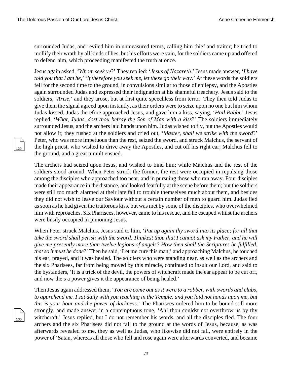surrounded Judas, and reviled him in unmeasured terms, calling him thief and traitor; he tried to mollify their wrath by all kinds of lies, but his efforts were vain, for the soldiers came up and offered to defend him, which proceeding manifested the truth at once.

Jesus again asked, '*Whom seek ye*?' They replied: '*Jesus of Nazareth*.' Jesus made answer, '*I have told you that I am he*,' '*if therefore you seek me, let these go their way*.' At these words the soldiers fell for the second time to the ground, in convulsions similar to those of epilepsy, and the Apostles again surrounded Judas and expressed their indignation at his shameful treachery. Jesus said to the soldiers, '*Arise*,' and they arose, but at first quite speechless from terror. They then told Judas to give them the signal agreed upon instantly, as their orders were to seize upon no one but him whom Judas kissed. Judas therefore approached Jesus, and gave him a kiss, saying, '*Hail Rabbi*.' Jesus replied, '*What, Judas, dost thou betray the Son of Man with a kiss*?' The soldiers immediately surrounded Jesus, and the archers laid hands upon him. Judas wished to fly, but the Apostles would not allow it; they rushed at the soldiers and cried out, '*Master, shall we strike with the sword*?' Peter, who was more impetuous than the rest, seized the sword, and struck Malchus, the servant of the high priest, who wished to drive away the Apostles, and cut off his right ear; Malchus fell to the ground, and a great tumult ensued.

The archers had seized upon Jesus, and wished to bind him; while Malchus and the rest of the soldiers stood around. When Peter struck the former, the rest were occupied in repulsing those among the disciples who approached too near, and in pursuing those who ran away. Four disciples made their appearance in the distance, and looked fearfully at the scene before them; but the soldiers were still too much alarmed at their late fall to trouble themselves much about them, and besides they did not wish to leave our Saviour without a certain number of men to guard him. Judas fled as soon as he had given the traitorous kiss, but was met by some of the disciples, who overwhelmed him with reproaches. Six Pharisees, however, came to his rescue, and he escaped whilst the archers were busily occupied in pinioning Jesus.

When Peter struck Malchus, Jesus said to him, '*Put up again thy sword into its place; for all that take the sword shall perish with the sword. Thinkest thou that I cannot ask my Father, and he will give me presently more than twelve legions of angels? How then shall the Scriptures be fulfilled, that so it must be done*?' Then he said, 'Let me cure this man;' and approaching Malchus, he touched his ear, prayed, and it was healed. The soldiers who were standing near, as well as the archers and the six Pharisees, far from being moved by this miracle, continued to insult our Lord, and said to the bystanders, 'It is a trick of the devil, the powers of witchcraft made the ear appear to be cut off, and now the s a power gives it the appearance of being healed.'

Then Jesus again addressed them, '*You are come out as it were to a robber, with swords and clubs, to apprehend me. I sat daily with you teaching in the Temple, and you laid not hands upon me, but this is your hour and the power of darkness*.' The Pharisees ordered him to be bound still more strongly, and made answer in a contemptuous tone, 'Ah! thou couldst not overthrow us by thy witchcraft.' Jesus replied, but I do not remember his words, and all the disciples fled. The four archers and the six Pharisees did not fall to the ground at the words of Jesus, because, as was afterwards revealed to me, they as well as Judas, who likewise did not fall, were entirely in the power of 'Satan, whereas all those who fell and rose again were afterwards converted, and became

129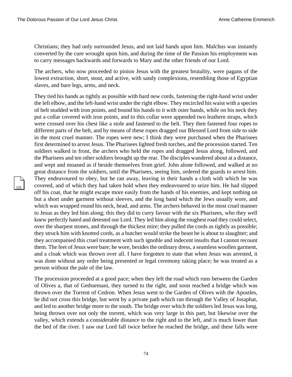Christians; they had only surrounded Jesus, and not laid hands upon him. Malchus was instantly converted by the cure wrought upon him, and during the time of the Passion his employment was to carry messages backwards and forwards to Mary and the other friends of our Lord.

The archers, who now proceeded to pinion Jesus with the greatest brutality, were pagans of the lowest extraction, short, stout, and active, with sandy complexions, resembling those of Egyptian slaves, and bare legs, arms, and neck.

They tied his hands as tightly as possible with hard new cords, fastening the right-hand wrist under the left elbow, and the left-hand wrist under the right elbow. They encircled his waist with a species of belt studded with iron points, and bound his hands to it with osier bands, while on his neck they put a collar covered with iron points, and to this collar were appended two leathern straps, which were crossed over his chest like a stole and fastened to the belt. They then fastened four ropes to different parts of the belt, and by means of these ropes dragged our Blessed Lord from side to side in the most cruel manner. The ropes were new; I think they were purchased when the Pharisees first determined to arrest Jesus. The Pharisees lighted fresh torches, and the procession started. Ten soldiers walked in front, the archers who held the ropes and dragged Jesus along, followed, and the Pharisees and ten other soldiers brought up the rear. The disciples wandered about at a distance, and wept and moaned as if beside themselves from grief. John alone followed, and walked at no great distance from the soldiers, until the Pharisees, seeing him, ordered the guards to arrest him. They endeavoured to obey, but he ran away, leaving in their hands a cloth with which he was covered, and of which they had taken hold when they endeavoured to seize him. He had slipped off his coat, that he might escape more easily from the hands of his enemies, and kept nothing on but a short under garment without sleeves, and the long band which the Jews usually wore, and which was wrapped round his neck, head, and arms. The archers behaved in the most cruel manner to Jesus as they led him along; this they did to curry favour with the six Pharisees, who they well knew perfectly hated and detested our Lord. They led him along the roughest road they could select, over the sharpest stones, and through the thickest mire; they pulled the cords as tightly as possible; they struck him with knotted cords, as a butcher would strike the beast he is about to slaughter; and they accompanied this cruel treatment with such ignoble and indecent insults that I cannot recount them. The feet of Jesus were bare; he wore, besides the ordinary dress, a seamless woollen garment, and a cloak which was thrown over all. I have forgotten to state that when Jesus was arrested, it was done without any order being presented or legal ceremony taking place; he was treated as a person without the pale of the law.

The procession proceeded at a good pace; when they left the road which runs between the Garden of Olives a, that of Gethsemani, they turned to the right, and soon reached a bridge which was thrown over the Torrent of Cedron. When Jesus went to the Garden of Olives with the Apostles, he did not cross this bridge, but went by a private path which ran through the Valley of Josaphat, and led to another bridge more to the south. The bridge over which the soldiers led Jesus was long, being thrown over not only the torrent, which was very large in this part, but likewise over the valley, which extends a considerable distance to the right and to the left, and is much lower than the bed of the river. I saw our Lord fall twice before he reached the bridge, and these falls were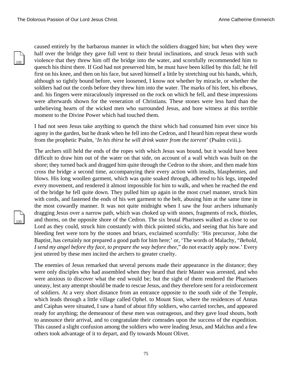caused entirely by the barbarous manner in which the soldiers dragged him; but when they were half over the bridge they gave full vent to their brutal inclinations, and struck Jesus with such violence that they threw him off the bridge into the water, and scornfully recommended him to quench his thirst there. If God had not preserved him, he must have been killed by this fall; he fell first on his knee, and then on his face, but saved himself a little by stretching out his hands, which, although so tightly bound before, were loosened, I know not whether by miracle, or whether the soldiers had out the cords before they threw him into the water. The marks of his feet, his elbows, and. his fingers were miraculously impressed on the rock on which he fell, and these impressions were afterwards shown for the veneration of Christians. These stones were less hard than the unbelieving hearts of the wicked men who surrounded Jesus, and bore witness at this terrible moment to the Divine Power which had touched them.

I had not seen Jesus take anything to quench the thirst which had consumed him ever since his agony in the garden, but he drank when he fell into the Cedron, and I heard him repeat these words from the prophetic Psalm, '*In his thirst he will drink water from the torrent*' ([Psalm cviii.](http://www.ccel.org/b/bible/asv/xml/asv.Ps..xml#Ps..)).

The archers still held the ends of the ropes with which Jesus was bound, but it would have been difficult to draw him out of the water on that side, on account of a wall which was built on the shore; they turned back and dragged him quite through the Cedron to the shore, and then made him cross the bridge a second time, accompanying their every action with insults, blasphemies, and blows. His long woollen garment, which was quite soaked through, adhered to his legs, impeded every movement, and rendered it almost impossible for him to walk, and when he reached the end of the bridge he fell quite down. They pulled him up again in the most cruel manner, struck him with cords, and fastened the ends of his wet garment to the belt, abusing him at the same time in the most cowardly manner. It was not quite midnight when I saw the four archers inhumanly dragging Jesus over a narrow path, which was choked up with stones, fragments of rock, thistles, and thorns, on the opposite shore of the Cedron. The six brutal Pharisees walked as close to our Lord as they could, struck him constantly with thick pointed sticks, and seeing that his bare and bleeding feet were torn by the stones and briars, exclaimed scornfully: 'His precursor, John the Baptist, has certainly not prepared a good path for him here;' or, 'The words of Malachy, "*Behold, I send my angel before thy face, to prepare the way before thee*," do not exactly apply now.' Every jest uttered by these men incited the archers to greater cruelty.

The enemies of Jesus remarked that several persons made their appearance in the distance; they were only disciples who had assembled when they heard that their Master was arrested, and who were anxious to discover what the end would be; but the sight of them rendered the Pharisees uneasy, lest any attempt should be made to rescue Jesus, and they therefore sent for a reinforcement of soldiers. At a very short distance from an entrance opposite to the south side of the Temple, which leads through a little village called Ophel. to Mount Sion, where the residences of Annas and Caiphas were situated, I saw a band of about fifty soldiers, who carried torches, and appeared ready for anything; the demeanour of these men was outrageous, and they gave loud shouts, both to announce their arrival, and to congratulate their comrades upon the success of the expedition. This caused a slight confusion among the soldiers who were leading Jesus, and Malchus and a few others took advantage of it to depart, and fly towards Mount Olivet.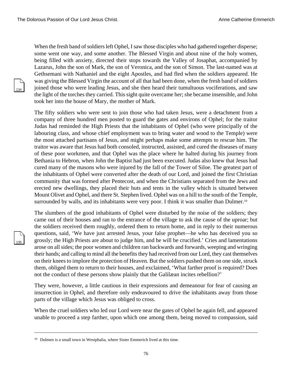135

When the fresh band of soldiers left Ophel, I saw those disciples who had gathered together disperse; some went one way, and some another. The Blessed Virgin and about nine of the holy women, being filled with anxiety, directed their stops towards the Valley of Josaphat, accompanied by Lazarus, John the son of Mark, the son of Veronica, and the son of Simon. The last-named was at Gethsemani with Nathaniel and the eight Apostles, and had fled when the soldiers appeared. He was giving the Blessed Virgin the account of all that had been done, when the fresh band of soldiers joined those who were leading Jesus, and she then heard their tumultuous vociferations, and saw the light of the torches they carried. This sight quite overcame her; she became insensible, and John took her into the house of Mary, the mother of Mark.

The fifty soldiers who were sent to join those who had taken Jesus, were a detachment from a company of three hundred men posted to guard the gates and environs of Ophel; for the traitor Judas had reminded the High Priests that the inhabitants of Ophel (who were principally of the labouring class, and whose chief employment was to bring water and wood to the Temple) were the most attached partisans of Jesus, and might perhaps make some attempts to rescue him. The traitor was aware that Jesus had both consoled, instructed, assisted, and cured the diseases of many of these poor workmen, and that Ophel was the place where he halted during his journey from Bethania to Hebron, when John the Baptist had just been executed. Judas also knew that Jesus had cured many of the masons who were injured by the fall of the Tower of Siloe. The greatest part of the inhabitants of Ophel were converted after the death of our Lord, and joined the first Christian community that was formed after Pentecost, and when the Christians separated from the Jews and erected new dwellings, they placed their huts and tents in the valley which is situated between Mount Olivet and Ophel, and there St. Stephen lived. Ophel was on a hill to the south of the Temple, surrounded by walls, and its inhabitants were very poor. I think it was smaller than Dulmer.<sup>10</sup>

The slumbers of the good inhabitants of Ophel were disturbed by the noise of the soldiers; they came out of their houses and ran to the entrance of the village to ask the cause of the uproar; but the soldiers received them roughly, ordered them to return home, and in reply to their numerous questions, said, 'We have just arrested Jesus, your false prophet—he who has deceived you so grossly; the High Priests are about to judge him, and he will be crucified.' Cries and lamentations arose on all sides; the poor women and children ran backwards and forwards, weeping and wringing their hands; and calling to mind all the benefits they had received from our Lord, they cast themselves on their knees to implore the protection of Heaven. But the soldiers pushed them on one side, struck them, obliged them to return to their houses, and exclaimed, 'What farther proof is required? Does not the conduct of these persons show plainly that the Galilæan incites rebellion?'

They were, however, a little cautious in their expressions and demeanour for fear of causing an insurrection in Ophel, and therefore only endeavoured to drive the inhabitants away from those parts of the village which Jesus was obliged to cross.

When the cruel soldiers who led our Lord were near the gates of Ophel he again fell, and appeared unable to proceed a step farther, upon which one among them, being moved to compassion, said

<sup>10</sup> Dulmen is a small town in Westphalia, where Sister Emmerich lived at this time.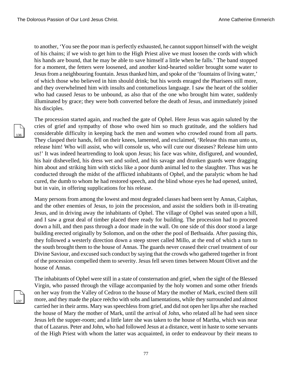to another, 'You see the poor man is perfectly exhausted, he cannot support himself with the weight of his chains; if we wish to get him to the High Priest alive we must loosen the cords with which his hands are bound, that he may be able to save himself a little when he falls.' The band stopped for a moment, the fetters were loosened, and another kind-hearted soldier brought some water to Jesus from a neighbouring fountain. Jesus thanked him, and spoke of the 'fountains of living water,' of which those who believed in him should drink; but his words enraged the Pharisees still more, and they overwhelmed him with insults and contumelious language. I saw the heart of the soldier who had caused Jesus to be unbound, as also that of the one who brought him water, suddenly illuminated by grace; they were both converted before the death of Jesus, and immediately joined his disciples.

The procession started again, and reached the gate of Ophel. Here Jesus was again saluted by the cries of grief and sympathy of those who owed him so much gratitude, and the soldiers had considerable difficulty in keeping back the men and women who crowded round from all parts. They clasped their hands, fell on their knees, lamented, and exclaimed, 'Release this man unto us, release him! Who will assist, who will console us, who will cure our diseases? Release him unto us!' It was indeed heartrending to look upon Jesus; his face was white, disfigured, and wounded, his hair dishevelled, his dress wet and soiled, and his savage and drunken guards were dragging him about and striking him with sticks like a poor dumb animal led to the slaughter. Thus was he conducted through the midst of the afflicted inhabitants of Ophel, and the paralytic whom he had cured, the dumb to whom he had restored speech, and the blind whose eyes he had opened, united, but in vain, in offering supplications for his release.

Many persons from among the lowest and most degraded classes had been sent by Annas, Caiphas, and the other enemies of Jesus, to join the procession, and assist the soldiers both in ill-treating Jesus, and in driving away the inhabitants of Ophel. The village of Ophel was seated upon a hill, and I saw a great deal of timber placed there ready for building. The procession had to proceed down a hill, and then pass through a door made in the wall. On one side of this door stood a large building erected originally by Solomon, and on the other the pool of Bethsaida. After passing this, they followed a westerly direction down a steep street called Millo, at the end of which a turn to the south brought them to the house of Annas. The guards never ceased their cruel treatment of our Divine Saviour, and excused such conduct by saying that the crowds who gathered together in front of the procession compelled them to severity. Jesus fell seven times between Mount Olivet and the house of Annas.

136

The inhabitants of Ophel were still in a state of consternation and grief, when the sight of the Blessed Virgin, who passed through the village accompanied by the holy women and some other friends on her way from the Valley of Cedron to the house of Mary the mother of Mark, excited them still more, and they made the place reëcho with sobs and lamentations, while they surrounded and almost carried her in their arms. Mary was speechless from grief, and did not open her lips after she reached the house of Mary the mother of Mark, until the arrival of John, who related all he had seen since Jesus left the supper-room; and a little later she was taken to the house of Martha, which was near that of Lazarus. Peter and John, who had followed Jesus at a distance, went in haste to some servants of the High Priest with whom the latter was acquainted, in order to endeavour by their means to

<sup>137</sup>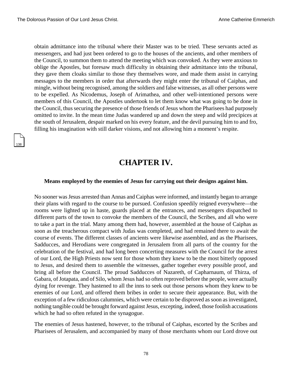obtain admittance into the tribunal where their Master was to be tried. These servants acted as messengers, and had just been ordered to go to the houses of the ancients, and other members of the Council, to summon them to attend the meeting which was convoked. As they were anxious to oblige the Apostles, but foresaw much difficulty in obtaining their admittance into the tribunal, they gave them cloaks similar to those they themselves wore, and made them assist in carrying messages to the members in order that afterwards they might enter the tribunal of Caiphas, and mingle, without being recognised, among the soldiers and false witnesses, as all other persons were to be expelled. As Nicodemus, Joseph of Arimathea, and other well-intentioned persons were members of this Council, the Apostles undertook to let them know what was going to be done in the Council, thus securing the presence of those friends of Jesus whom the Pharisees had purposely omitted to invite. In the mean time Judas wandered up and down the steep and wild precipices at the south of Jerusalem, despair marked on his every feature, and the devil pursuing him to and fro, filling his imagination with still darker visions, and not allowing him a moment's respite.

### **CHAPTER IV.**

#### **Means employed by the enemies of Jesus for carrying out their designs against him.**

No sooner was Jesus arrested than Annas and Caiphas were informed, and instantly began to arrange their plans with regard to the course to be pursued. Confusion speedily reigned everywhere—the rooms were lighted up in haste, guards placed at the entrances, and messengers dispatched to different parts of the town to convoke the members of the Council, the Scribes, and all who were to take a part in the trial. Many among them had, however, assembled at the house of Caiphas as soon as the treacherous compact with Judas was completed, and had remained there to await the course of events. The different classes of ancients were likewise assembled, and as the Pharisees, Sadducces, and Herodians were congregated in Jerusalem from all parts of the country for the celebration of the festival, and had long been concerting measures with the Council for the arrest of our Lord, the High Priests now sent for those whom they knew to be the most bitterly opposed to Jesus, and desired them to assemble the witnesses, gather together every possible proof, and bring all before the Council. The proud Sadducces of Nazareth, of Capharnaum, of Thirza, of Gabara, of Jotapata, and of Silo, whom Jesus had so often reproved before the people, were actually dying for revenge. They hastened to all the inns to seek out those persons whom they knew to be enemies of our Lord, and offered them bribes in order to secure their appearance. But, with the exception of a few ridiculous calumnies, which were certain to be disproved as soon as investigated, nothing tangible could be brought forward against Jesus, excepting, indeed, those foolish accusations which he had so often refuted in the synagogue.

The enemies of Jesus hastened, however, to the tribunal of Caiphas, escorted by the Scribes and Pharisees of Jerusalem, and accompanied by many of those merchants whom our Lord drove out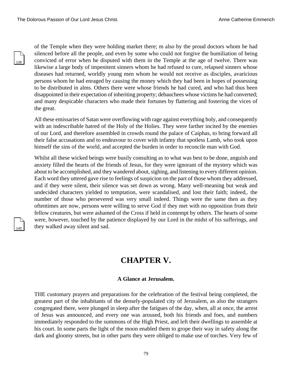$140$ 

of the Temple when they were holding market there; m also by the proud doctors whom he had silenced before all the people, and even by some who could not forgive the humiliation of being convicted of error when he disputed with them in the Temple at the age of twelve. There was likewise a large body of impenitent sinners whom he had refused to cure, relapsed sinners whose diseases had returned, worldly young men whom he would not receive as disciples, avaricious persons whom he had enraged by causing the money which they had been in hopes of possessing to be distributed in alms. Others there were whose friends he had cured, and who had thus been disappointed in their expectation of inheriting property; debauchees whose victims he had converted; and many despicable characters who made their fortunes by flattering and fostering the vices of the great.

All these emissaries of Satan were overflowing with rage against everything holy, and consequently with an indescribable hatred of the Holy of the Holies. They were farther incited by the enemies of our Lord, and therefore assembled in crowds round the palace of Caiphas, to bring forward all their false accusations and to endeavour to cover with infamy that spotless Lamb, who took upon himself the sins of the world, and accepted the burden in order to reconcile man with God.

Whilst all these wicked beings were busily consulting as to what was best to be done, anguish and anxiety filled the hearts of the friends of Jesus, for they were ignorant of the mystery which was about to be accomplished, and they wandered about, sighing, and listening to every different opinion. Each word they uttered gave rise to feelings of suspicion on the part of those whom they addressed, and if they were silent, their silence was set down as wrong. Many well-meaning but weak and undecided characters yielded to temptation, were scandalised, and lost their faith; indeed,. the number of those who persevered was very small indeed. Things were the same then as they oftentimes are now, persons were willing to serve God if they met with no opposition from their fellow creatures, but were ashamed of the Cross if held in contempt by others. The hearts of some were, however, touched by the patience displayed by our Lord in the midst of his sufferings, and they walked away silent and sad.

## **CHAPTER V.**

### **A Glance at Jerusalem.**

THE customary prayers and preparations for the celebration of the festival being completed, the greatest part of the inhabitants of the densely-populated city of Jerusalem, as also the strangers congregated there, were plunged in sleep after the fatigues of the day, when, all at once, the arrest of Jesus was announced, and every one was aroused, both his friends and foes, and numbers immediately responded to the summons of the High Priest, and left their dwellings to assemble at his court. In some parts the light of the moon enabled them to grope their way in safety along the dark and gloomy streets, but in other parts they were obliged to make use of torches. Very few of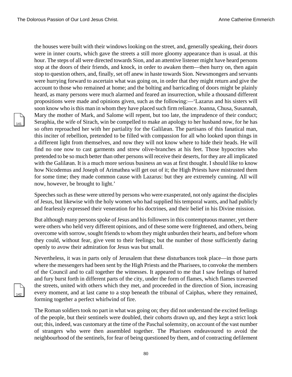the houses were built with their windows looking on the street, and, generally speaking, their doors were in inner courts, which gave the streets a still more gloomy appearance than is usual. at this hour. The steps of all were directed towards Sion, and an attentive listener might have heard persons stop at the doors of their friends, and knock, in order to awaken them—then hurry on, then again stop to question others, and, finally, set off anew in haste towards Sion. Newsmongers and servants were hurrying forward to ascertain what was going on, in order that they might return and give the account to those who remained at home; and the bolting and barricading of doors might be plainly heard, as many persons were much alarmed and feared an insurrection, while a thousand different propositions were made and opinions given, such as the following:—'Lazarus and his sisters will soon know who is this man in whom they have placed such firm reliance. Joanna, Chusa, Susannah, Mary the mother of Mark, and Salome will repent, but too late, the imprudence of their conduct; Seraphia, the wife of Sirach, win be compelled to make an apology to her husband now, for he has so often reproached her with her partiality for the Galilæan. The partisans of this fanatical man, this inciter of rebellion, pretended to be filled with compassion for all who looked upon things in a different light from themselves, and now they will not know where to hide their heads. He will find no one now to cast garments and strew olive-branches at his feet. Those hypocrites who pretended to be so much better than other persons will receive their deserts, for they are all implicated with the Galilæan. It is a much more serious business an was at first thought. I should like to know how Nicodemus and Joseph of Arimathea will get out of it; the High Priests have mistrusted them for some time; they made common cause with Lazarus: but they are extremely cunning. All will now, however, be brought to light.'

Speeches such as these were uttered by persons who were exasperated, not only against the disciples of Jesus, but likewise with the holy women who had supplied his temporal wants, and had publicly and fearlessly expressed their veneration for his doctrines, and their belief in his Divine mission.

But although many persons spoke of Jesus and his followers in this contemptuous manner, yet there were others who held very different opinions, and of these some were frightened, and others, being overcome with sorrow, sought friends to whom they might unburden their hearts, and before whom they could, without fear, give vent to their feelings; but the number of those sufficiently daring openly to avow their admiration for Jesus was but small.

Nevertheless, it was in parts only of Jerusalem that these disturbances took place—in those parts where the messengers had been sent by the High Priests and the Pharisees, to convoke the members of the Council and to call together the witnesses. It appeared to me that I saw feelings of hatred and fury burst forth in different parts of the city, under the form of flames, which flames traversed the streets, united with others which they met, and proceeded in the direction of Sion, increasing every moment, and at last came to a stop beneath the tribunal of Caiphas, where they remained, forming together a perfect whirlwind of fire.

The Roman soldiers took no part in what was going on; they did not understand the excited feelings of the people, but their sentinels were doubled, their cohorts drawn up, and they kept a strict look out; this, indeed, was customary at the time of the Paschal solemnity, on account of the vast number of strangers who were then assembled together. The Pharisees endeavoured to avoid the neighbourhood of the sentinels, for fear of being questioned by them, and of contracting defilement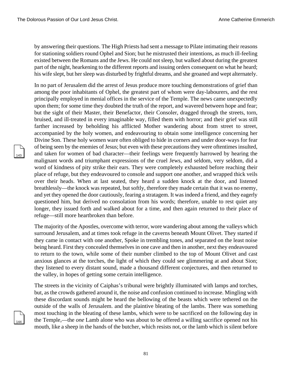by answering their questions. The High Priests had sent a message to Pilate intimating their reasons for stationing soldiers round Ophel and Sion; but he mistrusted their intentions, as much ill-feeling existed between the Romans and the Jews. He could not sleep, but walked about during the greatest part of the night, hearkening to the different reports and issuing orders consequent on what he heard; his wife slept, but her sleep was disturbed by frightful dreams, and she groaned and wept alternately.

In no part of Jerusalem did the arrest of Jesus produce more touching demonstrations of grief than among the poor inhabitants of Ophel, the greatest part of whom were day-labourers, and the rest principally employed in menial offices in the service of the Temple. The news came unexpectedly upon them; for some time they doubted the truth of the report, and wavered between hope and fear; but the sight of their Master, their Benefactor, their Consoler, dragged through the streets, torn, bruised, and ill-treated in every imaginable way, filled them with horror; and their grief was still farther increased by beholding his afflicted Mother wandering about from street to street, accompanied by the holy women, and endeavouring to obtain some intelligence concerning her Divine Son. These holy women ware often obliged to hide in corners and under door-ways for fear of being seen by the enemies of Jesus; but even with these precautions they were oftentimes insulted, and taken for women of bad character—their feelings were frequently harrowed by hearing the malignant words and triumphant expressions of the cruel Jews, and seldom, very seldom, did a word of kindness of pity strike their ears. They were completely exhausted before reaching their place of refuge, but they endeavoured to console and support one another, and wrapped thick veils over their heads. When at last seated, they heard a sudden knock at the door, and listened breathlessly—the knock was repeated, but softly, therefore they made certain that it was no enemy, and yet they opened the door cautiously, fearing a stratagem. It was indeed a friend, and they eagerly questioned him, but derived no consolation from his words; therefore, unable to rest quiet any longer, they issued forth and walked about for a time, and then again returned to their place of refuge—still more heartbroken than before.

The majority of the Apostles, overcome with terror, wore wandering about among the valleys which surround Jerusalem, and at times took refuge in the caverns beneath Mount Olivet. They started if they came in contact with one another, Spoke in trembling tones, and separated on the least noise being heard. First they concealed themselves in one cave and then in another, next they endeavoured to return to the town, while some of their number climbed to the top of Mount Olivet and cast anxious glances at the torches, the light of which they could see glimmering at and about Sion; they listened to every distant sound, made a thousand different conjectures, and then returned to the valley, in hopes of getting some certain intelligence.

The streets in the vicinity of Caiphas's tribunal were brightly illuminated with lamps and torches, but, as the crowds gathered around it, the noise and confusion continued to increase. Mingling with these discordant sounds might be heard the bellowing of the beasts which were tethered on the outside of the walls of Jerusalem. and the plaintive bleating of the lambs. There was something most touching in the bleating of these lambs, which were to be sacrificed on the following day in the Temple,—the *one* Lamb alone who was about to be offered a willing sacrifice opened not his mouth, like a sheep in the hands of the butcher, which resists not, or the lamb which is silent before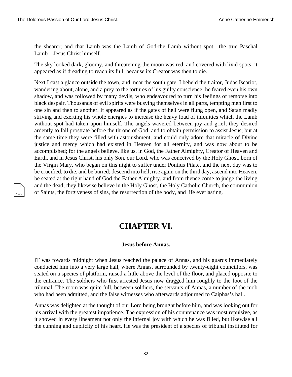the shearer; and that Lamb was the Lamb of God-the Lamb without spot—the true Paschal Lamb—Jesus Christ himself.

The sky looked dark, gloomy, and threatening-the moon was red, and covered with livid spots; it appeared as if dreading to reach its full, because its Creator was then to die.

Next I cast a glance outside the town, and, near the south gate, I beheld the traitor, Judas Iscariot, wandering about, alone, and a prey to the tortures of his guilty conscience; he feared even his own shadow, and was followed by many devils, who endeavoured to turn his feelings of remorse into black despair. Thousands of evil spirits were busying themselves in all parts, tempting men first to one sin and then to another. It appeared as if the gates of hell were flung open, and Satan madly striving and exerting his whole energies to increase the heavy load of iniquities which the Lamb without spot had taken upon himself. The angels wavered between joy and grief; they desired ardently to fall prostrate before the throne of God, and to obtain permission to assist Jesus; but at the same time they were filled with astonishment, and could only adore that miracle of Divine justice and mercy which had existed in Heaven for all eternity, and was now about to be accomplished; for the angels believe, like us, in God, the Father Almighty, Creator of Heaven and Earth, and in Jesus Christ, his only Son, our Lord, who was conceived by the Holy Ghost, born of the Virgin Mary, who began on this night to suffer under Pontius Pilate, and the next day was to be crucified, to die, and be buried; descend into hell, rise again on the third day, ascend into Heaven, be seated at the right hand of God the Father Almighty, and from thence come to judge the living and the dead; they likewise believe in the Holy Ghost, the Holy Catholic Church, the communion of Saints, the forgiveness of sins, the resurrection of the body, and life everlasting.

### **CHAPTER VI.**

### **Jesus before Annas.**

IT was towards midnight when Jesus reached the palace of Annas, and his guards immediately conducted him into a very large hall, where Annas, surrounded by twenty-eight councillors, was seated on a species of platform, raised a little above the level of the floor, and placed opposite to the entrance. The soldiers who first arrested Jesus now dragged him roughly to the foot of the tribunal. The room was quite full, between soldiers, the servants of Annas, a number of the mob who had been admitted, and the false witnesses who afterwards adjourned to Caiphas's hall.

Annas was delighted at the thought of our Lord being brought before him, and was looking out for his arrival with the greatest impatience. The expression of his countenance was most repulsive, as it showed in every lineament not only the infernal joy with which he was filled, but likewise all the cunning and duplicity of his heart. He was the president of a species of tribunal instituted for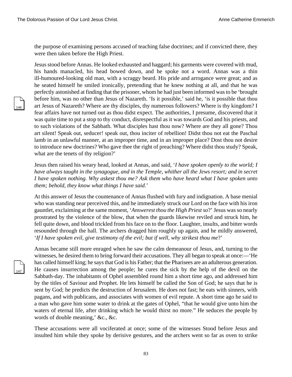the purpose of examining persons accused of teaching false doctrines; and if convicted there, they were then taken before the High Priest.

Jesus stood before Annas. He looked exhausted and haggard; his garments were covered with mud, his hands manacled, his head bowed down, and he spoke not a word. Annas was a thin ill-humoured-looking old man, with a scraggy beard. His pride and arrogance were great; and as he seated himself he smiled ironically, pretending that he knew nothing at all, and that he was perfectly astonished at finding that the prisoner, whom he had just been informed was to be 'brought before him, was no other than Jesus of Nazareth. 'Is it possible,' said he, 'is it possible that thou art Jesus of Nazareth? Where are thy disciples, thy numerous followers? Where is thy kingdom? I fear affairs have not turned out as thou didst expect. The authorities, I presume, discovered that it was quite time to put a stop to thy conduct, disrespectful as it was towards God and his priests, and to such violations of the Sabbath. What disciples hast thou now? Where are they all gone? Thou art silent! Speak out, seducer! speak out, thou inciter of rebellion! Didst thou not eat the Paschal lamb in an unlawful manner, at an improper time, and in an improper place? Dost thou not desire to introduce new doctrines? Who gave thee the right of preaching? Where didst thou study? Speak, what are the tenets of thy religion?'

Jesus then raised his weary head, looked at Annas, and said, '*I have spoken openly to the world; I have always taught in the synagogue, and in the Temple, whither all the Jews resort; and in secret I have spoken nothing. Why askest thou me? Ask them who have heard what I have spoken unto them; behold, they know what things I have said*.'

At this answer of Jesus the countenance of Annas flushed with fury and indignation. A base menial who was standing near perceived this, and he immediately struck our Lord on the face with his iron gauntlet, exclaiming at the same moment, '*Answerest thou the High Priest so*?' Jesus was so nearly prostrated by the violence of the blow, that when the guards likewise reviled and struck him, he fell quite down, and blood trickled from his face on to the floor. Laughter, insults, and bitter words resounded through the hall. The archers dragged him roughly up again, and he mildly answered, '*If I have spoken evil, give testimony of the evil; but if well, why strikest thou me*?'

Annas became still more enraged when he saw the calm demeanour of Jesus, and, turning to the witnesses, he desired them to bring forward their accusations. They all began to speak at once:—'He has called himself king; he says that God is his Father; that the Pharisees are an adulterous generation. He causes insurrection among the people; he cures the sick by the help of the devil on the Sabbath-day. The inhabitants of Ophel assembled round him a short time ago, and addressed him by the titles of Saviour and Prophet. He lets himself be called the Son of God; he says that he is sent by God; he predicts the destruction of Jerusalem. He does not fast; he eats with sinners, with pagans, and with publicans, and associates with women of evil repute. A short time ago he said to a man who gave him some water to drink at the gates of Ophel, "that he would give unto him the waters of eternal life, after drinking which he would thirst no more." He seduces the people by words of double meaning,' &c., &c.

These accusations were all vociferated at once; some of the witnesses Stood before Jesus and insulted him while they spoke by derisive gestures, and the archers went so far as oven to strike

83

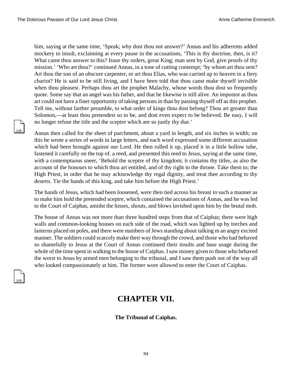him, saying at the same time, 'Speak; why dost thou not answer?' Annas and his adherents added mockery to insult, exclaiming at every pause in the accusations, 'This is thy doctrine, then, is it? What canst thou answer to this? Issue thy orders, great King; man sent by God, give proofs of thy mission.' 'Who art thou?' continued Annas, in a tone of cutting contempt; 'by whom art thou sent? Art thou the son of an obscure carpenter, or art thou Elias, who was carried up to heaven in a fiery chariot? He is said to be still living, and I have been told that thou canst make thyself invisible when thou pleasest. Perhaps thou art the prophet Malachy, whose words thou dost so frequently quote. Some say that an angel was his father, and that he likewise is still alive. An impostor as thou art could not have a finer opportunity of taking persons in than by passing thyself off as this prophet. Tell me, without farther preamble, to what order of kings thou dost belong? Thou art greater than Solomon,—at least thou pretendest so to be, and dost even expect to be believed. Be easy, I will no longer refuse the title and the sceptre which are so justly thy due.'

Annas then called for the sheet of parchment, about a yard in length, and six inches in width; on this he wrote a series of words in large letters, and each word expressed some different accusation which had been brought against our Lord. He then rolled it up, placed it in a little hollow tube, fastened it carefully on the top of. a reed, and presented this reed to Jesus, saying at the same time, with a contemptuous sneer, 'Behold the sceptre of thy kingdom; it contains thy titles, as also the account of the honours to which thou art entitled, and of thy right to the throne. Take them to; the High Priest, in order that he may acknowledge thy regal dignity, and treat thee according to thy deserts. Tie the hands of this king, and take him before the High Priest.'

The hands of Jesus, which had been loosened, were then tied across his breast in such a manner as to make him hold the pretended sceptre, which contained the accusations of Annas, and he was led to the Court of Caiphas, amidst the hisses, shouts, and blows lavished upon him by the brutal mob.

The house of Annas was not more than three hundred steps from that of Caiphas; there were high walls and common-looking houses on each side of the road, which was lighted up by torches and lanterns placed on poles, and there were numbers of Jews standing about talking m an angry excited manner. The soldiers could scarcely make their way through the crowd, and those who had behaved so shamefully to Jesus at the Court of Annas continued their insults and base usage during the whole of the time spent in walking to the house of Caiphas. I saw money given to those who behaved the worst to Jesus by armed men belonging to the tribunal, and I saw them push out of the way all who looked compassionately at him. The former wore allowed to enter the Court of Caiphas.

148

## **CHAPTER VII.**

**The Tribunal of Caiphas.**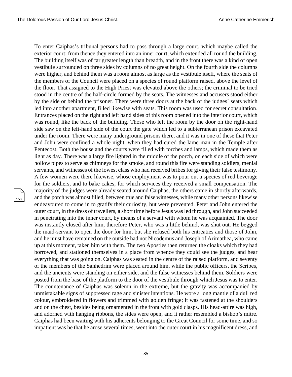To enter Caiphas's tribunal persons had to pass through a large court, which maybe called the exterior court; from thence they entered into an inner court, which extended all round the building. The building itself was of far greater length than breadth, and in the front there was a kind of open vestibule surrounded on three sides by columns of no great height. On the fourth side the columns were higher, and behind them was a room almost as large as the vestibule itself, where the seats of the members of the Council were placed on a species of round platform raised, above the level of the floor. That assigned to the High Priest was elevated above the others; the criminal to be tried stood in the centre of the half-circle formed by the seats. The witnesses and accusers stood either by the side or behind the prisoner. There were three doors at the back of the judges` seats which led into another apartment, filled likewise with seats. This room was used for secret consultation. Entrances placed on the right and left hand sides of this room opened into the interior court, which was round, like the back of the building. Those who left the room by the door on the right-hand side saw on the left-hand side of the court the gate which led to a subterranean prison excavated under the room. There were many underground prisons there, and it was in one of these that Peter and John were confined a whole night, when they had cured the lame man in the Temple after Pentecost. Both the house and the courts were filled with torches and lamps, which made them as light as day. There was a large fire lighted in the middle of the porch, on each side of which were hollow pipes to serve as chimneys for the smoke, and round this fire were standing soldiers, menial servants, and witnesses of the lowest class who had received bribes for giving their false testimony. A few women were there likewise, whose employment was to pour out a species of red beverage for the soldiers, and to bake cakes, for which services they received a small compensation. The majority of the judges were already seated around Caiphas, the others came in shortly afterwards, and the porch was almost filled, between true and false witnesses, while many other persons likewise endeavoured to come in to gratify their curiosity, but were prevented. Peter and John entered the outer court, in the dress of travellers, a short time before Jesus was led through, and John succeeded in penetrating into the inner court, by means of a servant with whom he was acquainted. The door was instantly closed after him, therefore Peter, who was a little behind, was shut out. He begged the maid-servant to open the door for him, but she refused both his entreaties and those of John, and he must have remained on the outside had not Nicodemus and Joseph of Arimathea, who came up at this moment, taken him with them. The two Apostles then returned the cloaks which they had borrowed, and stationed themselves in a place from whence they could see the judges, and hear everything that was going on. Caiphas was seated in the centre of the raised platform, and seventy of the members of the Sanhedrim were placed around him, while the public officers, the Scribes, and the ancients were standing on either side, and the false witnesses behind them. Soldiers were posted from the base of the platform to the door of the vestibule through which Jesus was to enter. The countenance of Caiphas was solemn in the extreme, but the gravity was accompanied by unmistakable signs of suppressed rage and sinister intentions. He wore a long mantle of a dull red colour, embroidered in flowers and trimmed with golden fringe; it was fastened at the shoulders and on the chest, besides being ornamented in the front with gold clasps. His head-attire was high, and adorned with hanging ribbons, the sides were open, and it rather resembled a bishop's mitre. Caiphas had been waiting with his adherents belonging to the Great Council for some time, and so impatient was he that he arose several times, went into the outer court in his magnificent dress, and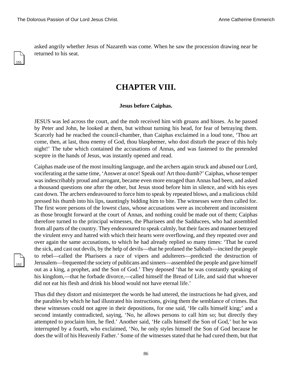152

asked angrily whether Jesus of Nazareth was come. When he saw the procession drawing near he returned to his seat.

### **CHAPTER VIII.**

#### **Jesus before Caiphas.**

JESUS was led across the court, and the mob received him with groans and hisses. As he passed by Peter and John, he looked at them, but without turning his head, for fear of betraying them. Scarcely had he reached the council-chamber, than Caiphas exclaimed in a loud tone, 'Thou art come, then, at last, thou enemy of God, thou blasphemer, who dost disturb the peace of this holy night!' The tube which contained the accusations of Annas, and was fastened to the pretended sceptre in the hands of Jesus, was instantly opened and read.

Caiphas made use of the most insulting language, and the archers again struck and abused our Lord, vociferating at the same time, 'Answer at once! Speak out! Art thou dumb?' Caiphas, whose temper was indescribably proud and arrogant, became even more enraged than Annas had been, and asked a thousand questions one after the other, but Jesus stood before him in silence, and with his eyes cast down. The archers endeavoured to force him to speak by repeated blows, and a malicious child pressed his thumb into his lips, tauntingly bidding him to bite. The witnesses were then called for. The first wore persons of the lowest class, whose accusations were as incoherent and inconsistent as those brought forward at the court of Annas, and nothing could be made out of them; Caiphas therefore turned to the principal witnesses, the Pharisees and the Sadducees, who had assembled from all parts of the country. They endeavoured to speak calmly, but their faces and manner betrayed the virulent envy and hatred with which their hearts were overflowing, and they repeated over and over again the same accusations, to which he had already replied so many times: 'That he cured the sick, and cast out devils, by the help of devils—that he profaned the Sabbath—incited the people to rebel—called the Pharisees a race of vipers and adulterers—predicted the destruction of Jerusalem—frequented the society of publicans and sinners—assembled the people and gave himself out as a king, a prophet, and the Son of God.' They deposed 'that he was constantly speaking of his kingdom,—that he forbade divorce,—called himself the Bread of Life, and said that whoever did not eat his flesh and drink his blood would not have eternal life.'

Thus did they distort and misinterpret the words he had uttered, the instructions he had given, and the parables by which he had illustrated his instructions, giving them the semblance of crimes. But these witnesses could not agree in their depositions, for one said, 'He calls himself king;' and a second instantly contradicted, saying, 'No, he allows persons to call him so; but directly they attempted to proclaim him, he fled.' Another said, 'He calls himself the Son of God,' but he was interrupted by a fourth, who exclaimed, 'No, he only styles himself the Son of God because he does the will of his Heavenly Father.' Some of the witnesses stated that he had cured them, but that

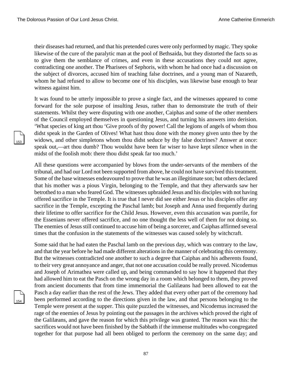154

their diseases had returned, and that his pretended cures were only performed by magic. They spoke likewise of the cure of the paralytic man at the pool of Bethsaida, but they distorted the facts so as to give them the semblance of crimes, and even in these accusations they could not agree, contradicting one another. The Pharisees of Sephoris, with whom he had once had a discussion on the subject of divorces, accused him of teaching false doctrines, and a young man of Nazareth, whom he had refused to allow to become one of his disciples, was likewise base enough to bear witness against him.

It was found to be utterly impossible to prove a single fact, and the witnesses appeared to come forward for the sole purpose of insulting Jesus, rather than to demonstrate the truth of their statements. Whilst they were disputing with one another, Caiphas and some of the other members of the Council employed themselves in questioning Jesus, and turning his answers into derision. 'What species of king art thou 'Give proofs of thy power! Call the legions of angels of whom thou didst speak in the Garden of Olives! What hast thou done with the money given unto thee by the widows, and other simpletons whom thou didst seduce by thy false doctrines? Answer at once: speak out,—art thou dumb? Thou wouldst have been far wiser to have kept silence when in the midst of the foolish mob: there thou didst speak far too much.'

All these questions were accompanied by blows from the under-servants of the members of the tribunal, and had our Lord not been supported from above, he could not have survived this treatment. Some of the base witnesses endeavoured to prove that he was an illegitimate son; but others declared that his mother was a pious Virgin, belonging to the Temple, and that they afterwards saw her betrothed to a man who feared God. The witnesses upbraided Jesus and his disciples with not having offered sacrifice in the Temple. It is true that I never did see either Jesus or his disciples offer any sacrifice in the Temple, excepting the Paschal lamb; but Joseph and Anna used frequently during their lifetime to offer sacrifice for the Child Jesus. However, even this accusation was puerile, for the Essenians never offered sacrifice, and no one thought the less well of them for not doing so. The enemies of Jesus still continued to accuse him of being a sorcerer, and Caiphas affirmed several times that the confusion in the statements of the witnesses was caused solely by witchcraft.

Some said that he had eaten the Paschal lamb on the previous day, which was contrary to the law, and that the year before he had made different alterations in the manner of celebrating this ceremony. But the witnesses contradicted one another to such a degree that Caiphas and his adherents found, to their very great annoyance and anger, that not one accusation could be really proved. Nicodemus and Joseph of Arimathea were called up, and being commanded to say how it happened that they had allowed him to eat the Pasch on the wrong day in a room which belonged to them, they proved from ancient documents that from time immemorial the Galilæans had been allowed to eat the Pasch a day earlier than the rest of the Jews. They added that every other part of the ceremony had been performed according to the directions given in the law, and that persons belonging to the Temple were present at the supper. This quite puzzled the witnesses, and Nicodemus increased the rage of the enemies of Jesus by pointing out the passages in the archives which proved the right of the Galilæans, and gave the reason for which this privilege was granted. The reason was this: the sacrifices would not have been finished by the Sabbath if the immense multitudes who congregated together for that purpose had all been obliged to perform the ceremony on the same day; and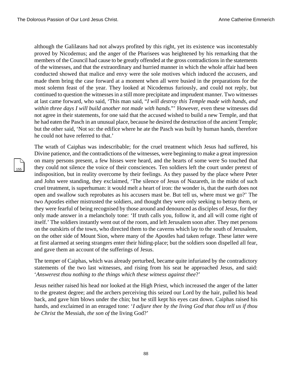although the Galilæans had not always profited by this right, yet its existence was incontestably proved by Nicodemus; and the anger of the Pharisees was heightened by his remarking that the members of the Council had cause to be greatly offended at the gross contradictions in the statements of the witnesses, and that the extraordinary and hurried manner in which the whole affair had been conducted showed that malice and envy were the sole motives which induced the accusers, and made them bring the case forward at a moment when all were busied in the preparations for the most solemn feast of the year. They looked at Nicodemus furiously, and could not reply, but continued to question the witnesses in a still more precipitate and imprudent manner. Two witnesses at last came forward, who said, 'This man said, "*I will destroy this Temple made with hands, and within three days I will build another not made with hands*."' However, even these witnesses did not agree in their statements, for one said that the accused wished to build a new Temple, and that he had eaten the Pasch in an unusual place, because he desired the destruction of the ancient Temple; but the other said, 'Not so: the edifice where he ate the Pasch was built by human hands, therefore he could not have referred to that.'

The wrath of Caiphas was indescribable; for the cruel treatment which Jesus had suffered, his Divine patience, and the contradictions of the witnesses, were beginning to make a great impression on many persons present, a few hisses were heard, and the hearts of some were So touched that they could not silence the voice of their consciences. Ten soldiers left the court under pretext of indisposition, but in reality overcome by their feelings. As they passed by the place where Peter and John were standing, they exclaimed, 'The silence of Jesus of Nazareth, in the midst of such cruel treatment, is superhuman: it would melt a heart of iron: the wonder is, that the earth does not open and swallow such reprobates as his accusers mast be. But tell us, where must we go?' The two Apostles either mistrusted the soldiers, and thought they were only seeking to betray them, or they were fearful of being recognised by those around and denounced as disciples of Jesus, for they only made answer in a melancholy tone: 'If truth calls you, follow it, and all will come right of itself.' The soldiers instantly went out of the room, and left Jerusalem soon after. They met persons on the outskirts of the town, who directed them to the caverns which lay to the south of Jerusalem, on the other side of Mount Sion, where many of the Apostles had taken refuge. These latter were at first alarmed at seeing strangers enter their hiding-place; but the soldiers soon dispelled all fear, and gave them an account of the sufferings of Jesus.

The temper of Caiphas, which was already perturbed, became quite infuriated by the contradictory statements of the two last witnesses, and rising from his seat he approached Jesus, and said: '*Answerest thou nothing to the things which these witness against thee*?'

Jesus neither raised his head nor looked at the High Priest, which increased the anger of the latter to the greatest degree; and the archers perceiving this seized our Lord by the hair, pulled his head back, and gave him blows under the chin; but he still kept his eyes cast down. Caiphas raised his hands, and exclaimed in an enraged tone: '*I adjure thee by the living God that thou tell us if thou be Christ* the Messiah, *the son of* the living God?'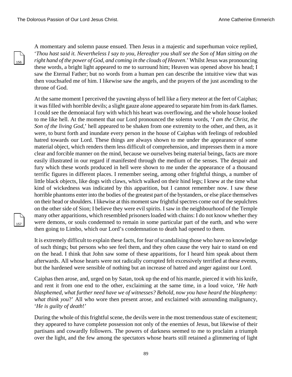157

A momentary and solemn pause ensued. Then Jesus in a majestic and superhuman voice replied, '*Thou hast said it. Nevertheless I say to you, Hereafter you shall see the Son of Man sitting on the right hand of the power of God, and coming in the clouds of Heaven*.' Whilst Jesus was pronouncing these words, a bright light appeared to me to surround him; Heaven was opened above his head; I saw the Eternal Father; but no words from a human pen can describe the intuitive view that was then vouchsafed me of him. I likewise saw the angels, and the prayers of the just ascending to the throne of God.

At the same moment I perceived the yawning abyss of hell like a fiery meteor at the feet of Caiphas; it was filled with horrible devils; a slight gauze alone appeared to separate him from its dark flames. I could see the demoniacal fury with which his heart was overflowing, and the whole house looked to me like hell. At the moment that our Lord pronounced the solemn words, '*I am the Christ, the Son of the living God*,' hell appeared to be shaken from one extremity to the other, and then, as it were, to burst forth and inundate every person in the house of Caiphas with feelings of redoubled hatred towards our Lord. These things are always shown to me under the appearance of some material object, which renders them less difficult of comprehension, and impresses them in a more clear and forcible manner on the mind, because we ourselves being material beings, facts are more easily illustrated in our regard if manifested through the medium of the senses. The despair and fury which these words produced in hell were shown to me under the appearance of a thousand terrific figures in different places. I remember seeing, among other frightful things, a number of little black objects, like dogs with claws, which walked on their hind legs; I knew at the time what kind of wickedness was indicated by this apparition, but I cannot remember now. I saw these horrible phantoms enter into the bodies of the greatest part of the bystanders, or else place themselves on their head or shoulders. I likewise at this moment saw frightful spectres come out of the sepulchres on the other side of Sion; I believe they were evil spirits. I saw in the neighbourhood of the Temple many other apparitions, which resembled prisoners loaded with chains: I do not know whether they were demons, or souls condemned to remain in some particular part of the earth, and who were then going to Limbo, which our Lord's condemnation to death had opened to them.

It is extremely difficult to explain these facts, for fear of scandalising those who have no knowledge of such things; but persons who see feel them, and they often cause the very hair to stand on end on the head. I think that John saw some of these apparitions, for I heard him speak about them afterwards. All whose hearts were not radically corrupted felt excessively terrified at these events, but the hardened were sensible of nothing but an increase of hatred and anger against our Lord.

Caiphas then arose, and, urged on by Satan, took up the end of his mantle, pierced it with his knife, and rent it from one end to the other, exclaiming at the same time, in a loud voice, '*He hath blasphemed, what further need have we of witnesses? Behold, now you have heard the blasphemy: what think you*?' All who wore then present arose, and exclaimed with astounding malignancy, '*He is guilty of death*!'

During the whole of this frightful scene, the devils were in the most tremendous state of excitement; they appeared to have complete possession not only of the enemies of Jesus, but likewise of their partisans and cowardly followers. The powers of darkness seemed to me to proclaim a triumph over the light, and the few among the spectators whose hearts still retained a glimmering of light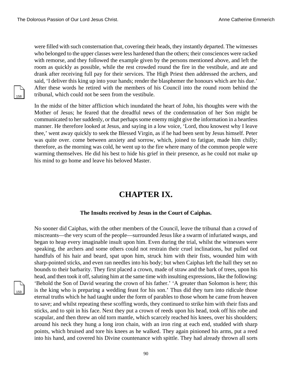were filled with such consternation that, covering their heads, they instantly departed. The witnesses who belonged to the upper classes were less hardened than the others; their consciences were racked with remorse, and they followed the example given by the persons mentioned above, and left the room as quickly as possible, while the rest crowded round the fire in the vestibule, and ate and drank after receiving full pay for their services. The High Priest then addressed the archers, and said, 'I deliver this king up into your hands; render the blasphemer the honours which are his due.' After these words he retired with the members of his Council into the round room behind the tribunal, which could not be seen from the vestibule.

In the midst of the bitter affliction which inundated the heart of John, his thoughts were with the Mother of Jesus; he feared that the dreadful news of the condemnation of her Son might be communicated to her suddenly, or that perhaps some enemy might give the information in a heartless manner. He therefore looked at Jesus, and saying in a low voice, 'Lord, thou knowest why I leave thee,' went away quickly to seek the Blessed Virgin, as if he had been sent by Jesus himself. Peter was quite over. come between anxiety and sorrow, which, joined to fatigue, made him chilly; therefore, as the morning was cold, he went up to the fire where many of the common people were warming themselves. He did his best to hide his grief in their presence, as he could not make up his mind to go home and leave his beloved Master.

## **CHAPTER IX.**

### **The Insults received by Jesus in the Court of Caiphas.**

No sooner did Caiphas, with the other members of the Council, leave the tribunal than a crowd of miscreants—the very scum of the people—surrounded Jesus like a swarm of infuriated wasps, and began to heap every imaginable insult upon him. Even during the trial, whilst the witnesses were speaking, the archers and some others could not restrain their cruel inclinations, but pulled out handfuls of his hair and beard, spat upon him, struck him with their fists, wounded him with sharp-pointed sticks, and even ran needles into his body; but when Caiphas left the hall they set no bounds to their barbarity. They first placed a crown, made of straw and the bark of trees, upon his head, and then took it off, saluting him at the same time with insulting expressions, like the following: 'Behold the Son of David wearing the crown of his father.' 'A greater than Solomon is here; this is the king who is preparing a wedding feast for his son.' Thus did they turn into ridicule those eternal truths which he had taught under the form of parables to those whom he came from heaven to save; and whilst repeating these scoffing words, they continued to strike him with their fists and sticks, and to spit in his face. Next they put a crown of reeds upon his head, took off his robe and scapular, and then threw an old torn mantle, which scarcely reached his knees, over his shoulders; around his neck they hung a long iron chain, with an iron ring at each end, studded with sharp points, which bruised and tore his knees as he walked. They again pinioned his arms, put a reed into his hand, and covered his Divine countenance with spittle. They had already thrown all sorts



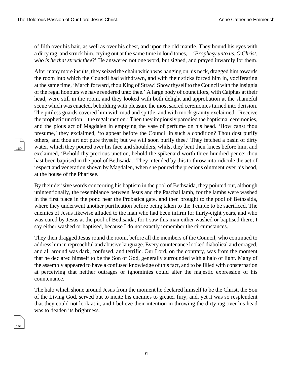of filth over his hair, as well as over his chest, and upon the old mantle. They bound his eyes with a dirty rag, and struck him, crying out at the same time in loud tones,—'*Prophesy unto us, O Christ, who is he that struck thee*?' He answered not one word, but sighed, and prayed inwardly for them.

After many more insults, they seized the chain which was hanging on his neck, dragged him towards the room into which the Council had withdrawn, and with their sticks forced him in, vociferating at the same time, 'March forward, thou King of Straw! Show thyself to the Council with the insignia of the regal honours we have rendered unto thee.' A large body of councillors, with Caiphas at their head, were still in the room, and they looked with both delight and approbation at the shameful scene which was enacted, beholding with pleasure the most sacred ceremonies turned into derision. The pitiless guards covered him with mud and spittle, and with mock gravity exclaimed, 'Receive the prophetic unction—the regal unction.' Then they impiously parodied the baptismal ceremonies, and the pious act of Magdalen in emptying the vase of perfume on his head. 'How canst thou presume,' they exclaimed, 'to appear before the Council in such a condition? Thou dost purify others, and thou art not pure thyself; but we will soon purify thee.' They fetched a basin of dirty water, which they poured over his face and shoulders, whilst they bent their knees before him, and exclaimed, 'Behold thy precious unction, behold the spikenard worth three hundred pence; thou hast been baptised in the pool of Bethsaida.' They intended by this to throw into ridicule the act of respect and veneration shown by Magdalen, when she poured the precious ointment over his head, at the house of the Pharisee.

By their derisive words concerning his baptism in the pool of Bethsaida, they pointed out, although unintentionally, the resemblance between Jesus and the Paschal lamb, for the lambs were washed in the first place in the pond near the Probatica gate, and then brought to the pool of Bethsaida, where they underwent another purification before being taken to the Temple to be sacrificed. The enemies of Jesus likewise alluded to the man who had been infirm for thirty-eight years, and who was cured by Jesus at the pool of Bethsaida; for I saw this man either washed or baptised there; I say either washed or baptised, because I do not exactly remember the circumstances.

They then dragged Jesus round the room, before all the members of the Council, who continued to address him in reproachful and abusive language. Every countenance looked diabolical and enraged, and all around was dark, confused, and terrific. Our Lord, on the contrary, was from the moment that he declared himself to be the Son of God, generally surrounded with a halo of light. Many of the assembly appeared to have a confused knowledge of this fact, and to be filled with consternation at perceiving that neither outrages or ignominies could alter the majestic expression of his countenance.

The halo which shone around Jesus from the moment he declared himself to be the Christ, the Son of the Living God, served but to incite his enemies to greater fury, and. yet it was so resplendent that they could not look at it, and I believe their intention in throwing the dirty rag over his head was to deaden its brightness.

91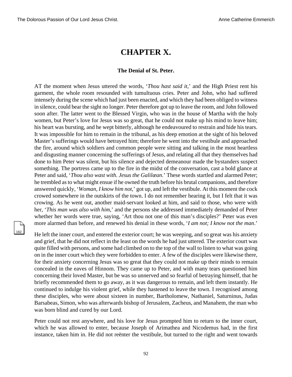## **CHAPTER X.**

### **The Denial of St. Peter.**

AT the moment when Jesus uttered the words, '*Thou hast said it*,' and the High Priest rent his garment, the whole room resounded with tumultuous cries. Peter and John, who had suffered intensely during the scene which had just been enacted, and which they had been obliged to witness in silence, could bear the sight no longer. Peter therefore got up to leave the room, and John followed soon after. The latter went to the Blessed Virgin, who was in the house of Martha with the holy women, but Peter's love for Jesus was so great, that he could not make up his mind to leave him; his heart was bursting, and he wept bitterly, although he endeavoured to restrain and hide his tears. It was impossible for him to remain in the tribunal, as his deep emotion at the sight of his beloved Master's sufferings would have betrayed him; therefore he went into the vestibule and approached the fire, around which soldiers and common people were sitting and talking in the most heartless and disgusting manner concerning the sufferings of Jesus, and relating all that they themselves had done to him Peter was silent, but his silence and dejected demeanour made the bystanders suspect something. The portress came up to the fire in the midst of the conversation, cast a bold glance at Peter and said, '*Thou also wast with. Jesus the Galilæan*.' These words startled and alarmed Peter; he trembled as to what might ensue if he owned the truth before his brutal companions, and therefore answered quickly, '*Woman, I know him not*,' got up, and left the vestibule. At this moment the cock crowed somewhere in the outskirts of the town. I do not remember hearing it, but I felt that it was crowing. As he went out, another maid-servant looked at him, and said to those, who were with her, '*This man was also with him*,' and the persons she addressed immediately demanded of Peter whether her words were true, saying, 'Art thou not one of this man's disciples?' Peter was even more alarmed than before, and renewed his denial in these words, '*I am not; I know not the man*.'

He left the inner court, and entered the exterior court; he was weeping, and so great was his anxiety and grief, that he did not reflect in the least on the words he had just uttered. The exterior court was quite filled with persons, and some had climbed on to the top of the wall to listen to what was going on in the inner court which they were forbidden to enter. A few of the disciples were likewise there, for their anxiety concerning Jesus was so great that they could not make up their minds to remain concealed in the eaves of Hinnom. They came up to Peter, and with many tears questioned him concerning their loved Master, but be was so unnerved and so fearful of betraying himself, that he briefly recommended them to go away, as it was dangerous to remain, and left them instantly. He continued to indulge his violent grief, while they hastened to leave the town. I recognised among these disciples, who were about sixteen in number, Bartholomew, Nathaniel, Saturninus, Judas Barsabeas, Simon, who was afterwards bishop of Jerusalem, Zacheus, and Manahem, the man who was born blind and cured by our Lord.

Peter could not rest anywhere, and his love for Jesus prompted him to return to the inner court, which he was allowed to enter, because Joseph of Arimathea and Nicodemus had, in the first instance, taken him in. He did not reënter the vestibule, but turned to the right and went towards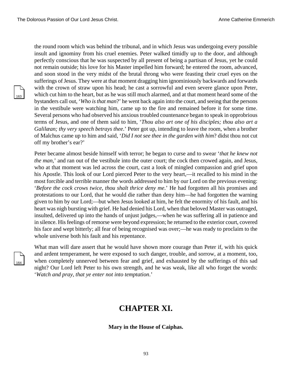164

the round room which was behind the tribunal, and in which Jesus was undergoing every possible insult and ignominy from his cruel enemies. Peter walked timidly up to the door, and although perfectly conscious that he was suspected by all present of being a partisan of Jesus, yet he could not remain outside; his love for his Master impelled him forward; he entered the room, advanced, and soon stood in the very midst of the brutal throng who were feasting their cruel eyes on the sufferings of Jesus. They were at that moment dragging him ignominiously backwards and forwards with the crown of straw upon his head; he cast a sorrowful and even severe glance upon Peter, which cut him to the heart, but as he was still much alarmed, and at that moment heard some of the bystanders call out, '*Who is that man*?' he went back again into the court, and seeing that the persons in the vestibule were watching him, came up to the fire and remained before it for some time. Several persons who had observed his anxious troubled countenance began to speak in opprobrious terms of Jesus, and one of them said to him, '*Thou also art one of his disciples; thou also art a Galilæan; thy very speech betrays thee*.' Peter got up, intending to leave the room, when a brother of Malchus came up to him and said, '*Did I not see thee in the garden with him*? didst thou not cut off my brother's ear?'

Peter became almost beside himself with terror; he began to curse and to swear '*that he knew not the man*,' and ran out of the vestibule into the outer court; the cock then crowed again, and Jesus, who at that moment was led across the court, cast a look of mingled compassion and grief upon his Apostle. This look of our Lord pierced Peter to the very heart,—it recalled to his mind in the most forcible and terrible manner the words addressed to him by our Lord on the previous evening: '*Before the cock crows twice, thou shalt thrice deny me*.' He had forgotten all his promises and protestations to our Lord, that he would die rather than deny him—he had forgotten the warning given to him by our Lord;—but when Jesus looked at him, he felt the enormity of his fault, and his heart was nigh bursting with grief. He had denied his Lord, when that beloved Master was outraged, insulted, delivered up into the hands of unjust judges,—when he was suffering all in patience and in silence. His feelings of remorse were beyond expression; he returned to the exterior court, covered his face and wept bitterly; all fear of being recognised was over;—he was ready to proclaim to the whole universe both his fault and his repentance.

What man will dare assert that he would have shown more courage than Peter if, with his quick and ardent temperament, he were exposed to such danger, trouble, and sorrow, at a moment, too, when completely unnerved between fear and grief, and exhausted by the sufferings of this sad night? Our Lord left Peter to his own strength, and he was weak, like all who forget the words: '*Watch and pray, that ye enter not into temptation*.'

### **CHAPTER XI.**

### **Mary in the House of Caiphas.**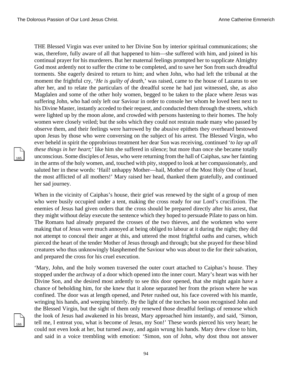THE Blessed Virgin was ever united to her Divine Son by interior spiritual communications; she was, therefore, fully aware of all that happened to him—she suffered with him, and joined in his continual prayer for his murderers. But her maternal feelings prompted her to supplicate Almighty God most ardently not to suffer the crime to be completed, and to save her Son from such dreadful torments. She eagerly desired to return to him; and when John, who had left the tribunal at the moment the frightful cry, *'He is guilty of death*,' was raised, came to the house of Lazarus to see after her, and to relate the particulars of the dreadful scene he had just witnessed, she, as also Magdalen and some of the other holy women, begged to be taken to the place where Jesus was suffering John, who had only left our Saviour in order to console her whom he loved best next to his Divine Master, instantly acceded to their request, and conducted them through the streets, which were lighted up by the moon alone, and crowded with persons hastening to their homes. The holy women were closely veiled; but the sobs which they could not restrain made many who passed by observe them, and their feelings were harrowed by the abusive epithets they overheard bestowed upon Jesus by those who were conversing on the subject of his arrest. The Blessed Virgin, who ever beheld in spirit the opprobrious treatment her dear Son was receiving, continued '*to lay up all these things in her heart*;' like him she suffered in silence; but more than once she became totally unconscious. Some disciples of Jesus, who were returning from the hall of Caiphas, saw her fainting in the arms of the holy women, and, touched with pity, stopped to look at her compassionately, and saluted her in these words: 'Hail! unhappy Mother—hail, Mother of the Most Holy One of Israel, the most afflicted of all mothers!' Mary raised her head, thanked them gratefully, and continued her sad journey.

When in the vicinity of Caiphas's house, their grief was renewed by the sight of a group of men who were busily occupied under a tent, making the cross ready for our Lord's crucifixion. The enemies of Jesus had given orders that the cross should be prepared directly after his arrest, that they might without delay execute the sentence which they hoped to persuade Pilate to pass on him. The Romans had already prepared the crosses of the two thieves, and the workmen who were making that of Jesus were much annoyed at being obliged to labour at it during the night; they did not attempt to conceal their anger at this, and uttered the most frightful oaths and curses, which pierced the heart of the tender Mother of Jesus through and through; but she prayed for these blind creatures who thus unknowingly blasphemed the Saviour who was about to die for their salvation, and prepared the cross for his cruel execution.

'Mary, John, and the holy women traversed the outer court attached to Caiphas's house. They stopped under the archway of a door which opened into the inner court. Mary's heart was with her Divine Son, and she desired most ardently to see this door opened, that she might again have a chance of beholding him, for she knew that it alone separated her from the prison where he was confined. The door was at length opened, and Peter rushed out, his face covered with his mantle, wringing his hands, and weeping bitterly. By the light of the torches he soon recognised John and the Blessed Virgin, but the sight of them only renewed those dreadful feelings of remorse which the look of Jesus had awakened in his breast, Mary approached him instantly, and said, 'Simon, tell me, I entreat you, what is become of Jesus, my Son!' These words pierced his very heart; he could not even look at her, but turned away, and again wrung his hands. Mary drew close to him, and said in a voice trembling with emotion: 'Simon, son of John, why dost thou not answer

165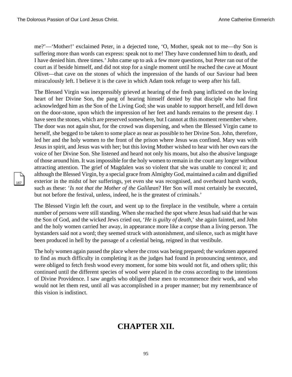me?'—'Mother!' exclaimed Peter, in a dejected tone, 'O, Mother, speak not to me—thy Son is suffering more than words can express: speak not to me! They have condemned him to death, and I have denied him. three times.' John came up to ask a few more questions, but Peter ran out of the court as if beside himself, and did not stop for a single moment until he reached the cave at Mount Olivet—that cave on the stones of which the impression of the hands of our Saviour had been miraculously left. I believe it is the cave in which Adam took refuge to weep after his fall.

The Blessed Virgin was inexpressibly grieved at hearing of the fresh pang inflicted on the loving heart of her Divine Son, the pang of hearing himself denied by that disciple who had first acknowledged him as the Son of the Living God; she was unable to support herself, and fell down on the door-stone, upon which the impression of her feet and hands remains to the present day. I have seen the stones, which are preserved somewhere, but I cannot at this moment remember where. The door was not again shut, for the crowd was dispersing, and when the Blessed Virgin came to herself, she begged to be taken to some place as near as possible to her Divine Son. John, therefore, led her and the holy women to the front of the prison where Jesus was confined. Mary was with Jesus in spirit, and Jesus was with her; but this loving Mother wished to hear with her own ears the voice of her Divine Son. She listened and heard not only his moans, but also the abusive language of those around him. It was impossible for the holy women to remain in the court any longer without attracting attention. The grief of Magdalen was so violent that she was unable to conceal it; and although the Blessed Virgin, by a special grace from Almighty God, maintained a calm and dignified exterior in the midst of her sufferings, yet even she was recognised, and overheard harsh words, such as these: '*Is not that the Mother of the Galilæan*? Her Son will most certainly be executed, but not before the festival, unless, indeed, he is the greatest of criminals.'

The Blessed Virgin left the court, and went up to the fireplace in the vestibule, where a certain number of persons were still standing. When she reached the spot where Jesus had said that he was the Son of God, and the wicked Jews cried out, '*He is guilty of death*,' she again fainted, and John and the holy women carried her away, in appearance more like a corpse than a living person. The bystanders said not a word; they seemed struck with astonishment, and silence, such as might have been produced in hell by the passage of a celestial being, reigned in that vestibule.

The holy women again passed the place where the cross was being prepared; the workmen appeared to find as much difficulty in completing it as the judges had found in pronouncing sentence, and were obliged to fetch fresh wood every moment, for some bits would not fit, and others split; this continued until the different species of wood were placed in the cross according to the intentions of Divine Providence. I saw angels who obliged these men to recommence their work, and who would not let them rest, until all was accomplished in a proper manner; but my remembrance of this vision is indistinct.

# **CHAPTER XII.**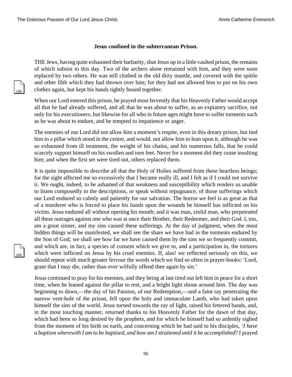### **Jesus confined in the subterranean Prison.**

THE Jews, having quite exhausted their barbarity, shut Jesus up in a little vaulted prison, the remains of which subsist to this day. Two of the archers alone remained with him, and they were soon replaced by two others. He was still clothed in the old dirty mantle, and covered with the spittle and other filth which they had thrown over him; for they had not allowed him to put on his own clothes again, but kept his hands tightly bound together.

When our Lord entered this prison, he prayed most fervently that his Heavenly Father would accept all that he had already suffered, and all that he was about to suffer, as an expiatory sacrifice, not only for his executioners, but likewise for all who in future ages might have to suffer torments such as he was about to endure, and be tempted to impatience or anger.

The enemies of our Lord did not allow him a moment's respite, even in this dreary prison, but tied him to a pillar which stood in the centre, and would. not allow him to lean upon it, although he was so exhausted from ill treatment, the weight of his chains, and his numerous falls, that he could scarcely support himself on his swollen and torn feet. Never for a moment did they cease insulting him; and when the first set were tired out, others replaced them.

It is quite impossible to describe all that the Holy of Holies suffered from these heartless beings; for the sight affected me so excessively that I became really ill, and I felt as if I could not survive it. We ought, indeed, to be ashamed of that weakness and susceptibility which renders us unable to listen composedly to the descriptions, or speak without repugnance, of those sufferings which our Lord endured so calmly and patiently for our salvation. The horror we feel is as great as that of a murderer who is forced to place his hands upon the wounds he himself has inflicted on his victim. Jesus endured all without opening his mouth; and it was man, sinful man, who perpetrated all these outrages against one who was at once their Brother, their Redeemer, and their God. I, too, am a great sinner, and my sins caused these sufferings. At the day of judgment, when the most hidden things will be manifested, we shall see the share we have had in the torments endured by the Son of God; we shall see how far we have caused them by the sins we so frequently commit, and which are, in fact, a species of consent which we give to, and a participation in, the tortures which were inflicted on Jesus by his cruel enemies. If, alas! we reflected seriously on this, we should repeat with much greater fervour the words which we find so often in prayer-books: 'Lord, grant that I may die, rather than ever wilfully offend thee again by sin.'

Jesus continued to pray for his enemies, and they being at last tired out left him in peace for a short time, when he leaned against the pillar to rest, and a bright light shone around him. The day was beginning to dawn,—the day of his Passion, of our Redemption,—and a faint ray penetrating the narrow vent-hole of the prison, fell upon the holy and immaculate Lamb, who had taken upon himself the sins of the world. Jesus turned towards the ray of light, raised his fettered hands, and, in the most touching manner, returned thanks to his Heavenly Father for the dawn of that day, which had been so long desired by the prophets, and for which he himself had so ardently sighed from the moment of his birth on earth, and concerning which he had said to his disciples, '*I have a baptism wherewith I am to be baptised, and how am I straitened until it be accomplished*? I prayed

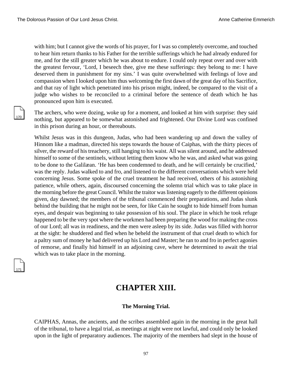with him; but I cannot give the words of his prayer, for I was so completely overcome, and touched to hear him return thanks to his Father for the terrible sufferings which he had already endured for me, and for the still greater which he was about to endure. I could only repeat over and over with the greatest fervour, 'Lord, I beseech thee, give me these sufferings: they belong to me: I have deserved them in punishment for my sins.' I was quite overwhelmed with feelings of love and compassion when I looked upon him thus welcoming the first dawn of the great day of his Sacrifice, and that ray of light which penetrated into his prison might, indeed, be compared to the visit of a judge who wishes to be reconciled to a criminal before the sentence of death which he has pronounced upon him is executed.

The archers, who were dozing, woke up for a moment, and looked at him with surprise: they said nothing, but appeared to be somewhat astonished and frightened. Our Divine Lord was confined in this prison during an hour, or thereabouts.

Whilst Jesus was in this dungeon, Judas, who had been wandering up and down the valley of Hinnom like a madman, directed his steps towards the house of Caiphas, with the thirty pieces of silver, the reward of his treachery, still hanging to his waist. All was silent around, and he addressed himself to some of the sentinels, without letting them know who he was, and asked what was going to be done to the Galilæan. 'He has been condemned to death, and he will certainly be crucified,' was the reply. Judas walked to and fro, and listened to the different conversations which were held concerning Jesus. Some spoke of the cruel treatment he had received, others of his astonishing patience, while others, again, discoursed concerning the solemn trial which was to take place in the morning before the great Council. Whilst the traitor was listening eagerly to the different opinions given, day dawned; the members of the tribunal commenced their preparations, and Judas slunk behind the building that he might not be seen, for like Cain he sought to hide himself from human eyes, and despair was beginning to take possession of his soul. The place in which he took refuge happened to be the very spot where the workmen had been preparing the wood for making the cross of our Lord; all was in readiness, and the men were asleep by its side. Judas was filled with horror at the sight: he shuddered and fled when he beheld the instrument of that cruel death to which for a paltry sum of money he had delivered up his Lord and Master; he ran to and fro in perfect agonies of remorse, and finally hid himself in an adjoining cave, where he determined to await the trial which was to take place in the morning.

170

### **CHAPTER XIII.**

### **The Morning Trial.**

CAIPHAS, Annas, the ancients, and the scribes assembled again in the morning in the great hall of the tribunal, to have a legal trial, as meetings at night were not lawful, and could only be looked upon in the light of preparatory audiences. The majority of the members had slept in the house of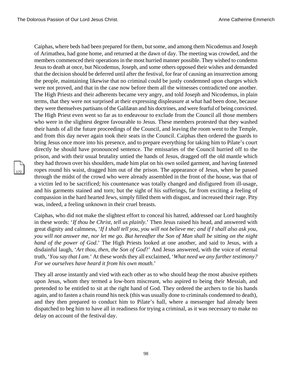Caiphas, where beds had been prepared for them, but some, and among them Nicodemus and Joseph of Arimathea, had gone home, and returned at the dawn of day. The meeting was crowded, and the members commenced their operations in the most hurried manner possible. They wished to condemn Jesus to death at once, but Nicodemus, Joseph, and some others opposed their wishes and demanded that the decision should be deferred until after the festival, for fear of causing an insurrection among the people, maintaining likewise that no criminal could be justly condemned upon charges which were not proved, and that in the case now before them all the witnesses contradicted one another. The High Priests and their adherents became very angry, and told Joseph and Nicodemus, in plain terms, that they were not surprised at their expressing displeasure at what had been done, because they were themselves partisans of the Galilæan and his doctrines, and were fearful of being convicted. The High Priest even went so far as to endeavour to exclude from the Council all those members who were in the slightest degree favourable to Jesus. These members protested that they washed their hands of all the future proceedings of the Council, and leaving the room went to the Temple, and from this day never again took their seats in the Council. Caiphas then ordered the guards to bring Jesus once more into his presence, and to prepare everything for taking him to Pilate's court directly he should have pronounced sentence. The emissaries of the Council hurried off to the prison, and with their usual brutality untied the hands of Jesus, dragged off the old mantle which they had thrown over his shoulders, made him plat on his own soiled garment, and having fastened ropes round his waist, dragged him out of the prison. The appearance of Jesus, when he passed through the midst of the crowd who were already assembled in the front of the house, was that of a victim led to be sacrificed; his countenance was totally changed and disfigured from ill-usage, and his garments stained and torn; but the sight of his sufferings, far from exciting a feeling of compassion in the hard hearted Jews, simply filled them with disgust, and increased their rage. Pity was, indeed, a feeling unknown in their cruel breasts.

Caiphas, who did not make the slightest effort to conceal his hatred, addressed oar Lord haughtily in these words: '*If thou be Christ, tell us plainly*.' Then Jesus raised his head, and answered with great dignity and calmness, '*If I shall tell you, you will not believe me; and if I shall also ask you, you will not answer me, nor let me go. But hereafter the Son of Man shall be sitting on the night hand of the power of God*.' The High Priests looked at one another, and said to Jesus, with a disdainful laugh, '*Art thou, then, the Son of God*?' And Jesus answered, with the voice of eternal truth, '*You say that I am*.' At these words they all exclaimed, '*What need we any further testimony? For we ourselves have heard it from his own mouth*.'

They all arose instantly and vied with each other as to who should heap the most abusive epithets upon Jesus, whom they termed a low-born miscreant, who aspired to being their Messiah, and pretended to be entitled to sit at the right hand of God. They ordered the archers to tie his hands again, and to fasten a chain round his neck (this was usually done to criminals condemned to death), and they then prepared to conduct him to Pilate's hall, where a messenger had already been dispatched to beg him to have all in readiness for trying a criminal, as it was necessary to make no delay on account of the festival day.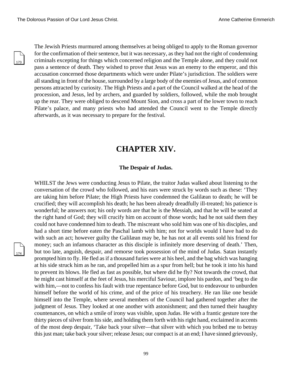

The Jewish Priests murmured among themselves at being obliged to apply to the Roman governor for the confirmation of their sentence, but it was necessary, as they had not the right of condemning criminals excepting for things which concerned religion and the Temple alone, and they could not pass a sentence of death. They wished to prove that Jesus was an enemy to the emperor, and this accusation concerned those departments which were under Pilate's jurisdiction. The soldiers were all standing in front of the house, surrounded by a large body of the enemies of Jesus, and of common persons attracted by curiosity. The High Priests and a part of the Council walked at the head of the procession, and Jesus, led by archers, and guarded by soldiers, followed, while the mob brought up the rear. They were obliged to descend Mount Sion, and cross a part of the lower town to reach Pilate's palace, and many priests who had attended the Council went to the Temple directly afterwards, as it was necessary to prepare for the festival.

## **CHAPTER XIV.**

### **The Despair of Judas.**

WHILST the Jews were conducting Jesus to Pilate, the traitor Judas walked about listening to the conversation of the crowd who followed, and his ears were struck by words such as these: 'They are taking him before Pilate; the High Priests have condemned the Galilæan to death; he will be crucified; they will accomplish his death; he has been already dreadfully ill-treated; his patience is wonderful; he answers not; his only words are that he is the Messiah, and that he will be seated at the right hand of God; they will crucify him on account of those words; had he not said them they could not have condemned him to death. The miscreant who sold him was one of his disciples, and had a short time before eaten the Paschal lamb with him; not for worlds would I have had to do with such an act; however guilty the Galilæan may be, he has not at all events sold his friend for money; such an infamous character as this disciple is infinitely more deserving of death.' Then, but too late, anguish, despair, and remorse took possession of the mind of Judas. Satan instantly prompted him to fly. He fled as if a thousand furies were at his heel, and the bag which was hanging at his side struck him as he ran, and propelled him as a spur from hell; but he took it into his hand to prevent its blows. He fled as fast as possible, but where did he fly? Not towards the crowd, that he might cast himself at the feet of Jesus, his merciful Saviour, implore his pardon, and 'beg to die with him,—not to confess his fault with true repentance before God, but to endeavour to unburden himself before the world of his crime, and of the price of his treachery. He ran like one beside himself into the Temple, where several members of the Council had gathered together after the judgment of Jesus. They looked at one another with astonishment; and then turned their haughty countenances, on which a smile of irony was visible, upon Judas. He with a frantic gesture tore the thirty pieces of silver from his side, and holding them forth with his right hand, exclaimed in accents of the most deep despair, 'Take back your silver—that silver with which you bribed me to betray this just man; take back your silver; release Jesus; our compact is at an end; I have sinned grievously,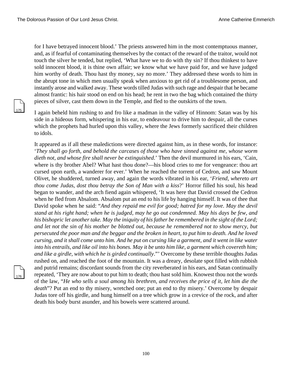for I have betrayed innocent blood.' The priests answered him in the most contemptuous manner, and, as if fearful of contaminating themselves by the contact of the reward of the traitor, would not touch the silver he tended, but replied, 'What have we to do with thy sin? If thou thinkest to have sold innocent blood, it is thine own affair; we know what we have paid for, and we have judged him worthy of death. Thou hast thy money, say no more.' They addressed these words to him in the abrupt tone in which men usually speak when anxious to get rid of a troublesome person, and instantly arose and walked away. These words tilled Judas with such rage and despair that he became almost frantic: his hair stood on end on his head; he rent in two the bag which contained the thirty pieces of silver, cast them down in the Temple, and fled to the outskirts of the town.

I again beheld him rushing to and fro like a madman in the valley of Hinnom: Satan was by his side in a hideous form, whispering in his ear, to endeavour to drive him to despair, all the curses which the prophets had hurled upon this valley, where the Jews formerly sacrificed their children to idols.

It appeared as if all these maledictions were directed against him, as in these words, for instance: '*They shall go forth, and behold the carcases of those who have sinned against me, whose worm dieth not, and whose fire shall never be extinguished*.' Then the devil murmured in his ears, 'Cain, where is thy brother Abel? What hast thou done?—his blood cries to me for vengeance: thou art cursed upon earth, a wanderer for ever.' When he reached the torrent of Cedron, and saw Mount Olivet, he shuddered, turned away, and again the words vibrated in his ear, '*Friend, whereto art thou come Judas, dost thou betray the Son of Man with a kiss*?' Horror filled his soul, his head began to wander, and the arch fiend again whispered, 'It was here that David crossed the Cedron when he fled from Absalom. Absalom put an end to his life by hanging himself. It was of thee that David spoke when he said: "*And they repaid me evil for good; hatred for my love. May the devil stand at his right hand; when he is judged, may he go out condemned. May his days be few, and his bishopric let another take. May the iniquity of his father be remembered in the sight of the Lord; and let not the sin of his mother be blotted out, because he remembered not to show mercy, but persecuted the poor man and the beggar and the broken in heart, to put him to death. And he loved cursing, and it shall come unto him. And he put on cursing like a garment, and it went in like water into his entrails, and like oil into his bones. May it be unto him like, a garment which covereth him; and like a girdle, with which he is girded continually*."' Overcome by these terrible thoughts Judas rushed on, and reached the foot of the mountain. It was a dreary, desolate spot filled with rubbish and putrid remains; discordant sounds from the city reverberated in his ears, and Satan continually repeated, 'They are now about to put him to death; thou hast sold him. Knowest thou not the words of the law, "*He who sells a soul among his brethren, and receives the price of it, let him die the death*"? Put an end to thy misery, wretched one; put an end to thy misery.' Overcome by despair Judas tore off his girdle, and hung himself on a tree which grow in a crevice of the rock, and after death his body burst asunder, and his bowels were scattered around.

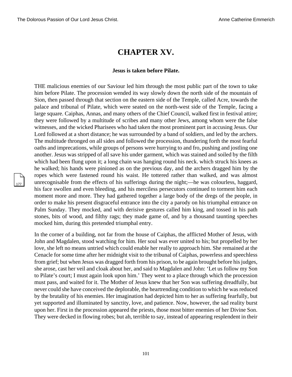### **CHAPTER XV.**

#### **Jesus is taken before Pilate.**

THE malicious enemies of our Saviour led him through the most public part of the town to take him before Pilate. The procession wended its way slowly down the north side of the mountain of Sion, then passed through that section on the eastern side of the Temple, called Acre, towards the palace and tribunal of Pilate, which were seated on the north-west side of the Temple, facing a large square. Caiphas, Annas, and many others of the Chief Council, walked first in festival attire; they were followed by a multitude of scribes and many other Jews, among whom were the false witnesses, and the wicked Pharisees who had taken the most prominent part in accusing Jesus. Our Lord followed at a short distance; he was surrounded by a band of soldiers, and led by the archers. The multitude thronged on all sides and followed the procession, thundering forth the most fearful oaths and imprecations, while groups of persons were hurrying to and fro, pushing and jostling one another. Jesus was stripped of all save his under garment, which was stained and soiled by the filth which had been flung upon it; a long chain was hanging round his neck. which struck his knees as he walked; his hands were pinioned as on the previous day, and the archers dragged him by the ropes which were fastened round his waist. He tottered rather than walked, and was almost unrecognisable from the effects of his sufferings during the night;—he was colourless, haggard, his face swollen and even bleeding, and his merciless persecutors continued to torment him each moment more and more. They had gathered together a large body of the dregs of the people, in order to make his present disgraceful entrance into the city a parody on his triumphal entrance on Palm Sunday. They mocked, and with derisive gestures called him king, and tossed in his path stones, bits of wood, and filthy rags; they made game of, and by a thousand taunting speeches mocked him, during this pretended triumphal entry.

In the corner of a building, not far from the house of Caiphas, the afflicted Mother of Jesus, with John and Magdalen, stood watching for him. Her soul was ever united to his; but propelled by her love, she left no means untried which could enable her really to approach him. She remained at the Cenacle for some time after her midnight visit to the tribunal of Caiphas, powerless and speechless from grief; but when Jesus was dragged forth from his prison, to be again brought before his judges, she arose, cast her veil and cloak about her, and said to Magdalen and John: 'Let us follow my Son to Pilate's court; I must again look upon him.' They went to a place through which the procession must pass, and waited for it. The Mother of Jesus knew that her Son was suffering dreadfully, but never could she have conceived the deplorable, the heartrending condition to which he was reduced by the brutality of his enemies. Her imagination had depicted him to her as suffering fearfully, but yet supported and illuminated by sanctity, love, and patience. Now, however, the sad reality burst upon her. First in the procession appeared the priests, those most bitter enemies of her Divine Son. They were decked in flowing robes; but ah, terrible to say, instead of appearing resplendent in their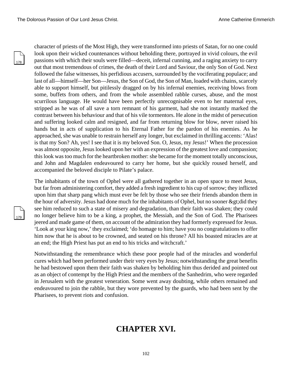

character of priests of the Most High, they were transformed into priests of Satan, for no one could look upon their wicked countenances without beholding there, portrayed in vivid colours, the evil passions with which their souls were filled—deceit, infernal cunning, and a raging anxiety to carry out that most tremendous of crimes, the death of their Lord and Saviour, the only Son of God. Next followed the false witnesses, his perfidious accusers, surrounded by the vociferating populace; and last of all—himself—her Son—Jesus, the Son of God, the Son of Man, loaded with chains, scarcely able to support himself, but pitilessly dragged on by his infernal enemies, receiving blows from some, buffets from others, and from the whole assembled rabble curses, abuse, and the most scurrilous language. He would have been perfectly unrecognisable even to her maternal eyes, stripped as he was of all save a torn remnant of his garment, had she not instantly marked the contrast between his behaviour and that of his vile tormentors. He alone in the midst of persecution and suffering looked calm and resigned, and far from returning blow for blow, never raised his hands but in acts of supplication to his Eternal Father for the pardon of his enemies. As he approached, she was unable to restrain herself any longer, but exclaimed in thrilling accents: 'Alas! is that my Son? Ah, yes! I see that it is my beloved Son. O, Jesus, my Jesus!' When the procession was almost opposite, Jesus looked upon her with an expression of the greatest love and compassion; this look was too much for the heartbroken mother: she became for the moment totally unconscious, and John and Magdalen endeavoured to carry her home, but she quickly roused herself, and accompanied the beloved disciple to Pilate's palace.

The inhabitants of the town of Ophel were all gathered together in an open space to meet Jesus, but far from administering comfort, they added a fresh ingredient to his cup of sorrow; they inflicted upon him that sharp pang which must ever be felt by those who see their friends abandon them in the hour of adversity. Jesus had done much for the inhabitants of Ophel, but no sooner  $>gt;$ ; did they see him reduced to such a state of misery and degradation, than their faith was shaken; they could no longer believe him to be a king, a prophet, the Messiah, and the Son of God. The Pharisees jeered and made game of them, on account of the admiration they had formerly expressed for Jesus. 'Look at your king now,' they exclaimed; 'do homage to him; have you no congratulations to offer him now that he is about to be crowned, and seated on his throne? All his boasted miracles are at an end; the High Priest has put an end to his tricks and witchcraft.'

Notwithstanding the remembrance which these poor people had of the miracles and wonderful cures which had been performed under their very eyes by Jesus; notwithstanding the great benefits he had bestowed upon them their faith was shaken by beholding him thus derided and pointed out as an object of contempt by the High Priest and the members of the Sanhedrim, who were regarded in Jerusalem with the greatest veneration. Some went away doubting, while others remained and endeavoured to join the rabble, but they wore prevented by the guards, who had been sent by the Pharisees, to prevent riots and confusion.

# **CHAPTER XVI.**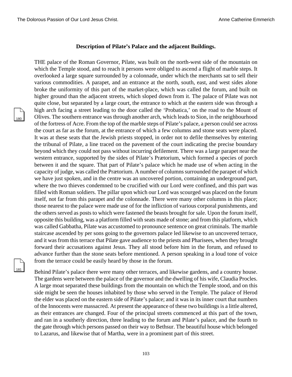#### **Description of Pilate's Palace and the adjacent Buildings.**

THE palace of the Roman Governor, Pilate, was built on the north-west side of the mountain on which the Temple stood, and to reach it persons were obliged to ascend a flight of marble steps. It overlooked a large square surrounded by a colonnade, under which the merchants sat to sell their various commodities. A parapet, and an entrance at the north, south, east, and west sides alone broke the uniformity of this part of the market-place, which was called the forum, and built on higher ground than the adjacent streets, which sloped down from it. The palace of Pilate was not quite close, but separated by a large court, the entrance to which at the eastern side was through a high arch facing a street leading to the door called the 'Probatica,' on the road to the Mount of Olives. The southern entrance was through another arch, which leads to Sion, in the neighbourhood of the fortress of Acre. From the top of the marble steps of Pilate's palace, a person could see across the court as far as the forum, at the entrance of which a few columns and stone seats were placed. It was at these seats that the Jewish priests stopped, in order not to defile themselves by entering the tribunal of Pilate, a line traced on the pavement of the court indicating the precise boundary beyond which they could not pass without incurring defilement. There was a large parapet near the western entrance, supported by the sides of Pilate's Prætorium, which formed a species of porch between it and the square. That part of Pilate's palace which he made use of when acting in the capacity of judge, was called the Prætorium. A number of columns surrounded the parapet of which we have just spoken, and in the centre was an uncovered portion, containing an underground part, where the two thieves condemned to be crucified with our Lord were confined, and this part was filled with Roman soldiers. The pillar upon which our Lord was scourged was placed on the forum itself, not far from this parapet and the colonnade. There were many other columns in this place; those nearest to the palace were made use of for the infliction of various corporal punishments, and the others served as posts to which were fastened the beasts brought for sale. Upon the forum itself, opposite this building, was a platform filled with seats made of stone; and from this platform, which was called Gabbatha, Pilate was accustomed to pronounce sentence on great criminals. The marble staircase ascended by per sons going to the governors palace led likewise to an uncovered terrace, and it was from this terrace that Pilate gave audience to the priests and Pharisees, when they brought forward their accusations against Jesus. They all stood before him in the forum, and refused to advance further than the stone seats before mentioned. A person speaking in a loud tone of voice from the terrace could be easily heard by those in the forum.

Behind Pilate's palace there were many other terraces, and likewise gardens, and a country house. The gardens were between the palace of the governor and the dwelling of his wife, Claudia Procles. A large moat separated these buildings from the mountain on which the Temple stood, and on this side might be seen the houses inhabited by those who served in the Temple. The palace of Herod the elder was placed on the eastern side of Pilate's palace; and it was in its inner court that numbers of the Innocents were massacred. At present the appearance of these two buildings is a little altered, as their entrances are changed. Four of the principal streets commenced at this part of the town, and ran in a southerly direction, three leading to the forum and Pilate's palace, and the fourth to the gate through which persons passed on their way to Bethsur. The beautiful house which belonged to Lazarus, and likewise that of Martha, were in a prominent part of this street.

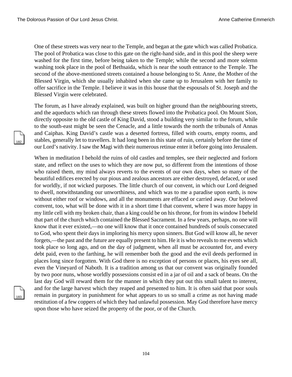183

One of these streets was very near to the Temple, and began at the gate which was called Probatica. The pool of Probatica was close to this gate on the right-hand side, and in this pool the sheep were washed for the first time, before being taken to the Temple; while the second and more solemn washing took place in the pool of Bethsaida, which is near the south entrance to the Temple. The second of the above-mentioned streets contained a house belonging to St. Anne, the Mother of the Blessed Virgin, which she usually inhabited when she came up to Jerusalem with her family to offer sacrifice in the Temple. I believe it was in this house that the espousals of St. Joseph and the Blessed Virgin were celebrated.

The forum, as I have already explained, was built on higher ground than the neighbouring streets, and the aqueducts which ran through these streets flowed into the Probatica pool. On Mount Sion, directly opposite to the old castle of King David, stood a building very similar to the forum, while to the south-east might be seen the Cenacle, and a little towards the north the tribunals of Annas and Caiphas. King David's castle was a deserted fortress, filled with courts, empty rooms, and stables, generally let to travellers. It had long been in this state of ruin, certainly before the time of our Lord's nativity. I saw the Magi with their numerous retinue enter it before going into Jerusalem.

When in meditation I behold the ruins of old castles and temples, see their neglected and forlorn state, and reflect on the uses to which they are now put, so different from the intentions of those who raised them, my mind always reverts to the events of our own days, when so many of the beautiful edifices erected by our pious and zealous ancestors are either destroyed, defaced, or used for worldly, if not wicked purposes. The little church of our convent, in which our Lord deigned to dwell, notwithstanding our unworthiness, and which was to me a paradise upon earth, is now without either roof or windows, and all the monuments are effaced or carried away. Our beloved convent, too, what will be done with it in a short time I that convent, where I was more happy in my little cell with my broken chair, than a king could be on his throne, for from its window I beheld that part of the church which contained the Blessed Sacrament. In a few years, perhaps, no one will know that it ever existed,—no one will know that it once contained hundreds of souls consecrated to God, who spent their days in imploring his mercy upon sinners. But God will know all, he never forgets,—the past and the future are equally present to him. He it is who reveals to me events which took place so long ago, and on the day of judgment, when all must be accounted for, and every debt paid, even to the farthing, he will remember both the good and the evil deeds performed in places long since forgotten. With God there is no exception of persons or places, his eyes see all, even the Vineyard of Naboth. It is a tradition among us that our convent was originally founded by two poor nuns, whose worldly possessions consist ed in a jar of oil and a sack of beans. On the last day God will reward them for the manner in which they put out this small talent to interest, and for the large harvest which they reaped and presented to him. It is often said that poor souls remain in purgatory in punishment for what appears to us so small a crime as not having made restitution of a few coppers of which they had unlawful possession. May God therefore have mercy upon those who have seized the property of the poor, or of the Church.

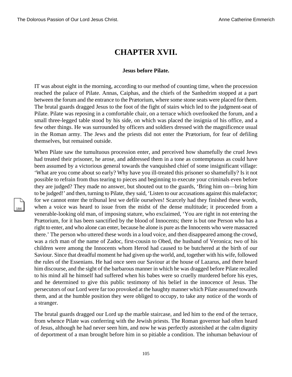## **CHAPTER XVII.**

### **Jesus before Pilate.**

IT was about eight in the morning, according to our method of counting time, when the procession reached the palace of Pilate. Annas, Caiphas, and the chiefs of the Sanhedrim stopped at a part between the forum and the entrance to the Prætorium, where some stone seats were placed for them. The brutal guards dragged Jesus to the foot of the fight of stairs which led to the judgment-seat of Pilate. Pilate was reposing in a comfortable chair, on a terrace which overlooked the forum, and a small three-legged table stood by his side, on which was placed the insignia of his office, and a few other things. He was surrounded by officers and soldiers dressed with the magnificence usual in the Roman army. The Jews and the priests did not enter the Prætorium, for fear of defiling themselves, but remained outside.

When Pilate saw the tumultuous procession enter, and perceived how shamefully the cruel Jews had treated their prisoner, he arose, and addressed them in a tone as contemptuous as could have been assumed by a victorious general towards the vanquished chief of some insignificant village: 'What are you come about so early? Why have you ill-treated this prisoner so shamefully? Is it not possible to refrain from thus tearing to pieces and beginning to execute your criminals even before they are judged? They made no answer, but shouted out to the guards, 'Bring him on—bring him to be judged!' and then, turning to Pilate, they said, 'Listen to our accusations against this malefactor; for we cannot enter the tribunal lest we defile ourselves! Scarcely had they finished these words, when a voice was heard to issue from the midst of the dense multitude; it proceeded from a venerable-looking old man, of imposing stature, who exclaimed, 'You are right in not entering the Prætorium, for it has been sanctified by the blood of Innocents; there is but one Person who has a right to enter, and who alone can enter, because he alone is pure as the Innocents who were massacred there.' The person who uttered these words in a loud voice, and then disappeared among the crowd, was a rich man of the name of Zadoc, first-cousin to Obed, the husband of Veronica; two of his children were among the Innocents whom Herod had caused to be butchered at the birth of our Saviour. Since that dreadful moment he had given up the world, and, together with his wife, followed the rules of the Essenians. He had once seen our Saviour at the house of Lazarus, and there heard him discourse, and the sight of the barbarous manner in which he was dragged before Pilate recalled to his mind all he himself had suffered when his babes were so cruelly murdered before his eyes, and he determined to give this public testimony of his belief in the innocence of Jesus. The persecutors of our Lord were far too provoked at the haughty manner which Pilate assumed towards them, and at the humble position they were obliged to occupy, to take any notice of the words of a stranger.

The brutal guards dragged our Lord up the marble staircase, and led him to the end of the terrace, from whence Pilate was conferring with the Jewish priests. The Roman governor had often heard of Jesus, although he had never seen him, and now he was perfectly astonished at the calm dignity of deportment of a man brought before him in so pitiable a condition. The inhuman behaviour of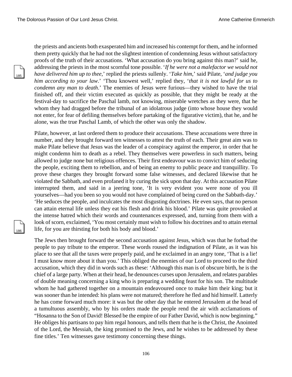186

the priests and ancients both exasperated him and increased his contempt for them, and he informed them pretty quickly that he had not the slightest intention of condemning Jesus without satisfactory proofs of the truth of their accusations. 'What accusation do you bring against this man?' said he, addressing the priests in the most scornful tone possible. '*If he were not a malefactor we would not have delivered him up to thee*,' replied the priests sullenly. '*Take him*,' said Pilate, '*and judge you him according to your law*.' 'Thou knowest well,' replied they, '*that it is not lawful for us to condemn any man to death*.' The enemies of Jesus were furious—they wished to have the trial finished off, and their victim executed as quickly as possible, that they might be ready at the festival-day to sacrifice the Paschal lamb, not knowing, miserable wretches as they were, that he whom they had dragged before the tribunal of an idolatrous judge (into whose house they would not enter, for fear of defiling themselves before partaking of the figurative victim), that he, and he alone, was the true Paschal Lamb, of which the other was only the shadow.

Pilate, however, at last ordered them to produce their accusations. These accusations were three in number, and they brought forward ten witnesses to attest the truth of each. Their great aim was to make Pilate believe that Jesus was the leader of a conspiracy against the emperor, in order that he might condemn him to death as a rebel. They themselves were powerless in such matters, being allowed to judge none but religious offences. Their first endeavour was to convict him of seducing the people, exciting them to rebellion, and of being an enemy to public peace and tranquillity. To prove these charges they brought forward some false witnesses, and declared likewise that he violated the Sabbath, and even profaned it by curing the sick upon that day. At this accusation Pilate interrupted them, and said in a jeering tone, 'It is very evident you were none of you ill yourselves—had you been so you would not have complained of being cured on the Sabbath-day.' 'He seduces the people, and inculcates the most disgusting doctrines. He even says, that no person can attain eternal life unless they eat his flesh and drink his blood.' Pilate was quite provoked at the intense hatred which their words and countenances expressed, and, turning from them with a look of scorn, exclaimed, 'You most certainly must wish to follow his doctrines and to attain eternal life, for you are thirsting for both his body and blood.'

The Jews then brought forward the second accusation against Jesus, which was that he forbad the people to pay tribute to the emperor. These words roused the indignation of Pilate, as it was his place to see that all the taxes were properly paid, and he exclaimed in an angry tone, 'That is a lie! I must know more about it than you.' This obliged the enemies of our Lord to proceed to the third accusation, which they did in words such as these: 'Although this man is of obscure birth, he is the chief of a large party. When at their head, he denounces curses upon Jerusalem, and relates parables of double meaning concerning a king who is preparing a wedding feast for his son. The multitude whom he had gathered together on a mountain endeavoured once to make him their king; but it was sooner than he intended: his plans were not matured; therefore he fled and hid himself. Latterly he has come forward much more: it was but the other day that he entered Jerusalem at the head of a tumultuous assembly, who by his orders made the people rend the air with acclamations of "Hosanna to the Son of David! Blessed be the empire of our Father David, which is now beginning." He obliges his partisans to pay him regal honours, and tells them that he is the Christ, the Anointed of the Lord, the Messiah, the king promised to the Jews, and he wishes to be addressed by these fine titles.' Ten witnesses gave testimony concerning these things.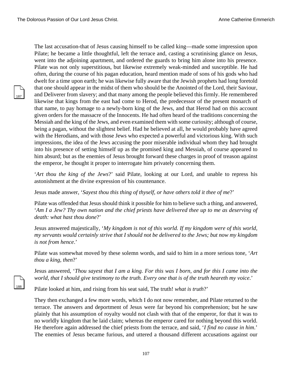188

The last accusation-that of Jesus causing himself to be called king—made some impression upon Pilate; he became a little thoughtful, left the terrace and, casting a scrutinising glance on Jesus, went into the adjoining apartment, and ordered the guards to bring him alone into his presence. Pilate was not only superstitious, but likewise extremely weak-minded and susceptible. He had often, during the course of his pagan education, heard mention made of sons of his gods who had dwelt for a time upon earth; he was likewise fully aware that the Jewish prophets had long foretold that one should appear in the midst of them who should be the Anointed of the Lord, their Saviour, and Deliverer from slavery; and that many among the people believed this firmly. He remembered likewise that kings from the east had come to Herod, the predecessor of the present monarch of that name, to pay homage to a newly-born king of the Jews, and that Herod had on this account given orders for the massacre of the Innocents. He had often heard of the traditions concerning the Messiah and the king of the Jews, and even examined them with some curiosity; although of course, being a pagan, without the slightest belief. Had he believed at all, he would probably have agreed with the Herodians, and with those Jews who expected a powerful and victorious king. With such impressions, the idea of the Jews accusing the poor miserable individual whom they had brought into his presence of setting himself up as the promised king and Messiah, of course appeared to him absurd; but as the enemies of Jesus brought forward these charges in proof of treason against the emperor, he thought it proper to interrogate him privately concerning them.

'*Art thou the king of the Jews*?' said Pilate, looking at our Lord, and unable to repress his astonishment at the divine expression of his countenance.

Jesus made answer, '*Sayest thou this thing of thyself, or have others told it thee of me*?'

Pilate was offended that Jesus should think it possible for him to believe such a thing, and answered, '*Am I a Jew? Thy own nation and the chief priests have delivered thee up to me as deserving of death: what hast thou done*?'

Jesus answered majestically, '*My kingdom is not of this world. If my kingdom were of this world, my servants would certainly strive that I should not be delivered to the Jews; but now my kingdom is not from hence*.'

Pilate was somewhat moved by these solemn words, and said to him in a more serious tone, '*Art thou a king, then*?'

Jesus answered, '*Thou sayest that I am a king. For this was I born, and for this I came into the world, that I should give testimony to the truth. Every one that is of the truth heareth my voice*.'

Pilate looked at him, and rising from his seat said, The truth! *what is truth*?'

They then exchanged a few more words, which I do not now remember, and Pilate returned to the terrace. The answers and deportment of Jesus were far beyond his comprehension; but he saw plainly that his assumption of royalty would not clash with that of the emperor, for that it was to no worldly kingdom that he laid claim; whereas the emperor cared for nothing beyond this world. He therefore again addressed the chief priests from the terrace, and said, '*I find no cause in him*.' The enemies of Jesus became furious, and uttered a thousand different accusations against our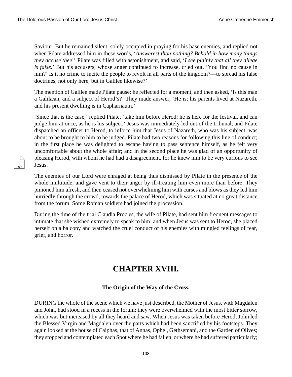Saviour. But he remained silent, solely occupied in praying for his base enemies, and replied not when Pilate addressed him in these words, '*Answerest thou nothing? Behold in how many things they accuse thee*!' Pilate was filled with astonishment, and said, '*I see plainly that all they allege is false*.' But his accusers, whose anger continued to increase, cried out, 'You find no cause in him?' Is it no crime to incite the people to revolt in all parts of the kingdom?—to spread his false doctrines, not only here, but in Galilee likewise?'

The mention of Galilee made Pilate pause: he reflected for a moment, and then asked, 'Is this man a Galilæan, and a subject of Herod's?' They made answer, 'He is; his parents lived at Nazareth, and his present dwelling is in Capharnaum.'

'Since that is the case,' replied Pilate, 'take him before Herod; he is here for the festival, and can judge him at once, as he is his subject.' Jesus was immediately led out of the tribunal, and Pilate dispatched an officer to Herod, to inform him that Jesus of Nazareth, who was his subject, was about to be brought to him to be judged. Pilate had two reasons for following this line of conduct; in the first place he was delighted to escape having to pass sentence himself, as he felt very uncomfortable about the whole affair; and in the second place he was glad of an opportunity of pleasing Herod, with whom he had had a disagreement, for he knew him to be very curious to see Jesus.

The enemies of our Lord were enraged at being thus dismissed by Pilate in the presence of the whole multitude, and gave vent to their anger by ill-treating him even more than before. They pinioned him afresh, and then ceased not overwhelming him with curses and blows as they led him hurriedly through the crowd, towards the palace of Herod, which was situated at no great distance from the forum. Some Roman soldiers had joined the procession.

During the time of the trial Claudia Procles, the wife of Pilate, had sent him frequent messages to intimate that she wished extremely to speak to him; and when Jesus was sent to Herod, she placed herself on a balcony and watched the cruel conduct of his enemies with mingled feelings of fear, grief, and horror.

# **CHAPTER XVIII.**

### **The Origin of the Way of the Cross.**

DURING the whole of the scene which we have just described, the Mother of Jesus, with Magdalen and John, had stood in a recess in the forum: they were overwhelmed with the most bitter sorrow, which was but increased by all they heard and saw. When Jesus was taken before Herod, John led the Blessed Virgin and Magdalen over the parts which had been sanctified by his footsteps. They again looked at the house of Caiphas, that of Annas, Ophel, Gethsemani, and the Garden of Olives; they stopped and contemplated each Spot where he had fallen, or where he had suffered particularly;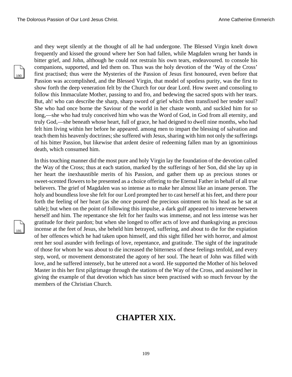191

and they wept silently at the thought of all he had undergone. The Blessed Virgin knelt down frequently and kissed the ground where her Son had fallen, while Magdalen wrung her hands in bitter grief, and John, although he could not restrain his own tears, endeavoured. to console his companions, supported, and led them on. Thus was the holy devotion of the 'Way of the Cross' first practised; thus were the Mysteries of the Passion of Jesus first honoured, even before that Passion was accomplished, and the Blessed Virgin, that model of spotless purity, was the first to show forth the deep veneration felt by the Church for our dear Lord. How sweet and consoling to follow this Immaculate Mother, passing to and fro, and bedewing the sacred spots with her tears. But, ah! who can describe the sharp, sharp sword of grief which then transfixed her tender soul? She who had once borne the Saviour of the world in her chaste womb, and suckled him for so long,—she who had truly conceived him who was the Word of God, in God from all eternity, and truly God,—she beneath whose heart, full of grace, he had deigned to dwell nine months, who had felt him living within her before he appeared. among men to impart the blessing of salvation and teach them his heavenly doctrines; she suffered with Jesus, sharing with him not only the sufferings of his bitter Passion, but likewise that ardent desire of redeeming fallen man by an ignominious death, which consumed him.

In this touching manner did the most pure and holy Virgin lay the foundation of the devotion called the Way of the Cross; thus at each station, marked by the sufferings of her Son, did she lay up in her heart the inexhaustible merits of his Passion, and gather them up as precious stones or sweet-scented flowers to be presented as a choice offering to the Eternal Father in behalf of all true believers. The grief of Magdalen was so intense as to make her almost like an insane person. The holy and boundless love she felt for our Lord prompted her to cast herself at his feet, and there pour forth the feeling of her heart (as she once poured the precious ointment on his head as he sat at table); but when on the point of following this impulse, a dark gulf appeared to intervene between herself and him. The repentance she felt for her faults was immense, and not less intense was her gratitude for their pardon; but when she longed to offer acts of love and thanksgiving as precious incense at the feet of Jesus, she beheld him betrayed, suffering, and about to die for the expiation of her offences which he had taken upon himself, and this sight filled her with horror, and almost rent her soul asunder with feelings of love, repentance, and gratitude. The sight of the ingratitude of those for whom he was about to die increased the bitterness of these feelings tenfold, and every step, word, or movement demonstrated the agony of her soul. The heart of John was filled with love, and he suffered intensely, but he uttered not a word. He supported the Mother of his beloved Master in this her first pilgrimage through the stations of the Way of the Cross, and assisted her in giving the example of that devotion which has since been practised with so much fervour by the members of the Christian Church.

# **CHAPTER XIX.**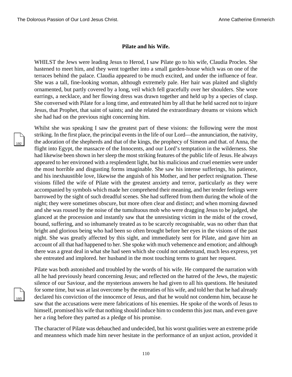193

#### **Pilate and his Wife.**

WHILST the Jews were leading Jesus to Herod, I saw Pilate go to his wife, Claudia Procles. She hastened to meet him, and they went together into a small garden-house which was on one of the terraces behind the palace. Claudia appeared to be much excited, and under the influence of fear. She was a tall, fine-looking woman, although extremely pale. Her hair was plaited and slightly ornamented, but partly covered by a long, veil which fell gracefully over her shoulders. She wore earrings, a necklace, and her flowing dress was drawn together and held up by a species of clasp. She conversed with Pilate for a long time, and entreated him by all that he held sacred not to injure Jesus, that Prophet, that saint of saints; and she related the extraordinary dreams or visions which she had had on the previous night concerning him.

Whilst she was speaking I saw the greatest part of these visions: the following were the most striking. In the first place, the principal events in the life of our Lord—the annunciation, the nativity, the adoration of the shepherds and that of the kings, the prophecy of Simeon and that. of Anna, the flight into Egypt, the massacre of the Innocents, and our Lord's temptation in the wilderness. She had likewise been shown in her sleep the most striking features of the public life of Jesus. He always appeared to her environed with a resplendent light, but his malicious and cruel enemies were under the most horrible and disgusting forms imaginable. She saw his intense sufferings, his patience, and his inexhaustible love, likewise the anguish of his Mother, and her perfect resignation. These visions filled the wife of Pilate with the greatest anxiety and terror, particularly as they were accompanied by symbols which made her comprehend their meaning, and her tender feelings were barrowed by the sight of such dreadful scenes. She had suffered from them during the whole of the night; they were sometimes obscure, but more often clear and distinct; and when morning dawned and she was roused by the noise of the tumultuous mob who were dragging Jesus to be judged, she glanced at the procession and instantly saw that the unresisting victim in the midst of the crowd, bound, suffering, and so inhumanely treated as to be scarcely recognisable, was no other than that bright and glorious being who had been so often brought before her eyes in the visions of the past night. She was greatly affected by this sight, and immediately sent for Pilate, and gave him an account of all that had happened to her. She spoke with much vehemence and emotion; and although there was a great deal in what she had seen which she could not understand, much less express, yet she entreated and implored. her husband in the most touching terms to grant her request.

Pilate was both astonished and troubled by the words of his wife. He compared the narration with all he had previously heard concerning Jesus; and reflected on the hatred of the Jews, the majestic silence of our Saviour, and the mysterious answers he had given to all his questions. He hesitated for some time, but was at last overcome by the entreaties of his wife, and told her that he had already declared his conviction of the innocence of Jesus, and that he would not condemn him, because he saw that the accusations were mere fabrications of his enemies. He spoke of the words of Jesus to himself, promised his wife that nothing should induce him to condemn this just man, and even gave her a ring before they parted as a pledge of his promise.

The character of Pilate was debauched and undecided, but his worst qualities were an extreme pride and meanness which made him never hesitate in the performance of an unjust action, provided it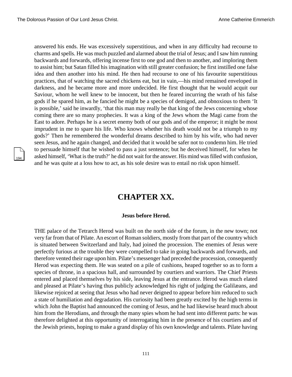answered his ends. He was excessively superstitious, and when in any difficulty had recourse to charms and spells. He was much puzzled and alarmed about the trial of Jesus; and I saw him running backwards and forwards, offering incense first to one god and then to another, and imploring them to assist him; but Satan filled his imagination with still greater confusion; he first instilled one false idea and then another into his mind. He then had recourse to one of his favourite superstitious practices, that of watching the sacred chickens eat, but in vain,—his mind remained enveloped in darkness, and he became more and more undecided. He first thought that he would acquit our Saviour, whom he well knew to be innocent, but then he feared incurring the wrath of his false gods if he spared him, as he fancied he might be a species of demigod, and obnoxious to them 'It is possible,' said he inwardly, 'that this man may really be that king of the Jews concerning whose coming there are so many prophecies. It was a king of the Jews whom the Magi came from the East to adore. Perhaps he is a secret enemy both of our gods and of the emperor; it might be most imprudent in me to spare his life. Who knows whether his death would not be a triumph to my gods?' Then he remembered the wonderful dreams described to him by his wife, who had never seen Jesus, and he again changed, and decided that it would be safer not to condemn him. He tried to persuade himself that he wished to pass a just sentence; but he deceived himself, for when he asked himself, 'What is the truth?' he did not wait for the answer. His mind was filled with confusion, and he was quite at a loss how to act, as his sole desire was to entail no risk upon himself.

### **CHAPTER XX.**

#### **Jesus before Herod.**

THE palace of the Tetrarch Herod was built on the north side of the forum, in the new town; not very far from that of Pilate. An escort of Roman soldiers, mostly from that part of the country which is situated between Switzerland and Italy, had joined the procession. The enemies of Jesus were perfectly furious at the trouble they were compelled to take in going backwards and forwards, and therefore vented their rage upon him. Pilate's messenger had preceded the procession, consequently Herod was expecting them. He was seated on a pile of cushions, heaped together so as to form a species of throne, in a spacious hall, and surrounded by courtiers and warriors. The Chief Priests entered and placed themselves by his side, leaving Jesus at the entrance. Herod was much elated and pleased at Pilate's having thus publicly acknowledged his right of judging the Galilæans, and likewise rejoiced at seeing that Jesus who had never deigned to appear before him reduced to such a state of humiliation and degradation. His curiosity had been greatly excited by the high terms in which John the Baptist had announced the coming of Jesus, and he had likewise heard much about him from the Herodians, and through the many spies whom he had sent into different parts: he was therefore delighted at this opportunity of interrogating him in the presence of his courtiers and of the Jewish priests, hoping to make a grand display of his own knowledge and talents. Pilate having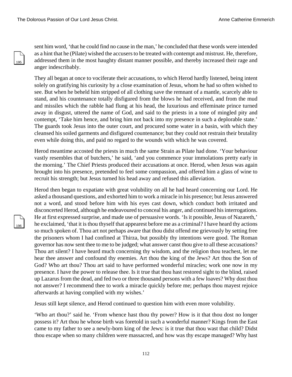sent him word, 'that he could find no cause in the man,' he concluded that these words were intended as a hint that he (Pilate) wished the accusers to be treated with contempt and mistrust. He, therefore, addressed them in the most haughty distant manner possible, and thereby increased their rage and anger indescribably.

They all began at once to vociferate their accusations, to which Herod hardly listened, being intent solely on gratifying his curiosity by a close examination of Jesus, whom he had so often wished to see. But when he beheld him stripped of all clothing save the remnant of a mantle, scarcely able to stand, and his countenance totally disfigured from the blows he had received, and from the mud and missiles which the rabble had flung at his head, the luxurious and effeminate prince turned away in disgust, uttered the name of God, and said to the priests in a tone of mingled pity and contempt, 'Take him hence, and bring him not back into my presence in such a deplorable state.' The guards took Jesus into the outer court, and procured some water in a basin, with which they cleansed his soiled garments and disfigured countenance; but they could not restrain their brutality even while doing this, and paid no regard to the wounds with which he was covered.

Herod meantime accosted the priests in much the same Strain as Pilate had done. 'Your behaviour vastly resembles that of butchers,' he said, 'and you commence your immolations pretty early in the morning.' The Chief Priests produced their accusations at once. Herod, when Jesus was again brought into his presence, pretended to feel some compassion, and offered him a glass of wine to recruit his strength; but Jesus turned his head away and refused this alleviation.

Herod then began to expatiate with great volubility on all he had heard concerning our Lord. He asked a thousand questions, and exhorted him to work a miracle in his presence; but Jesus answered not a word, and stood before him with his eyes cast down, which conduct both irritated and disconcerted Herod, although he endeavoured to conceal his anger, and continued his interrogations. He at first expressed surprise, and made use of persuasive words. 'Is it possible, Jesus of Nazareth,' he exclaimed, 'that it is thou thyself that appearest before me as a criminal? I have heard thy actions so much spoken of. Thou art not perhaps aware that thou didst offend me grievously by setting free the prisoners whom I had confined at Thirza, but possibly thy intentions were good. The Roman governor has now sent thee to me to be judged; what answer canst thou give to all these accusations? Thou art silent? I have heard much concerning thy wisdom, and the religion thou teachest, let me hear thee answer and confound thy enemies. Art thou the king of the Jews? Art thou the Son of God? Who art thou? Thou art said to have performed wonderful miracles; work one now in my presence. I have the power to release thee. Is it true that thou hast restored sight to the blind, raised up Lazarus from the dead, and fed two or three thousand persons with a few loaves? Why dost thou not answer? I recommend thee to work a miracle quickly before me; perhaps thou mayest rejoice afterwards at having complied with my wishes.'

Jesus still kept silence, and Herod continued to question him with even more volubility.

'Who art thou?' said he. 'From whence hast thou thy power? How is it that thou dost no longer possess it? Art thou he whose birth was foretold in such a wonderful manner? Kings from the East came to my father to see a newly-born king of the Jews: is it true that thou wast that child? Didst thou escape when so many children were massacred, and how was thy escape managed? Why hast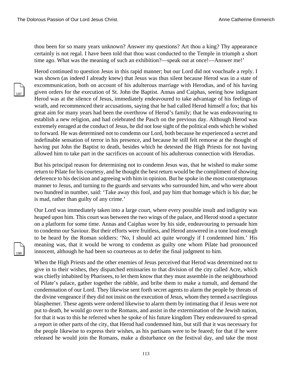thou been for so many years unknown? Answer my questions? Art thou a king? Thy appearance certainly is not regal. I have been told that thou wast conducted to the Temple in triumph a short time ago. What was the meaning of such an exhibition?—speak out at once!—Answer me!'

Herod continued to question Jesus in this rapid manner; but our Lord did not vouchsafe a reply. I was shown (as indeed I already knew) that Jesus was thus silent because Herod was in a state of excommunication, both on account of his adulterous marriage with Herodias, and of his having given orders for the execution of St. John the Baptist. Annas and Caiphas, seeing how indignant Herod was at the silence of Jesus, immediately endeavoured to take advantage of his feelings of wrath, and recommenced their accusations, saying that he had called Herod himself a fox; that his great aim for many years had been the overthrow of Herod's family; that he was endeavouring to establish a new religion, and had celebrated the Pasch on the previous day. Although Herod was extremely enraged at the conduct of Jesus, he did not lose sight of the political ends which he wished to forward. He was determined not to condemn our Lord, both because he experienced a secret and indefinable sensation of terror in his presence, and because he still felt remorse at the thought of having put John the Baptist to death, besides which he detested the High Priests for not having allowed him to take part in the sacrifices on account of his adulterous connection with Herodias.

But his principal reason for determining not to condemn Jesus was, that he wished to make some return to Pilate for his courtesy, and he thought the best return would be the compliment of showing deference to his decision and agreeing with him in opinion. But he spoke in the most contemptuous manner to Jesus, and turning to the guards and servants who surrounded him, and who were about two hundred in number, said: 'Take away this fool, and pay him that homage which is his due; he is mad, rather than guilty of any crime.'

Our Lord was immediately taken into a large court, where every possible insult and indignity was heaped upon him. This court was between the two wings of the palace, and Herod stood a spectator on a platform for some time. Annas and Caiphas wore by his side, endeavouring to persuade him to condemn our Saviour. But their efforts were fruitless, and Herod answered in a tone loud enough to be heard by the Roman soldiers: 'No, I should act quite wrongly if I condemned him.' His meaning was, that it would be wrong to condemn as guilty one whom Pilate had pronounced innocent, although he had been so courteous as to defer the final judgment to him.

When the High Priests and the other enemies of Jesus perceived that Herod was determined not to give in to their wishes, they dispatched emissaries to that division of the city called Acre, which was chiefly inhabited by Pharisees, to let them know that they must assemble in the neighbourhood of Pilate's palace, gather together the rabble, and bribe them to make a tumult, and demand the condemnation of our Lord. They likewise sent forth secret agents to alarm the people by threats of the divine vengeance if they did not insist on the execution of Jesus, whom they termed a sacrilegious blasphemer. These agents were ordered likewise to alarm them by intimating that if Jesus were not put to death, he would go over to the Romans, and assist in the extermination of the Jewish nation, for that it was to this he referred when he spoke of his future kingdom They endeavoured to spread a report in other parts of the city, that Herod had condemned him, but still that it was necessary for the people likewise to express their wishes, as his partisans were to be feared; for that if he were released he would join the Romans, make a disturbance on the festival day, and take the most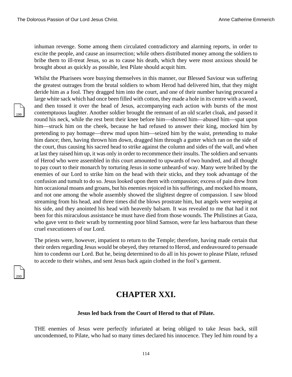inhuman revenge. Some among them circulated contradictory and alarming reports, in order to excite the people, and cause an insurrection; while others distributed money among the soldiers to bribe them to ill-treat Jesus, so as to cause his death, which they were most anxious should be brought about as quickly as possible, lest Pilate should acquit him.

199

Whilst the Pharisees wore busying themselves in this manner, our Blessed Saviour was suffering the greatest outrages from the brutal soldiers to whom Herod had delivered him, that they might deride him as a fool. They dragged him into the court, and one of their number having procured a large white sack which had once been filled with cotton, they made a hole in its centre with a sword, and then tossed it over the head of Jesus, accompanying each action with bursts of the most contemptuous laughter. Another soldier brought the remnant of an old scarlet cloak, and passed it round his neck, while the rest bent their knee before him—shoved him—abused him—spat upon him—struck him on the cheek, because he had refused to answer their king, mocked him by pretending to pay homage—threw mud upon him—seized him by the waist, pretending to make him dance; then, having thrown him down, dragged him through a gutter which ran on the side of the court, thus causing his sacred head to strike against the column and sides of the wall, and when at last they raised him up, it was only in order to recommence their insults. The soldiers and servants of Herod who were assembled in this court amounted to upwards of two hundred, and all thought to pay court to their monarch by torturing Jesus in some unheard-of way. Many were bribed by the enemies of our Lord to strike him on the head with their sticks, and they took advantage of the confusion and tumult to do so. Jesus looked upon them with compassion; excess of pain drew from him occasional moans and groans, but his enemies rejoiced in his sufferings, and mocked his moans, and not one among the whole assembly showed the slightest degree of compassion. I saw blood streaming from his head, and three times did the blows prostrate him, but angels were weeping at his side, and they anointed his head with heavenly balsam. It was revealed to me that had it not been for this miraculous assistance he must have died from those wounds. The Philistines at Gaza, who gave vent to their wrath by tormenting poor blind Samson, were far less barbarous than these cruel executioners of our Lord.

The priests were, however, impatient to return to the Temple; therefore, having made certain that their orders regarding Jesus would be obeyed, they returned to Herod, and endeavoured to persuade him to condemn our Lord. But he, being determined to do all in his power to please Pilate, refused to accede to their wishes, and sent Jesus back again clothed in the fool's garment.

200

# **CHAPTER XXI.**

### **Jesus led back from the Court of Herod to that of Pilate.**

THE enemies of Jesus were perfectly infuriated at being obliged to take Jesus back, still uncondemned, to Pilate, who had so many times declared his innocence. They led him round by a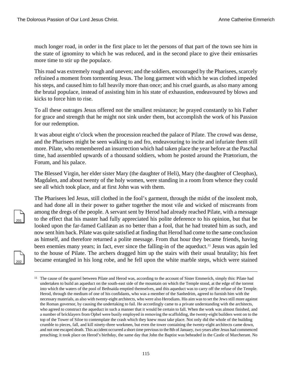much longer road, in order in the first place to let the persons of that part of the town see him in the state of ignominy to which he was reduced, and in the second place to give their emissaries more time to stir up the populace.

This road was extremely rough and uneven; and the soldiers, encouraged by the Pharisees, scarcely refrained a moment from tormenting Jesus. The long garment with which he was clothed impeded his steps, and caused him to fall heavily more than once; and his cruel guards, as also many among the brutal populace, instead of assisting him in his state of exhaustion, endeavoured by blows and kicks to force him to rise.

To all these outrages Jesus offered not the smallest resistance; he prayed constantly to his Father for grace and strength that he might not sink under them, but accomplish the work of his Passion for our redemption.

It was about eight o'clock when the procession reached the palace of Pilate. The crowd was dense, and the Pharisees might be seen walking to and fro, endeavouring to incite and infuriate them still more. Pilate, who remembered an insurrection which had taken place the year before at the Paschal time, had assembled upwards of a thousand soldiers, whom he posted around the Prætorium, the Forum, and his palace.

The Blessed Virgin, her elder sister Mary (the daughter of Heli), Mary (the daughter of Cleophas), Magdalen, and about twenty of the holy women, were standing in a room from whence they could see all which took place, and at first John was with them.

The Pharisees led Jesus, still clothed in the fool's garment, through the midst of the insolent mob, and had done all in their power to gather together the most vile and wicked of miscreants from among the dregs of the people. A servant sent by Herod had already reached Pilate, with a message to the effect that his master had fully appreciated his polite deference to his opinion, but that be looked upon the far-famed Galilæan as no better than a fool, that he had treated him as such, and now sent him back. Pilate was quite satisfied at finding that Herod had come to the same conclusion as himself, and therefore returned a polite message. From that hour they became friends, having been enemies many years; in fact, ever since the falling-in of the aqueduct.11 Jesus was again led to the house of Pilate. The archers dragged him up the stairs with their usual brutality; his feet became entangled in his long robe, and he fell upon the white marble steps, which were stained



202



<sup>&</sup>lt;sup>11</sup> The cause of the quarrel between Pilate and Herod was, according to the account of Sister Emmerich, simply this: Pilate had undertaken to build an aqueduct on the south-east side of the mountain on which the Temple stood, at the edge of the torrent into which the waters of the pool of Bethsaida emptied themselves, and this aqueduct was to carry off the refuse of the Temple. Herod, through the medium of one of his confidants, who was a member of the Sanhedrim, agreed to furnish him with the necessary materials, as also with twenty-eight architects, who were also Herodians. His aim was to set the Jews still more against the Roman governor, by causing the undertaking to fail. He accordingly came to a private understanding with the architects, who agreed to construct the aqueduct in such a manner that it would be certain to fall. When the work was almost finished, and a number of bricklayers from Ophel were busily employed in removing the scaffolding, the twenty-eight builders went on to the top of the Tower of Siloe to contemplate the crash which they knew must take place. Not only did the whole of the building crumble to pieces, fall, and kill ninety-three workmen, but even the tower containing the twenty-eight architects came down, and not one escaped death. This accident occurred a short time previous to the 8th of January, two years after Jesus had commenced preaching; it took place on Herod's birthday, the same day that John the Baptist was beheaded in the Castle of Marcherunt. No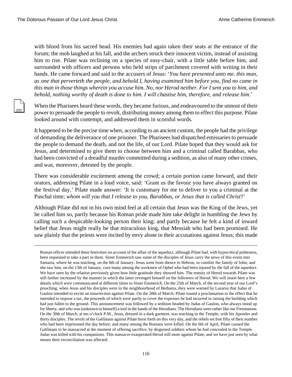with blood from his sacred head. His enemies had again taken their seats at the entrance of the forum; the mob laughed at his fall, and the archers struck their innocent victim, instead of assisting him to rise. Pilate was reclining on a species of easy-chair, with a little table before him, and surrounded with officers and persons who held strips of parchment covered with writing in their hands. He came forward and said to the accusers of Jesus: '*You have presented unto me. this man, as one that perverteth the people, and behold I, having examined him before you, find no came in this man in those things wherein you accuse him. No, nor Herod neither. For I sent you to him, and behold*, *nothing worthy of death is done to him. I will chastise him, therefore, and release him*.'

When the Pharisees heard these words, they became furious, and endeavoured to the utmost of their power to persuade the people to revolt, distributing money among them to effect this purpose. Pilate looked around with contempt, and addressed them in scornful words.

It happened to be the precise time when, according to an ancient custom, the people had the privilege of demanding the deliverance of one prisoner. The Pharisees had dispatched emissaries to persuade the people to demand the death, and not the life, of our Lord. Pilate hoped that they would ask for Jesus, and determined to give them to choose between him and a criminal called Barabbas, who had been convicted of a dreadful murder committed during a sedition, as also of many other crimes, and was, moreover, detested by the people.

There was considerable excitement among the crowd; a certain portion came forward, and their orators, addressing Pilate in a loud voice, said: 'Grant us the favour you have always granted on the festival day.' Pilate made answer: 'It is customary for me to deliver to you a criminal at the Paschal time; *whom will you that I release to you, Barabbas, or Jesus that is called Christ*?'

Although Pilate did not in his own mind feel at all certain that Jesus was the King of the Jews, yet he called him so, partly because his Roman pride made him take delight in humbling the Jews by calling such a despicable-looking person their king; and partly because he felt a kind of inward belief that Jesus might really be that miraculous king, that Messiah who had been promised. He saw plainly that the priests were incited by envy alone in their accusations against Jesus; this made

Roman officer attended these festivities on account of the affair of the aqueduct, although Pilate had, with hypocritical politeness, been requested to take a part in them. Sister Emmerich saw some of the disciples of Jesus carry the news of this event into Samaria, where he was teaching, on the 8th of January. Jesus went from thence to Hebron, to comfort the family of John; and she saw him, on the 13th of January, cure many among the workmen of Ophel who had been injured by the fall of the aqueduct. We have seen by the relation previously given how little gratitude they showed him. The enmity of Herod towards Pilate was still farther increased by the manner in which the latter revenged himself on the followers of Herod. We will insert here a few details which were communicated at different times to Sister Emmerich. On the 25th of March, of the second year of our Lord's preaching, when Jesus and his disciples were in the neighbourhood of Bethania, they were warned by Lazarus that Judas of Gaulon intended to excite an insurrection against Pilate. On the 28th of March, Pilate issued a proclamation to the effect that he intended to impose a tax, the proceeds of which were partly to cover the expenses he had incurred in raising the building which had just fallen to the ground. This announcement was followed by a sedition headed by Judas of Gaulon, who always stood up for liberty, and who was (unknown to himself) a tool in the hands of the Herodians. The Herodians were rather like our Freemasons. On the 30th of March, at ten o'clock P.M., Jesus, dressed in a dark garment, was teaching in the Temple, with his Apostles and thirty disciples. The revolt of the Galilæans against Pilate burst forth on this very day, and the rebels set free fifty of their number who had been imprisoned the day before; and many among the Romans were killed. On the 6th of April, Pilate caused the Galilæans to be massacred at the moment of offering sacrifice, by disguised soldiers whom he had concealed in the Temple. Judas was killed with his companions. This massacre exasperated Herod still more against Pilate, and we have just seen by what means their reconciliation was affected.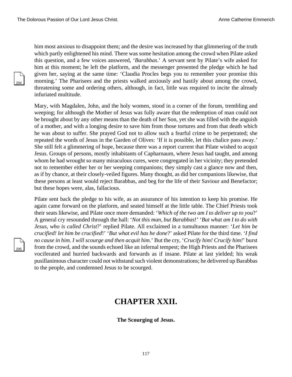205

him most anxious to disappoint them; and the desire was increased by that glimmering of the truth which partly enlightened his mind. There was some hesitation among the crowd when Pilate asked this question, and a few voices answered, '*Barabbas*.' A servant sent by Pilate's wife asked for him at this moment; he left the platform, and the messenger presented the pledge which he had given her, saying at the same time: 'Claudia Procles begs you to remember your promise this morning.' The Pharisees and the priests walked anxiously and hastily about among the crowd, threatening some and ordering others, although, in fact, little was required to incite the already infuriated multitude.

Mary, with Magdalen, John, and the holy women, stood in a corner of the forum, trembling and weeping; for although the Mother of Jesus was fully aware that the redemption of man could not be brought about by any other means than the death of her Son, yet she was filled with the anguish of a mother, and with a longing desire to save him from those tortures and from that death which he was about to suffer. She prayed God not to allow such a fearful crime to be perpetrated; she repeated the words of Jesus in the Garden of Olives: 'If it is possible, let this chalice pass away.' She still felt a glimmering of hope, because there was a report current that Pilate wished to acquit Jesus. Groups of persons, mostly inhabitants of Capharnaum, where Jesus had taught, and among whom he had wrought so many miraculous cures, were congregated in her vicinity; they pretended not to remember either her or her weeping companions; they simply cast a glance now and then, as if by chance, at their closely-veiled figures. Many thought, as did her companions likewise, that these persons at least would reject Barabbas, and beg for the life of their Saviour and Benefactor; but these hopes were, alas, fallacious.

Pilate sent back the pledge to his wife, as an assurance of his intention to keep his promise. He again came forward on the platform, and seated himself at the little table. The Chief Priests took their seats likewise, and Pilate once more demanded: '*Which of the two am I to deliver up to you*?' A general cry resounded through the hall: '*Not this man, but Barabbas*!' '*But what am I to do with Jesus, who is called Christ*?' replied Pilate. All exclaimed in a tumultuous manner: '*Let him be crucified! let him be crucified*!' '*But what evil has he done*?' asked Pilate for the third time. '*I find no cause in him. I will scourge and then acquit him*.' But the cry, '*Crucify him! Crucify him!*' burst from the crowd, and the sounds echoed like an infernal tempest; the High Priests and the Pharisees vociferated and hurried backwards and forwards as if insane. Pilate at last yielded; his weak pusillanimous character could not withstand such violent demonstrations; he delivered up Barabbas to the people, and condemned Jesus to be scourged.

### **CHAPTER XXII.**

**The Scourging of Jesus.**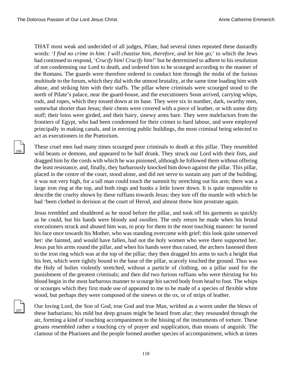THAT most weak and undecided of all judges, Pilate, had several times repeated these dastardly words: '*I find no crime in him: I will chastise him, therefore, and let him go*;' to which the Jews had continued to respond, '*Crucify him! Crucify him!*' but he determined to adhere to his resolution of not condemning our Lord to death, and ordered him to be scourged according to the manner of the Romans. The guards were therefore ordered to conduct him through the midst of the furious multitude to the forum, which they did with the utmost brutality, at the same time loading him with abuse, and striking him with their staffs. The pillar where criminals were scourged stood to the north of Pilate's palace, near the guard-house, and the executioners Soon arrived, carrying whips, rods, and ropes, which they tossed down at its base. They were six in number, dark, swarthy men, somewhat shorter than Jesus; their chests were covered with a piece of leather, or with some dirty stuff; their loins were girded, and their hairy, sinewy arms bare. They were malefactors from the frontiers of Egypt, who had been condemned for their crimes to hard labour, and were employed principally in making canals, and in erecting public buildings, the most criminal being selected to act as executioners in the Prætorium.

These cruel men had many times scourged poor criminals to death at this pillar. They resembled wild beasts or demons, and appeared to be half drunk. They struck our Lord with their fists, and dragged him by the cords with which he was pinioned, although he followed them without offering the least resistance, and, finally, they barbarously knocked him down against the pillar. This pillar, placed in the centre of the court, stood alone, and did not serve to sustain any part of the building; it was not very high, for a tall man could touch the summit by stretching out his arm; there was a large iron ring at the top, and both rings and hooks a little lower down. It is quite impossible to describe the cruelty shown by these ruffians towards Jesus: they tore off the mantle with which he had 'been clothed in derision at the court of Herod, and almost threw him prostrate again.

Jesus trembled and shuddered as he stood before the pillar, and took off his garments as quickly as he could, but his hands were bloody and swollen. The only return he made when his brutal executioners struck and abused him was, to pray for them in the most touching manner: he turned his face once towards his Mother, who was standing overcome with grief; this look quite unnerved her: she fainted, and would have fallen, had not the holy women who were there supported her. Jesus put his arms round the pillar, and when his hands were thus raised, the archers fastened them to the iron ring which was at the top of the pillar; they then dragged his arms to such a height that his feet, which were tightly bound to the base of the pillar, scarcely touched the ground. Thus was the Holy of holies violently stretched, without a particle of clothing, on a pillar used for the punishment of the greatest criminals; and then did two furious ruffians who were thirsting for his blood begin in the most barbarous manner to scourge his sacred body from head to foot. The whips or scourges which they first made use of appeared to me to be made of a species of flexible white wood, but perhaps they were composed of the sinews ot the ox, or of strips of leather.

207

206

Our loving Lord, the Son of God, true God and true Man, writhed as a worm under the blows of these barbarians; his mild but deep groans might be heard from afar; they resounded through the air, forming a kind of touching accompaniment to the hissing of the instruments of torture. These groans resembled rather a touching cry of prayer and supplication, than moans of anguish. The clamour of the Pharisees and the people formed another species of accompaniment, which at times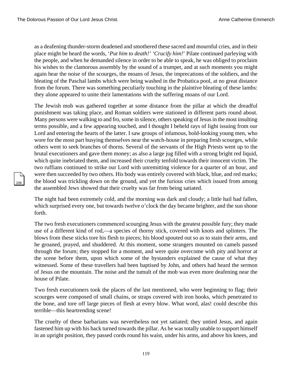as a deafening thunder-storm deadened and smothered these sacred and mournful cries, and in their place might be heard the words, '*Put him to death!' 'Crucify him!*' Pilate continued parleying with the people, and when he demanded silence in order to be able to speak, he was obliged to proclaim his wishes to the clamorous assembly by the sound of a trumpet, and at such moments you might again hear the noise of the scourges, the moans of Jesus, the imprecations of the soldiers, and the bleating of the Paschal lambs which were being washed in the Probatica pool, at no great distance from the forum. There was something peculiarly touching in the plaintive bleating of these lambs: they alone appeared to unite their lamentations with the suffering moans of our Lord.

The Jewish mob was gathered together at some distance from the pillar at which the dreadful punishment was taking place, and Roman soldiers were stationed in different parts round about. Many persons were walking to and fro, some in silence, others speaking of Jesus in the most insulting terms possible, and a few appearing touched, and I thought I beheld rays of light issuing from our Lord and entering the hearts of the latter. I saw groups of infamous, bold-looking young men, who wore for the most part busying themselves near the watch-house in preparing fresh scourges, while others went to seek branches of thorns. Several of the servants of the High Priests went up to the brutal executioners and gave them money; as also a large jug filled with a strong bright red liquid, which quite inebriated them, and increased their cruelty tenfold towards their innocent victim. The two ruffians continued to strike our Lord with unremitting violence for a quarter of an hour, and were then succeeded by two others. His body was entirely covered with black, blue, and red marks; the blood was trickling down on the ground, and yet the furious cries which issued from among the assembled Jews showed that their cruelty was far from being satiated.

The night had been extremely cold, and the morning was dark and cloudy; a little hail had fallen, which surprised every one, but towards twelve o'clock the day became brighter, and the sun shone forth.

The two fresh executioners commenced scourging Jesus with the greatest possible fury; they made use of a different kind of rod,—a species of thorny stick, covered with knots and splinters. The blows from these sticks tore his flesh to pieces; his blood spouted out so as to stain their arms, and he groaned, prayed, and shuddered. At this moment, some strangers mounted on camels passed through the forum; they stopped for a moment, and were quite overcome with pity and horror at the scene before them, upon which some of the bystanders explained the cause of what they witnessed. Some of these travellers had been baptised by John, and others had heard the sermon of Jesus on the mountain. The noise and the tumult of the mob was even more deafening near the house of Pilate.

Two fresh executioners took the places of the last mentioned, who were beginning to flag; their scourges were composed of small chains, or straps covered with iron hooks, which penetrated to the bone, and tore off large pieces of flesh at every blow. What word, alas! could describe this terrible—this heartrending scene!

The cruelty of these barbarians was nevertheless not yet satiated; they untied Jesus, and again fastened him up with his back turned towards the pillar. As he was totally unable to support himself in an upright position, they passed cords round his waist, under his arms, and above his knees, and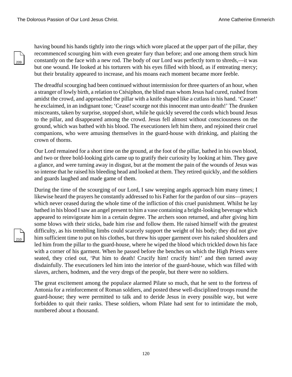having bound his hands tightly into the rings which wore placed at the upper part of the pillar, they recommenced scourging him with even greater fury than before; and one among them struck him constantly on the face with a new rod. The body of our Lord was perfectly torn to shreds,—it was but one wound. He looked at his torturers with his eyes filled with blood, as if entreating mercy; but their brutality appeared to increase, and his moans each moment became more feeble.

The dreadful scourging had been continued without intermission for three quarters of an hour, when a stranger of lowly birth, a relation to Ctésiphon, the blind man whom Jesus had cured, rushed from amidst the crowd, and approached the pillar with a knife shaped like a cutlass in his hand. 'Cease!' he exclaimed, in an indignant tone; 'Cease! scourge not this innocent man unto death!' The drunken miscreants, taken by surprise, stopped short, while he quickly severed the cords which bound Jesus to the pillar, and disappeared among the crowd. Jesus fell almost without consciousness on the ground, which was bathed with his blood. The executioners left him there, and rejoined their cruel companions, who were amusing themselves in the guard-house with drinking, and plaiting the crown of thorns.

Our Lord remained for a short time on the ground, at the foot of the pillar, bathed in his own blood, and two or three bold-looking girls came up to gratify their curiosity by looking at him. They gave a glance, and were turning away in disgust, but at the moment the pain of the wounds of Jesus was so intense that he raised his bleeding head and looked at them. They retired quickly, and the soldiers and guards laughed and made game of them.

During the time of the scourging of our Lord, I saw weeping angels approach him many times; I likewise heard the prayers he constantly addressed to his Father for the pardon of our sins—prayers which never ceased during the whole time of the infliction of this cruel punishment. Whilst he lay bathed in his blood I saw an angel present to him a vase containing a bright-looking beverage which appeared to reinvigorate him in a certain degree. The archers soon returned, and after giving him some blows with their sticks, bade him rise and follow them. He raised himself with the greatest difficulty, as his trembling limbs could scarcely support the weight of his body; they did not give him sufficient time to put on his clothes, but threw his upper garment over his naked shoulders and led him from the pillar to the guard-house, where he wiped the blood which trickled down his face with a corner of his garment. When he passed before the benches on which the High Priests were seated, they cried out, 'Put him to death! Crucify him! crucify him!' and then turned away disdainfully. The executioners led him into the interior of the guard-house, which was filled with slaves, archers, hodmen, and the very dregs of the people, but there were no soldiers.

The great excitement among the populace alarmed Pilate so much, that he sent to the fortress of Antonia for a reinforcement of Roman soldiers, and posted these well-disciplined troops round the guard-house; they were permitted to talk and to deride Jesus in every possible way, but were forbidden to quit their ranks. These soldiers, whom Pilate had sent for to intimidate the mob, numbered about a thousand.

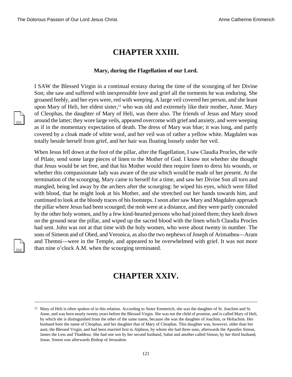212

### **CHAPTER XXIII.**

### **Mary, during the Flagellation of our Lord.**

I SAW the Blessed Virgin in a continual ecstasy during the time of the scourging of her Divine Son; she saw and suffered with inexpressible love and grief all the torments he was enduring. She groaned feebly, and her eyes were, red with weeping. A large veil covered her person, and she leant upon Mary of Heli, her eldest sister,<sup>12</sup> who was old and extremely like their mother, Anne. Mary of Cleophas, the daughter of Mary of Heli, was there also. The friends of Jesus and Mary stood around the latter; they wore large veils, appeared overcome with grief and anxiety, and were weeping as if in the momentary expectation of death. The dress of Mary was blue; it was long, and partly covered by a cloak made of white wool, and her veil was of rather a yellow white. Magdalen was totally beside herself from grief, and her hair was floating loosely under her veil.

When Jesus fell down at the foot of the pillar, after the flagellation, I saw Claudia Procles, the wife of Pilate, send some large pieces of linen to the Mother of God. I know not whether she thought that Jesus would be set free, and that his Mother would then require linen to dress his wounds, or whether this compassionate lady was aware of the use which would be made of her present. At the termination of the scourging, Mary came to herself for a time, and saw her Divine Son all torn and mangled, being led away by the archers after the scourging: he wiped his eyes, which were filled with blood, that he might look at his Mother, and she stretched out her hands towards him, and continued to look at the bloody traces of his footsteps. I soon after saw Mary and Magdalen approach the pillar where Jesus had been scourged; the mob were at a distance, and they were partly concealed by the other holy women, and by a few kind-hearted persons who had joined them; they knelt down on the ground near the pillar, and wiped up the sacred blood with the linen which Claudia Procles had sent. John was not at that time with the holy women, who were about twenty in number. The sons of Simeon and of Obed, and Veronica, as also the two nephews of Joseph of Arimathea—Aram and Themni—were in the Temple, and appeared to be overwhelmed with grief. It was not more than nine o'clock A.M. when the scourging terminated.

## **CHAPTER XXIV.**

<sup>12</sup> Mary of Heli is often spoken of in this relation. According to Sister Emmerich, she was the daughter of St. Joachim and St. Anne, and was born nearly twenty years before the Blessed Virgin. She was not the child of promise, and is called Mary of Heli, by which she is distinguished from the other of the same name, because she was the daughter of Joachim, or Heliachim. Her husband bore the name of Cleophas, and her daughter that of Mary of Cleophas. This daughter was, however, older than her aunt, the Blessed Virgin, and had been married first to Alpheus, by whom she had three sons, afterwards the Apostles Simon, James the Less and Thaddeus. She had one son by her second husband, Sabat and another called Simon, by her third husband, Jonas. Simon was afterwards Bishop of Jerusalem.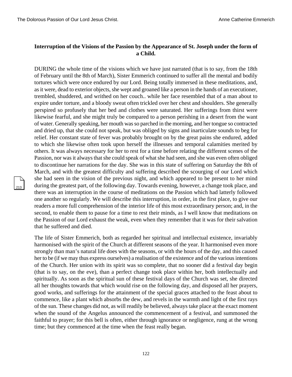### **Interruption of the Visions of the Passion by the Appearance of St. Joseph under the form of a Child.**

DURING the whole time of the visions which we have just narrated (that is to say, from the 18th of February until the 8th of March), Sister Emmerich continued to suffer all the mental and bodily tortures which were once endured by our Lord. Being totally immersed in these meditations, and, as it were, dead to exterior objects, she wept and groaned like a person in the hands of an executioner, trembled, shuddered, and writhed on her couch.. while her face resembled that of a man about to expire under torture, and a bloody sweat often trickled over her chest and shoulders. She generally perspired so profusely that her bed and clothes were saturated. Her sufferings from thirst were likewise fearful, and she might truly be compared to a person perishing in a desert from the want of water. Generally speaking, her mouth was so parched in the morning, and her tongue so contracted and dried up, that she could not speak, but was obliged by signs and inarticulate sounds to beg for relief. Her constant state of fever was probably brought on by the great pains she endured, added to which she likewise often took upon herself the illnesses and temporal calamities merited by others. It was always necessary for her to rest for a time before relating the different scenes of the Passion, nor was it always that she could speak of what she had seen, and she was even often obliged to discontinue her narrations for the day. She was in this state of suffering on Saturday the 8th of March, and with the greatest difficulty and suffering described the scourging of our Lord which she had seen in the vision of the previous night, and which appeared to be present to her mind during the greatest part, of the following day. Towards evening, however, a change took place, and there was an interruption in the course of meditations on the Passion which had latterly followed one another so regularly. We will describe this interruption, in order, in the first place, to give our readers a more full comprehension of the interior life of this most extraordinary person; and, in the second, to enable them to pause for a time to rest their minds, as I well know that meditations on the Passion of our Lord exhaust the weak, even when they remember that it was for their salvation that he suffered and died.

The life of Sister Emmerich, both as regarded her spiritual and intellectual existence, invariably harmonised with the spirit of the Church at different seasons of the year. It harmonised even more strongly than man's natural life does with the seasons, or with the hours of the day, and this caused her to be (if we may thus express ourselves) a realisation of the existence and of the various intentions of the Church. Her union with its spirit was so complete, that no sooner did a festival day begin (that is to say, on the eve), than a perfect change took place within her, both intellectually and spiritually. As soon as the spiritual sun of these festival days of the Church was set, she directed all her thoughts towards that which would rise on the following day, and disposed all her prayers, good works, and sufferings for the attainment of the special graces attached to the feast about to commence, like a plant which absorbs the dew, and revels in the warmth and light of the first rays of the sun. These changes did not, as will readily be believed, always take place at the exact moment when the sound of the Angelus announced the commencement of a festival, and summoned the faithful to prayer; for this bell is often, either through ignorance or negligence, rung at the wrong time; but they commenced at the time when the feast really began.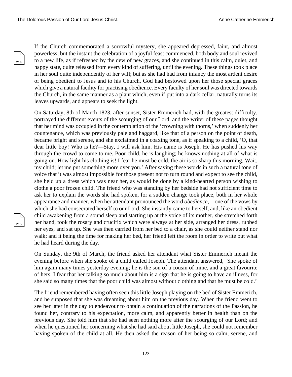If the Church commemorated a sorrowful mystery, she appeared depressed, faint, and almost powerless; but the instant the celebration of a joyful feast commenced, both body and soul revived to a new life, as if refreshed by the dew of new graces, and she continued in this calm, quiet, and happy state, quite released from every kind of suffering, until the evening. These things took place in her soul quite independently of her will; but as she had had from infancy the most ardent desire of being obedient to Jesus and to his Church, God had bestowed upon her those special graces which give a natural facility for practising obedience. Every faculty of her soul was directed towards the Church, in the same manner as a plant which, even if put into a dark cellar, naturally turns its leaves upwards, and appears to seek the light.

On Saturday, 8th of March 1823, after sunset, Sister Emmerich had, with the greatest difficulty, portrayed the different events of the scourging of our Lord, and the writer of these pages thought that her mind was occupied in the contemplation of the 'crowning with thorns,' when suddenly her countenance, which was previously pale and haggard, like that of a person on the point of death, became bright and serene, and she exclaimed in a coaxing tone, as if speaking to a child, 'O, that dear little boy! Who is he?—Stay, I will ask him. His name is Joseph. He has pushed his way through the crowd to come to me. Poor child, he is laughing; he knows nothing at all of what is going on. How light his clothing is! I fear he must be cold, the air is so sharp this morning. Wait, my child; let me put something more over you.' After saying these words in such a natural tone of voice that it was almost impossible for those present not to turn round and expect to see the child, she held up a dress which was near her, as would be done by a kind-hearted person wishing to clothe a poor frozen child. The friend who was standing by her bedside had not sufficient time to ask her to explain the words she had spoken, for a sudden change took place, both in her whole appearance and manner, when her attendant pronounced the word *obedience*,—one of the vows by which she had consecrated herself to our Lord. She instantly came to herself, and, like an obedient child awakening from a sound sleep and starting up at the voice of its mother, she stretched forth her hand, took the rosary and crucifix which were always at her side, arranged her dress, rubbed her eyes, and sat up. She was then carried from her bed to a chair, as she could neither stand nor walk; and it being the time for making her bed, her friend left the room in order to write out what he had heard during the day.

On Sunday, the 9th of March, the friend asked her attendant what Sister Emmerich meant the evening before when she spoke of a child called Joseph. The attendant answered, 'She spoke of him again many times yesterday evening; he is the son of a cousin of mine, and a great favourite of hers. I fear that her talking so much about him is a sign that he is going to have an illness, for she said so many times that the poor child was almost without clothing and that he must be cold.'

The friend remembered having often seen this little Joseph playing on the bed of Sister Emmerich, and he supposed that she was dreaming about him on the previous day. When the friend went to see her later in the day to endeavour to obtain a continuation of the narrations of the Passion, he found her, contrary to his expectation, more calm, and apparently better in health than on the previous day. She told him that she had seen nothing more after the scourging of our Lord; and when he questioned her concerning what she had said about little Joseph, she could not remember having spoken of the child at all. He then asked the reason of her being so calm, serene, and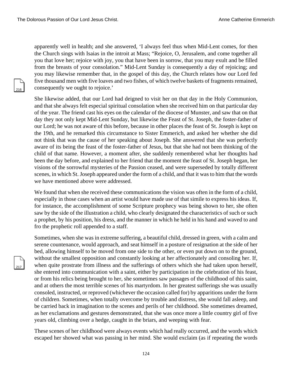217

apparently well in health; and she answered, 'I always feel thus when Mid-Lent comes, for then the Church sings with Isaias in the introit at Mass; "Rejoice, O, Jerusalem, and come together all you that love her; rejoice with joy, you that have been in sorrow, that you may exult and be filled from the breasts of your consolation." Mid-Lent Sunday is consequently a day of rejoicing; and you may likewise remember that, in the gospel of this day, the Church relates how our Lord fed five thousand men with five loaves and two fishes, of which twelve baskets of fragments remained, consequently we ought to rejoice.'

She likewise added, that our Lord had deigned to visit her on that day in the Holy Communion, and that she always felt especial spiritual consolation when she received him on that particular day of the year. The friend cast his eyes on the calendar of the diocese of Munster, and saw that on that day they not only kept Mid-Lent Sunday, but likewise the Feast of St. Joseph, the foster-father of our Lord; he was not aware of this before, because in other places the feast of St. Joseph is kept on the 19th, and he remarked this circumstance to Sister Emmerich, and asked her whether she did not think that was the cause of her speaking about Joseph. She answered that she was perfectly aware of its being the feast of the foster-father of Jesus, but that she had not been thinking of the child of that name. However, a moment after, she suddenly remembered what her thoughts had been the day before, and explained to her friend that the moment the feast of St. Joseph began, her visions of the sorrowful mysteries of the Passion ceased, and were superseded by totally different scenes, in which St. Joseph appeared under the form of a child, and that it was to him that the words we have mentioned above were addressed.

We found that when she received these communications the vision was often in the form of a child, especially in those cases when an artist would have made use of that simile to express his ideas. If, for instance, the accomplishment of some Scripture prophecy was being shown to her, she often saw by the side of the illustration a child, who clearly designated the characteristics of such or such a prophet, by his position, his dress, and the manner in which he held in his hand and waved to and fro the prophetic roll appended to a staff.

Sometimes, when she was in extreme suffering, a beautiful child, dressed in green, with a calm and serene countenance, would approach, and seat himself in a posture of resignation at the side of her bed, allowing himself to be moved from one side to the other, or even put down on to the ground, without the smallest opposition and constantly looking at her affectionately and consoling her. If, when quite prostrate from illness and the sufferings of others which she had taken upon herself, she entered into communication with a saint, either by participation in the celebration of his feast, or from his relics being brought to her, she sometimes saw passages of the childhood of this saint, and at others the most terrible scenes of his martyrdom. In her greatest sufferings she was usually consoled, instructed, or reproved (whichever the occasion called for) by apparitions under the form of children. Sometimes, when totally overcome by trouble and distress, she would fall asleep, and be carried back in imagination to the scenes and perils of her childhood. She sometimes dreamed, as her exclamations and gestures demonstrated, that she was once more a little country girl of five years old, climbing over a hedge, caught in the briars, and weeping with fear.

These scenes of her childhood were always events which had really occurred, and the words which escaped her showed what was passing in her mind. She would exclaim (as if repeating the words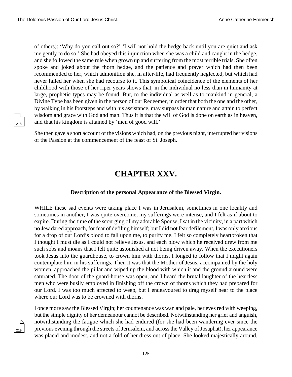of others): 'Why do you call out so?' 'I will not hold the hedge back until you are quiet and ask me gently to do so.' She had obeyed this injunction when she was a child and caught in the hedge, and she followed the same rule when grown up and suffering from the most terrible trials. She often spoke and joked about the thorn hedge, and the patience and prayer which had then been recommended to her, which admonition she, in after-life, had frequently neglected, but which had never failed her when she had recourse to it. This symbolical coincidence of the elements of her childhood with those of her riper years shows that, in the individual no less than in humanity at large, prophetic types may be found. But, to the individual as well as to mankind in general, a Divine Type has been given in the person of our Redeemer, in order that both the one and the other, by walking in his footsteps and with his assistance, may surpass human nature and attain to perfect wisdom and grace with God and man. Thus it is that the will of God is done on earth as in heaven, and that his kingdom is attained by 'men of good will.'

She then gave a short account of the visions which had, on the previous night, interrupted her visions of the Passion at the commencement of the feast of St. Joseph.

### **CHAPTER XXV.**

### **Description of the personal Appearance of the Blessed Virgin.**

WHILE these sad events were taking place I was in Jerusalem, sometimes in one locality and sometimes in another; I was quite overcome, my sufferings were intense, and I felt as if about to expire. During the time of the scourging of my adorable Spouse, I sat in the vicinity, in a part which no Jew dared approach, for fear of defiling himself; but I did not fear defilement, I was only anxious for a drop of our Lord's blood to fall upon me, to purify me. I felt so completely heartbroken that I thought I must die as I could not relieve Jesus, and each blow which he received drew from me such sobs and moans that I felt quite astonished at not being driven away. When the executioners took Jesus into the guardhouse, to crown him with thorns, I longed to follow that I might again contemplate him in his sufferings. Then it was that the Mother of Jesus, accompanied by the holy women, approached the pillar and wiped up the blood with which it and the ground around were saturated. The door of the guard-house was open, and I heard the brutal laughter of the heartless men who were busily employed in finishing off the crown of thorns which they had prepared for our Lord. I was too much affected to weep, but I endeavoured to drag myself near to the place where our Lord was to be crowned with thorns.



I once more saw the Blessed Virgin; her countenance was wan and pale, her eves red with weeping, but the simple dignity of her demeanour cannot be described. Notwithstanding her grief and anguish, notwithstanding the fatigue which she had endured (for she had been wandering ever since the previous evening through the streets of Jerusalem, and across the Valley of Josaphat), her appearance was placid and modest, and not a fold of her dress out of place. She looked majestically around,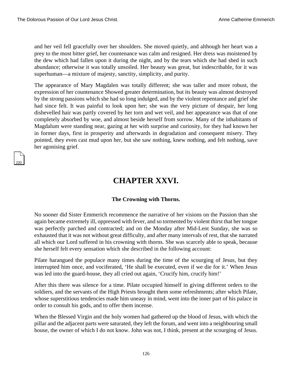and her veil fell gracefully over her shoulders. She moved quietly, and although her heart was a prey to the most bitter grief, her countenance was calm and resigned. Her dress was moistened by the dew which had fallen upon it during the night, and by the tears which she had shed in such abundance; otherwise it was totally unsoiled. Her beauty was great, but indescribable, for it was superhuman—a mixture of majesty, sanctity, simplicity, and purity.

The appearance of Mary Magdalen was totally different; she was taller and more robust, the expression of her countenance Showed greater determination, but its beauty was almost destroyed by the strong passions which she had so long indulged, and by the violent repentance and grief she had since felt. It was painful to look upon her; she was the very picture of despair, her long dishevelled hair was partly covered by her torn and wet veil, and her appearance was that of one completely absorbed by woe, and almost beside herself from sorrow. Many of the inhabitants of Magdalum were standing near, gazing at her with surprise and curiosity, for they had known her in former days, first in prosperity and afterwards in degradation and consequent misery. They pointed, they even cast mud upon her, but she saw nothing, knew nothing, and felt nothing, save her agonising grief.

# **CHAPTER XXVI.**

### **The Crowning with Thorns.**

No sooner did Sister Emmerich recommence the narrative of her visions on the Passion than she again became extremely ill, oppressed with fever, and so tormented by violent thirst that her tongue was perfectly parched and contracted; and on the Monday after Mid-Lent Sunday, she was so exhausted that it was not without great difficulty, and after many intervals of rest, that she narrated all which our Lord suffered in his crowning with thorns. She was scarcely able to speak, because she herself felt every sensation which she described in the following account:

Pilate harangued the populace many times during the time of the scourging of Jesus, but they interrupted him once, and vociferated, 'He shall be executed, even if we die for it.' When Jesus was led into the guard-house, they all cried out again, 'Crucify him, crucify him!'

After this there was silence for a time. Pilate occupied himself in giving different orders to the soldiers, and the servants of the High Priests brought them some refreshments; after which Pilate, whose superstitious tendencies made him uneasy in mind, went into the inner part of his palace in order to consult his gods, and to offer them incense.

When the Blessed Virgin and the holy women had gathered up the blood of Jesus, with which the pillar and the adjacent parts were saturated, they left the forum, and went into a neighbouring small house, the owner of which I do not know. John was not, I think, present at the scourging of Jesus.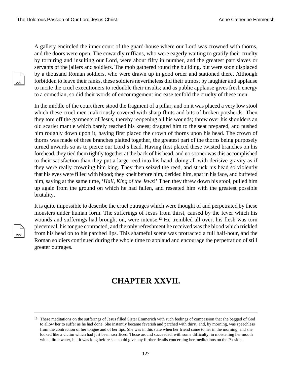222

A gallery encircled the inner court of the guard-house where our Lord was crowned with thorns, and the doors were open. The cowardly ruffians, who were eagerly waiting to gratify their cruelty by torturing and insulting our Lord, were about fifty in number, and the greatest part slaves or servants of the jailers and soldiers. The mob gathered round the building, but were soon displaced by a thousand Roman soldiers, who were drawn up in good order and stationed there. Although forbidden to leave their ranks, these soldiers nevertheless did their utmost by laughter and applause to incite the cruel executioners to redouble their insults; and as public applause gives fresh energy to a comedian, so did their words of encouragement increase tenfold the cruelty of these men.

In the middle of the court there stood the fragment of a pillar, and on it was placed a very low stool which these cruel men maliciously covered with sharp flints and bits of broken potsherds. Then they tore off the garments of Jesus, thereby reopening all his wounds; threw over his shoulders an old scarlet mantle which barely reached his knees; dragged him to the seat prepared, and pushed him roughly down upon it, having first placed the crown of thorns upon his head. The crown of thorns was made of three branches plaited together, the greatest part of the thorns being purposely turned inwards so as to pierce our Lord's head. Having first placed these twisted branches on his forehead, they tied them tightly together at the back of his head, and no sooner was this accomplished to their satisfaction than they put a large reed into his hand, doing all with derisive gravity as if they were really crowning him king. They then seized the reed, and struck his head so violently that his eyes were filled with blood; they knelt before him, derided him, spat in his face, and buffeted him, saying at the same time, '*Hail, King of the Jews*!' Then they threw down his stool, pulled him up again from the ground on which he had fallen, and reseated him with the greatest possible brutality.

It is quite impossible to describe the cruel outrages which were thought of and perpetrated by these monsters under human form. The sufferings of Jesus from thirst, caused by the fever which his wounds and sufferings had brought on, were intense.<sup>13</sup> He trembled all over, his flesh was torn piecemeal, his tongue contracted, and the only refreshment he received was the blood which trickled from his head on to his parched lips. This shameful scene was protracted a full half-hour, and the Roman soldiers continued during the whole time to applaud and encourage the perpetration of still greater outrages.

# **CHAPTER XXVII.**

<sup>&</sup>lt;sup>13</sup> These meditations on the sufferings of Jesus filled Sister Emmerich with such feelings of compassion that she begged of God to allow her to suffer as he had done. She instantly became feverish and parched with thirst, and, by morning, was speechless from the contraction of her tongue and of her lips. She was in this state when her friend came to her in the morning, and she looked like a victim which had just been sacrificed. Those around succeeded, with some difficulty, in moistening her mouth with a little water, but it was long before she could give any further details concerning her meditations on the Passion.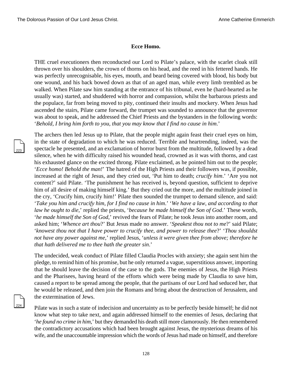224

### **Ecce Homo.**

THE cruel executioners then reconducted our Lord to Pilate's palace, with the scarlet cloak still thrown over his shoulders, the crown of thorns on his head, and the reed in his fettered hands. He was perfectly unrecognisable, his eyes, mouth, and beard being covered with blood, his body but one wound, and his back bowed down as that of an aged man, while every limb trembled as be walked. When Pilate saw him standing at the entrance of his tribunal, even he (hard-hearted as he usually was) started, and shuddered with horror and compassion, whilst the barbarous priests and the populace, far from being moved to pity, continued their insults and mockery. When Jesus had ascended the stairs, Pilate came forward, the trumpet was sounded to announce that the governor was about to speak, and he addressed the Chief Priests and the bystanders in the following words: '*Behold, I bring him forth to you, that you may know that I find no cause in him*.'

The archers then led Jesus up to Pilate, that the people might again feast their cruel eyes on him, in the state of degradation to which he was reduced. Terrible and heartrending, indeed, was the spectacle he presented, and an exclamation of horror burst from the multitude, followed by a dead silence, when he with difficulty raised his wounded head, crowned as it was with thorns, and cast his exhausted glance on the excited throng. Pilate exclaimed, as he pointed him out to the people; '*Ecce homo! Behold the man!*' The hatred of the High Priests and their followers was, if possible, increased at the right of Jesus, and they cried out, 'Put him to death; *crucify him*.' 'Are you not content?' said Pilate. 'The punishment he has received is, beyond question, sufficient to deprive him of all desire of making himself king.' But they cried out the more, and the multitude joined in the cry, 'Crucify him, crucify him!' Pilate then sounded the trumpet to demand silence, and said: '*Take you him and crucify him, for I find no cause in him*.' '*We have a law, and according to that law he ought to die*,' replied the priests, '*because he made himself the Son of God*.' These words, '*he made himself the Son of God*,' revived the fears of Pilate; he took Jesus into another room, and asked him; '*Whence art thou*?' But Jesus made no answer. '*Speakest thou not to me*?' said Pilate; '*knowest thou not that I have power to crucify thee, and power to release thee*?' '*Thou shouldst not have any power against me*,' replied Jesus, '*unless it were given thee from above; therefore he that hath delivered me to thee hath the greater sin*.'

The undecided, weak conduct of Pilate filled Claudia Procles with anxiety; she again sent him the pledge, to remind him of his promise, but he only returned a vague, superstitious answer, importing that he should leave the decision of the case to the gods. The enemies of Jesus, the High Priests and the Pharisees, having heard of the efforts which were being made by Claudia to save him, caused a report to be spread among the people, that the partisans of our Lord had seduced her, that he would be released, and then join the Romans and bring about the destruction of Jerusalem, and the extermination of Jews.

Pilate was in such a state of indecision and uncertainty as to be perfectly beside himself; he did not know what step to take next, and again addressed himself to the enemies of Jesus, declaring that '*he found no crime in him*,' but they demanded his death still more clamorously. He then remembered the contradictory accusations which had been brought against Jesus, the mysterious dreams of his wife, and the unaccountable impression which the words of Jesus had made on himself, and therefore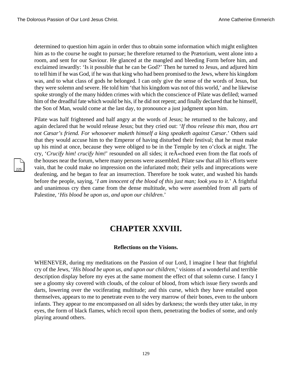determined to question him again in order thus to obtain some information which might enlighten him as to the course he ought to pursue; he therefore returned to the Prætorium, went alone into a room, and sent for our Saviour. He glanced at the mangled and bleeding Form before him, and exclaimed inwardly: 'Is it possible that he can be God?' Then he turned to Jesus, and adjured him to tell him if he was God, if he was that king who had been promised to the Jews, where his kingdom was, and to what class of gods he belonged. I can only give the sense of the words of Jesus, but they were solemn and severe. He told him 'that his kingdom was not of this world,' and he likewise spoke strongly of the many hidden crimes with which the conscience of Pilate was defiled; warned him of the dreadful fate which would be his, if he did not repent; and finally declared that he himself, the Son of Man, would come at the last day, to pronounce a just judgment upon him.

Pilate was half frightened and half angry at the words of Jesus; he returned to the balcony, and again declared that he would release Jesus; but they cried out: '*If thou release this man, thou art not Cæsar's friend. For whosoever maketh himself a king speaketh against Cæsar*.' Others said that they would accuse him to the Emperor of having disturbed their festival; that he must make up his mind at once, because they were obliged to be in the Temple by ten o'clock at night. The cry, '*Crucify him! crucify him!*' resounded on all sides; it re $\ddot{A}$  «choed even from the flat roofs of the houses near the forum, where many persons were assembled. Pilate saw that all his efforts were vain, that he could make no impression on the infuriated mob; their yells and imprecations were deafening, and he began to fear an insurrection. Therefore he took water, and washed his hands before the people, saying, '*I am innocent of the blood of this just man; look you to it*.' A frightful and unanimous cry then came from the dense multitude, who were assembled from all parts of Palestine, '*His blood be upon us, and upon our children*.'

# **CHAPTER XXVIII.**

### **Reflections on the Visions.**

WHENEVER, during my meditations on the Passion of our Lord, I imagine I hear that frightful cry of the Jews, '*His blood be upon us, and upon our children*,' visions of a wonderful and terrible description display before my eyes at the same moment the effect of that solemn curse. I fancy I see a gloomy sky covered with clouds, of the colour of blood, from which issue fiery swords and darts, lowering over the vociferating multitude; and this curse, which they have entailed upon themselves, appears to me to penetrate even to the very marrow of their bones, even to the unborn infants. They appear to me encompassed on all sides by darkness; the words they utter take, in my eyes, the form of black flames, which recoil upon them, penetrating the bodies of some, and only playing around others.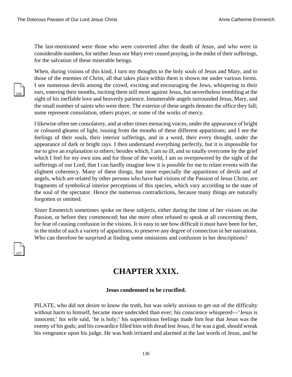The last-mentioned were those who were converted after the death of Jesus, and who were in considerable numbers, for neither Jesus nor Mary ever ceased praying, in the midst of their sufferings, for the salvation of these miserable beings.

When, during visions of this kind, I turn my thoughts to the holy souls of Jesus and Mary, and to those of the enemies of Christ, all that takes place within them is shown me under various forms. I see numerous devils among the crowd, exciting and encouraging the Jews, whispering in their ears, entering their months, inciting them still more against Jesus, but nevertheless trembling at the sight of his ineffable love and heavenly patience. Innumerable angels surrounded Jesus, Mary, and the small number of saints who were there. The exterior of these angels denotes the office they fall; some represent consolation, others prayer, or some of the works of mercy.

I likewise often see consolatory, and at other times menacing voices, under the appearance of bright or coloured gleams of light, issuing from the mouths of these different apparitions; and I see the feelings of their souls, their interior sufferings, and in a word, their every thought, under the appearance of dark or bright rays. I then understand everything perfectly, but it is impossible for me to give an explanation to others; besides which, I am so ill, and so totally overcome by the grief which I feel for my own sins and for those of the world, I am so overpowered by the sight of the sufferings of our Lord, that I can hardly imagine how it is possible for me to relate events with the slightest coherency. Many of these things, but more especially the apparitions of devils and of angels, which are related by other persons who have had visions of the Passion of Jesus Christ, are fragments of symbolical interior perceptions of this species, which vary according to the state of the soul of the spectator. Hence the numerous contradictions, because many things are naturally forgotten or omitted.

Sister Emmerich sometimes spoke on these subjects, either during the time of her visions on the Passion, or before they commenced; but she more often refused to speak at all concerning them, for fear of causing confusion in the visions. It is easy to see how difficult it must have been for her, in the midst of such a variety of apparitions, to preserve any degree of connection in her narrations. Who can therefore be surprised at finding some omissions and confusion in her descriptions?

### **CHAPTER XXIX.**

### **Jesus condemned to be crucified.**

PILATE, who did not desire to know the truth, but was solely anxious to get out of the difficulty without harm to himself, became more undecided than ever; his conscience whispered—'Jesus is innocent;' his wife said, 'he is holy;' his superstitious feelings made him fear that Jesus was the enemy of his gods; and his cowardice filled him with dread lest Jesus, if he was a god, should wreak his vengeance upon his judge. He was both irritated and alarmed at the last words of Jesus, and he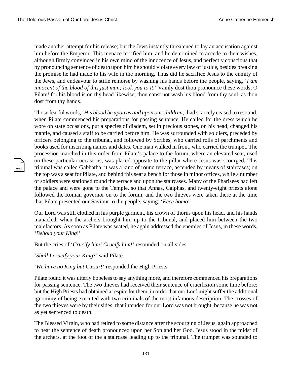made another attempt for his release; but the Jews instantly threatened to lay an accusation against him before the Emperor. This menace terrified him, and he determined to accede to their wishes, although firmly convinced in his own mind of the innocence of Jesus, and perfectly conscious that by pronouncing sentence of death upon him he should violate every law of justice, besides breaking the promise he had made to his wife in the morning. Thus did he sacrifice Jesus to the enmity of the Jews, and endeavour to stifle remorse by washing his hands before the people, saying, '*I am innocent of the blood of this just man; look you to it.'* Vainly dost thou pronounce these words, O Pilate! for his blood is on thy head likewise; thou canst not wash his blood from thy soul, as thou dost from thy hands.

Those fearful words, '*His blood be upon us and upon our children*,' had scarcely ceased to resound, when Pilate commenced his preparations for passing sentence. He called for the dress which he wore on state occasions, put a species of diadem, set in precious stones, on his head, changed his mantle, and caused a staff to be carried before him. He was surrounded with soldiers, preceded by officers belonging to the tribunal, and followed by Scribes, who carried rolls of parchments and books used for inscribing names and dates. One man walked in front, who carried the trumpet. The procession marched in this order from Pilate's palace to the forum, where an elevated seat, used on these particular occasions, was placed opposite to the pillar where Jesus was scourged. This tribunal was called Gabbatha; it was a kind of round terrace, ascended by means of staircases; on the top was a seat for Pilate, and behind this seat a bench for those in minor offices, while a number of soldiers were stationed round the terrace and upon the staircases. Many of the Pharisees had left the palace and were gone to the Temple, so that Annas, Caiphas, and twenty-eight priests alone followed the Roman governor on to the forum, and the two thieves were taken there at the time that Pilate presented our Saviour to the people, saying: '*Ecce homo*!'

Our Lord was still clothed in his purple garment, his crown of thorns upon his head, and his hands manacled, when the archers brought him up to the tribunal, and placed him between the two malefactors. As soon as Pilate was seated, he again addressed the enemies of Jesus, in these words, '*Behold your King*!'

But the cries of '*Crucify him! Crucify him!*' resounded on all sides.

'*Shall I crucify your King*?' said Pilate.

'*We have no King but Cæsar*!' responded the High Priests.

Pilate found it was utterly hopeless to say anything more, and therefore commenced his preparations for passing sentence. The two thieves had received their sentence of crucifixion some time before; but the High Priests had obtained a respite for them, in order that our Lord might suffer the additional ignominy of being executed with two criminals of the most infamous description. The crosses of the two thieves were by their sides; that intended for our Lord was not brought, because he was not as yet sentenced to death.

The Blessed Virgin, who had retired to some distance after the scourging of Jesus, again approached to hear the sentence of death pronounced upon her Son and her God. Jesus stood in the midst of the archers, at the foot of the a staircase leading up to the tribunal. The trumpet was sounded to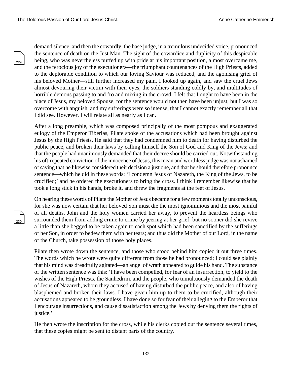demand silence, and then the cowardly, the base judge, in a tremulous undecided voice, pronounced the sentence of death on the Just Man. The sight of the cowardice and duplicity of this despicable being, who was nevertheless puffed up with pride at his important position, almost overcame me, and the ferocious joy of the executioners—the triumphant countenances of the High Priests, added to the deplorable condition to which our loving Saviour was reduced, and the agonising grief of his beloved Mother—still further increased my pain. I looked up again, and saw the cruel Jews almost devouring their victim with their eyes, the soldiers standing coldly by, and multitudes of horrible demons passing to and fro and mixing in the crowd. I felt that I ought to have been in the place of Jesus, my beloved Spouse, for the sentence would not then have been unjust; but I was so overcome with anguish, and my sufferings were so intense, that I cannot exactly remember all that I did see. However, I will relate all as nearly as I can.

After a long preamble, which was composed principally of the most pompous and exaggerated eulogy of the Emperor Tiberias, Pilate spoke of the accusations which had been brought against Jesus by the High Priests. He said that they had condemned him to death for having disturbed the public peace, and broken their laws by calling himself the Son of God and King of the Jews; and that the people had unanimously demanded that their decree should be carried out. Notwithstanding his oft-repeated conviction of the innocence of Jesus, this mean and worthless judge was not ashamed of saying that he likewise considered their decision a just one, and that he should therefore pronounce sentence—which he did in these words: 'I condemn Jesus of Nazareth, the King of the Jews, to be crucified;' and he ordered the executioners to bring the cross. I think I remember likewise that he took a long stick in his hands, broke it, and threw the fragments at the feet of Jesus.

On hearing these words of Pilate the Mother of Jesus became for a few moments totally unconscious, for she was now certain that her beloved Son must die the most ignominious and the most painful of all deaths. John and the holy women carried her away, to prevent the heartless beings who surrounded them from adding crime to crime by jeering at her grief; but no sooner did she revive a little than she begged to be taken again to each spot which had been sanctified by the sufferings of her Son, in order to bedew them with her tears; and thus did the Mother of our Lord, in the name of the Church, take possession of those holy places.

Pilate then wrote down the sentence, and those who stood behind him copied it out three times. The words which he wrote were quite different from those he had pronounced; I could see plainly that his mind was dreadfully agitated—an angel of wrath appeared to guide his hand. The substance of the written sentence was this: 'I have been compelled, for fear of an insurrection, to yield to the wishes of the High Priests, the Sanhedrim, and the people, who tumultuously demanded the death of Jesus of Nazareth, whom they accused of having disturbed the public peace, and also of having blasphemed and broken their laws. I have given him up to them to be crucified, although their accusations appeared to be groundless. I have done so for fear of their alleging to the Emperor that I encourage insurrections, and cause dissatisfaction among the Jews by denying them the rights of justice.'

He then wrote the inscription for the cross, while his clerks copied out the sentence several times, that these copies might be sent to distant parts of the country.

230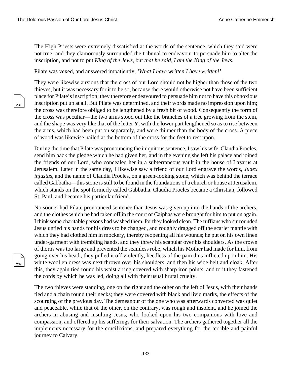232

The High Priests were extremely dissatisfied at the words of the sentence, which they said were not true; and they clamorously surrounded the tribunal to endeavour to persuade him to alter the inscription, and not to put *King of the Jews*, but *that he said, I am the King of the Jews*.

Pilate was vexed, and answered impatiently, '*What I have written I have written*!'

They were likewise anxious that the cross of our Lord should not be higher than those of the two thieves, but it was necessary for it to be so, because there would otherwise not have been sufficient place for Pilate's inscription; they therefore endeavoured to persuade him not to have this obnoxious inscription put up at all. But Pilate was determined, and their words made no impression upon him; the cross was therefore obliged to be lengthened by a fresh bit of wood. Consequently the form of the cross was peculiar—the two arms stood out like the branches of a tree growing from the stem, and the shape was very like that of the letter **Y**, with the lower part lengthened so as to rise between the arms, which had been put on separately, and were thinner than the body of the cross. A piece of wood was likewise nailed at the bottom of the cross for the feet to rest upon.

During the time that Pilate was pronouncing the iniquitous sentence, I saw his wife, Claudia Procles, send him back the pledge which he had given her, and in the evening she left his palace and joined the friends of our Lord, who concealed her in a subterraneous vault in the house of Lazarus at Jerusalem. Later in the same day, I likewise saw a friend of our Lord engrave the words, *Judex injustus*, and the name of Claudia Procles, on a green-looking stone, which was behind the terrace called Gabbatha—this stone is still to be found in the foundations of a church or house at Jerusalem, which stands on the spot formerly called Gabbatha. Claudia Procles became a Christian, followed St. Paul, and became his particular friend.

No sooner had Pilate pronounced sentence than Jesus was given up into the hands of the archers, and the clothes which he had taken off in the court of Caiphas were brought for him to put on again. I think some charitable persons had washed them, for they looked clean. The ruffians who surrounded Jesus untied his hands for his dress to be changed, and roughly dragged off the scarlet mantle with which they had clothed him in mockery, thereby reopening all his wounds; he put on his own linen under-garment with trembling hands, and they threw his scapular over his shoulders. As the crown of thorns was too large and prevented the seamless robe, which his Mother had made for him, from going over his head., they pulled it off violently, heedless of the pain thus inflicted upon him. His white woollen dress was next thrown over his shoulders, and then his wide belt and cloak. After this, they again tied round his waist a ring covered with sharp iron points, and to it they fastened the cords by which he was led, doing all with their usual brutal cruelty.

The two thieves were standing, one on the right and the other on the left of Jesus, with their hands tied and a chain round their necks; they were covered with black and livid marks, the effects of the scourging of the previous day. The demeanour of the one who was afterwards converted was quiet and peaceable, while that of the other, on the contrary, was rough and insolent, and he joined the archers in abusing and insulting Jesus, who looked upon his two companions with love and compassion, and offered up his sufferings for their salvation. The archers gathered together all the implements necessary for the crucifixions, and prepared everything for the terrible and painful journey to Calvary.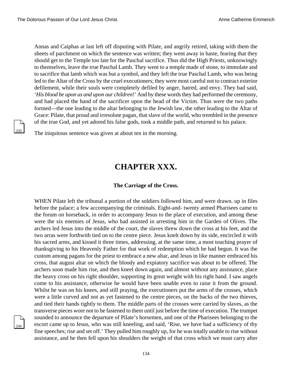Annas and Caiphas at last left off disputing with Pilate, and angrily retired, taking with them the sheets of parchment on which the sentence was written; they went away in haste, fearing that they should get to the Temple too late for the Paschal sacrifice. Thus did the High Priests, unknowingly to themselves, leave the true Paschal Lamb. They went to a temple made of stone, to immolate and to sacrifice that lamb which was but a symbol, and they left the true Paschal Lamb, who was being led to the Altar of the Cross by the cruel executioners; they were most careful not to contract exterior defilement, while their souls were completely defiled by anger, hatred, and envy. They had said, '*His blood be upon us and upon our children*!' And by these words they had performed the ceremony, and had placed the hand of the sacrificer upon the head of the Victim. Thus were the two paths formed—the one leading to the altar belonging to the Jewish law, the other leading to the Altar of Grace: Pilate, that proud and irresolute pagan, that slave of the world, who trembled in the presence of the true God, and yet adored his false gods, took a middle path, and returned to his palace.

The iniquitous sentence was given at about ten in the morning.

# **CHAPTER XXX.**

#### **The Carriage of the Cross.**

WHEN Pilate left the tribunal a portion of the soldiers followed him, and were drawn. up in files before the palace; a few accompanying the criminals. Eight-and- twenty armed Pharisees came to the forum on horseback, in order to accompany Jesus to the place of execution, and among these were the six enemies of Jesus, who had assisted in arresting him in the Garden of Olives. The archers led Jesus into the middle of the court, the slaves threw down the cross at his feet, and the two arras were forthwith tied on to the centre piece. Jesus knelt down by its side, encircled it with his sacred arms, and kissed it three times, addressing, at the same time, a most touching prayer of thanksgiving to his Heavenly Father for that work of redemption which he had begun. It was the custom among pagans for the priest to embrace a new altar, and Jesus in like manner embraced his cross, that august altar on which the bloody and expiatory sacrifice was about to be offered. The archers soon made him rise, and then kneel down again, and almost without any assistance, place the heavy cross on his right shoulder, supporting its great weight with his right hand. I saw angels come to his assistance, otherwise he would have been unable even to raise it from the ground. Whilst he was on his knees, and still praying, the executioners put the arms of the crosses, which were a little curved and not as yet fastened to the centre pieces, on the backs of the two thieves, and tied their hands tightly to them. The middle parts of the crosses were carried by slaves, as the transverse pieces wore not to be fastened to them until just before the time of execution. The trumpet sounded to announce the departure of Pilate's horsemen, and one of the Pharisees belonging to the escort came up to Jesus, who was still kneeling, and said, 'Rise, we have had a sufficiency of thy fine speeches; rise and set off.' They pulled him roughly up, for he was totally unable to rise without assistance, and he then fell upon his shoulders the weight of that cross which we must carry after

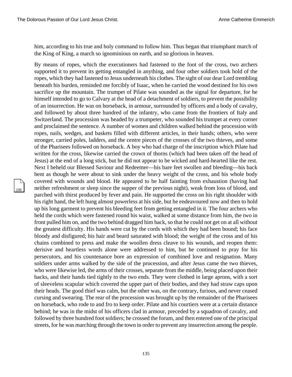him, according to his true and holy command to follow him. Thus began that triumphant march of the King of King, a march so ignominious on earth, and so glorious in heaven.

By means of ropes, which the executioners had fastened to the foot of the cross, two archers supported it to prevent its getting entangled in anything, and four other soldiers took hold of the ropes, which they had fastened to Jesus underneath his clothes. The sight of our dear Lord trembling beneath his burden, reminded me forcibly of Isaac, when he carried the wood destined for his own sacrifice up the mountain. The trumpet of Pilate was sounded as the signal for departure, for he himself intended to go to Calvary at the head of a detachment of soldiers, to prevent the possibility of an insurrection. He was on horseback, in armour, surrounded by officers and a body of cavalry, and followed by about three hundred of the infantry, who came from the frontiers of Italy and Switzerland. The procession was headed by a trumpeter, who sounded his trumpet at every corner and proclaimed the sentence. A number of women and children walked behind the procession with ropes, nails, wedges, and baskets filled with different articles, in their hands; others, who were stronger, carried poles, ladders, and the centre pieces of the crosses of the two thieves, and some of the Pharisees followed on horseback. A boy who had charge of the inscription which Pilate had written for the cross, likewise carried the crown of thorns (which had been taken off the head of Jesus) at the end of a long stick, but he did not appear to be wicked and hard-hearted like the rest. Next I beheld our Blessed Saviour and Redeemer—his bare feet swollen and bleeding—his back bent as though he were about to sink under the heavy weight of the cross, and his whole body covered with wounds and blood. He appeared to be half fainting from exhaustion (having had neither refreshment or sleep since the supper of the previous night), weak from loss of blood, and parched with thirst produced by fever and pain. He supported the cross on his right shoulder with his right hand, the left hung almost powerless at his side, but he endeavoured now and then to hold up his long garment to prevent his bleeding feet from getting entangled in it. The four archers who held the cords which were fastened round his waist, walked at some distance from him, the two in front pulled him on, and the two behind dragged him back, so that he could not get on at all without the greatest difficulty. His hands were cut by the cords with which they had been bound; his face bloody and disfigured; his hair and beard saturated with blood; the weight of the cross and of his chains combined to press and make the woollen dress cleave to his wounds, and reopen them: derisive and heartless words alone were addressed to him, but he continued to pray for his persecutors, and his countenance bore an expression of combined love and resignation. Many soldiers under arms walked by the side of the procession, and after Jesus came the two thieves, who were likewise led, the arms of their crosses, separate from the middle, being placed upon their backs, and their hands tied tightly to the two ends. They were clothed in large aprons, with a sort of sleeveless scapular which covered the upper part of their bodies, and they had straw caps upon their heads. The good thief was calm, but the other was, on the contrary, furious, and never ceased cursing and swearing. The rear of the procession was brought up by the remainder of the Pharisees on horseback, who rode to and fro to keep order. Pilate and his courtiers were at a certain distance behind; he was in the midst of his officers clad in armour, preceded by a squadron of cavalry, and followed by three hundred foot soldiers; he crossed the forum, and then entered one of the principal streets, for he was marching through the town in order to prevent any insurrection among the people.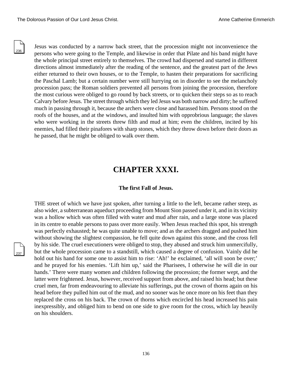237

Jesus was conducted by a narrow back street, that the procession might not inconvenience the persons who were going to the Temple, and likewise in order that Pilate and his band might have the whole principal street entirely to themselves. The crowd had dispersed and started in different directions almost immediately after the reading of the sentence, and the greatest part of the Jews either returned to their own houses, or to the Temple, to hasten their preparations for sacrificing the Paschal Lamb; but a certain number were still hurrying on in disorder to see the melancholy procession pass; the Roman soldiers prevented all persons from joining the procession, therefore the most curious were obliged to go round by back streets, or to quicken their steps so as to reach Calvary before Jesus. The street through which they led Jesus was both narrow and dirty; he suffered much in passing through it, because the archers were close and harassed him. Persons stood on the roofs of the houses, and at the windows, and insulted him with opprobrious language; the slaves who were working in the streets threw filth and mud at him; even the children, incited by his enemies, had filled their pinafores with sharp stones, which they throw down before their doors as he passed, that he might be obliged to walk over them.

## **CHAPTER XXXI.**

### **The first Fall of Jesus.**

THE street of which we have just spoken, after turning a little to the left, became rather steep, as also wider, a subterranean aqueduct proceeding from Mount Sion passed under it, and in its vicinity was a hollow which was often filled with water and mud after rain, and a large stone was placed in its centre to enable persons to pass over more easily. When Jesus reached this spot, his strength was perfectly exhausted; he was quite unable to move; and as the archers dragged and pushed him without showing the slightest compassion, he fell quite down against this stone, and the cross fell by his side. The cruel executioners were obliged to stop, they abused and struck him unmercifully, but the whole procession came to a standstill, which caused a degree of confusion. Vainly did he hold out his hand for some one to assist him to rise: 'Ah!' he exclaimed, 'all will soon be over;' and he prayed for his enemies. 'Lift him up,' said the Pharisees, I otherwise he will die in our hands.' There were many women and children following the procession; the former wept, and the latter were frightened. Jesus, however, received support from above, and raised his head; but these cruel men, far from endeavouring to alleviate his sufferings, put the crown of thorns again on his head before they pulled him out of the mud, and no sooner was he once more on his feet than they replaced the cross on his back. The crown of thorns which encircled his head increased his pain inexpressibly, and obliged him to bend on one side to give room for the cross, which lay heavily on his shoulders.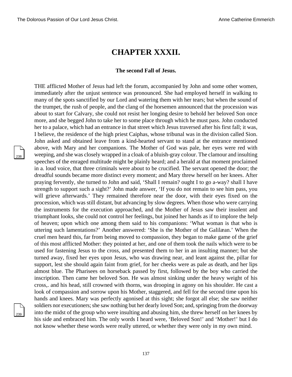239

### **CHAPTER XXXII.**

### **The second Fall of Jesus.**

THE afflicted Mother of Jesus had left the forum, accompanied by John and some other women, immediately after the unjust sentence was pronounced. She had employed herself in walking to many of the spots sanctified by our Lord and watering them with her tears; but when the sound of the trumpet, the rush of people, and the clang of the horsemen announced that the procession was about to start for Calvary, she could not resist her longing desire to behold her beloved Son once more, and she begged John to take her to some place through which he must pass. John conducted her to a palace, which had an entrance in that street which Jesus traversed after his first fall; it was, I believe, the residence of the high priest Caiphas, whose tribunal was in the division called Sion. John asked and obtained leave from a kind-hearted servant to stand at the entrance mentioned above, with Mary and her companions. The Mother of God was pale, her eyes were red with weeping, and she was closely wrapped in a cloak of a bluish-gray colour. The clamour and insulting speeches of the enraged multitude might be plainly heard; and a herald at that moment proclaimed in a. loud voice, that three criminals were about to be crucified. The servant opened the door; the dreadful sounds became more distinct every moment; and Mary threw herself on her knees. After praying fervently, she turned to John and said, 'Shall I remain? ought I to go a-way? shall I have strength to support such a sight?' John made answer, 'If you do not remain to see him pass, you will grieve afterwards.' They remained therefore near the door, with their eyes fixed on the procession, which was still distant, but advancing by slow degrees. When those who were carrying the instruments for the execution approached, and the Mother of Jesus saw their insolent and triumphant looks, she could not control her feelings, but joined her hands as if to implore the help of heaven; upon which one among them said to his companions: 'What woman is that who is uttering such lamentations?' Another answered: 'She is the Mother of the Galilæan.' When the cruel men heard this, far from being moved to compassion, they began to make game of the grief of this most afflicted Mother: they pointed at her, and one of them took the nails which were to be used for fastening Jesus to the cross, and presented them to her in an insulting manner; but she turned away, fixed her eyes upon Jesus, who was drawing near, and leant against the, pillar for support, lest she should again faint from grief, for her cheeks were as pale as death, and her lips almost blue. The Pharisees on horseback passed by first, followed by the boy who carried the inscription. Then came her beloved Son. He was almost sinking under the heavy weight of his cross,. and his head, still crowned with thorns, was drooping in agony on his shoulder. He cast a look of compassion and sorrow upon his Mother, staggered, and fell for the second time upon his hands and knees. Mary was perfectly agonised at this sight; she forgot all else; she saw neither soldiers nor executioners; she saw nothing but her dearly loved Son; and, springing from the doorway into the midst of the group who were insulting and abusing him, she threw herself on her knees by his side and embraced him. The only words I heard were, 'Beloved Son!' and 'Mother!' but I do not know whether these words were really uttered, or whether they were only in my own mind.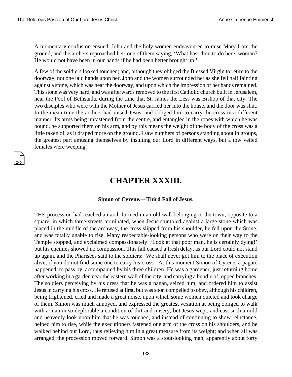A momentary confusion ensued. John and the holy women endeavoured to raise Mary from the ground, and the archers reproached her, one of them saying, 'What hast thou to do here, woman? He would not have been in our hands if he had been better brought up.'

A few of the soldiers looked touched; and, although they obliged the Blessed Virgin to retire to the doorway, not one laid hands upon her. John and the women surrounded her as she fell half fainting against a stone, which was near the doorway, and upon which the impression of her hands remained. This stone was very hard, and was afterwards removed to the first Catholic church built in Jerusalem, near the Pool of Bethsaida, during the time that St. James the Less was Bishop of that city. The two disciples who were with the Mother of Jesus carried her into the house, and the door was shut. In the mean time the archers had raised Jesus, and obliged him to carry the cross in a different manner. Its arms being unfastened from the centre, and entangled in the ropes with which he was bound, he supported them on his arm, and by this means the weight of the body of the cross was a little taken of, as it draped more on the ground. I saw numbers of persons standing about in groups, the greatest part amusing themselves by insulting our Lord in different ways, but a tow veiled females were weeping.

# **CHAPTER XXXIII.**

### **Simon of Cyrene.—Third Fall of Jesus.**

THE procession had reached an arch formed in an old wall belonging to the town, opposite to a square, in which three streets terminated, when Jesus stumbled against a large stone which was placed in the middle of the archway, the cross slipped from his shoulder, he fell upon the Stone, and was totally unable to rise. Many respectable-looking persons who were on their way to the Temple stopped, and exclaimed compassionately: 'Look at that poor man, he is certainly dying!' but his enemies showed no compassion. This fall caused a fresh delay, as our Lord could not stand up again, and the Pharisees said to the soldiers: 'We shall never got him to the place of execution alive, if you do not find some one to carry his cross.' At this moment Simon of Cyrene, a pagan, happened, to pass by, accompanied by his three children. He was a gardener, just returning home after working in a garden near the eastern wall of the city, and carrying a bundle of lopped branches. The soldiers perceiving by his dress that he was a pagan, seized him, and ordered him to assist Jesus in carrying his cross. He refused at first, but was soon compelled to obey, although his children, being frightened, cried and made a great noise, upon which some women quieted and took charge of them. Simon was much annoyed, and expressed the greatest vexation at being obliged to walk with a man in so deplorable a condition of dirt and misery; but Jesus wept, and cast such a mild and heavenly look upon him that he was touched, and instead of continuing to show reluctance, helped him to rise, while the executioners fastened one arm of the cross on his shoulders, and he walked behind our Lord, thus relieving him in a great measure from its weight; and when all was arranged, the procession moved forward. Simon was a stout-looking man, apparently about forty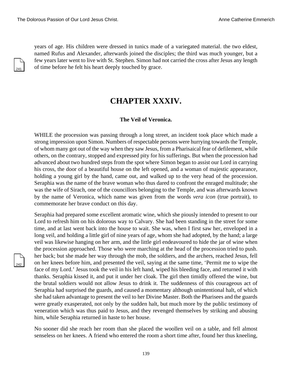years of age. His children were dressed in tunics made of a variegated material. the two eldest, named Rufus and Alexander, afterwards joined the disciples; the third was much younger, but a few years later went to live with St. Stephen. Simon had not carried the cross after Jesus any length of time before he felt his heart deeply touched by grace.

# **CHAPTER XXXIV.**

#### **The Veil of Veronica.**

WHILE the procession was passing through a long street, an incident took place which made a strong impression upon Simon. Numbers of respectable persons were hurrying towards the Temple, of whom many got out of the way when they saw Jesus, from a Pharisaical fear of defilement, while others, on the contrary, stopped and expressed pity for his sufferings. But when the procession had advanced about two hundred steps from the spot where Simon began to assist our Lord in carrying his cross, the door of a beautiful house on the left opened, and a woman of majestic appearance, holding a young girl by the hand, came out, and walked up to the very head of the procession. Seraphia was the name of the brave woman who thus dared to confront the enraged multitude; she was the wife of Sirach, one of the councillors belonging to the Temple, and was afterwards known by the name of Veronica, which name was given from the words *vera icon* (true portrait), to commemorate her brave conduct on this day.

Seraphia had prepared some excellent aromatic wine, which she piously intended to present to our Lord to refresh him on his dolorous way to Calvary. She had been standing in the street for some time, and at last went back into the house to wait. She was, when I first saw her, enveloped in a long veil, and holding a little girl of nine years of age, whom she had adopted, by the hand; a large veil was likewise hanging on her arm, and the little girl endeavoured to hide the jar of wine when the procession approached. Those who were marching at the head of the procession tried to push. her back; but she made her way through the mob, the soldiers, and the archers, reached Jesus, fell on her knees before him, and presented the veil, saying at the same time, 'Permit me to wipe the face of my Lord.' Jesus took the veil in his left hand, wiped his bleeding face, and returned it with thanks. Seraphia kissed it, and put it under her cloak. The girl then timidly offered the wine, but the brutal soldiers would not allow Jesus to drink it. The suddenness of this courageous act of Seraphia had surprised the guards, and caused a momentary although unintentional halt, of which she had taken advantage to present the veil to her Divine Master. Both the Pharisees and the guards were greatly exasperated, not only by the sudden halt, but much more by the public testimony of veneration which was thus paid to Jesus, and they revenged themselves by striking and abusing him, while Seraphia returned in haste to her house.

No sooner did she reach her room than she placed the woollen veil on a table, and fell almost senseless on her knees. A friend who entered the room a short time after, found her thus kneeling,



241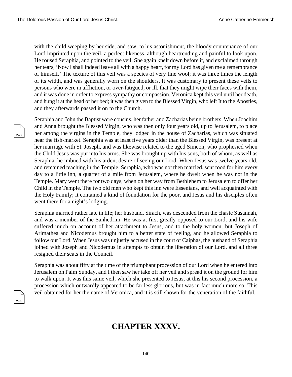with the child weeping by her side, and saw, to his astonishment, the bloody countenance of our Lord imprinted upon the veil, a perfect likeness, although heartrending and painful to look upon. He roused Seraphia, and pointed to the veil. She again knelt down before it, and exclaimed through her tears, 'Now I shall indeed leave all with a happy heart, for my Lord has given me a remembrance of himself.' The texture of this veil was a species of very fine wool; it was three times the length of its width, and was generally worn on the shoulders. It was customary to present these veils to persons who were in affliction, or over-fatigued, or ill, that they might wipe their faces with them, and it was done in order to express sympathy or compassion. Veronica kept this veil until her death, and hung it at the head of her bed; it was then given to the Blessed Virgin, who left It to the Apostles, and they afterwards passed it on to the Church.

Seraphia and John the Baptist were cousins, her father and Zacharias being brothers. When Joachim and Anna brought the Blessed Virgin, who was then only four years old, up to Jerusalem, to place her among the virgins in the Temple, they lodged in the house of Zacharias, which was situated near the fish-market. Seraphia was at least five years older than the Blessed Virgin, was present at her marriage with St. Joseph, and was likewise related to the aged Simeon, who prophesied when the Child Jesus was put into his arms. She was brought up with his sons, both of whom, as well as Seraphia, he imbued with his ardent desire of seeing our Lord. When Jesus was twelve years old, and remained teaching in the Temple, Seraphia, who was not then married, sent food for him every day to a little inn, a quarter of a mile from Jerusalem, where he dwelt when he was not in the Temple. Mary went there for two days, when on her way from Bethlehem to Jerusalem to offer her Child in the Temple. The two old men who kept this inn were Essenians, and well acquainted with the Holy Family; it contained a kind of foundation for the poor, and Jesus and his disciples often went there for a night's lodging.

Seraphia married rather late in life; her husband, Sirach, was descended from the chaste Susannah, and was a member of the Sanhedrim. He was at first greatly opposed to our Lord, and his wife suffered much on account of her attachment to Jesus, and to the holy women, but Joseph of Arimathea and Nicodemus brought him to a better state of feeling, and he allowed Seraphia to follow our Lord. When Jesus was unjustly accused in the court of Caiphas, the husband of Seraphia joined with Joseph and Nicodemus in attempts to obtain the liberation of our Lord, and all three resigned their seats in the Council.

Seraphia was about fifty at the time of the triumphant procession of our Lord when he entered into Jerusalem on Palm Sunday, and I then saw her take off her veil and spread it on the ground for him to walk upon. It was this same veil, which she presented to Jesus, at this his second procession, a procession which outwardly appeared to be far less glorious, but was in fact much more so. This veil obtained for her the name of Veronica, and it is still shown for the veneration of the faithful.

# 244

243

# **CHAPTER XXXV.**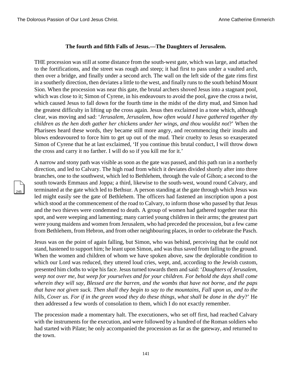### **The fourth and fifth Falls of Jesus.—The Daughters of Jerusalem.**

THE procession was still at some distance from the south-west gate, which was large, and attached to the fortifications, and the street was rough and steep; it had first to pass under a vaulted arch, then over a bridge, and finally under a second arch. The wall on the left side of the gate rims first in a southerly direction, then deviates a little to the west, and finally runs to the south behind Mount Sion. When the procession was near this gate, the brutal archers shoved Jesus into a stagnant pool, which was close to it; Simon of Cyrene, in his endeavours to avoid the pool, gave the cross a twist, which caused Jesus to fall down for the fourth time in the midst of the dirty mud, and Simon had the greatest difficulty in lifting up the cross again. Jesus then exclaimed in a tone which, although clear, was moving and sad: '*Jerusalem, Jerusalem, how often would I have gathered together thy children as the hen doth gather her chickens under her wings, and thou wouldst not*?' When the Pharisees heard these words, they became still more angry, and recommencing their insults and blows endeavoured to force him to get up out of the mud. Their cruelty to Jesus so exasperated Simon of Cyrene that he at last exclaimed, 'If you continue this brutal conduct, I will throw down the cross and carry it no farther. I will do so if you kill me for it.'

A narrow and stony path was visible as soon as the gate was passed, and this path ran in a northerly direction, and led to Calvary. The high road from which it deviates divided shortly after into three branches, one to the southwest, which led to Bethlehem, through the vale of Gihon; a second to the south towards Emmaus and Joppa; a third, likewise to the south-west, wound round Calvary, and terminated at the gate which led to Bethsur. A person standing at the gate through which Jesus was led might easily see the gate of Bethlehem. The officers had fastened an inscription upon a post which stood at the commencement of the road to Calvary, to inform those who passed by that Jesus and the two thieves were condemned to death. A group of women had gathered together near this spot, and were weeping and lamenting; many carried young children in their arms; the greatest part were young maidens and women from Jerusalem, who had preceded the procession, but a few came from Bethlehem, from Hebron, and from other neighbouring places, in order to celebrate the Pasch.

Jesus was on the point of again falling, but Simon, who was behind, perceiving that he could not stand, hastened to support him; he leant upon Simon, and was thus saved from falling to the ground. When the women and children of whom we have spoken above, saw the deplorable condition to which our Lord was reduced, they uttered loud cries, wept, and, according to the Jewish custom, presented him cloths to wipe his face. Jesus turned towards them and said: '*Daughters of Jerusalem, weep not over me, but weep for yourselves and for your children. For behold the days shall come wherein they will say, Blessed are the barren, and the wombs that have not borne, and the paps that have not given suck. Then shall they begin to say to the mountains, Fall upon us, and to the hills, Cover us. For if in the green wood they do these things, what shall be done in the dry*?' He then addressed a few words of consolation to them, which I do not exactly remember.

The procession made a momentary halt. The executioners, who set off first, had reached Calvary with the instruments for the execution, and were followed by a hundred of the Roman soldiers who had started with Pilate; he only accompanied the procession as far as the gateway, and returned to the town.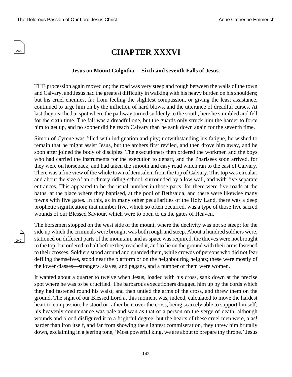

# <sup>246</sup> **CHAPTER XXXVI**

#### **Jesus on Mount Golgotha.—Sixth and seventh Falls of Jesus.**

THE procession again moved on; the road was very steep and rough between the walls of the town and Calvary, and Jesus had the greatest difficulty in walking with his heavy burden on his shoulders; but his cruel enemies, far from feeling the slightest compassion, or giving the least assistance, continued to urge him on by the infliction of hard blows, and the utterance of dreadful curses. At last they reached a. spot where the pathway turned suddenly to the south; here he stumbled and fell for the sixth time. The fall was a dreadful one, but the guards only struck him the harder to force him to get up, and no sooner did he reach Calvary than he sank down again for the seventh time.

Simon of Cyrene was filled with indignation and pity; notwithstanding his fatigue, he wished to remain that he might assist Jesus, but the archers first reviled, and then drove him away, and he soon after joined the body of disciples. The executioners then ordered the workmen and the boys who had carried the instruments for the execution to depart, and the Pharisees soon arrived, for they were on horseback, and had taken the smooth and easy road which ran to the east of Calvary. There was a fine view of the whole town of Jerusalem from the top of Calvary. This top was circular, and about the size of an ordinary riding-school, surrounded by a low wall, and with five separate entrances. This appeared to be the usual number in those parts, for there were five roads at the baths, at the place where they baptised, at the pool of Bethsaida, and there were likewise many towns with five gates. In this, as in many other peculiarities of the Holy Land, there was a deep prophetic signification; that number five, which so often occurred, was a type of those five sacred wounds of our Blessed Saviour, which were to open to us the gates of Heaven.

The horsemen stopped on the west side of the mount, where the declivity was not so steep; for the side up which the criminals were brought was both rough and steep. About a hundred soldiers were, stationed on different parts of the mountain, and as space was required, the thieves were not brought to the top, but ordered to halt before they reached it, and to lie on the ground with their arms fastened to their crosses. Soldiers stood around and guarded them, while crowds of persons who did not fear defiling themselves, stood near the platform or on the neighbouring heights; these were mostly of the lower classes—strangers, slaves, and pagans, and a number of them were women.

It wanted about a quarter to twelve when Jesus, loaded with his cross, sank down at the precise spot where he was to be crucified. The barbarous executioners dragged him up by the cords which they had fastened round his waist, and then untied the arms of the cross, and threw them on the ground. The sight of our Blessed Lord at this moment was, indeed, calculated to move the hardest heart to compassion; he stood or rather bent over the cross, being scarcely able to support himself; his heavenly countenance was pale and wan as that of a person on the verge of death, although wounds and blood disfigured it to a frightful degree; but the hearts of these cruel men were, alas! harder than iron itself, and far from showing the slightest commiseration, they threw him brutally down, exclaiming in a jeering tone, 'Most powerful king, we are about to prepare thy throne.' Jesus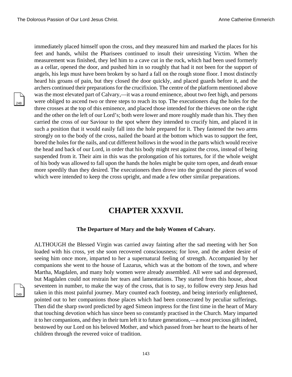immediately placed himself upon the cross, and they measured him and marked the places for his feet and hands, whilst the Pharisees continued to insult their unresisting Victim. When the measurement was finished, they led him to a cave cut in the rock, which had been used formerly as a cellar, opened the door, and pushed him in so roughly that had it not been for the support of angels, his legs must have been broken by so hard a fall on the rough stone floor. I most distinctly heard his groans of pain, but they closed the door quickly, and placed guards before it, and the archers continued their preparations for the crucifixion. The centre of the platform mentioned above was the most elevated part of Calvary,—it was a round eminence, about two feet high, and persons were obliged to ascend two or three steps to reach its top. The executioners dug the holes for the three crosses at the top of this eminence, and placed those intended for the thieves one on the right and the other on the left of our Lord's; both were lower and more roughly made than his. They then carried the cross of our Saviour to the spot where they intended to crucify him, and placed it in such a position that it would easily fall into the hole prepared for it. They fastened the two arms strongly on to the body of the cross, nailed the board at the bottom which was to support the feet, bored the holes for the nails, and cut different hollows in the wood in the parts which would receive the head and back of our Lord, in order that his body might rest against the cross, instead of being suspended from it. Their aim in this was the prolongation of his tortures, for if the whole weight of his body was allowed to fall upon the hands the holes might be quite torn open, and death ensue more speedily than they desired. The executioners then drove into the ground the pieces of wood which were intended to keep the cross upright, and made a few other similar preparations.

# **CHAPTER XXXVII.**

### **The Departure of Mary and the holy Women of Calvary.**

ALTHOUGH the Blessed Virgin was carried away fainting after the sad meeting with her Son loaded with his cross, yet she soon recovered consciousness; for love, and the ardent desire of seeing him once more, imparted to her a supernatural feeling of strength. Accompanied by her companions she went to the house of Lazarus, which was at the bottom of the town, and where Martha, Magdalen, and many holy women were already assembled. All were sad and depressed, but Magdalen could not restrain her tears and lamentations. They started from this house, about seventeen in number, to make the way of the cross, that is to say, to follow every step Jesus had taken in this most painful journey. Mary counted each footstep, and being interiorly enlightened, pointed out to her companions those places which had been consecrated by peculiar sufferings. Then did the sharp sword predicted by aged Simeon impress for the first time in the heart of Mary that touching devotion which has since been so constantly practised in the Church. Mary imparted it to her companions, and they in their turn left it to future generations,—a most precious gift indeed, bestowed by our Lord on his beloved Mother, and which passed from her heart to the hearts of her children through the revered voice of tradition.

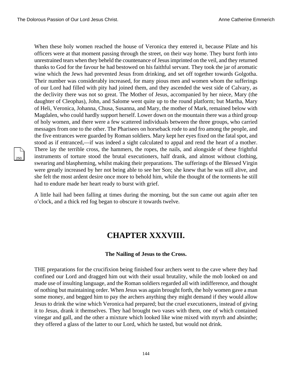When these holy women reached the house of Veronica they entered it, because Pilate and his officers were at that moment passing through the street, on their way home. They burst forth into unrestrained tears when they beheld the countenance of Jesus imprinted on the veil, and they returned thanks to God for the favour he had bestowed on his faithful servant. They took the jar of aromatic wine which the Jews had prevented Jesus from drinking, and set off together towards Golgotha. Their number was considerably increased, for many pious men and women whom the sufferings of our Lord had filled with pity had joined them, and they ascended the west side of Calvary, as the declivity there was not so great. The Mother of Jesus, accompanied by her niece, Mary (the daughter of Cleophas), John, and Salome went quite up to the round platform; but Martha, Mary of Heli, Veronica, Johanna, Chusa, Susanna, and Mary, the mother of Mark, remained below with Magdalen, who could hardly support herself. Lower down on the mountain there was a third group of holy women, and there were a few scattered individuals between the three groups, who carried messages from one to the other. The Pharisees on horseback rode to and fro among the people, and the five entrances were guarded by Roman soldiers. Mary kept her eyes fixed on the fatal spot, and stood as if entranced,—if was indeed a sight calculated to appal and rend the heart of a mother. There lay the terrible cross, the hammers, the ropes, the nails, and alongside of these frightful instruments of torture stood the brutal executioners, half drank, and almost without clothing, swearing and blaspheming, whilst making their preparations. The sufferings of the Blessed Virgin were greatly increased by her not being able to see her Son; she knew that he was still alive, and she felt the most ardent desire once more to behold him, while the thought of the torments he still had to endure made her heart ready to burst with grief.

A little hail had been falling at times during the morning, but the sun came out again after ten o'clock, and a thick red fog began to obscure it towards twelve.

### **CHAPTER XXXVIII.**

#### **The Nailing of Jesus to the Cross.**

THE preparations for the crucifixion being finished four archers went to the cave where they had confined our Lord and dragged him out with their usual brutality, while the mob looked on and made use of insulting language, and the Roman soldiers regarded all with indifference, and thought of nothing but maintaining order. When Jesus was again brought forth, the holy women gave a man some money, and begged him to pay the archers anything they might demand if they would allow Jesus to drink the wine which Veronica had prepared; but the cruel executioners, instead of giving it to Jesus, drank it themselves. They had brought two vases with them, one of which contained vinegar and gall, and the other a mixture which looked like wine mixed with myrrh and absinthe; they offered a glass of the latter to our Lord, which he tasted, but would not drink.

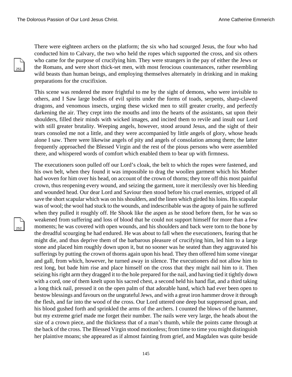There were eighteen archers on the platform; the six who had scourged Jesus, the four who had conducted him to Calvary, the two who held the ropes which supported the cross, and six others who came for the purpose of crucifying him. They were strangers in the pay of either the Jews or the Romans, and were short thick-set men, with most ferocious countenances, rather resembling wild beasts than human beings, and employing themselves alternately in drinking and in making preparations for the crucifixion.

This scene was rendered the more frightful to me by the sight of demons, who were invisible to others, and I Saw large bodies of evil spirits under the forms of toads, serpents, sharp-clawed dragons, and venomous insects, urging these wicked men to still greater cruelty, and perfectly darkening the air. They crept into the mouths and into the hearts of the assistants, sat upon their shoulders, filled their minds with wicked images, and incited them to revile and insult our Lord with still greater brutality. Weeping angels, however, stood around Jesus, and the sight of their tears consoled me not a little, and they were accompanied by little angels of glory, whose heads alone I saw. There were likewise angels of pity and angels of consolation among them; the latter frequently approached the Blessed Virgin and the rest of the pious persons who were assembled there, and whispered words of comfort which enabled them to bear up with firmness.

The executioners soon pulled off our Lord's cloak, the belt to which the ropes were fastened, and his own belt, when they found it was impossible to drag the woollen garment which his Mother had woven for him over his head, on account of the crown of thorns; they tore off this most painful crown, thus reopening every wound, and seizing the garment, tore it mercilessly over his bleeding and wounded head. Our dear Lord and Saviour then stood before his cruel enemies, stripped of all save the short scapular which was on his shoulders, and the linen which girded his loins. His scapular was of wool; the wool had stuck to the wounds, and indescribable was the agony of pain he suffered when they pulled it roughly off. He Shook like the aspen as he stood before them, for he was so weakened from suffering and loss of blood that he could not support himself for more than a few moments; he was covered with open wounds, and his shoulders and back were torn to the bone by the dreadful scourging he had endured. He was about to fall when the executioners, fearing that he might die, and thus deprive them of the barbarous pleasure of crucifying him, led him to a large stone and placed him roughly down upon it, but no sooner was he seated than they aggravated his sufferings by putting the crown of thorns again upon his head. They then offered him some vinegar and gall, from which, however, he turned away in silence. The executioners did not allow him to rest long, but bade him rise and place himself on the cross that they might nail him to it. Then seizing his right arm they dragged it to the hole prepared for the nail, and having tied it tightly down with a cord, one of them knelt upon his sacred chest, a second held his hand flat, and a third taking a long thick nail, pressed it on the open palm of that adorable hand, which had ever been open to bestow blessings and favours on the ungrateful Jews, and with a great iron hammer drove it through the flesh, and far into the wood of the cross. Our Lord uttered one deep but suppressed groan, and his blood gushed forth and sprinkled the arms of the archers. I counted the blows of the hammer, but my extreme grief made me forget their number. The nails were very large, the heads about the size of a crown piece, and the thickness that of a man's thumb, while the points came through at the back of the cross. The Blessed Virgin stood motionless; from time to time you might distinguish her plaintive moans; she appeared as if almost fainting from grief, and Magdalen was quite beside



252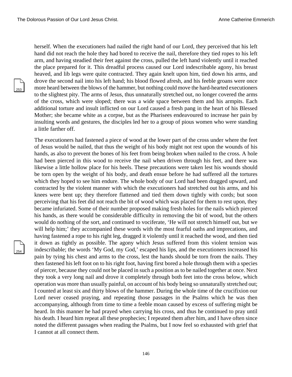254

herself. When the executioners had nailed the right hand of our Lord, they perceived that his left hand did not reach the hole they had bored to receive the nail, therefore they tied ropes to his left arm, and having steadied their feet against the cross, pulled the left hand violently until it reached the place prepared for it. This dreadful process caused our Lord indescribable agony, his breast heaved, and lib legs were quite contracted. They again knelt upon him, tied down his arms, and drove the second nail into his left hand; his blood flowed afresh, and his feeble groans were once more heard between the blows of the hammer, but nothing could move the hard-hearted executioners to the slightest pity. The arms of Jesus, thus unnaturally stretched out, no longer covered the arms of the cross, which were sloped; there was a wide space between them and his armpits. Each additional torture and insult inflicted on our Lord caused a fresh pang in the heart of his Blessed Mother; she became white as a corpse, but as the Pharisees endeavoured to increase her pain by insulting words and gestures, the disciples led her to a group of pious women who were standing a little farther off.

The executioners had fastened a piece of wood at the lower part of the cross under where the feet of Jesus would be nailed, that thus the weight of his body might not rest upon the wounds of his hands, as also to prevent the bones of his feet from being broken when nailed to the cross. A hole had been pierced in this wood to receive the nail when driven through his feet, and there was likewise a little hollow place for his heels. These precautions were taken lest his wounds should be torn open by the weight of his body, and death ensue before he had suffered all the tortures which they hoped to see him endure. The whole body of our Lord had been dragged upward, and contracted by the violent manner with which the executioners had stretched out his arms, and his knees were bent up; they therefore flattened and tied them down tightly with cords; but soon perceiving that his feet did not reach the bit of wood which was placed for them to rest upon, they became infuriated. Some of their number proposed making fresh holes for the nails which pierced his hands, as there would be considerable difficulty in removing the bit of wood, but the others would do nothing of the sort, and continued to vociferate, 'He will not stretch himself out, but we will help him;' they accompanied these words with the most fearful oaths and imprecations, and having fastened a rope to his right leg, dragged it violently until it reached the wood, and then tied it down as tightly as possible. The agony which Jesus suffered from this violent tension was indescribable; the words 'My God, my God,' escaped his lips, and the executioners increased his pain by tying his chest and arms to the cross, lest the hands should be torn from the nails. They then fastened his left foot on to his right foot, having first bored a hole through them with a species of piercer, because they could not be placed in such a position as to be nailed together at once. Next they took a very long nail and drove it completely through both feet into the cross below, which operation was more than usually painful, on account of his body being so unnaturally stretched out; I counted at least six and thirty blows of the hammer. During the whole time of the crucifixion our Lord never ceased praying, and repeating those passages in the Psalms which he was then accompanying, although from time to time a feeble moan caused by excess of suffering might be heard. In this manner he had prayed when carrying his cross, and thus he continued to pray until his death. I heard him repeat all these prophecies; I repeated them after him, and I have often since noted the different passages when reading the Psalms, but I now feel so exhausted with grief that I cannot at all connect them.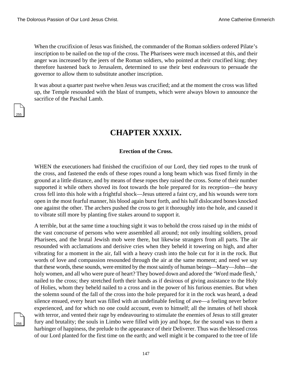When the crucifixion of Jesus was finished, the commander of the Roman soldiers ordered Pilate's inscription to be nailed on the top of the cross. The Pharisees were much incensed at this, and their anger was increased by the jeers of the Roman soldiers, who pointed at their crucified king; they therefore hastened back to Jerusalem, determined to use their best endeavours to persuade the governor to allow them to substitute another inscription.

It was about a quarter past twelve when Jesus was crucified; and at the moment the cross was lifted up, the Temple resounded with the blast of trumpets, which were always blown to announce the sacrifice of the Paschal Lamb.

# **CHAPTER XXXIX.**

### **Erection of the Cross.**

WHEN the executioners had finished the crucifixion of our Lord, they tied ropes to the trunk of the cross, and fastened the ends of these ropes round a long beam which was fixed firmly in the ground at a little distance, and by means of these ropes they raised the cross. Some of their number supported it while others shoved its foot towards the hole prepared for its reception—the heavy cross fell into this hole with a frightful shock—Jesus uttered a faint cry, and his wounds were torn open in the most fearful manner, his blood again burst forth, and his half dislocated bones knocked one against the other. The archers pushed the cross to get it thoroughly into the hole, and caused it to vibrate still more by planting five stakes around to support it.

A terrible, but at the same time a touching sight it was to behold the cross raised up in the midst of the vast concourse of persons who were assembled all around; not only insulting soldiers, proud Pharisees, and the brutal Jewish mob were there, but likewise strangers from all parts. The air resounded with acclamations and derisive cries when they beheld it towering on high, and after vibrating for a moment in the air, fall with a heavy crash into the hole cut for it in the rock. But words of love and compassion resounded through the air at the same moment; and need we say that these words, these sounds, were emitted by the most saintly of human beings—Mary—John—the holy women, and all who were pure of heart? They bowed down and adored the 'Word made flesh,' nailed to the cross; they stretched forth their hands as if desirous of giving assistance to the Holy of Holies, whom they beheld nailed to a cross and in the power of his furious enemies. But when the solemn sound of the fall of the cross into the hole prepared for it in the rock was heard, a dead silence ensued, every heart was filled with an undefinable feeling of awe—a feeling never before experienced, and for which no one could account, even to himself; all the inmates of hell shook with terror, and vented their rage by endeavouring to stimulate the enemies of Jesus to still greater fury and brutality; the souls in Limbo were filled with joy and hope, for the sound was to them a harbinger of happiness, the prelude to the appearance of their Deliverer. Thus was the blessed cross of our Lord planted for the first time on the earth; and well might it be compared to the tree of life



255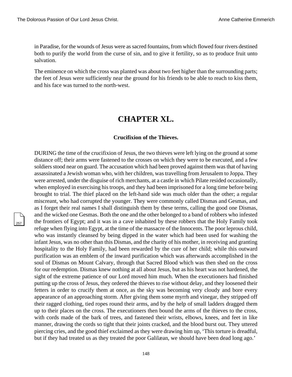in Paradise, for the wounds of Jesus were as sacred fountains, from which flowed four rivers destined both to purify the world from the curse of sin, and to give it fertility, so as to produce fruit unto salvation.

The eminence on which the cross was planted was about two feet higher than the surrounding parts; the feet of Jesus were sufficiently near the ground for his friends to be able to reach to kiss them, and his face was turned to the north-west.

### **CHAPTER XL.**

#### **Crucifixion of the Thieves.**

DURING the time of the crucifixion of Jesus, the two thieves were left lying on the ground at some distance off; their arms were fastened to the crosses on which they were to be executed, and a few soldiers stood near on guard. The accusation which had been proved against them was that of having assassinated a Jewish woman who, with her children, was travelling from Jerusalem to Joppa. They were arrested, under the disguise of rich merchants, at a castle in which Pilate resided occasionally, when employed in exercising his troops, and they had been imprisoned for a long time before being brought to trial. The thief placed on the left-hand side was much older than the other; a regular miscreant, who had corrupted the younger. They were commonly called Dismas and Gesmas, and as I forget their real names I shall distinguish them by these terms, calling the good one Dismas, and the wicked one Gesmas. Both the one and the other belonged to a band of robbers who infested the frontiers of Egypt; and it was in a cave inhabited by these robbers that the Holy Family took refuge when flying into Egypt, at the time of the massacre of the Innocents. The poor leprous child, who was instantly cleansed by being dipped in the water which had been used for washing the infant Jesus, was no other than this Dismas, and the charity of his mother, in receiving and granting hospitality to the Holy Family, had been rewarded by the cure of her child; while this outward purification was an emblem of the inward purification which was afterwards accomplished in the soul of Dismas on Mount Calvary, through that Sacred Blood which was then shed on the cross for our redemption. Dismas knew nothing at all about Jesus, but as his heart was not hardened, the sight of the extreme patience of our Lord moved him much. When the executioners had finished putting up the cross of Jesus, they ordered the thieves to rise without delay, and they loosened their fetters in order to crucify them at once, as the sky was becoming very cloudy and bore every appearance of an approaching storm. After giving them some myrrh and vinegar, they stripped off their ragged clothing, tied ropes round their arms, and by the help of small ladders dragged them up to their places on the cross. The executioners then bound the arms of the thieves to the cross, with cords made of the bark of trees, and fastened their wrists, elbows, knees, and feet in like manner, drawing the cords so tight that their joints cracked, and the blood burst out. They uttered piercing cries, and the good thief exclaimed as they were drawing him up, 'This torture is dreadful, but if they had treated us as they treated the poor Galilæan, we should have been dead long ago.'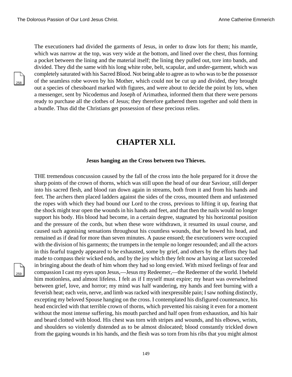

The executioners had divided the garments of Jesus, in order to draw lots for them; his mantle, which was narrow at the top, was very wide at the bottom, and lined over the chest, thus forming a pocket between the lining and the material itself; the lining they pulled out, tore into bands, and divided. They did the same with his long white robe, belt, scapular, and under-garment, which was completely saturated with his Sacred Blood. Not being able to agree as to who was to be the possessor of the seamless robe woven by his Mother, which could not be cut up and divided, they brought out a species of chessboard marked with figures, and were about to decide the point by lots, when a messenger, sent by Nicodemus and Joseph of Arimathea, informed them that there were persons ready to purchase all the clothes of Jesus; they therefore gathered them together and sold them in a bundle. Thus did the Christians get possession of these precious relies.

### **CHAPTER XLI.**

#### **Jesus hanging an the Cross between two Thieves.**

THE tremendous concussion caused by the fall of the cross into the hole prepared for it drove the sharp points of the crown of thorns, which was still upon the head of our dear Saviour, still deeper into his sacred flesh, and blood ran down again in streams, both from it and from his hands and feet. The archers then placed ladders against the sides of the cross, mounted them and unfastened the ropes with which they had bound our Lord to the cross, previous to lifting it up, fearing that the shock might tear open the wounds in his hands and feet, and that then the nails would no longer support his body. His blood had become, in a certain degree, stagnated by his horizontal position and the pressure of the cords, but when these wore withdrawn, it resumed its usual course, and caused such agonising sensations throughout his countless wounds, that he bowed his head, and remained as if dead for more than seven minutes. A pause ensued; the executioners were occupied with the division of his garments; the trumpets in the temple no longer resounded; and all the actors in this fearful tragedy appeared to be exhausted, some by grief, and others by the efforts they had made to compass their wicked ends, and by the joy which they felt now at having at last succeeded in bringing about the death of him whom they had so long envied. With mixed feelings of fear and compassion I cast my eyes upon Jesus,—Jesus my Redeemer,—the Redeemer of the world. I beheld him motionless, and almost lifeless. I felt as if I myself must expire; my heart was overwhelmed between grief, love, and horror; my mind was half wandering, my hands and feet burning with a feverish heat; each vein, nerve, and limb was racked with inexpressible pain; I saw nothing distinctly, excepting my beloved Spouse hanging on the cross. I contemplated his disfigured countenance, his head encircled with that terrible crown of thorns, which prevented his raising it even for a moment without the most intense suffering, his mouth parched and half open from exhaustion, and his hair and beard clotted with blood. His chest was torn with stripes and wounds, and his elbows, wrists, and shoulders so violently distended as to be almost dislocated; blood constantly trickled down from the gaping wounds in his hands, and the flesh was so torn from his ribs that you might almost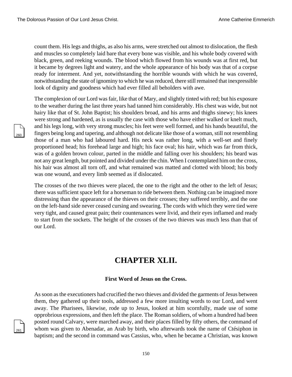count them. His legs and thighs, as also his arms, were stretched out almost to dislocation, the flesh and muscles so completely laid bare that every bone was visible, and his whole body covered with black, green, and reeking wounds. The blood which flowed from his wounds was at first red, but it became by degrees light and watery, and the whole appearance of his body was that of a corpse ready for interment. And yet, notwithstanding the horrible wounds with which he was covered, notwithstanding the state of ignominy to which he was reduced, there still remained that inexpressible look of dignity and goodness which had ever filled all beholders with awe.

The complexion of our Lord was fair, like that of Mary, and slightly tinted with red; but his exposure to the weather during the last three years had tanned him considerably. His chest was wide, but not hairy like that of St. John Baptist; his shoulders broad, and his arms and thighs sinewy; his knees were strong and hardened, as is usually the case with those who have either walked or knelt much, and his legs long, with very strong muscles; his feet were well formed, and his hands beautiful, the fingers being long and tapering, and although not delicate like those of a woman, still not resembling those of a man who had laboured hard. His neck was rather long, with a well-set and finely proportioned head; his forehead large and high; his face oval; his hair, which was far from thick, was of a golden brown colour, parted in the middle and falling over his shoulders; his beard was not any great length, but pointed and divided under the chin. When I contemplated him on the cross, his hair was almost all torn off, and what remained was matted and clotted with blood; his body was one wound, and every limb seemed as if dislocated.

The crosses of the two thieves were placed, the one to the right and the other to the left of Jesus; there was sufficient space left for a horseman to ride between them. Nothing can be imagined more distressing than the appearance of the thieves on their crosses; they suffered terribly, and the one on the left-hand side never ceased cursing and swearing. The cords with which they were tied were very tight, and caused great pain; their countenances were livid, and their eyes inflamed and ready to start from the sockets. The height of the crosses of the two thieves was much less than that of our Lord.

# **CHAPTER XLII.**

### **First Word of Jesus on the Cross.**

As soon as the executioners had crucified the two thieves and divided the garments of Jesus between them, they gathered up their tools, addressed a few more insulting words to our Lord, and went away. The Pharisees, likewise, rode up to Jesus, looked at him scornfully, made use of some opprobrious expressions, and then left the place. The Roman soldiers, of whom a hundred had been posted round Calvary, were marched away, and their places filled by fifty others, the command of whom was given to Abenadar, an Arab by birth, who afterwards took the name of Ctésiphon in baptism; and the second in command was Cassius, who, when he became a Christian, was known

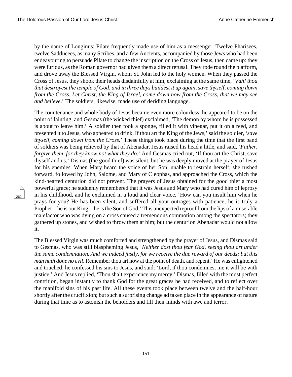by the name of Longinus: Pilate frequently made use of him as a messenger. Twelve Pharisees, twelve Sadducees, as many Scribes, and a few Ancients, accompanied by those Jews who had been endeavouring to persuade Pilate to change the inscription on the Cross of Jesus, then came up: they were furious, as the Roman governor had given them a direct refusal. They rode round the platform, and drove away the Blessed Virgin, whom St. John led to the holy women. When they passed the Cross of Jesus, they shook their heads disdainfully at him, exclaiming at the same time, '*Vah! thou that destroyest the temple of God, and in three days buildest it up again, save thyself, coming down from the Cross. Let Christ, the King of Israel, come down now from the Cross, that we may see and believe*.' The soldiers, likewise, made use of deriding language.

The countenance and whole body of Jesus became even more colourless: he appeared to be on the point of fainting, and Gesmas (the wicked thief) exclaimed, 'The demon by whom he is possessed is about to leave him.' A soldier then took a sponge, filled it with vinegar, put it on a reed, and presented it to Jesus, who appeared to drink. If thou art the King of the Jews,' said the soldier, '*save thyself, coming down from the Cross*.' These things took place during the time that the first band of soldiers was being relieved by that of Abenadar. Jesus raised his head a little, and said, '*Father, forgive them, for they know not what they do*.' And Gesmas cried out, 'If thou art the Christ, save thyself and us.' Dismas (the good thief) was silent, but he was deeply moved at the prayer of Jesus for his enemies. When Mary heard the voice of her Son, unable to restrain herself, she rushed forward, followed by John, Salome, and Mary of Cleophas, and approached the Cross, which the kind-hearted centurion did not prevent. The prayers of Jesus obtained for the good thief a most powerful grace; he suddenly remembered that it was Jesus and Mary who had cured him of leprosy in his childhood, and he exclaimed in a loud and clear voice, 'How can you insult him when he prays for you? He has been silent, and suffered all your outrages with patience; he is truly a Prophet—he is our King—he is the Son of God.' This unexpected reproof from the lips of a miserable malefactor who was dying on a cross caused a tremendous commotion among the spectators; they gathered up stones, and wished to throw them at him; but the centurion Abenadar would not allow it.

The Blessed Virgin was much comforted and strengthened by the prayer of Jesus, and Dismas said to Gesmas, who was still blaspheming Jesus, '*Neither dost thou fear God, seeing thou art under the same condemnation. And we indeed justly, for we receive the due reward of our deeds; but this man hath done no evil*. Remember thou art now at the point of death, and repent.' He was enlightened and touched: he confessed his sins to Jesus, and said: 'Lord, if thou condemnest me it will be with justice.' And Jesus replied, 'Thou shalt experience my mercy.' Dismas, filled with the most perfect contrition, began instantly to thank God for the great graces he had received, and to reflect over the manifold sins of his past life. All these events took place between twelve and the half-hour shortly after the crucifixion; but such a surprising change ad taken place in the appearance of nature during that time as to astonish the beholders and fill their minds with awe and terror.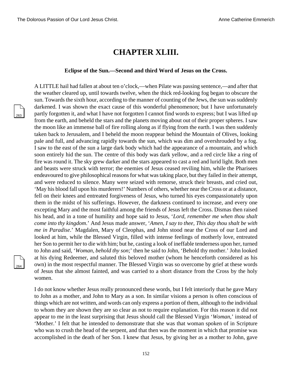264

### **CHAPTER XLIII.**

#### **Eclipse of the Sun.—Second and third Word of Jesus on the Cross.**

A LITTLE hail had fallen at about ten o'clock,—when Pilate was passing sentence,—and after that the weather cleared up, until towards twelve, when the thick red-looking fog began to obscure the sun. Towards the sixth hour, according to the manner of counting of the Jews, the sun was suddenly darkened. I was shown the exact cause of this wonderful phenomenon; but I have unfortunately partly forgotten it, and what I have not forgotten I cannot find words to express; but I was lifted up from the earth, and beheld the stars and the planets moving about out of their proper spheres. I saw the moon like an immense ball of fire rolling along as if flying from the earth. I was then suddenly taken back to Jerusalem, and I beheld the moon reappear behind the Mountain of Olives, looking pale and full, and advancing rapidly towards the sun, which was dim and overshrouded by a fog. I saw to the east of the sun a large dark body which had the appearance of a mountain, and which soon entirely hid the sun. The centre of this body was dark yellow, and a red circle like a ring of fire was round it. The sky grew darker and the stars appeared to cast a red and lurid light. Both men and beasts were struck with terror; the enemies of Jesus ceased reviling him, while the Pharisees endeavoured to give philosophical reasons for what was taking place, but they failed in their attempt, and were reduced to silence. Many were seized with remorse, struck their breasts, and cried out, 'May his blood fall upon his murderers!' Numbers of others, whether near the Cross or at a distance, fell on their knees and entreated forgiveness of Jesus, who turned his eyes compassionately upon them in the midst of his sufferings. However, the darkness continued to increase, and every one excepting Mary and the most faithful among the friends of Jesus left the Cross. Dismas then raised his head, and in a tone of humility and hope said to Jesus, '*Lord, remember me when thou shalt come into thy kingdom*.' And Jesus made answer, '*Amen, I say to thee, This day thou shalt be with me in Paradise*.' Magdalen, Mary of Cleophas, and John stood near the Cross of our Lord and looked at him, while the Blessed Virgin, filled with intense feelings of motherly love, entreated her Son to permit her to die with him; but he, casting a look of ineffable tenderness upon her, turned to John and said, '*Woman, behold thy son*;' then he said to John, 'Behold thy mother.' John looked at his dying Redeemer, and saluted this beloved mother (whom he henceforth considered as his own) in the most respectful manner. The Blessed Virgin was so overcome by grief at these words of Jesus that she almost fainted, and was carried to a short distance from the Cross by the holy women.

I do not know whether Jesus really pronounced these words, but I felt interiorly that he gave Mary to John as a mother, and John to Mary as a son. In similar visions a person is often conscious of things which are not written, and words can only express a portion of them, although to the individual to whom they are shown they are so clear as not to require explanation. For this reason it did not appear to me in the least surprising that Jesus should call the Blessed Virgin '*Woman*,' instead of 'Mother.' I felt that he intended to demonstrate that she was that woman spoken of in Scripture who was to crush the head of the serpent, and that then was the moment in which that promise was accomplished in the death of her Son. I knew that Jesus, by giving her as a mother to John, gave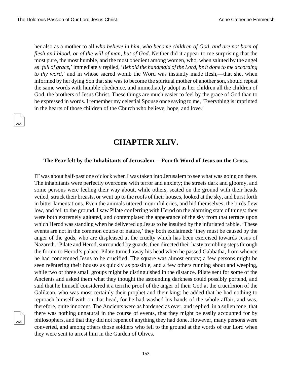266

her also as a mother to all *who believe in him, who become children of God, and are not born of flesh and blood, or of the will of man, but of God*. Neither did it appear to me surprising that the most pure, the most humble, and the most obedient among women, who, when saluted by the angel as '*full of grace*,' immediately replied, '*Behold the handmaid of the Lord, be it done to me according to thy word*,' and in whose sacred womb the Word was instantly made flesh,—that she, when informed by her dying Son that she was to become the spiritual mother of another son, should repeat the same words with humble obedience, and immediately adopt as her children all the children of God, the brothers of Jesus Christ. These things are much easier to feel by the grace of God than to be expressed in words. I remember my celestial Spouse once saying to me, 'Everything is imprinted in the hearts of those children of the Church who believe, hope, and love.'

# **CHAPTER XLIV.**

#### **The Fear felt by the Inhabitants of Jerusalem.—Fourth Word of Jesus on the Cross.**

IT was about half-past one o'clock when I was taken into Jerusalem to see what was going on there. The inhabitants were perfectly overcome with terror and anxiety; the streets dark and gloomy, and some persons were feeling their way about, while others, seated on the ground with their heads veiled, struck their breasts, or went up to the roofs of their houses, looked at the sky, and burst forth in bitter lamentations. Even the animals uttered mournful cries, and hid themselves; the birds flew low, and fell to the ground. I saw Pilate conferring with Herod on the alarming state of things: they were both extremely agitated, and contemplated the appearance of the sky from that terrace upon which Herod was standing when he delivered up Jesus to be insulted by the infuriated rabble. 'These events are not in the common course of nature,' they both exclaimed: 'they must be caused by the anger of the gods, who are displeased at the cruelty which has been exercised towards Jesus of Nazareth.' Pilate and Herod, surrounded by guards, then directed their hasty trembling steps through the forum to Herod's palace. Pilate turned away his head when he passed Gabbatha, from whence he had condemned Jesus to be crucified. The square was almost empty; a few persons might be seen reëntering their houses as quickly as possible, and a few others running about and weeping, while two or three small groups might be distinguished in the distance. Pilate sent for some of the Ancients and asked them what they thought the astounding darkness could possibly portend, and said that he himself considered it a terrific proof of the anger of their God at the crucifixion of the Galilæan, who was most certainly their prophet and their king: he added that he had nothing to reproach himself with on that head, for he had washed his hands of the whole affair, and was, therefore, quite innocent. The Ancients were as hardened as over, and replied, in a sullen tone, that there was nothing unnatural in the course of events, that they might be easily accounted for by philosophers, and that they did not repent of anything they had done. However, many persons were converted, and among others those soldiers who fell to the ground at the words of our Lord when they were sent to arrest him in the Garden of Olives.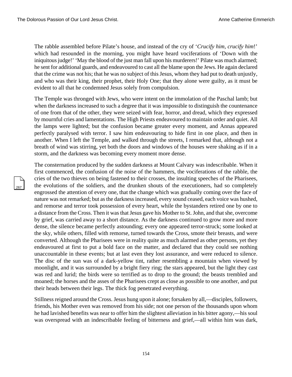The rabble assembled before Pilate's house, and instead of the cry of '*Crucify him, crucify him*!' which had resounded in the morning, you might have heard vociferations of 'Down with the iniquitous judge!' 'May the blood of the just man fall upon his murderers!' Pilate was much alarmed; he sent for additional guards, and endeavoured to cast all the blame upon the Jews. He again declared that the crime was not his; that he was no subject of this Jesus, whom they had put to death unjustly, and who was their king, their prophet, their Holy One; that they alone were guilty, as it must be evident to all that he condemned Jesus solely from compulsion.

The Temple was thronged with Jews, who were intent on the immolation of the Paschal lamb; but when the darkness increased to such a degree that it was impossible to distinguish the countenance of one from that of the other, they were seized with fear, horror, and dread, which they expressed by mournful cries and lamentations. The High Priests endeavoured to maintain order and quiet. All the lamps were lighted; but the confusion became greater every moment, and Annas appeared perfectly paralysed with terror. I saw him endeavouring to hide first in one place, and then in another. When I left the Temple, and walked through the streets, I remarked that, although not a breath of wind was stirring, yet both the doors and windows of the houses were shaking as if in a storm, and the darkness was becoming every moment more dense.

The consternation produced by the sudden darkness at Mount Calvary was indescribable. When it first commenced, the confusion of the noise of the hammers, the vociferations of the rabble, the cries of the two thieves on being fastened to their crosses, the insulting speeches of the Pharisees, the evolutions of the soldiers, and the drunken shouts of the executioners, had so completely engrossed the attention of every one, that the change which was gradually coming over the face of nature was not remarked; but as the darkness increased, every sound ceased, each voice was hushed, and remorse and terror took possession of every heart, while the bystanders retired one by one to a distance from the Cross. Then it was that Jesus gave his Mother to St. John, and that she, overcome by grief, was carried away to a short distance. As the darkness continued to grow more and more dense, the silence became perfectly astounding; every one appeared terror-struck; some looked at the sky, while others, filled with remorse, turned towards the Cross, smote their breasts, and were converted. Although the Pharisees were in reality quite as much alarmed as other persons, yet they endeavoured at first to put a bold face on the matter, and declared that they could see nothing unaccountable in these events; but at last even they lost assurance, and were reduced to silence. The disc of the sun was of a dark-yellow tint, rather resembling a mountain when viewed by moonlight, and it was surrounded by a bright fiery ring; the stars appeared, but the light they cast was red and lurid; the birds were so terrified as to drop to the ground; the beasts trembled and moaned; the horses and the asses of the Pharisees crept as close as possible to one another, and put their heads between their legs. The thick fog penetrated everything.

Stillness reigned around the Cross. Jesus hung upon it alone; forsaken by all,—disciples, followers, friends, his Mother even was removed from his side; not one person of the thousands upon whom he had lavished benefits was near to offer him the slightest alleviation in his bitter agony,—his soul was overspread with an indescribable feeling of bitterness and grief,—all within him was dark,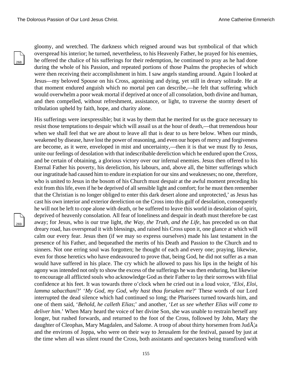269

gloomy, and wretched. The darkness which reigned around was but symbolical of that which overspread his interior; he turned, nevertheless, to his Heavenly Father, he prayed for his enemies, he offered the chalice of his sufferings for their redemption, he continued to pray as he had done during the whole of his Passion, and repeated portions of those Psalms the prophecies of which were then receiving their accomplishment in him. I saw angels standing around. Again I looked at Jesus—my beloved Spouse on his Cross, agonising and dying, yet still in dreary solitude. He at that moment endured anguish which no mortal pen can describe,—he felt that suffering which would overwhelm a poor weak mortal if deprived at once of all consolation, both divine and human, and then compelled, without refreshment, assistance, or light, to traverse the stormy desert of tribulation upheld by faith, hope, and charity alone.

His sufferings were inexpressible; but it was by them that he merited for us the grace necessary to resist those temptations to despair which will assail us at the hour of death,—that tremendous hour when we shall feel that we are about to leave all that is dear to us here below. When our minds, weakened by disease, have lost the power of reasoning, and even our hopes of mercy and forgiveness are become, as it were, enveloped in mist and uncertainty,—then it is that we must fly to Jesus, unite our feelings of desolation with that indescribable dereliction which he endured upon the Cross, and be certain of obtaining, a glorious victory over our infernal enemies. Jesus then offered to his Eternal Father his poverty, his dereliction, his labours, and, above all, the bitter sufferings which our ingratitude had caused him to endure in expiation for our sins and weaknesses; no one, therefore, who is united to Jesus in the bosom of his Church must despair at the awful moment preceding his exit from this life, even if he be deprived of all sensible light and comfort; for he must then remember that the Christian is no longer obliged to enter this dark desert alone and unprotected,' as Jesus has cast his own interior and exterior dereliction on the Cross into this gulf of desolation, consequently he will not be left to cope alone with death, or be suffered to leave this world in desolation of spirit, deprived of heavenly consolation. All fear of loneliness and despair in death must therefore be cast away; for Jesus, who is our true light, *the Way, the Truth, and the Life*, has preceded us on that dreary road, has overspread it with blessings, and raised his Cross upon it, one glance at which will calm our every fear. Jesus then (if we may so express ourselves) made his last testament in the presence of his Father, and bequeathed the merits of his Death and Passion to the Church and to sinners. Not one erring soul was forgotten; he thought of each and every one; praying, likewise, even for those heretics who have endeavoured to prove that, being God, he did not suffer as a man would have suffered in his place. The cry which he allowed to pass his lips in the height of his agony was intended not only to show the excess of the sufferings he was then enduring, but likewise to encourage all afflicted souls who acknowledge God as their Father to lay their sorrows with filial confidence at his feet. It was towards three o'clock when he cried out in a loud voice, '*Eloi, Eloi, lamma sabacthani*?' '*My God, my God, why hast thou forsaken me*?' These words of our Lord interrupted the dead silence which had continued so long; the Pharisees turned towards him, and one of them said, '*Behold, he calleth Elias*;' and another, '*Let us see whether Elias will come to deliver him*.' When Mary heard the voice of her divine Son, she was unable to restrain herself any longer, but rushed forwards, and returned to the foot of the Cross, followed by John, Mary the daughter of Cleophas, Mary Magdalen, and Salome. A troop of about thirty horsemen from Jud $\hat{A}$ la and the environs of Joppa, who were on their way to Jerusalem for the festival, passed by just at the time when all was silent round the Cross, both assistants and spectators being transfixed with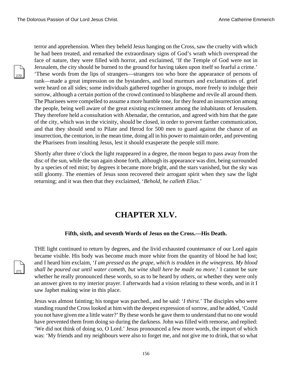terror and apprehension. When they beheld Jesus hanging on the Cross, saw the cruelty with which he had been treated, and remarked the extraordinary signs of God's wrath which overspread the face of nature, they were filled with horror, and exclaimed, 'If the Temple of God were not in Jerusalem, the city should be burned to the ground for having taken upon itself so fearful a crime.' 'These words from the lips of strangers—strangers too who bore the appearance of persons of rank—made a great impression on the bystanders, and loud murmurs and exclamations of. grief were heard on all sides; some individuals gathered together in groups, more freely to indulge their sorrow, although a certain portion of the crowd continued to blaspheme and revile all around them. The Pharisees were compelled to assume a more humble tone, for they feared an insurrection among the people, being well aware of the great existing excitement among the inhabitants of Jerusalem. They therefore held a consultation with Abenadar, the centurion, and agreed with him that the gate of the city, which was in the vicinity, should be closed, in order to prevent farther communication, and that they should send to Pilate and Herod for 500 men to guard against the chance of an insurrection, the centurion, in the mean time, doing all in his power to maintain order, and preventing the Pharisees from insulting Jesus, lest it should exasperate the people still more.

Shortly after three o'clock the light reappeared in a degree, the moon began to pass away from the disc of the sun, while the sun again shone forth, although its appearance was dim, being surrounded by a species of red mist; by degrees it became more bright, and the stars vanished, but the sky was still gloomy. The enemies of Jesus soon recovered their arrogant spirit when they saw the light returning; and it was then that they exclaimed, '*Behold, he calleth Elias*.'

# **CHAPTER XLV.**

### **Fifth, sixth, and seventh Words of Jesus on the Cross.—His Death.**

THE light continued to return by degrees, and the livid exhausted countenance of our Lord again became visible. His body was become much more white from the quantity of blood he had lost; and I heard him exclaim, '*I am pressed as the grape, which is trodden in the winepress. My blood shall be poured out until water cometh, but wine shall here be made no more*.' I cannot be sure whether he really pronounced these words, so as to be heard by others, or whether they were only an answer given to my interior prayer. I afterwards had a vision relating to these words, and in it I saw Japhet making wine in this place.

Jesus was almost fainting; his tongue was parched., and he said: '*I thirst*.' The disciples who were standing round the Cross looked at him with the deepest expression of sorrow, and he added, 'Could you not have given me a little water?' By these words he gave them to understand that no one would have prevented them from doing so during the darkness. John was filled with remorse, and replied: 'We did not think of doing so, O Lord.' Jesus pronounced a few more words, the import of which was: 'My friends and my neighbours were also to forget me, and not give me to drink, that so what

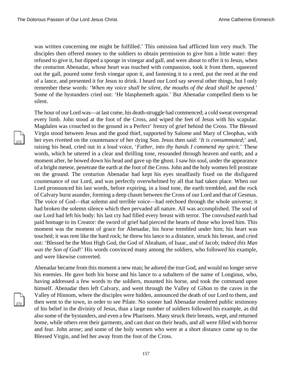was written concerning me might be fulfilled.' This omission had afflicted him very much. The disciples then offered money to the soldiers to obtain permission to give him a little water: they refused to give it, but dipped a sponge in vinegar and gall, and were about to offer it to Jesus, when the centurion Abenadar, whose heart was touched with compassion, took it from them, squeezed out the gall, poured some fresh vinegar upon it, and fastening it to a reed, put the reed at the end of a lance, and presented it for Jesus to drink. I heard our Lord say several other things, but I only remember these words: '*When my voice shall be silent, the mouths of the dead shall be opened*.' Some of the bystanders cried out: 'He blasphemeth again.' But Abenadar compelled them to be silent.

The hour of our Lord was—at last come, his death-struggle had commenced; a cold sweat overspread every limb. John stood at the foot of the Cross, and wiped the feet of Jesus with his scapular. Magdalen was crouched to the ground in a Perfect' frenzy of grief behind the Cross. The Blessed Virgin stood between Jesus and the good thief, supported by Salome and Mary of Cleophas, with her eyes rivetted on the countenance of her dying Son. Jesus then said: '*It is consummated*;' and, raising his head, cried out in a loud voice, '*Father, into thy hands I commend my spirit*.' These words, which he uttered in a clear and thrilling tone, resounded through heaven and earth; and a moment after, he bowed down his head and gave up the ghost. I saw his soul, under the appearance of a bright meteor, penetrate the earth at the foot of the Cross. John and the holy women fell prostrate on the ground. The centurion Abenadar had kept his eyes steadfastly fixed on the disfigured countenance of our Lord, and was perfectly overwhelmed by all that had taken place. When our Lord pronounced his last words, before expiring, in a loud tone, the earth trembled, and the rock of Calvary burst asunder, forming a deep chasm between the Cross of our Lord and that of Gesmas. The voice of God—that solemn and terrible voice—had reëchoed through the whole universe; it had broken the solemn silence which then pervaded all nature. All was accomplished. The soul of our Lord had left his body: his last cry had filled every breast with terror. The convulsed earth had paid homage to its Creator: the sword of grief had pierced the hearts of those who loved him. This moment was the moment of grace for Abenadar, his horse trembled under him; his heart was touched; it was rent like the hard rock; he threw his lance to a distance, struck his breast, and cried out: 'Blessed be the Most High God, the God of Abraham, of Isaac, and of Jacob; *indeed this Man was the Son of God*!' His words convinced many among the soldiers, who followed his example, and were likewise converted.



272

Abenadar became from this moment a new man; he adored the true God, and would no longer serve his enemies. He gave both his horse and his lance to a subaltern of the name of Longinus, who, having addressed a few words to the soldiers, mounted his horse, and took the command upon himself. Abenadar then left Calvary, and went through the Valley of Gihon to the caves in the Valley of Hinnom, where the disciples were hidden, announced the death of our Lord to them, and then went to the town, in order to see Pilate. No sooner had Abenadar rendered public testimony of his belief in the divinity of Jesus, than a large number of soldiers followed his example, as did also some of the bystanders, and even a few Pharisees. Many struck their breasts, wept, and returned home, while others rent their garments, and cast dust on their heads, and all were filled with horror and fear. John arose; and some of the holy women who were at a short distance came up to the Blessed Virgin, and led her away from the foot of the Cross.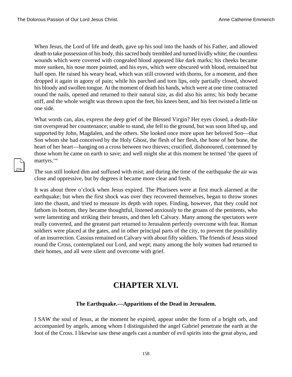When Jesus, the Lord of life and death, gave up his soul into the hands of his Father, and allowed death to take possession of his body, this sacred body trembled and turned lividly white; the countless wounds which were covered with congealed blood appeared like dark marks; his cheeks became more sunken, his nose more pointed, and his eyes, which were obscured with blood, remained but half open. He raised his weary head, which was still crowned with thorns, for a moment, and then dropped it again in agony of pain; while his parched and torn lips, only partially closed, showed his bloody and swollen tongue. At the moment of death his hands, which were at one time contracted round the nails, opened and returned to their natural size, as did also his arms; his body became stiff, and the whole weight was thrown upon the feet, his knees bent, and his feet twisted a little on one side.

What words can, alas, express the deep grief of the Blessed Virgin? Her eyes closed, a death-like tint overspread her countenance; unable to stand, she fell to the ground, but was soon lifted up, and supported by John, Magdalen, and the others. She looked once more upon her beloved Son—that Son whom she had conceived by the Holy Ghost, the flesh of her flesh, the bone of her bone, the heart of her heart—hanging on a cross between two thieves; crucified, dishonoured, contemned by those whom he came on earth to save; and well might she at this moment be termed 'the queen of martyrs."

The sun still looked dim and suffused with mist; and during the time of the earthquake the air was close and oppressive, but by degrees it became more clear and fresh.

It was about three o'clock when Jesus expired. The Pharisees were at first much alarmed at the earthquake; but when the first shock was over they recovered themselves, began to throw stones into the chasm, and tried to measure its depth with ropes. Finding, however, that they could not fathom its bottom, they became thoughtful, listened anxiously to the groans of the penitents, who were lamenting and striking their breasts, and then left Calvary. Many among the spectators were really converted, and the greatest part returned to Jerusalem perfectly overcome with fear. Roman soldiers were placed at the gates, and in other principal parts of the city, to prevent the possibility of an insurrection. Cassius remained on Calvary with about fifty soldiers. The friends of Jesus stood round the Cross, contemplated our Lord, and wept; many among the holy women had returned to their homes, and all were silent and overcome with grief.

# **CHAPTER XLVI.**

### **The Earthquake.—Apparitions of the Dead in Jerusalem.**

I SAW the soul of Jesus, at the moment he expired, appear under the form of a bright orb, and accompanied by angels, among whom I distinguished the angel Gabriel penetrate the earth at the foot of the Cross. I likewise saw these angels cast a number of evil spirits into the great abyss, and

158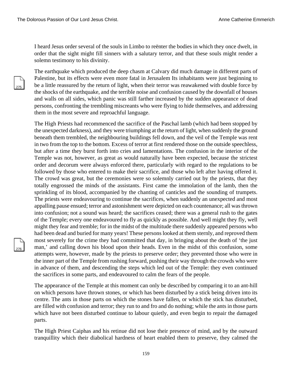276

I heard Jesus order several of the souls in Limbo to reënter the bodies in which they once dwelt, in order that the sight might fill sinners with a salutary terror, and that these souls might render a solemn testimony to his divinity.

The earthquake which produced the deep chasm at Calvary did much damage in different parts of Palestine, but its effects were even more fatal in Jerusalem Its inhabitants were just beginning to be a little reassured by the return of light, when their terror was reawakened with double force by the shocks of the earthquake, and the terrible noise and confusion caused by the downfall of houses and walls on all sides, which panic was still farther increased by the sudden appearance of dead persons, confronting the trembling miscreants who were flying to hide themselves, and addressing them in the most severe and reproachful language.

The High Priests had recommenced the sacrifice of the Paschal lamb (which had been stopped by the unexpected darkness), and they were triumphing at the return of light, when suddenly the ground beneath them trembled, the neighbouring buildings fell down, and the veil of the Temple was rent in two from the top to the bottom. Excess of terror at first rendered those on the outside speechless, but after a time they burst forth into cries and lamentations. The confusion in the interior of the Temple was not, however, as great as would naturally have been expected, because the strictest order and decorum were always enforced there, particularly with regard to the regulations to be followed by those who entered to make their sacrifice, and those who left after having offered it. The crowd was great, but the ceremonies were so solemnly carried out by the priests, that they totally engrossed the minds of the assistants. First came the immolation of the lamb, then the sprinkling of its blood, accompanied by the chanting of canticles and the sounding of trumpets. The priests were endeavouring to continue the sacrifices, when suddenly an unexpected and most appalling pause ensued; terror and astonishment were depicted on each countenance; all was thrown into confusion; not a sound was heard; the sacrifices ceased; there was a general rush to the gates of the Temple; every one endeavoured to fly as quickly as possible. And well might they fly, well might they fear and tremble; for in the midst of the multitude there suddenly appeared persons who had been dead and buried for many years! These persons looked at them sternly, and reproved them most severely for the crime they had committed that day, in bringing about the death of 'the just man,' and calling down his blood upon their heads. Even in the midst of this confusion, some attempts were, however, made by the priests to preserve order; they prevented those who were in the inner part of the Temple from rushing forward, pushing their way through the crowds who were in advance of them, and descending the steps which led out of the Temple: they even continued the sacrifices in some parts, and endeavoured to calm the fears of the people.

The appearance of the Temple at this moment can only be described by comparing it to an ant-hill on which persons have thrown stones, or which has been disturbed by a stick being driven into its centre. The ants in those parts on which the stones have fallen, or which the stick has disturbed, are filled with confusion and terror; they run to and fro and do nothing; while the ants in those parts which have not been disturbed continue to labour quietly, and even begin to repair the damaged parts.

The High Priest Caiphas and his retinue did not lose their presence of mind, and by the outward tranquillity which their diabolical hardness of heart enabled them to preserve, they calmed the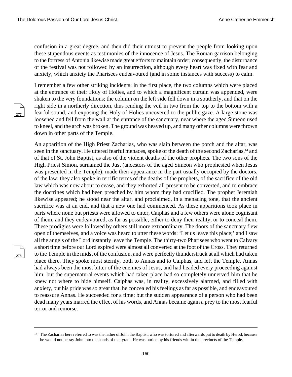confusion in a great degree, and then did their utmost to prevent the people from looking upon these stupendous events as testimonies of the innocence of Jesus. The Roman garrison belonging to the fortress of Antonia likewise made great efforts to maintain order; consequently, the disturbance of the festival was not followed by an insurrection, although every heart was fixed with fear and anxiety, which anxiety the Pharisees endeavoured (and in some instances with success) to calm.

I remember a few other striking incidents: in the first place, the two columns which were placed at the entrance of their Holy of Holies, and to which a magnificent curtain was appended, were shaken to the very foundations; the column on the left side fell down in a southerly, and that on the right side in a northerly direction, thus rending the veil in two from the top to the bottom with a fearful sound, and exposing the Holy of Holies uncovered to the public gaze. A large stone was loosened and fell from the wall at the entrance of the sanctuary, near where the aged Simeon used to kneel, and the arch was broken. The ground was heaved up, and many other columns were thrown down in other parts of the Temple.

An apparition of the High Priest Zacharias, who was slain between the porch and the altar, was seen in the sanctuary. He uttered fearful menaces, spoke of the death of the second Zacharias,<sup>14</sup> and of that of St. John Baptist, as also of the violent deaths of the other prophets. The two sons of the High Priest Simon, surnamed the Just (ancestors of the aged Simeon who prophesied when Jesus was presented in the Temple), made their appearance in the part usually occupied by the doctors, of the law; they also spoke in terrific terms of the deaths of the prophets, of the sacrifice of the old law which was now about to cease, and they exhorted all present to be converted, and to embrace the doctrines which had been preached by him whom they had crucified. The prophet Jeremiah likewise appeared; he stood near the altar, and proclaimed, in a menacing tone, that the ancient sacrifice was at an end, and that a new one had commenced. As these apparitions took place in parts where none but priests were allowed to enter, Caiphas and a few others were alone cognisant of them, and they endeavoured, as far as possible, either to deny their reality, or to conceal them. These prodigies were followed by others still more extraordinary. The doors of the sanctuary flew open of themselves, and a voice was heard to utter these words: 'Let us leave this place;' and I saw all the angels of the Lord instantly leave the Temple. The thirty-two Pharisees who went to Calvary a short time before our Lord expired were almost all converted at the foot of the Cross. They returned to the Temple in the midst of the confusion, and were perfectly thunderstruck at all which had taken place there. They spoke most sternly, both to Annas and to Caiphas, and left the Temple. Annas had always been the most bitter of the enemies of Jesus, and had headed every proceeding against him; but the supernatural events which had taken place had so completely unnerved him that he knew not where to hide himself. Caiphas was, in reality, excessively alarmed, and filled with anxiety, but his pride was so great that. he concealed his feelings as far as possible, and endeavoured to reassure Annas. He succeeded for a time; but the sudden appearance of a person who had been dead many years marred the effect of his words, and Annas became again a prey to the most fearful terror and remorse.

278

<sup>&</sup>lt;sup>14</sup> The Zacharias here referred to was the father of John the Baptist, who was tortured and afterwards put to death by Herod, because he would not betray John into the hands of the tyrant, He was buried by his friends within the precincts of the Temple.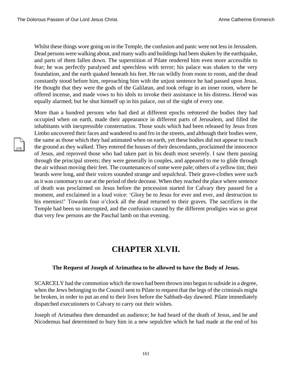Whilst these things wore going on in the Temple, the confusion and panic were not less in Jerusalem. Dead persons were walking about, and many walls and buildings had been shaken by the earthquake, and parts of them fallen down. The superstition of Pilate rendered him even more accessible to fear; he was perfectly paralysed and speechless with terror; his palace was shaken to the very foundation, and the earth quaked beneath his feet. He ran wildly from room to room, and the dead constantly stood before him, reproaching him with the unjust sentence he had passed upon Jesus. He thought that they were the gods of the Galilæan, and took refuge in an inner room, where he offered incense, and made vows to his idols to invoke their assistance in his distress. Herod was equally alarmed; but he shut himself up in his palace, out of the sight of every one.

More than a hundred persons who had died at different epochs reëntered the bodies they had occupied when on earth, made their appearance in different parts of Jerusalem, and filled the inhabitants with inexpressible consternation. Those souls which had been released by Jesus from Limbo uncovered their faces and wandered to and fro in the streets, and although their bodies were, the same as those which they had animated when on earth, yet these bodies did not appear to touch the ground as they walked. They entered the houses of their descendants, proclaimed the innocence of Jesus, and reproved those who had taken part in his death most severely. I saw them passing through the principal streets; they were generally in couples, and appeared to me to glide through the air without moving their feet. The countenances of some were pale; others of a yellow tint; their beards were long, and their voices sounded strange and sepulchral. Their grave-clothes were such as it was customary to use at the period of their decease. When they reached the place where sentence of death was proclaimed on Jesus before the procession started for Calvary they paused for a moment, and exclaimed in a loud voice: 'Glory be to Jesus for ever and ever, and destruction to his enemies!' Towards four o'clock all the dead returned to their graves. The sacrifices in the Temple had been so interrupted, and the confusion caused by the different prodigies was so great that very few persons ate the Paschal lamb on that evening.

### **CHAPTER XLVII.**

#### **The Request of Joseph of Arimathea to be allowed to have the Body of Jesus.**

SCARCELY had the commotion which the town had been thrown into begun to subside in a degree, when the Jews belonging to the Council sent to Pilate to request that the legs of the criminals might be broken, in order to put an end to their lives before the Sabbath-day dawned. Pilate immediately dispatched executioners to Calvary to carry out their wishes.

Joseph of Arimathea then demanded an audience; he had heard of the death of Jesus, and he and Nicodemus had determined to bury him in a new sepulchre which he had made at the end of his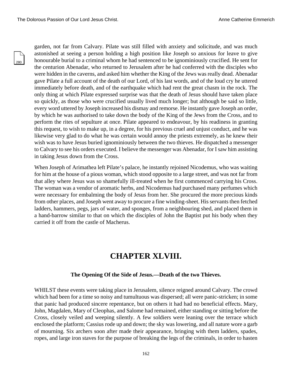

garden, not far from Calvary. Pilate was still filled with anxiety and solicitude, and was much astonished at seeing a person holding a high position like Joseph so anxious for leave to give honourable burial to a criminal whom he had sentenced to be ignominiously crucified. He sent for the centurion Abenadar, who returned to Jerusalem after he had conferred with the disciples who were hidden in the caverns, and asked him whether the King of the Jews was really dead. Abenadar gave Pilate a full account of the death of our Lord, of his last words, and of the loud cry he uttered immediately before death, and of the earthquake which had rent the great chasm in the rock. The only thing at which Pilate expressed surprise was that the death of Jesus should have taken place so quickly, as those who were crucified usually lived much longer; but although be said so little, every word uttered by Joseph increased his dismay and remorse. He instantly gave Joseph an order, by which he was authorised to take down the body of the King of the Jews from the Cross, and to perform the rites of sepulture at once. Pilate appeared to endeavour, by his readiness in granting this request, to wish to make up, in a degree, for his previous cruel and unjust conduct, and he was likewise very glad to do what he was certain would annoy the priests extremely, as he knew their wish was to have Jesus buried ignominiously between the two thieves. He dispatched a messenger to Calvary to see his orders executed. I believe the messenger was Abenadar, for I saw him assisting in taking Jesus down from the Cross.

When Joseph of Arimathea left Pilate's palace, he instantly rejoined Nicodemus, who was waiting for him at the house of a pious woman, which stood opposite to a large street, and was not far from that alley where Jesus was so shamefully ill-treated when he first commenced carrying his Cross. The woman was a vendor of aromatic herbs, and Nicodemus had purchased many perfumes which were necessary for embalming the body of Jesus from her. She procured the more precious kinds from other places, and Joseph went away to procure a fine winding-sheet. His servants then fetched ladders, hammers, pegs, jars of water, and sponges, from a neighbouring shed, and placed them in a hand-barrow similar to that on which the disciples of John the Baptist put his body when they carried it off from the castle of Macherus.

# **CHAPTER XLVIII.**

### **The Opening Of the Side of Jesus.—Death of the two Thieves.**

WHILST these events were taking place in Jerusalem, silence reigned around Calvary. The crowd which had been for a time so noisy and tumultuous was dispersed; all were panic-stricken; in some that panic had produced sincere repentance, but on others it had had no beneficial effects. Mary, John, Magdalen, Mary of Cleophas, and Salome had remained, either standing or sitting before the Cross, closely veiled and weeping silently. A few soldiers were leaning over the terrace which enclosed the platform; Cassius rode up and down; the sky was lowering, and all nature wore a garb of mourning. Six archers soon after made their appearance, bringing with them ladders, spades, ropes, and large iron staves for the purpose of breaking the legs of the criminals, in order to hasten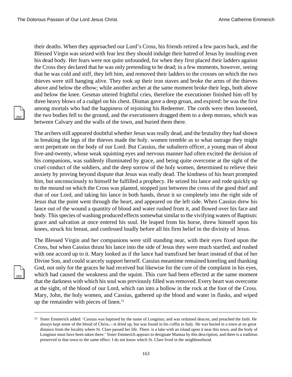283

their deaths. When they approached our Lord's Cross, his friends retired a few paces back, and the Blessed Virgin was seized with fear lest they should indulge their hatred of Jesus by insulting even his dead body. Her fears were not quite unfounded, for when they first placed their ladders against the Cross they declared that he was only pretending to be dead; in a few moments, however, seeing that he was cold and stiff, they left him, and removed their ladders to the crosses on which the two thieves were still hanging alive. They took up their iron staves and broke the arms of the thieves above and below the elbow; while another archer at the same moment broke their legs, both above and below the knee. Gesmas uttered frightful cries, therefore the executioner finished him off by three heavy blows of a cudgel on his chest. Dismas gave a deep groan, and expired: be was the first among mortals who had the happiness of rejoining his Redeemer. The cords were then loosened, the two bodies fell to the ground, and the executioners dragged them to a deep morass, which was between Calvary and the walls of the town, and buried them there.

The archers still appeared doubtful whether Jesus was really dead, and the brutality they had shown in breaking the legs of the thieves made the holy. women tremble as to what outrage they might next perpetrate on the body of our Lord. But Cassius, the subaltern officer, a young man of about five-and-twenty, whose weak squinting eyes and nervous manner had often excited the derision of his companions, was suddenly illuminated by grace, and being quite overcome at the sight of the cruel conduct of the soldiers, and the deep sorrow of the holy women, determined to relieve their anxiety by proving beyond dispute that Jesus was really dead. The kindness of his heart prompted him, but unconsciously to himself he fulfilled a prophecy. He seized his lance and rode quickly up to the mound on which the Cross was planted, stopped just between the cross of the good thief and that of our Lord, and taking his lance in both hands, thrust it so completely into the right side of Jesus that the point went through the heart, and appeared on the left side. When Cassius drew his lance out of the wound a quantity of blood and water rushed from it, and flowed over his face and body. This species of washing produced effects somewhat similar to the vivifying waters of Baptism: grace and salvation at once entered his soul. He leaped from his horse, threw himself upon his knees, struck his breast, and confessed loudly before all his firm belief in the divinity of Jesus.

The Blessed Virgin and her companions were still standing near, with their eyes fixed upon the Cross, but when Cassius thrust his lance into the side of Jesus they were much startled, and rushed with one accord up to it. Mary looked as if the lance had transfixed her heart instead of that of her Divine Son, and could scarcely support herself. Cassius meantime remained kneeling and thanking God, not only for the graces he had received but likewise for the cure of the complaint in his eyes, which had caused the weakness and the squint. This cure had been effected at the same moment that the darkness with which his soul was previously filled was removed. Every heart was overcome at the sight, of the blood of our Lord, which ran into a hollow in the rock at the foot of the Cross. Mary, John, the holy women, and Cassius, gathered up the blood and water in flasks, and wiped up the remainder with pieces of linen.<sup>15</sup>

<sup>&</sup>lt;sup>15</sup> Sister Emmerich added: 'Cassius was baptised by the name of Longinus; and was ordained deacon, and preached the faith. He always kept some of the blood of Christ,—it dried up, but was found in his coffin in Italy. He was buried in a town at no great distance from the locality where St. Clare passed her life. There. is a lake with an island upon it near this town, and the body of Longinus must have been taken there.' Sister Emmerich appears to designate Mantua by this description, and there is a tradition preserved in that town to the same effect. I do not know which St. Clare lived in the neighbourhood.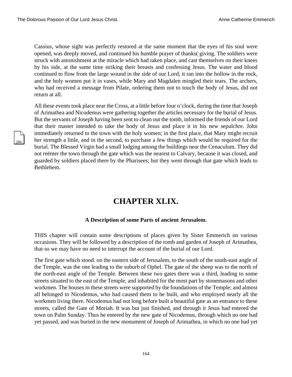Cassius, whose sight was perfectly restored at the same moment that the eyes of his soul were opened, was deeply moved, and continued his humble prayer of thanks( giving. The soldiers were struck with astonishment at the miracle which had taken place, and cast themselves on their knees by his side, at the same time striking their breasts and confessing Jesus. The water and blood continued to flow from the large wound in the side of our Lord; it ran into the hollow in the rock, and the holy women put it in vases, while Mary and Magdalen mingled their tears. The archers, who had received a message from Pilate, ordering them not to touch the body of Jesus, did not return at all.

All these events took place near the Cross, at a little before four o'clock, during the time that Joseph of Arimathea and Nicodemus were gathering together the articles necessary for the burial of Jesus. But the servants of Joseph having been sent to clean out the tomb, informed the friends of our Lord that their master intended to take the body of Jesus and place it in his new sepulchre. John immediately returned to the town with the holy women; in the first place, that Mary might recruit her strength a little, and in the second, to purchase a few things which would be required for the burial. The Blessed Virgin had a small lodging among the buildings near the Cenaculum. They did not reënter the town through the gate which was the nearest to Calvary, because it was closed, and guarded by soldiers placed there by the Pharisees; but they went through that gate which leads to Bethlehem.

# **CHAPTER XLIX.**

### **A Description of some Parts of ancient Jerusalem.**

THIS chapter will contain some descriptions of places given by Sister Emmerich on various occasions. They will be followed by a description of the tomb and garden of Joseph of Arimathea, that so we may have no need to interrupt the account of the burial of our Lord.

The first gate which stood. on the eastern side of Jerusalem, to the south of the south-east angle of the Temple, was the one leading to the suburb of Ophel. The gate of the sheep was to the north of the north-east angle of the Temple. Between these two gates there was a third, leading to some streets situated to the east of the Temple, and inhabited for the most part by stonemasons and other workmen. The houses in these streets were supported by the foundations of the Temple; and almost all belonged to Nicodemus, who had caused them to be built, and who employed nearly all the workmen living there. Nicodemus had not long before built a beautiful gate as an entrance to these streets, called the Gate of Moriah. It was but just finished, and through it Jesus had entered the town on Palm Sunday. Thus he entered by the new gate of Nicodemus, through which no one had yet passed, and was buried in the new monument of Joseph of Arimathea, in which no one had yet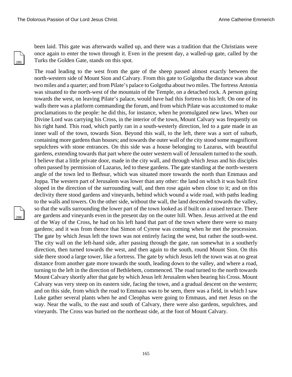286

been laid. This gate was afterwards walled up, and there was a tradition that the Christians were once again to enter the town through it. Even in the present day, a walled-up gate, called by the Turks the Golden Gate, stands on this spot.

The road leading to the west from the gate of the sheep passed almost exactly between the north-western side of Mount Sion and Calvary. From this gate to Golgotha the distance was about two miles and a quarter; and from Pilate's palace to Golgotha about two miles. The fortress Antonia was situated to the north-west of the mountain of the Temple, on a detached rock. A person going towards the west, on leaving Pilate's palace, would have had this fortress to his left. On one of its walls there was a platform commanding the forum, and from which Pilate was accustomed to make proclamations to the people: he did this, for instance, when he promulgated new laws. When our Divine Lord was carrying his Cross, in the interior of the town, Mount Calvary was frequently on his right hand. This road, which partly ran in a south-westerly direction, led to a gate made in an inner wall of the town, towards Sion. Beyond this wall, to the left, there was a sort of suburb, containing more gardens than houses; and towards the outer wall of the city stood some magnificent sepulchres with stone entrances. On this side was a house belonging to Lazarus, with beautiful gardens, extending towards that part where the outer western wall of Jerusalem turned to the south. I believe that a little private door, made in the city wall, and through which Jesus and his disciples often passed by permission of Lazarus, led to these gardens. The gate standing at the north-western angle of the town led to Bethsur, which was situated more towards the north than Emmaus and Joppa. The western part of Jerusalem was lower than any other: the land on which it was built first sloped in the direction of the surrounding wall, and then rose again when close to it; and on this declivity there stood gardens and vineyards, behind which wound a wide road, with paths leading to the walls and towers. On the other side, without the wall, the land descended towards the valley, so that the walls surrounding the lower part of the town looked as if built on a raised terrace. There are gardens and vineyards even in the present day on the outer hill. When. Jesus arrived at the end of the Way of the Cross, he had on his left hand that part of the town where there were so many gardens; and it was from thence that Simon of Cyrene was coming when he met the procession. The gate by which Jesus left the town was not entirely facing the west, but rather the south-west. The city wall on the left-hand side, after passing through the gate, ran somewhat in a southerly direction, then turned towards the west, and then again to the south, round Mount Sion. On this side there stood a large tower, like a fortress. The gate by which Jesus left the town was at no great distance from another gate more towards the south, leading down to the valley, and where a road, turning to the left in the direction of Bethlehem, commenced. The road turned to the north towards Mount Calvary shortly after that gate by which Jesus left Jerusalem when bearing his Cross. Mount Calvary was very steep on its eastern side, facing the town, and a gradual descent on the western; and on this side, from which the road to Emmaus was to be seen, there was a field, in which I saw Luke gather several plants when he and Cleophas were going to Emmaus, and met Jesus on the way. Near the walls, to the east and south of Calvary, there were also gardens, sepulchres, and vineyards. The Cross was buried on the northeast side, at the foot of Mount Calvary.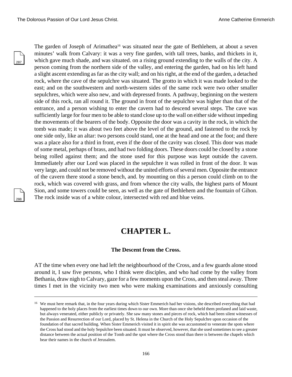

The garden of Joseph of Arimathea<sup>16</sup> was situated near the gate of Bethlehem, at about a seven minutes' walk from Calvary: it was a very fine garden, with tall trees, banks, and thickets in it, which gave much shade, and was situated. on a rising ground extending to the walls of the city. A person coming from the northern side of the valley, and entering the garden, had on his left hand a slight ascent extending as far as the city wall; and on his right, at the end of the garden, a detached rock, where the cave of the sepulchre was situated. The grotto in which it was made looked to the east; and on the southwestern and north-western sides of the same rock were two other smaller sepulchres, which were also new, and with depressed fronts. A pathway, beginning on the western side of this rock, ran all round it. The ground in front of the sepulchre was higher than that of the entrance, and a person wishing to enter the cavern had to descend several steps. The cave was sufficiently large for four men to be able to stand close up to the wall on either side without impeding the movements of the bearers of the body. Opposite the door was a cavity in the rock, in which the tomb was made; it was about two feet above the level of the ground, and fastened to the rock by one side only, like an altar: two persons could stand, one at the head and one at the foot; and there was a place also for a third in front, even if the door of the cavity was closed. This door was made of some metal, perhaps of brass, and had two folding doors. These doors could be closed by a stone being rolled against them; and the stone used for this purpose was kept outside the cavern. Immediately after our Lord was placed in the sepulchre it was rolled in front of the door. It was very large, and could not be removed without the united efforts of several men. Opposite the entrance of the cavern there stood a stone bench, and. by mounting on this a person could climb on to the rock, which was covered with grass, and from whence the city walls, the highest parts of Mount Sion, and some towers could be seen, as well as the gate of Bethlehem and the fountain of Gihon. The rock inside was of a white colour, intersected with red and blue veins.

### **CHAPTER L.**

#### **The Descent from the Cross.**

AT the time when every one had left the neighbourhood of the Cross, and a few guards alone stood around it, I saw five persons, who I think were disciples, and who had come by the valley from Bethania, draw nigh to Calvary, gaze for a few moments upon the Cross, and then steal away. Three times I met in the vicinity two men who were making examinations and anxiously consulting

<sup>&</sup>lt;sup>16</sup> We must here remark that, in the four years during which Sister Emmerich had her visions, she described everything that had happened to the holy places from the earliest times down to our own. More than once she beheld them profaned and laid waste, but always venerated, either publicly or privately. She saw many stones and pieces of rock, which had been silent witnesses of the Passion and Resurrection of our Lord, placed by St. Helena in the Church of the Holy Sepulchre upon occasion of the foundation of that sacred building. When Sister Emmerich visited it in spirit she was accustomed to venerate the spots where the Cross had stood and the holy Sepulchre been situated. It must be observed, however, that she used sometimes to see a greater distance between the actual position of the Tomb and the spot where the Cross stood than there is between the chapels which bear their names in the church of Jerusalem.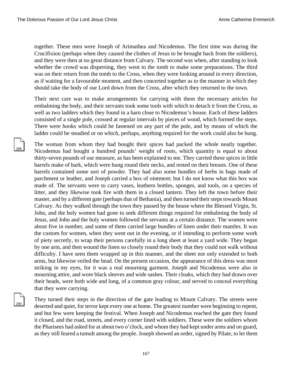290

together. These men were Joseph of Arimathea and Nicodemus. The first time was during the Crucifixion (perhaps when they caused the clothes of Jesus to be brought back from the soldiers), and they were then at no great distance from Calvary. The second was when, after standing to look whether the crowd was dispersing, they went to the tomb to make some preparations. The third was on their return from the tomb to the Cross, when they were looking around in every direction, as if waiting for a favourable moment, and then concerted together as to the manner in which they should take the body of our Lord down from the Cross, after which they returned to the town.

Their next care was to make arrangements for carrying with them the necessary articles for embalming the body, and their servants took some tools with which to detach it from the Cross, as well as two ladders which they found in a barn close to Nicodemus's house. Each of these ladders consisted of a single pole, crossed at regular intervals by pieces of wood, which formed the steps. There were hooks which could be fastened on any part of the pole, and by means of which the ladder could be steadied or on which, perhaps, anything required for the work could also be hung.

The woman from whom they had bought their spices had packed the whole neatly together. Nicodemus had bought a hundred pounds' weight of roots, which quantity is equal to about thirty-seven pounds of our measure, as has been explained to me. They carried these spices in little barrels make of bark, which were hung round their necks, and rested on their breasts. One of these barrels contained some sort of powder. They had also some bundles of herbs in bags made of parchment or leather, and Joseph carried a box of ointment; but I do not know what this box was made of. The servants were to carry vases, leathern bottles, sponges, and tools, on a species of litter, and they likewise took fire with them in a closed lantern. They left the town before their master, and by a different gate (perhaps that of Bethania), and then turned their steps towards Mount Calvary. As they walked through the town they passed by the house where the Blessed Virgin, St. John, and the holy women had gone to seek different things required for embalming the body of Jesus, and John and the holy women followed the servants at a certain distance. The women were about five in number, and some of them carried large bundles of linen under their mantles. It was the custom for women, when they went out in the evening, or if intending to perform some work of piety secretly, to wrap their persons carefully in a long sheet at least a yard wide. They began by one arm, and then wound the linen so closely round their body that they could not walk without difficulty. I have seen them wrapped up in this manner, and the sheet not only extended to both arms, but likewise veiled the head. On the present occasion, the appearance of this dress was most striking in my eyes, for it was a real mourning garment. Joseph and Nicodemus were also in mourning attire, and wore black sleeves and wide sashes. Their cloaks, which they had drawn over their heads, were both wide and long, of a common gray colour, and served to conceal everything that they were carrying.

They turned their steps in the direction of the gate leading to Mount Calvary. The streets were deserted and quiet, for terror kept every one at home. The greatest number were beginning to repent, and but few were keeping the festival. When Joseph and Nicodemus reached the gate they found it closed, and the road, streets, and every corner lined with soldiers. These were the soldiers whom the Pharisees had asked for at about two o'clock, and whom they had kept under arms and on guard, as they still feared a tumult among the people. Joseph showed an order, signed by Pilate, to let them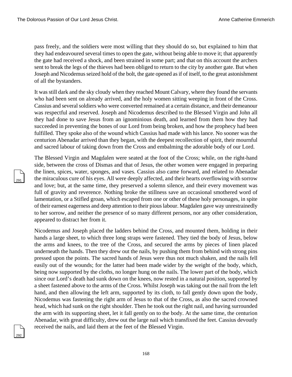pass freely, and the soldiers were most willing that they should do so, but explained to him that they had endeavoured several times to open the gate, without being able to move it; that apparently the gate had received a shock, and been strained in some part; and that on this account the archers sent to break the legs of the thieves had been obliged to return to the city by another gate. But when Joseph and Nicodemus seized hold of the bolt, the gate opened as if of itself, to the great astonishment of all the bystanders.

It was still dark and the sky cloudy when they reached Mount Calvary, where they found the servants who had been sent on already arrived, and the holy women sitting weeping in front of the Cross. Cassius and several soldiers who were converted remained at a certain distance, and their demeanour was respectful and reserved. Joseph and Nicodemus described to the Blessed Virgin and John all they had done to save Jesus from an ignominious death, and learned from them how they had succeeded in preventing the bones of our Lord from being broken, and how the prophecy had been fulfilled. They spoke also of the wound which Cassius had made with his lance. No sooner was the centurion Abenadar arrived than they began, with the deepest recollection of spirit, their mournful and sacred labour of taking down from the Cross and embalming the adorable body of our Lord.

The Blessed Virgin and Magdalen were seated at the foot of the Cross; while, on the right-hand side, between the cross of Dismas and that of Jesus, the other women were engaged in preparing the linen, spices, water, sponges, and vases. Cassius also came forward, and related to Abenadar the miraculous cure of his eyes. All were deeply affected, and their hearts overflowing with sorrow and love; but, at the same time, they preserved a solemn silence, and their every movement was full of gravity and reverence. Nothing broke the stillness save an occasional smothered word of lamentation, or a Stifled groan, which escaped from one or other of these holy personages, in spite of their earnest eagerness and deep attention to their pious labour. Magdalen gave way unrestrainedly to her sorrow, and neither the presence of so many different persons, nor any other consideration, appeared to distract her from it.

Nicodemus and Joseph placed the ladders behind the Cross, and mounted them, holding in their hands a large sheet, to which three long straps were fastened. They tied the body of Jesus, below the arms and knees, to the tree of the Cross, and secured the arms by pieces of linen placed underneath the hands. Then they drew out the nails, by pushing them from behind with strong pins pressed upon the points. The sacred hands of Jesus were thus not much shaken, and the nails fell easily out of the wounds; for the latter had been made wider by the weight of the body, which, being now supported by the cloths, no longer hung on the nails. The lower part of the body, which since our Lord's death had sunk down on the knees, now rested in a natural position, supported by a sheet fastened above to the arms of the Cross. Whilst Joseph was taking out the nail from the left hand, and then allowing the left arm, supported by its cloth, to fall gently down upon the body, Nicodemus was fastening the right arm of Jesus to that of the Cross, as also the sacred crowned head, which had sunk on the right shoulder. Then he took out the right nail, and having surrounded the arm with its supporting sheet, let it fall gently on to the body. At the same time, the centurion Abenadar, with great difficulty, drew out the large nail which transfixed the feet. Cassius devoutly received the nails, and laid them at the feet of the Blessed Virgin.

291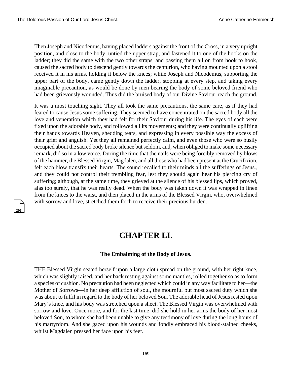Then Joseph and Nicodemus, having placed ladders against the front of the Cross, in a very upright position, and close to the body, untied the upper strap, and fastened it to one of the hooks on the ladder; they did the same with the two other straps, and passing them all on from hook to hook, caused the sacred body to descend gently towards the centurion, who having mounted upon a stool received it in his arms, holding it below the knees; while Joseph and Nicodemus, supporting the upper part of the body, came gently down the ladder, stopping at every step, and taking every imaginable precaution, as would be done by men bearing the body of some beloved friend who had been grievously wounded. Thus did the bruised body of our Divine Saviour reach the ground.

It was a most touching sight. They all took the same precautions, the same care, as if they had feared to cause Jesus some suffering. They seemed to have concentrated on the sacred body all the love and veneration which they had felt for their Saviour during his life. The eyes of each were fixed upon the adorable body, and followed all its movements; and they were continually uplifting their hands towards Heaven, shedding tears, and expressing in every possible way the excess of their grief and anguish. Yet they all remained perfectly calm, and even those who were so busily occupied about the sacred body broke silence but seldom, and, when obliged to make some necessary remark, did so in a low voice. During the time that the nails were being forcibly removed by blows of the hammer, the Blessed Virgin, Magdalen, and all those who had been present at the Crucifixion, felt each blow transfix their hearts. The sound recalled to their minds all the sufferings of Jesus., and they could not control their trembling fear, lest they should again hear his piercing cry of suffering; although, at the same time, they grieved at the silence of his blessed lips, which proved, alas too surely, that he was really dead. When the body was taken down it was wrapped in linen from the knees to the waist, and then placed in the arms of the Blessed Virgin, who, overwhelmed with sorrow and love, stretched them forth to receive their precious burden.

# **CHAPTER LI.**

### **The Embalming of the Body of Jesus.**

THE Blessed Virgin seated herself upon a large cloth spread on the ground, with her right knee, which was slightly raised, and her back resting against some mantles, rolled together so as to form a species of cushion. No precaution had been neglected which could in any way facilitate to her—the Mother of Sorrows—in her deep affliction of soul, the mournful but most sacred duty which she was about to fulfil in regard to the body of her beloved Son. The adorable head of Jesus rested upon Mary's knee, and his body was stretched upon a sheet. The Blessed Virgin was overwhelmed with sorrow and love. Once more, and for the last time, did she hold in her arms the body of her most beloved Son, to whom she had been unable to give any testimony of love during the long hours of his martyrdom. And she gazed upon his wounds and fondly embraced his blood-stained cheeks, whilst Magdalen pressed her face upon his feet.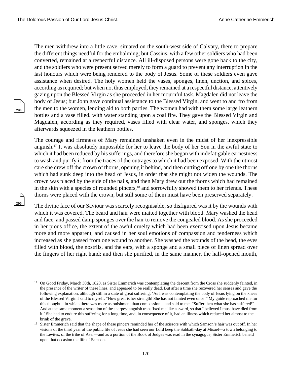295

The men withdrew into a little cave, situated on the south-west side of Calvary, there to prepare the different things needful for the embalming; but Cassius, with a few other soldiers who had been converted, remained at a respectful distance. All ill-disposed persons were gone back to the city, and the soldiers who were present served merely to form a guard to prevent any interruption in the last honours which were being rendered to the body of Jesus. Some of these soldiers even gave assistance when desired. The holy women held the vases, sponges, linen, unction, and spices, according as required; but when not thus employed, they remained at a respectful distance, attentively gazing upon the Blessed Virgin as she proceeded in her mournful task. Magdalen did not leave the body of Jesus; but John gave continual assistance to the Blessed Virgin, and went to and fro from the men to the women, lending aid to both parties. The women had with them some large leathern bottles and a vase filled. with water standing upon a coal fire. They gave the Blessed Virgin and Magdalen, according as they required, vases filled with clear water, and sponges, which they afterwards squeezed in the leathern bottles.

The courage and firmness of Mary remained unshaken even in the midst of her inexpressible anguish.17 It was absolutely impossible for her to leave the body of her Son in the awful state to which it had been reduced by his sufferings, and therefore she began with indefatigable earnestness to wash and purify it from the traces of the outrages to which it had been exposed. With the utmost care she drew off the crown of thorns, opening it behind, and then cutting off one by one the thorns which had sunk deep into the head of Jesus, in order that she might not widen the wounds. The crown was placed by the side of the nails, and then Mary drew out the thorns which had remained in the skin with a species of rounded pincers,<sup>18</sup> and sorrowfully showed them to her friends. These thorns were placed with the crown, but still some of them must have been preserved separately.

The divine face of our Saviour was scarcely recognisable, so disfigured was it by the wounds with which it was covered. The beard and hair were matted together with blood. Mary washed the head and face, and passed damp sponges over the hair to remove the congealed blood. As she proceeded in her pious office, the extent of the awful cruelty which had been exercised upon Jesus became more and more apparent, and caused in her soul emotions of compassion and tenderness which increased as she passed from one wound to another. She washed the wounds of the head, the eyes filled with blood, the nostrils, and the ears, with a sponge and a small piece of linen spread over the fingers of her right hand; and then she purified, in the same manner, the half-opened mouth,

<sup>17</sup> On Good Friday, March 30th, 1820, as Sister Emmerich was contemplating the descent from the Cross she suddenly fainted, in the presence of the writer of these lines, and appeared to be really dead. But after a time she recovered her senses and gave the following explanation, although still in a state of great suffering: 'As I was contemplating the body of Jesus lying on the knees of the Blessed Virgin I said to myself: "How great is her strength! She has not fainted even once!" My guide reproached me for this thought—in which there was more astonishment than compassion—and said to me, "Suffer then what she has suffered!" And at the same moment a sensation of the sharpest anguish transfixed me like a sword, so that I believed I must have died from it.' She had to endure this suffering for a long time, and, in consequence of it, had an illness which reduced her almost to the brink of the grave.

<sup>&</sup>lt;sup>18</sup> Sister Emmerich said that the shape of these pincers reminded her of the scissors with which Samson's hair was out off. In her visions of the third year of the public life of Jesus she had seen our Lord keep the Sabbath-day at Misael—a town belonging to the Levites, of the tribe of Aser—and as a portion of the Book of Judges was read in the synagogue, Sister Emmerich beheld upon that occasion the life of Samson.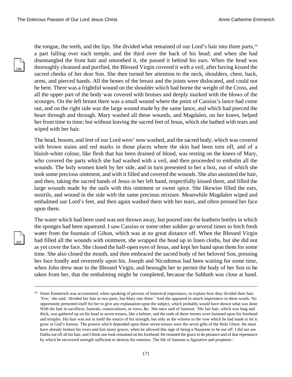297

the tongue, the teeth, and the lips. She divided what remained of our Lord's hair into three parts,<sup>19</sup> a part falling over each temple, and the third over the back of his head; and when she had disentangled the front hair and smoothed it, she passed it behind his ears. When the head was thoroughly cleansed and purified, the Blessed Virgin covered it with a veil, after having kissed the sacred cheeks of her dear Son. She then turned her attention to the neck, shoulders, chest, back, arms, and pierced hands. All the bones of the breast and the joints were dislocated, and could not be bent. There was a frightful wound on the shoulder which had borne the weight of the Cross, and all the upper part of the body was covered with bruises and deeply marked with the blows of the scourges. On the left breast there was a small wound where the point of Cassius's lance had come out, and on the right side was the large wound made by the same lance, and which had pierced the heart through and through. Mary washed all these wounds, and Magdalen, on her knees, helped her from time to time; but without leaving the sacred feet of Jesus, which she bathed with tears and wiped with her hair.

The head, bosom, and feet of our Lord were' now washed, and the sacred body, which was covered with brown stains and red marks in those places where the skin had been torn off, and of a bluish-white colour, like flesh that has been drained of blood, was resting on the knees of Mary, who covered the parts which she had washed with a veil, and then proceeded to embalm all the wounds. The holy women knelt by her side, and in turn presented to her a box, out of which she took some precious ointment, and with it filled and covered the wounds. She also anointed the hair, and then, taking the sacred hands of Jesus in her left hand, respectfully kissed them, and filled the large wounds made by the nails with this ointment or sweet spice. She likewise filled the ears, nostrils, and wound in the side with the same precious mixture. Meanwhile Magdalen wiped and embalmed our Lord's feet, and then again washed them with her tears, and often pressed her face upon them.

The water which had been used was not thrown away, but poured into the leathern bottles in which the sponges had been squeezed. I saw Cassius or some other soldier go several times to fetch fresh water from the fountain of Gihon, which was at no great distance off. When the Blessed Virgin had filled all the wounds with ointment, she wrapped the head up in linen cloths, but she did not as yet cover the face. She closed the half-open eyes of Jesus, and kept her hand upon them for some time. She also closed the mouth, and then embraced the sacred body of her beloved Son, pressing her face fondly and reverently upon his. Joseph and Nicodemus had been waiting for some time, when John drew near to the Blessed Virgin, and besought her to permit the body of her Son to be taken from her, that the embalming might be completed, because the Sabbath was close at hand.

<sup>&</sup>lt;sup>19</sup> Sister Emmerich was accustomed, when speaking of persons of historical importance, to explain how they divided their hair. 'Eve,' she said, 'divided her hair in two parts, but Mary into three.' And she appeared to attach importance to these words. No opportunity presented itself for her to give any explanation upon the subject, which probably would have shown what was done With the hair in sacrifices, funerals, consecrations, or vows, &c. She once said of Samson: 'His fair hair, which was long and thick, was gathered up on his head in seven tresses, like a helmet, and the ends of these tresses were fastened upon his forehead and temples. His hair was not in itself the source of his strength, but only as the witness to the vow which he had made to let it grow in God's honour. The powers which depended upon these seven tresses were the seven gifts of the Holy Ghost. He must have already broken his vows and lost many graces, when he allowed this sign of being a Nazarene to be out off. I did not see Dalila out off all his hair, and I think one look remained on his forehead. He retained the grace to do penance and of that repentance by which he recovered strength sufficient to destroy his enemies. The life of Samson is figurative and prophetic.'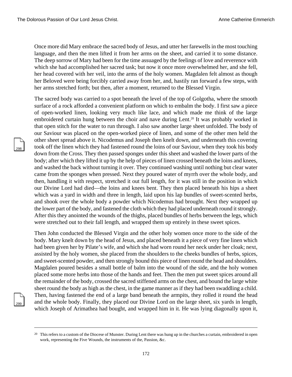Once more did Mary embrace the sacred body of Jesus, and utter her farewells in the most touching language, and then the men lifted it from her arms on the sheet, and carried it to some distance. The deep sorrow of Mary had been for the time assuaged by the feelings of love and reverence with which she had accomplished her sacred task; but now it once more overwhelmed her, and she fell, her head covered with her veil, into the arms of the holy women. Magdalen felt almost as though her Beloved were being forcibly carried away from her, and, hastily ran forward a few steps, with her arms stretched forth; but then, after a moment, returned to the Blessed Virgin.

The sacred body was carried to a spot beneath the level of the top of Golgotha, where the smooth surface of a rock afforded a convenient platform on which to embalm the body. I first saw a piece of open-worked linen, looking very much like lace, and which made me think of the large embroidered curtain hung between the choir and nave during Lent.20 It was probably worked in that open stitch for the water to run through. I also saw another large sheet unfolded. The body of our Saviour was placed on the open-worked piece of linen, and some of the other men held the other sheet spread above it. Nicodemus and Joseph then knelt down, and underneath this covering took off the linen which they had fastened round the loins of our Saviour, when they took his body down from the Cross. They then passed sponges under this sheet and washed the lower parts of the body; after which they lifted it up by the help of pieces of linen crossed beneath the loins and knees, and washed the back without turning it over. They continued washing until nothing but clear water came from the sponges when pressed. Next they poured water of myrrh over the whole body, and then, handling it with respect, stretched it out full length, for it was still in the position in which our Divine Lord had died—the loins and knees bent. They then placed beneath his hips a sheet which was a yard in width and three in length, laid upon his lap bundles of sweet-scented herbs, and shook over the whole body a powder which Nicodemus had brought. Next they wrapped up the lower part of the body, and fastened the cloth which they had placed underneath round it strongly. After this they anointed the wounds of the thighs, placed bundles of herbs between the legs, which were stretched out to their fall length, and wrapped them up entirely in these sweet spices.

Then John conducted the Blessed Virgin and the other holy women once more to the side of the body. Mary knelt down by the head of Jesus, and placed beneath it a piece of very fine linen which had been given her by Pilate's wife, and which she had worn round her neck under her cloak; next, assisted by the holy women, she placed from the shoulders to the cheeks bundles of herbs, spices, and sweet-scented powder, and then strongly bound this piece of linen round the head and shoulders. Magdalen poured besides a small bottle of balm into the wound of the side, and the holy women placed some more herbs into those of the hands and feet. Then the men put sweet spices around all the remainder of the body, crossed the sacred stiffened arms on the chest, and bound the large white sheet round the body as high as the chest, in the game manner as if they had been swaddling a child. Then, having fastened the end of a large band beneath the armpits, they rolled it round the head and the whole body. Finally, they placed our Divine Lord on the large sheet, six yards in length, which Joseph of Arimathea had bought, and wrapped him in it. He was lying diagonally upon it,

298

299

<sup>&</sup>lt;sup>20</sup> This refers to a custom of the Diocese of Munster. During Lent there was hung up in the churches a curtain, embroidered in open work, representing the Five Wounds, the instruments of the, Passion, &c.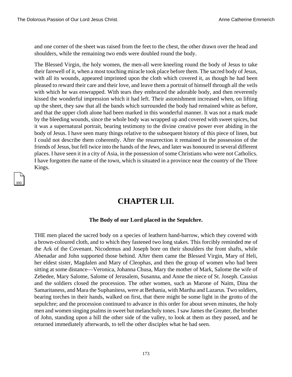and one corner of the sheet was raised from the feet to the chest, the other drawn over the head and shoulders, while the remaining two ends were doubled round the body.

The Blessed Virgin, the holy women, the men-all were kneeling round the body of Jesus to take their farewell of it, when a most touching miracle took place before them. The sacred body of Jesus, with all its wounds, appeared imprinted upon the cloth which covered it, as though he had been pleased to reward their care and their love, and leave them a portrait of himself through all the veils with which he was enwrapped. With tears they embraced the adorable body, and then reverently kissed the wonderful impression which it had left. Their astonishment increased when, on lifting up the sheet, they saw that all the bands which surrounded the body had remained white as before, and that the upper cloth alone had been marked in this wonderful manner. It was not a mark made by the bleeding wounds, since the whole body was wrapped up and covered with sweet spices, but it was a supernatural portrait, bearing testimony to the divine creative power ever abiding in the body of Jesus. I have seen many things relative to the subsequent history of this piece of linen, but I could not describe them coherently. After the resurrection it remained in the possession of the friends of Jesus, but fell twice into the hands of the Jews, and later was honoured in several different places. I have seen it in a city of Asia, in the possession of some Christians who were not Catholics. I have forgotten the name of the town, which is situated in a province near the country of the Three Kings.

### **CHAPTER LII.**

### **The Body of our Lord placed in the Sepulchre.**

THE men placed the sacred body on a species of leathern hand-barrow, which they covered with a brown-coloured cloth, and to which they fastened two long stakes. This forcibly reminded me of the Ark of the Covenant. Nicodemus and Joseph bore on their shoulders the front shafts, while Abenadar and John supported those behind. After them came the Blessed Virgin, Mary of Heli, her eldest sister, Magdalen and Mary of Cleophas, and then the group of women who had been sitting at some distance—Veronica, Johanna Chusa, Mary the mother of Mark, Salome the wife of Zebedee, Mary Salome, Salome of Jerusalem, Susanna, and Anne the niece of St. Joseph. Cassius and the soldiers closed the procession. The other women, such as Marone of Naïm, Dina the Samaritaness, and Mara the Suphanitess, were at Bethania, with Martha and Lazarus. Two soldiers, bearing torches in their hands, walked on first, that there might be some light in the grotto of the sepulchre; and the procession continued to advance in this order for about seven minutes, the holy men and women singing psalms in sweet but melancholy tones. I saw James the Greater, the brother of John, standing upon a hill the other side of the valley, to look at them as they passed, and he returned immediately afterwards, to tell the other disciples what he had seen.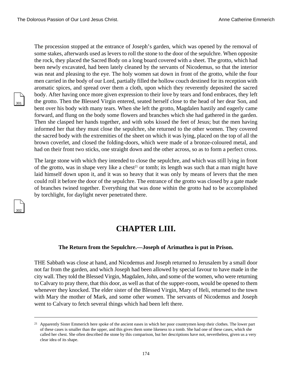302

The procession stopped at the entrance of Joseph's garden, which was opened by the removal of some stakes, afterwards used as levers to roll the stone to the door of the sepulchre. When opposite the rock, they placed the Sacred Body on a long board covered with a sheet. The grotto, which had been newly excavated, had been lately cleaned by the servants of Nicodemus, so that the interior was neat and pleasing to the eye. The holy women sat down in front of the grotto, while the four men carried in the body of our Lord, partially filled the hollow couch destined for its reception with aromatic spices, and spread over them a cloth, upon which they reverently deposited the sacred body. After having once more given expression to their love by tears and fond embraces, they left the grotto. Then the Blessed Virgin entered, seated herself close to the head of her dear Son, and bent over his body with many tears. When she left the grotto, Magdalen hastily and eagerly came forward, and flung on the body some flowers and branches which she had gathered in the garden. Then she clasped her hands together, and with sobs kissed the feet of Jesus; but the men having informed her that they must close the sepulchre, she returned to the other women. They covered the sacred body with the extremities of the sheet on which it was lying, placed on the top of all the brown coverlet, and closed the folding-doors, which were made of a bronze-coloured metal, and had on their front two sticks, one straight down and the other across, so as to form a perfect cross.

The large stone with which they intended to close the sepulchre, and which was still lying in front of the grotto, was in shape very like a chest<sup>21</sup> or tomb; its length was such that a man might have laid himself down upon it, and it was so heavy that it was only by means of levers that the men could roll it before the door of the sepulchre. The entrance of the grotto was closed by a gate made of branches twined together. Everything that was done within the grotto had to be accomplished by torchlight, for daylight never penetrated there.

### **CHAPTER LIII.**

#### **The Return from the Sepulchre.—Joseph of Arimathea is put in Prison.**

THE Sabbath was close at hand, and Nicodemus and Joseph returned to Jerusalem by a small door not far from the garden, and which Joseph had been allowed by special favour to have made in the city wall. They told the Blessed Virgin, Magdalen, John, and some of the women, who were returning to Calvary to pray there, that this door, as well as that of the supper-room, would be opened to them whenever they knocked. The elder sister of the Blessed Virgin, Mary of Heli, returned to the town with Mary the mother of Mark, and some other women. The servants of Nicodemus and Joseph went to Calvary to fetch several things which had been left there.

<sup>&</sup>lt;sup>21</sup> Apparently Sister Emmerich here spoke of the ancient eases in which her poor countrymen keep their clothes. The lower part of these cases is smaller than the upper, and this gives them some likeness to a tomb. She had one of these cases, which she called her chest. She often described the stone by this comparison, but her descriptions have not, nevertheless, given us a very clear idea of its shape.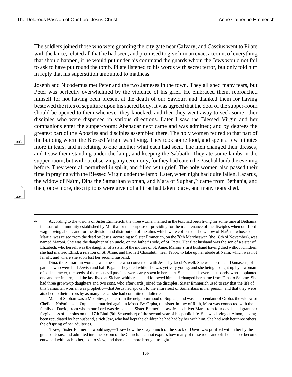<span id="page-180-1"></span>304

The soldiers joined those who were guarding the city gate near Calvary; and Cassius went to Pilate with the lance, related all that he had seen, and promised to give him an exact account of everything that should happen, if he would put under his command the guards whom the Jews would not fail to ask to have put round the tomb. Pilate listened to his words with secret terror, but only told him in reply that his superstition amounted to madness.

<span id="page-180-0"></span>Joseph and Nicodemus met Peter and the two Jameses in the town. They all shed many tears, but Peter was perfectly overwhelmed by the violence of his grief. He embraced them, reproached himself for not having been present at the death of our Saviour, and thanked them for having bestowed the rites of sepulture upon his sacred body. It was agreed that the door of the supper-room should be opened to them whenever they knocked, and then they went away to seek some other disciples who were dispersed in various directions. Later I saw the Blessed Virgin and her companions enter the supper-room; Abenadar next came and was admitted; and by degrees the greatest part of the Apostles and disciples assembled there. The holy women retired to that part of the building where the Blessed Virgin was living. They took some food, and spent a few minutes more in tears, and in relating to one another what each had seen. The men changed their dresses, and I saw them standing under the lamp, and keeping the Sabbath. They ate some lambs in the supper-room, but without observing any ceremony, for they had eaten the Paschal lamb the evening before. They were all perturbed in spirit, and filled with grief. The holy women also passed their time in praying with the Blessed Virgin under the lamp. Later, when night had quite fallen, Lazarus, the widow of Naïm, Dina the Samaritan woman, and Mara of Suphan,<sup>22</sup> came from Bethania, and then, once more, descriptions were given of all that had taken place, and many tears shed.

Dina, the Samaritan woman, was the same who conversed with Jesus by Jacob's well. She was born near Damascus, of parents who were half Jewish and half Pagan. They died while she was yet very young, and she being brought up by a woman of bad character, the seeds of the most evil passions were early sown in her heart. She had had several husbands, who supplanted one another in turn, and the last lived at Sichar, whither she had followed him and changed her name from Dina to Salome. She had three grown-up daughters and two sons, who afterwards joined the disciples. Sister Emmerich used to say that the life of this Samaritan woman was prophetic—that Jesus had spoken to the entire sect of Samaritans in her person, and that they were attached to their errors by as many ties as she had committed adulteries.

Mara of Suphan was a Moabitess, came from the neighbourhood of Suphan, and was a descendant of Orpha, the widow of Chélion, Noëmi's son. Orpha had married again in Moab. By Orpha, the sister-in-law of Ruth, Mara was connected with the family of David, from whom our Lord was descended. Sister Emmerich saw Jesus deliver Mara from four devils and grant her forgiveness of her sins on the 17th Elud (9th September) of the second year of his public life. She was living at Ainon, having been repudiated by her husband, a rich Jew, who had kept the children he had had by her with him. She had with her three others, the offspring of her adulteries.

'I saw,' Sister Emmerich would say,—'I saw how the stray branch of the stock of David was purified within her by the grace of Jesus, and admitted into the bosom of the Church. I cannot express how many of these roots and offshoots I see become entwined with each other, lost to view, and then once more brought to light.'

<sup>22</sup> According to the visions of Sister Emmerich, the three women named in the text had been living for some time at Bethania, in a sort of community established by Martha for the purpose of providing for the maintenance of the disciples when our Lord wag moving about, and for the division and distribution of the alms which were collected. The widow of Na $\tilde{A}$ m, whose son Martial was raised from the dead by Jesus, according to Sister Emmerich, on the 28th Marcheswan (the 18th of November), was named Maroni. She was the daughter of an uncle, on the father's side, of St. Peter. Her first husband was the son of a sister of Elizabeth, who herself was the daughter of a sister of the mother of St. Anne. Maroni's first husband having died without children, she had married Elind, a relation of St. Anne, and had left Chasaluth, near Tabor, to take up her abode at Naïm, which was not far off, and where she soon lost her second husband.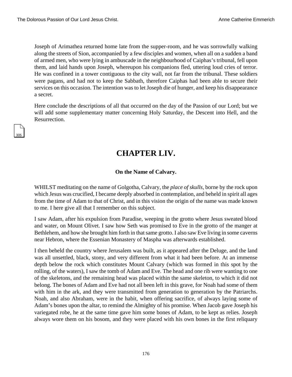Joseph of Arimathea returned home late from the supper-room, and he was sorrowfully walking along the streets of Sion, accompanied by a few disciples and women, when all on a sudden a band of armed men, who were lying in ambuscade in the neighbourhood of Caiphas's tribunal, fell upon them, and laid hands upon Joseph, whereupon his companions fled, uttering loud cries of terror. He was confined in a tower contiguous to the city wall, not far from the tribunal. These soldiers were pagans, and had not to keep the Sabbath, therefore Caiphas had been able to secure their services on this occasion. The intention was to let Joseph die of hunger, and keep his disappearance a secret.

<span id="page-181-0"></span>Here conclude the descriptions of all that occurred on the day of the Passion of our Lord; but we will add some supplementary matter concerning Holy Saturday, the Descent into Hell, and the Resurrection.

# **CHAPTER LIV.**

#### **On the Name of Calvary.**

WHILST meditating on the name of Golgotha, Calvary, the *place of skulls*, borne by the rock upon which Jesus was crucified, I became deeply absorbed in contemplation, and beheld in spirit all ages from the time of Adam to that of Christ, and in this vision the origin of the name was made known to me. I here give all that I remember on this subject.

I saw Adam, after his expulsion from Paradise, weeping in the grotto where Jesus sweated blood and water, on Mount Olivet. I saw how Seth was promised to Eve in the grotto of the manger at Bethlehem, and how she brought him forth in that same grotto. I also saw Eve living in some caverns near Hebron, where the Essenian Monastery of Maspha was afterwards established.

I then beheld the country where Jerusalem was built, as it appeared after the Deluge, and the land was all unsettled, black, stony, and very different from what it had been before. At an immense depth below the rock which constitutes Mount Calvary (which was formed in this spot by the rolling, of the waters), I saw the tomb of Adam and Eve. The head and one rib were wanting to one of the skeletons, and the remaining head was placed within the same skeleton, to which it did not belong. The bones of Adam and Eve had not all been left in this grave, for Noah had some of them with him in the ark, and they were transmitted from generation to generation by the Patriarchs. Noah, and also Abraham, were in the habit, when offering sacrifice, of always laying some of Adam's bones upon the altar, to remind the Almighty of his promise. When Jacob gave Joseph his variegated robe, he at the same time gave him some bones of Adam, to be kept as relies. Joseph always wore them on his bosom, and they were placed with his own bones in the first reliquary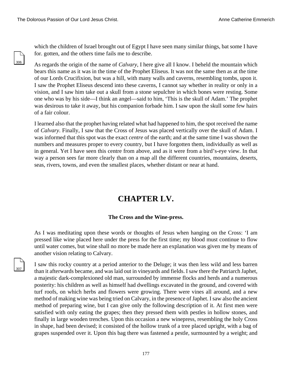307

<span id="page-182-0"></span>which the children of Israel brought out of Egypt I have seen many similar things, bat some I have for. gotten, and the others time fails me to describe.

As regards the origin of the name of *Calvary*, I here give all I know. I beheld the mountain which bears this name as it was in the time of the Prophet Eliseus. It was not the same then as at the time of our Lords Crucifixion, but was a hill, with many walls and caverns, resembling tombs, upon it. I saw the Prophet Eliseus descend into these caverns, I cannot say whether in reality or only in a vision, and I saw him take out a skull from a stone sepulchre in which bones were resting. Some one who was by his side—I think an angel—said to him, 'This is the skull of Adam.' The prophet was desirous to take it away, but his companion forbade him. I saw upon the skull some few hairs of a fair colour.

I learned also that the prophet having related what had happened to him, the spot received the name of *Calvary*. Finally, I saw that the Cross of Jesus was placed vertically over the skull of Adam. I was informed that this spot was the exact *centre* of the earth; and at the same time I was shown the numbers and measures proper to every country, but I have forgotten them, individually as well as in general. Yet I have seen this centre from above, and as it were from a bird's-eye view. In that way a person sees far more clearly than on a map all the different countries, mountains, deserts, seas, rivers, towns, and even the smallest places, whether distant or near at hand.

# **CHAPTER LV.**

#### **The Cross and the Wine-press.**

<span id="page-182-1"></span>As I was meditating upon these words or thoughts of Jesus when hanging on the Cross: 'I am pressed like wine placed here under the press for the first time; my blood must continue to flow until water comes, but wine shall no more be made here an explanation was given me by means of another vision relating to Calvary.

I saw this rocky country at a period anterior to the Deluge; it was then less wild and less barren than it afterwards became, and was laid out in vineyards and fields. I saw there the Patriarch Japhet, a majestic dark-complexioned old man, surrounded by immense flocks and herds and a numerous posterity: his children as well as himself had dwellings excavated in the ground, and covered with turf roofs, on which herbs and flowers were growing. There were vines all around, and a new method of making wine was being tried on Calvary, in the presence of Japhet. I saw also the ancient method of preparing wine, but I can give only the following description of it. At first men were satisfied with only eating the grapes; then they pressed them with pestles in hollow stones, and finally in large wooden trenches. Upon this occasion a new winepress, resembling the holy Cross in shape, had been devised; it consisted of the hollow trunk of a tree placed upright, with a bag of grapes suspended over it. Upon this bag there was fastened a pestle, surmounted by a weight; and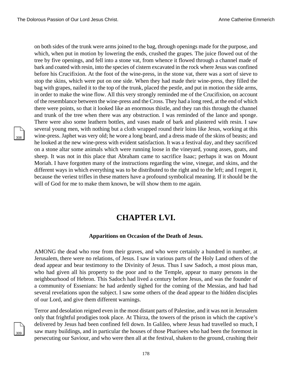309

<span id="page-183-0"></span>on both sides of the trunk were arms joined to the bag, through openings made for the purpose, and which, when put in motion by lowering the ends, crushed the grapes. The juice flowed out of the tree by five openings, and fell into a stone vat, from whence it flowed through a channel made of bark and coated with resin, into the species of cistern excavated in the rock where Jesus was confined before his Crucifixion. At the foot of the wine-press, in the stone vat, there was a sort of sieve to stop the skins, which were put on one side. When they had made their wine-press, they filled the bag with grapes, nailed it to the top of the trunk, placed the pestle, and put in motion the side arms, in order to make the wine flow. All this very strongly reminded me of the Crucifixion, on account of the resemblance between the wine-press and the Cross. They had a long reed, at the end of which there were points, so that it looked like an enormous thistle, and they ran this through the channel and trunk of the tree when there was any obstruction. I was reminded of the lance and sponge. There were also some leathern bottles, and vases made of bark and plastered with resin. I saw several young men, with nothing but a cloth wrapped round their loins like Jesus, working at this wine-press. Japhet was very old; he wore a long beard, and a dress made of the skins of beasts; and he looked at the new wine-press with evident satisfaction. It was a festival day, and they sacrificed on a stone altar some animals which were running loose in the vineyard, young asses, goats, and sheep. It was not in this place that Abraham came to sacrifice Isaac; perhaps it was on Mount Moriah. I have forgotten many of the instructions regarding the wine, vinegar, and skins, and the different ways in which everything was to be distributed to the right and to the left; and I regret it, because the veriest trifles in these matters have a profound symbolical meaning. If it should be the will of God for me to make them known, be will show them to me again.

# **CHAPTER LVI.**

#### **Apparitions on Occasion of the Death of Jesus.**

AMONG the dead who rose from their graves, and who were certainly a hundred in number, at Jerusalem, there were no relations, of Jesus. I saw in various parts of the Holy Land others of the dead appear and bear testimony to the Divinity of Jesus. Thus I saw Sadoch, a most pious man, who had given all his property to the poor and to the Temple, appear to many persons in the neighbourhood of Hebron. This Sadoch had lived a century before Jesus, and was the founder of a community of Essenians: he had ardently sighed for the coming of the Messias, and had had several revelations upon the subject. I saw some others of the dead appear to the hidden disciples of our Lord, and give them different warnings.

<span id="page-183-1"></span>Terror and desolation reigned even in the most distant parts of Palestine, and it was not in Jerusalem only that frightful prodigies took place. At Thirza, the towers of the prison in which the captive's delivered by Jesus had been confined fell down. In Galileo, where Jesus had travelled so much, I saw many buildings, and in particular the houses of those Pharisees who had been the foremost in persecuting our Saviour, and who were then all at the festival, shaken to the ground, crushing their

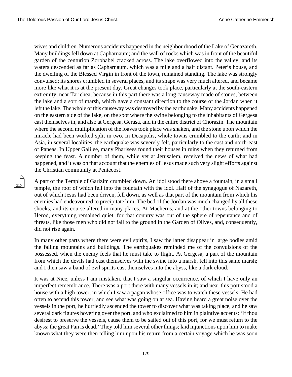wives and children. Numerous accidents happened in the neighbourhood of the Lake of Genazareth. Many buildings fell down at Capharnaum; and the wall of rocks which was in front of the beautiful garden of the centurion Zorobabel cracked across. The lake overflowed into the valley, and its waters descended as far as Capharnaum, which was a mile and a half distant. Peter's house, and the dwelling of the Blessed Virgin in front of the town, remained standing. The lake was strongly convulsed; its shores crumbled in several places, and its shape was very much altered, and became more like what it is at the present day. Great changes took place, particularly at the south-eastern extremity, near Tarichea, because in this part there was a long causeway made of stones, between the lake and a sort of marsh, which gave a constant direction to the course of the Jordan when it left the lake. The whole of this causeway was destroyed by the earthquake. Many accidents happened on the eastern side of the lake, on the spot where the swine belonging to the inhabitants of Gergesa cast themselves in, and also at Gergesa, Gerasa, and in the entire district of Chorazin. The mountain where the second multiplication of the loaves took place was shaken, and the stone upon which the miracle had been worked split in two. In Decapolis, whole towns crumbled to the earth; and in Asia, in several localities, the earthquake was severely felt, particularly to the cast and north-east of Paneas. In Upper Galilee, many Pharisees found their houses in ruins when they returned from keeping the feast. A number of them, while yet at Jerusalem, received the news of what had happened, and it was on that account that the enemies of Jesus made such very slight efforts against the Christian community at Pentecost.

<span id="page-184-0"></span>A part of the Temple of Garizim crumbled down. An idol stood there above a fountain, in a small temple, the roof of which fell into the fountain with the idol. Half of the synagogue of Nazareth, out of which Jesus had been driven, fell down, as well as that part of the mountain from which his enemies had endeavoured to precipitate him. The bed of the Jordan was much changed by all these shocks, and its course altered in many places. At Macherus, and at the other towns belonging to Herod, everything remained quiet, for that country was out of the sphere of repentance and of threats, like those men who did not fall to the ground in the Garden of Olives, and, consequently, did not rise again.

In many other parts where there were evil spirits, I saw the latter disappear in large bodies amid the falling mountains and buildings. The earthquakes reminded me of the convulsions of the possessed, when the enemy feels that he must take to flight. At Gergesa, a part of the mountain from which the devils had cast themselves with the swine into a marsh, fell into this same marsh; and I then saw a band of evil spirits cast themselves into the abyss, like a dark cloud.

It was at Nice, unless I am mistaken, that I saw a singular occurrence, of which I have only an imperfect remembrance. There was a port there with many vessels in it; and near this port stood a house with a high tower, in which I saw a pagan whose office was to watch these vessels. He had often to ascend this tower, and see what was going on at sea. Having heard a great noise over the vessels in the port, he hurriedly ascended the tower to discover what was taking place, and he saw several dark figures hovering over the port, and who exclaimed to him in plaintive accents: 'If thou desirest to preserve the vessels, cause them to be sailed out of this port, for we must return to the abyss: the great Pan is dead.' They told him several other things; laid injunctions upon him to make known what they were then telling him upon his return from a certain voyage which he was soon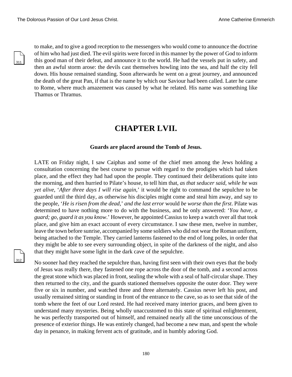

<span id="page-185-0"></span>to make, and to give a good reception to the messengers who would come to announce the doctrine of him who had just died. The evil spirits were forced in this manner by the power of God to inform this good man of their defeat, and announce it to the world. He had the vessels put in safety, and then an awful storm arose: the devils cast themselves howling into the sea, and half the city fell down. His house remained standing. Soon afterwards he went on a great journey, and announced the death of the great Pan, if that is the name by which our Saviour had been called. Later he came to Rome, where much amazement was caused by what he related. His name was something like Thamus or Thramus.

### **CHAPTER LVII.**

#### **Guards are placed around the Tomb of Jesus.**

LATE on Friday night, I saw Caiphas and some of the chief men among the Jews holding a consultation concerning the best course to pursue with regard to the prodigies which had taken place, and the effect they had had upon the people. They continued their deliberations quite into the morning, and then hurried to Pilate's house, to tell him that, *as that seducer said, while he was yet alive*, '*After three days I will rise again*,' it would be right to command the sepulchre to be guarded until the third day, as otherwise his disciples might come and steal him away, and say to the people, '*He is risen from the dead*,' *and the last error* would *be worse than the first*. Pilate was determined to have nothing more to do with the business, and he only answered: '*You have, a guard; go, guard it as you know*.' However, he appointed Cassius to keep a watch over all that took place, and give him an exact account of every circumstance. I saw these men, twelve in number, leave the town before sunrise, accompanied by some soldiers who did not wear the Roman uniform, being attached to the Temple. They carried lanterns fastened to the end of long poles, in order that they might be able to see every surrounding object, in spite of the darkness of the night, and also that they might have some light in the dark cave of the sepulchre.

No sooner had they reached the sepulchre than, having first seen with their own eyes that the body of Jesus was really there, they fastened one rope across the door of the tomb, and a second across the great stone which was placed in front, sealing the whole with a seal of half-circular shape. They then returned to the city, and the guards stationed themselves opposite the outer door. They were five or six in number, and watched three and three alternately. Cassius never left his post, and usually remained sitting or standing in front of the entrance to the cave, so as to see that side of the tomb where the feet of our Lord rested. He had received many interior graces, and been given to understand many mysteries. Being wholly unaccustomed to this state of spiritual enlightenment, he was perfectly transported out of himself, and remained nearly all the time unconscious of the presence of exterior things. He was entirely changed, had become a new man, and spent the whole day in penance, in making fervent acts of gratitude, and in humbly adoring God.

<span id="page-185-1"></span>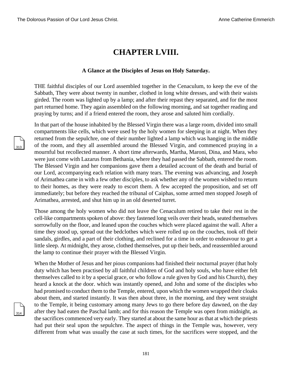### **CHAPTER LVIII.**

#### **A Glance at the Disciples of Jesus on Holy Saturday.**

THE faithful disciples of our Lord assembled together in the Cenaculum, to keep the eve of the Sabbath, They were about twenty in number, clothed in long white dresses, and with their waists girded. The room was lighted up by a lamp; and after their repast they separated, and for the most part returned home. They again assembled on the following morning, and sat together reading and praying by turns; and if a friend entered the room, they arose and saluted him cordially.

<span id="page-186-0"></span>In that part of the house inhabited by the Blessed Virgin there was a large room, divided into small compartments like cells, which were used by the holy women for sleeping in at night. When they returned from the sepulchre, one of their number lighted a lamp which was hanging in the middle of the room, and they all assembled around the Blessed Virgin, and commenced praying in a mournful but recollected manner. A short time afterwards, Martha, Maroni, Dina, and Mara, who were just come with Lazarus from Bethania, where they had passed the Sabbath, entered the room. The Blessed Virgin and her companions gave them a detailed account of the death and burial of our Lord, accompanying each relation with many tears. The evening was advancing, and Joseph of Arimathea came in with a few other disciples, to ask whether any of the women wished to return to their homes, as they were ready to escort them. A few accepted the proposition, and set off immediately; but before they reached the tribunal of Caiphas, some armed men stopped Joseph of Arimathea, arrested, and shut him up in an old deserted turret.

Those among the holy women who did not leave the Cenaculum retired to take their rest in the cell-like compartments spoken of above: they fastened long veils over their heads, seated themselves sorrowfully on the floor, and leaned upon the couches which were placed against the wall. After a time they stood up, spread out the bedclothes which were rolled up on the couches, took off their sandals, girdles, and a part of their clothing, and reclined for a time in order to endeavour to get a little sleep. At midnight, they arose, clothed themselves, put up their beds, and reassembled around the lamp to continue their prayer with the Blessed Virgin.

<span id="page-186-1"></span>When the Mother of Jesus and her pious companions had finished their nocturnal prayer (that holy duty which has been practised by all faithful children of God and holy souls, who have either felt themselves called to it by a special grace, or who follow a rule given by God and his Church), they heard a knock at the door. which was instantly opened, and John and some of the disciples who had promised to conduct them to the Temple, entered, upon which the women wrapped their cloaks about them, and started instantly. It was then about three, in the morning, and they went straight to the Temple, it being customary among many Jews to go there before day dawned, on the day after they had eaten the Paschal lamb; and for this reason the Temple was open from midnight, as the sacrifices commenced very early. They started at about the same hour as that at which the priests had put their seal upon the sepulchre. The aspect of things in the Temple was, however, very different from what was usually the case at such times, for the sacrifices were stopped, and the

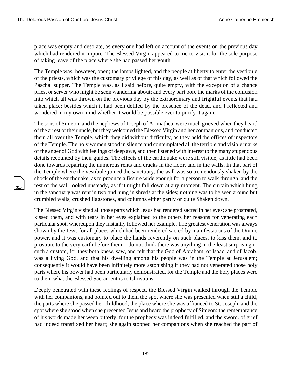place was empty and desolate, as every one had left on account of the events on the previous day which had rendered it impure. The Blessed Virgin appeared to me to visit it for the sole purpose of taking leave of the place where she had passed her youth.

The Temple was, however, open; the lamps lighted, and the people at liberty to enter the vestibule of the priests, which was the customary privilege of this day, as well as of that which followed the Paschal supper. The Temple was, as I said before, quite empty, with the exception of a chance priest or server who might be seen wandering about; and every part bore the marks of the confusion into which all was thrown on the previous day by the extraordinary and frightful events that had taken place; besides which it had been defiled by the presence of the dead, and I reflected and wondered in my own mind whether it would be possible ever to purify it again.

<span id="page-187-0"></span>The sons of Simeon, and the nephews of Joseph of Arimathea, were much grieved when they heard of the arrest of their uncle, but they welcomed the Blessed Virgin and her companions, and conducted them all over the Temple, which they did without difficulty, as they held the offices of inspectors of the Temple. The holy women stood in silence and contemplated all the terrible and visible marks of the anger of God with feelings of deep awe, and then listened with interest to the many stupendous details recounted by their guides. The effects of the earthquake were still visible, as little had been done towards repairing the numerous rents and cracks in the floor, and in the walls. In that part of the Temple where the vestibule joined the sanctuary, the wall was so tremendously shaken by the shock of the earthquake, as to produce a fissure wide enough for a person to walk through, and the rest of the wall looked unsteady, as if it might fall down at any moment. The curtain which hung in the sanctuary was rent in two and hung in shreds at the sides; nothing was to be seen around but crumbled walls, crushed flagstones, and columns either partly or quite Shaken down.

The Blessed Virgin visited all those parts which Jesus had rendered sacred in her eyes; she prostrated, kissed them, and with tears in her eyes explained to the others her reasons for venerating each particular spot, whereupon they instantly followed her example. The greatest veneration was always shown by the Jews for all places which had been rendered sacred by manifestations of the Divine power, and it was customary to place the hands reverently on such places, to kiss them, and to prostrate to the very earth before them. I do not think there was anything in the least surprising in such a custom, for they both knew, saw, and felt that the God of Abraham, of Isaac, and of Jacob, was a living God, and that his dwelling among his people was in the Temple at Jerusalem; consequently it would have been infinitely more astonishing if they had not venerated those holy parts where his power had been particularly demonstrated, for the Temple and the holy places were to them what the Blessed Sacrament is to Christians.

Deeply penetrated with these feelings of respect, the Blessed Virgin walked through the Temple with her companions, and pointed out to them the spot where she was presented when still a child, the parts where she passed her childhood, the place where she was affianced to St. Joseph, and the spot where she stood when she presented Jesus and heard the prophecy of Simeon: the remembrance of his words made her weep bitterly, for the prophecy was indeed fulfilled, and the sword. of grief had indeed transfixed her heart; she again stopped her companions when she reached the part of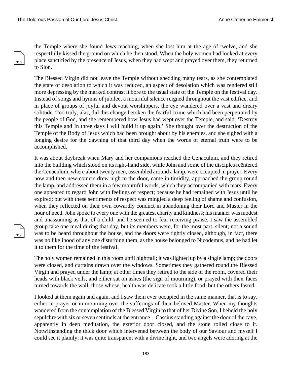<span id="page-188-0"></span>the Temple where she found Jews teaching, when she lost him at the age of twelve, and she respectfully kissed the ground on which he then stood. When the holy women had looked at every place sanctified by the presence of Jesus, when they had wept and prayed over them, they returned to Sion.

The Blessed Virgin did not leave the Temple without shedding many tears, as she contemplated the state of desolation to which it was reduced, an aspect of desolation which was rendered still more depressing by the marked contrast it bore to the usual state of the Temple on the festival day. Instead of songs and hymns of jubilee, a mournful silence reigned throughout the vast edifice, and in place of groups of joyful and devout worshippers, the eye wandered over a vast and dreary solitude. Too truly, alas, did this change betoken the fearful crime which had been perpetrated by the people of God, and she remembered how Jesus had wept over the Temple, and said, 'Destroy this Temple and In three days I will build it up again.' She thought over the destruction of the Temple of the Body of Jesus which had been brought about by his enemies, and she sighed with a longing desire for the dawning of that third day when the words of eternal truth were to be accomplished.

<span id="page-188-1"></span>It was about daybreak when Mary and her companions reached the Cenaculum, and they retired into the building which stood on its right-hand side, while John and some of the disciples reëntered the Cenaculum, where about twenty men, assembled around a lamp, were occupied in prayer. Every now and then new-comers drew nigh to the door, came in timidity, approached the group round the lamp, and addressed them in a few mournful words, which they accompanied with tears. Every one appeared to regard John with feelings of respect; because he had remained with Jesus until he expired; but with these sentiments of respect was mingled a deep feeling of shame and confusion, when they reflected on their own cowardly conduct in abandoning their Lord and Master in the hour of need. John spoke to every one with the greatest charity and kindness; his manner was modest and unassuming as that of a child, and he seemed to fear receiving praise. I saw the assembled group take one meal during that day, but its members were, for the most part, silent; not a sound was to be heard throughout the house, and the doors were tightly closed, although, in fact, there was no likelihood of any one disturbing them, as the house belonged to Nicodemus, and he had let it to them for the time of the festival.

The holy women remained in this room until nightfall; it was lighted up by a single lamp; the doors were closed, and curtains drawn over the windows. Sometimes they gathered round the Blessed Virgin and prayed under the lamp; at other times they retired to the side of the room, covered their heads with black veils, and either sat on ashes (the sign of mourning), or prayed with their faces turned towards the wall; those whose, health was delicate took a little food, but the others fasted.

I looked at them again and again, and I saw them ever occupied in the same manner, that is to say, either in prayer or in mourning over the sufferings of their beloved Master. When my thoughts wandered from the contemplation of the Blessed Virgin to that of her Divine Son, I beheld the holy sepulchre with six or seven sentinels at the entrance—Cassius standing against the door of the cave, apparently in deep meditation, the exterior door closed, and the stone rolled close to it. Notwithstanding the thick door which intervened between the body of our Saviour and myself I could see it plainly; it was quite transparent with a divine light, and two angels were adoring at the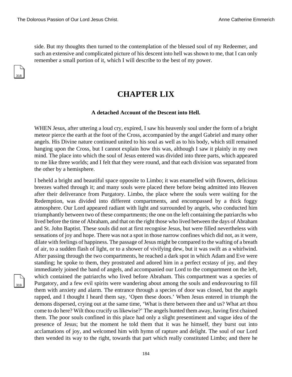side. But my thoughts then turned to the contemplation of the blessed soul of my Redeemer, and such an extensive and complicated picture of his descent into hell was shown to me, that I can only remember a small portion of it, which I will describe to the best of my power.

# <span id="page-189-0"></span>318

<span id="page-189-1"></span>319

## **CHAPTER LIX**

#### **A detached Account of the Descent into Hell.**

WHEN Jesus, after uttering a loud cry, expired, I saw his heavenly soul under the form of a bright meteor pierce the earth at the foot of the Cross, accompanied by the angel Gabriel and many other angels. His Divine nature continued united to his soul as well as to his body, which still remained hanging upon the Cross, but I cannot explain how this was, although I saw it plainly in my own mind. The place into which the soul of Jesus entered was divided into three parts, which appeared to me like three worlds; and I felt that they were round, and that each division was separated from the other by a hemisphere.

I beheld a bright and beautiful space opposite to Limbo; it was enamelled with flowers, delicious breezes wafted through it; and many souls were placed there before being admitted into Heaven after their deliverance from Purgatory. Limbo, the place where the souls were waiting for the Redemption, was divided into different compartments, and encompassed by a thick foggy atmosphere. Our Lord appeared radiant with light and surrounded by angels, who conducted him triumphantly between two of these compartments; the one on the left containing the patriarchs who lived before the time of Abraham, and that on the right those who lived between the days of Abraham and St. John Baptist. These souls did not at first recognise Jesus, but were filled nevertheless with sensations of joy and hope. There was not a spot in those narrow confines which did not, as it were, dilate with feelings of happiness. The passage of Jesus might be compared to the wafting of a breath of air, to a sudden flash of light, or to a shower of vivifying dew, but it was swift as a whirlwind. After passing through the two compartments, he reached a dark spot in which Adam and Eve were standing; he spoke to them, they prostrated and adored him in a perfect ecstasy of joy, and they immediately joined the band of angels, and accompanied our Lord to the compartment on the left, which contained the patriarchs who lived before Abraham. This compartment was a species of Purgatory, and a few evil spirits were wandering about among the souls and endeavouring to fill them with anxiety and alarm. The entrance through a species of door was closed, but the angels rapped, and I thought I heard them say, 'Open these doors.' When Jesus entered in triumph the demons dispersed, crying out at the same time, 'What is there between thee and us? What art thou come to do here? Wilt thou crucify us likewise?' The angels hunted them away, having first chained them. The poor souls confined in this place had only a slight presentiment and vague idea of the presence of Jesus; but the moment he told them that it was he himself, they burst out into acclamations of joy, and welcomed him with hymn of rapture and delight. The soul of our Lord then wended its way to the right, towards that part which really constituted Limbo; and there he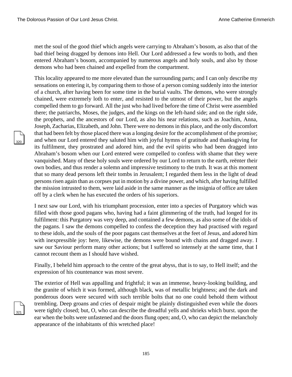met the soul of the good thief which angels were carrying to Abraham's bosom, as also that of the bad thief being dragged by demons into Hell. Our Lord addressed a few words to both, and then entered Abraham's bosom, accompanied by numerous angels and holy souls, and also by those demons who had been chained and expelled from the compartment.

<span id="page-190-0"></span>This locality appeared to me more elevated than the surrounding parts; and I can only describe my sensations on entering it, by comparing them to those of a person coming suddenly into the interior of a church, after having been for some time in the burial vaults. The demons, who were strongly chained, were extremely loth to enter, and resisted to the utmost of their power, but the angels compelled them to go forward. All the just who had lived before the time of Christ were assembled there; the patriarchs, Moses, the judges, and the kings on the left-hand side; and on the right side, the prophets, and the ancestors of our Lord, as also his near relations, such as Joachim, Anna, Joseph, Zacharias, Elizabeth, and John. There were no demons in this place, and the only discomfort that had been felt by those placed there was a longing desire for the accomplishment of the promise; and when our Lord entered they saluted him with joyful hymns of gratitude and thanksgiving for its fulfilment, they prostrated and adored him, and the evil spirits who had been dragged into Abraham's bosom when our Lord entered were compelled to confess with shame that they were vanquished. Many of these holy souls were ordered by our Lord to return to the earth, reënter their own bodies, and thus render a solemn and impressive testimony to the truth. It was at this moment that so many dead persons left their tombs in Jerusalem; I regarded them less in the light of dead persons risen again than as corpses put in motion by a divine power, and which, after having fulfilled the mission intrusted to them, were laid aside in the same manner as the insignia of office are taken off by a clerk when he has executed the orders of his superiors.

I next saw our Lord, with his triumphant procession, enter into a species of Purgatory which was filled with those good pagans who, having had a faint glimmering of the truth, had longed for its fulfilment: this Purgatory was very deep, and contained a few demons, as also some of the idols of the pagans. I saw the demons compelled to confess the deception they had practised with regard to these idols, and the souls of the poor pagans cast themselves at the feet of Jesus, and adored him with inexpressible joy: here, likewise, the demons were bound with chains and dragged away. I saw our Saviour perform many other actions; but I suffered so intensely at the same time, that I cannot recount them as I should have wished.

<span id="page-190-1"></span>Finally, I beheld him approach to the centre of the great abyss, that is to say, to Hell itself; and the expression of his countenance was most severe.

The exterior of Hell was appalling and frightful; it was an immense, heavy-looking building, and the granite of which it was formed, although black, was of metallic brightness; and the dark and ponderous doors were secured with such terrible bolts that no one could behold them without trembling. Deep groans and cries of despair might be plainly distinguished even while the doors were tightly closed; but, O, who can describe the dreadful yells and shrieks which burst. upon the ear when the bolts were unfastened and the doors flung open; and, O, who can depict the melancholy appearance of the inhabitants of this wretched place!

321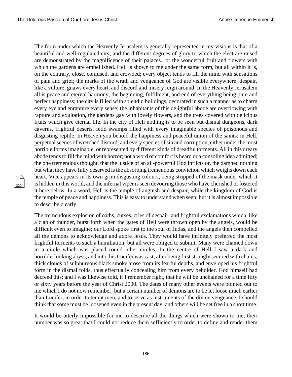The form under which the Heavenly Jerusalem is generally represented in my visions is that of a beautiful and well-regulated city, and the different degrees of glory to which the elect are raised are demonstrated by the magnificence of their palaces., or the wonderful fruit and flowers with which the gardens are embellished. Hell is shown to me under the same form, but all within it is, on the contrary, close, confused, and crowded; every object tends to fill the mind with sensations of pain and grief; the marks of the wrath and vengeance of God are visible everywhere; despair, like a vulture, gnaws every heart, and discord and misery reign around. In the Heavenly Jerusalem all is peace and eternal harmony, the beginning, fulfilment, and end of everything being pure and perfect happiness; the city is filled with splendid buildings, decorated in such a manner as to charm every eye and enrapture every sense; the inhabitants of this delightful abode are overflowing with rapture and exultation, the gardens gay with lovely flowers, and the trees covered with delicious fruits which give eternal life. In the city of Hell nothing is to be seen but dismal dungeons, dark caverns, frightful deserts, fetid swamps filled with every imaginable species of poisonous and disgusting reptile. In Heaven you behold the happiness and peaceful union of the saints; in Hell, perpetual scenes of wretched discord, and every species of sin and corruption, either under the most horrible forms imaginable, or represented by different kinds of dreadful torments. All in this dreary abode tends to fill the mind with horror; not a word of comfort is heard or a consoling idea admitted; the one tremendous thought, that the justice of an all-powerful God inflicts or, the damned nothing but what they have fully deserved is the absorbing tremendous conviction which weighs down each heart. Vice appears in its own grim disgusting colours, being stripped of the mask under which it is hidden in this world, and the infernal viper is seen devouring those who have cherished or fostered it here below. In a word, Hell is the temple of anguish and despair, while the kingdom of God is the temple of peace and happiness. This is easy to understand when seen; but it is almost impossible to describe clearly.

<span id="page-191-0"></span>The tremendous explosion of oaths, curses, cries of despair, and frightful exclamations which, like a clap of thunder, burst forth when the gates of Hell were thrown open by the angels, would be difficult even to imagine; our Lord spoke first to the soul of Judas, and the angels then compelled all the demons to acknowledge and adore Jesus. They would have infinitely preferred the most frightful torments to such a humiliation; but all were obliged to submit. Many were chained down in a circle which was placed round other circles. In the centre of Hell I saw a dark and horrible-looking abyss, and into this Lucifer was cast, after being first strongly secured with chains; thick clouds of sulphureous black smoke arose from its fearful depths, and enveloped his frightful form in the dismal folds, thus effectually concealing him from every beholder. God himself had decreed this; and I was likewise told, if I remember right, that he will be unchained for a time fifty or sixty years before the year of Christ 2000. The dates of many other events were pointed out to me which I do not now remember; but a certain number of demons are to be let loose much earlier than Lucifer, in order to tempt men, and to serve as instruments of the divine vengeance. I should think that some must be loosened even in the present day, and others will be set free in a short time.

It would be utterly impossible for me to describe all the things which were shown to me; their number was so great that I could not reduce them sufficiently to order to define and render them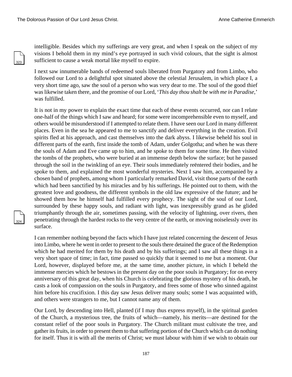<span id="page-192-1"></span>324

<span id="page-192-0"></span>intelligible. Besides which my sufferings are very great, and when I speak on the subject of my visions I behold them in my mind's eye portrayed in such vivid colours, that the sight is almost sufficient to cause a weak mortal like myself to expire.

I next saw innumerable bands of redeemed souls liberated from Purgatory and from Limbo, who followed our Lord to a delightful spot situated above the celestial Jerusalem, in which place I, a very short time ago, saw the soul of a person who was very dear to me. The soul of the good thief was likewise taken there, and the promise of our Lord, '*This day thou shalt be with me in Paradise*,' was fulfilled.

It is not in my power to explain the exact time that each of these events occurred, nor can I relate one-half of the things which I saw and heard; for some were incomprehensible even to myself, and others would be misunderstood if I attempted to relate them. I have seen our Lord in many different places. Even in the sea he appeared to me to sanctify and deliver everything in the creation. Evil spirits fled at his approach, and cast themselves into the dark abyss. I likewise beheld his soul in different parts of the earth, first inside the tomb of Adam, under Golgotha; and when he was there the souls of Adam and Eve came up to him, and he spoke to them for some time. He then visited the tombs of the prophets, who were buried at an immense depth below the surface; but he passed through the soil in the twinkling of an eye. Their souls immediately reëntered their bodies, and he spoke to them, and explained the most wonderful mysteries. Next I saw him, accompanied by a chosen band of prophets, among whom I particularly remarked David, visit those parts of the earth which had been sanctified by his miracles and by his sufferings. He pointed out to them, with the greatest love and goodness, the different symbols in the old law expressive of the future; and he showed them how he himself had fulfilled every prophecy. The sight of the soul of our Lord, surrounded by these happy souls, and radiant with light, was inexpressibly grand as he glided triumphantly through the air, sometimes passing, with the velocity of lightning, over rivers, then penetrating through the hardest rocks to the very centre of the earth, or moving noiselessly over its surface.

I can remember nothing beyond the facts which I have just related concerning the descent of Jesus into Limbo, where he went in order to present to the souls there detained the grace of the Redemption which he had merited for them by his death and by his sufferings; and I saw all these things in a very short space of time; in fact, time passed so quickly that it seemed to me but a moment. Our Lord, however, displayed before me, at the same time, another picture, in which I beheld the immense mercies which he bestows in the present day on the poor souls in Purgatory; for on every anniversary of this great day, when his Church is celebrating the glorious mystery of his death, he casts a look of compassion on the souls in Purgatory, and frees some of those who sinned against him before his crucifixion. I this day saw Jesus deliver many souls; some I was acquainted with, and others were strangers to me, but I cannot name any of them.

Our Lord, by descending into Hell, planted (if I may thus express myself), in the spiritual garden of the Church, a mysterious tree, the fruits of which—namely, his merits—are destined for the constant relief of the poor souls in Purgatory. The Church militant must cultivate the tree, and gather its fruits, in order to present them to that suffering portion of the Church which can do nothing for itself. Thus it is with all the merits of Christ; we must labour with him if we wish to obtain our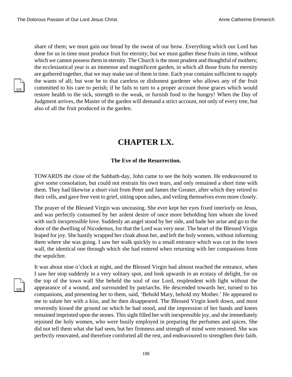<span id="page-193-0"></span>share of them; we must gain our bread by the sweat of our brow. Everything which our Lord has done for us in time must produce fruit for eternity; but we must gather these fruits in time, without which we cannot possess them in eternity. The Church is the most prudent and thoughtful of mothers; the ecclesiastical year is an immense and magnificent garden, in which all those fruits for eternity are gathered together, that we may make use of them in time. Each year contains sufficient to supply the wants of all; but woe be to that careless or dishonest gardener who allows any of the fruit committed to his care to perish; if he fails to turn to a proper account those graces which would restore health to the sick, strength to the weak, or furnish food to the hungry! When the Day of Judgment arrives, the Master of the garden will demand a strict account, not only of every tree, but also of all the fruit produced in the garden.

### **CHAPTER LX.**

#### **The Eve of the Resurrection.**

TOWARDS the close of the Sabbath-day, John came to see the holy women. He endeavoured to give some consolation, but could not restrain his own tears, and only remained a short time with them. They had likewise a short visit from Peter and James the Greater, after which they retired to their cells, and gave free vent to grief, sitting upon ashes, and veiling themselves even more closely.

The prayer of the Blessed Virgin was unceasing. She ever kept her eyes fixed interiorly on Jesus, and was perfectly consumed by her ardent desire of once more beholding him whom she loved with such inexpressible love. Suddenly an angel stood by her side, and bade her arise and go to the door of the dwelling of Nicodemus, for that the Lord was very near. The heart of the Blessed Virgin leaped for joy. She hastily wrapped her cloak about her, and left the holy women, without informing them where she was going. I saw her walk quickly to a small entrance which was cut in the town wall, the identical one through which she had entered when returning with her companions from the sepulchre.

<span id="page-193-1"></span>It was about nine o'clock at night, and the Blessed Virgin had almost reached the entrance, when I saw her stop suddenly in a very solitary spot, and look upwards in an ecstasy of delight, for on the top of the town wall She beheld the soul of our Lord, resplendent with light without the appearance of a wound, and surrounded by patriarchs. He descended towards her, turned to his companions, and presenting her to them, said, 'Behold Mary, behold my Mother.' He appeared to me to salute her with a kiss, and he then disappeared. The Blessed Virgin knelt down, and most reverently kissed the ground on which he had stood, and the impression of her hands and knees remained imprinted upon the stones. This sight filled her with inexpressible joy, and she immediately rejoined the holy women, who were busily employed in preparing the perfumes and spices. She did not tell them what she had seen, but her firmness and strength of mind were restored. She was perfectly renovated, and therefore comforted all the rest, and endeavoured to strengthen their faith.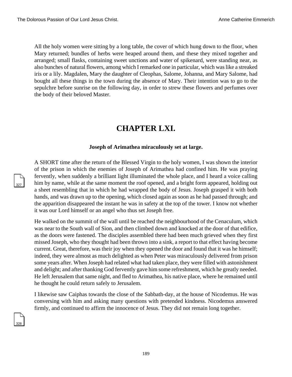All the holy women were sitting by a long table, the cover of which hung down to the floor, when Mary returned; bundles of herbs were heaped around them, and these they mixed together and arranged; small flasks, containing sweet unctions and water of spikenard, were standing near, as also bunches of natural flowers, among which I remarked one in particular, which was like a streaked iris or a lily. Magdalen, Mary the daughter of Cleophas, Salome, Johanna, and Mary Salome, had bought all these things in the town during the absence of Mary. Their intention was to go to the sepulchre before sunrise on the following day, in order to strew these flowers and perfumes over the body of their beloved Master.

# **CHAPTER LXI.**

#### **Joseph of Arimathea miraculously set at large.**

<span id="page-194-0"></span>A SHORT time after the return of the Blessed Virgin to the holy women, I was shown the interior of the prison in which the enemies of Joseph of Arimathea had confined him. He was praying fervently, when suddenly a brilliant light illuminated the whole place, and I heard a voice calling him by name, while at the same moment the roof opened, and a bright form appeared, holding out a sheet resembling that in which he had wrapped the body of Jesus. Joseph grasped it with both hands, and was drawn up to the opening, which closed again as soon as he had passed through; and the apparition disappeared the instant he was in safety at the top of the tower. I know not whether it was our Lord himself or an angel who thus set Joseph free.

He walked on the summit of the wall until be reached the neighbourhood of the Cenaculum, which was near to the South wall of Sion, and then climbed down and knocked at the door of that edifice, as the doors were fastened. The disciples assembled there had been much grieved when they first missed Joseph, who they thought had been thrown into a sink, a report to that effect having become current. Great, therefore, was their joy when they opened the door and found that it was he himself; indeed, they were almost as much delighted as when Peter was miraculously delivered from prison some years after. When Joseph had related what had taken place, they were filled with astonishment and delight; and after thanking God fervently gave him some refreshment, which he greatly needed. He left Jerusalem that same night, and fled to Arimathea, his native place, where he remained until he thought he could return safely to Jerusalem.

<span id="page-194-1"></span>I likewise saw Caiphas towards the close of the Sabbath-day, at the house of Nicodemus. He was conversing with him and asking many questions with pretended kindness. Nicodemus answered firmly, and continued to affirm the innocence of Jesus. They did not remain long together.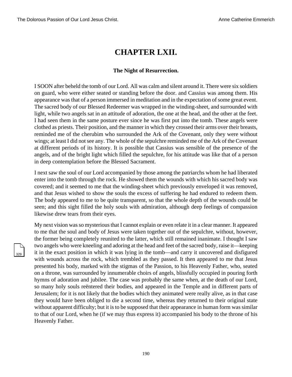## **CHAPTER LXII.**

#### **The Night of Resurrection.**

I SOON after beheld the tomb of our Lord. All was calm and silent around it. There were six soldiers on guard, who were either seated or standing before the door. and Cassius was among them. His appearance was that of a person immersed in meditation and in the expectation of some great event. The sacred body of our Blessed Redeemer was wrapped in the winding-sheet, and surrounded with light, while two angels sat in an attitude of adoration, the one at the head, and the other at the feet. I had seen them in the same posture ever since he was first put into the tomb. These angels were clothed as priests. Their position, and the manner in which they crossed their arms over their breasts, reminded me of the cherubim who surrounded the Ark of the Covenant, only they were without wings; at least I did not see any. The whole of the sepulchre reminded me of the Ark of the Covenant at different periods of its history. It is possible that Cassius was sensible of the presence of the angels, and of the bright light which filled the sepulchre, for his attitude was like that of a person in deep contemplation before the Blessed Sacrament.

I next saw the soul of our Lord accompanied by those among the patriarchs whom he had liberated enter into the tomb through the rock. He showed them the wounds with which his sacred body was covered; and it seemed to me that the winding-sheet which previously enveloped it was removed, and that Jesus wished to show the souls the excess of suffering he had endured to redeem them. The body appeared to me to be quite transparent, so that the whole depth of the wounds could be seen; and this sight filled the holy souls with admiration, although deep feelings of compassion likewise drew tears from their eyes.

<span id="page-195-0"></span>My next vision was so mysterious that I cannot explain or even relate it in a clear manner. It appeared to me that the soul and body of Jesus were taken together out of the sepulchre, without, however, the former being completely reunited to the latter, which still remained inanimate. I thought I saw two angels who were kneeling and adoring at the head and feet of the sacred body, raise it—keeping it in the exact position in which it was lying in the tomb—and carry it uncovered and disfigured with wounds across the rock, which trembled as they passed. It then appeared to me that Jesus presented his body, marked with the stigmas of the Passion, to his Heavenly Father, who, seated on a throne, was surrounded by innumerable choirs of angels, blissfully occupied in pouring forth hymns of adoration and jubilee. The case was probably the same when, at the death of our Lord, so many holy souls reëntered their bodies, and appeared in the Temple and in different parts of Jerusalem; for it is not likely that the bodies which they animated were really alive, as in that case they would have been obliged to die a second time, whereas they returned to their original state without apparent difficulty; but it is to be supposed that their appearance in human form was similar to that of our Lord, when he (if we may thus express it) accompanied his body to the throne of his Heavenly Father.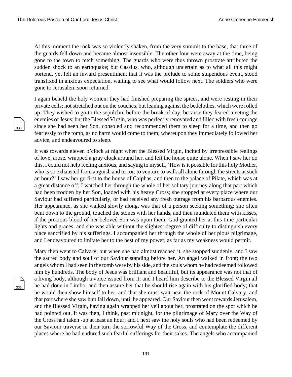331

At this moment the rock was so violently shaken, from the very summit to the base, that three of the guards fell down and became almost insensible. The other four were away at the time, being gone to the town to fetch something. The guards who were thus thrown prostrate attributed the sudden shock to an earthquake; but Cassius, who, although uncertain as to what all this might portend, yet felt an inward presentiment that it was the prelude to some stupendous event, stood transfixed in anxious expectation, waiting to see what would follow next. The soldiers who were gone to Jerusalem soon returned.

<span id="page-196-0"></span>I again beheld the holy women: they had finished preparing the spices, and were resting in their private cells; not stretched out on the couches, but leaning against the bedclothes, which were rolled up. They wished to go to the sepulchre before the break of day, because they feared meeting the enemies of Jesus; but the Blessed Virgin, who was perfectly renovated and filled with fresh courage since she had seen her Son, consoled and recommended them to sleep for a time, and then go fearlessly to the tomb, as no harm would come to them; whereupon they immediately followed her advice, and endeavoured to sleep.

It was towards eleven o'clock at night when the Blessed Virgin, incited by irrepressible feelings of love, arose, wrapped a gray cloak around her, and left the house quite alone. When I saw her do this, I could not help feeling anxious, and saying to myself, 'How is it possible for this holy Mother, who is so exhausted from anguish and terror, to venture to walk all alone through the streets at such an hour?' I saw her go first to the house of Caiphas, and then to the palace of Pilate, which was at a great distance off; I watched her through the whole of her solitary journey along that part which had been trodden by her Son, loaded with his heavy Cross; she stopped at every place where our Saviour had suffered particularly, or had received any fresh outrage from his barbarous enemies. Her appearance, as she walked slowly along, was that of a person seeking something; she often bent down to the ground, touched the stones with her hands, and then inundated them with kisses, if the precious blood of her beloved Son was upon them. God granted her at this time particular lights and graces, and she was able without the slightest degree of difficulty to distinguish every place sanctified by his sufferings. I accompanied her through the whole of her pious pilgrimage, and I endeavoured to imitate her to the best of my power, as far as my weakness would permit.

<span id="page-196-1"></span>Mary then went to Calvary; but when she had almost reached it, she stopped suddenly, and I saw the sacred body and soul of our Saviour standing before her. An angel walked in front; the two angels whom I had seen in the tomb were by his side, and the souls whom he had redeemed followed him by hundreds. The body of Jesus was brilliant and beautiful, but its appearance was not that of a living body, although a voice issued from it; and I heard him describe to the Blessed Virgin all he had done in Limbo, and then assure her that be should rise again with his glorified body; that he would then show himself to her, and that she must wait near the rock of Mount Calvary, and that part where she saw him fall down, until he appeared. Our Saviour then went towards Jerusalem, and the Blessed Virgin, having again wrapped her veil about her, prostrated on the spot which he had pointed out. It was then, I think, past midnight, for the pilgrimage of Mary over the Way of the Cross had taken -up at least an hour; and I next saw the holy souls who had been redeemed by our Saviour traverse in their turn the sorrowful Way of the Cross, and contemplate the different places where he had endured such fearful sufferings for their sakes. The angels who accompanied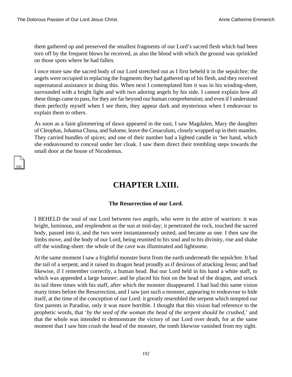them gathered up and preserved the smallest fragments of our Lord's sacred flesh which had been torn off by the frequent blows he received, as also the blood with which the ground was sprinkled on those spots where he had fallen.

I once more saw the sacred body of our Lord stretched out as I first beheld it in the sepulchre; the angels were occupied in replacing the fragments they had gathered up of his flesh, and they received supernatural assistance in doing this. When next I contemplated him it was in his winding-sheet, surrounded with a bright light and with two adoring angels by his side. I cannot explain how all these things came to pass, for they are far beyond our human comprehension; and even if I understand them perfectly myself when I see them, they appear dark and mysterious when I endeavour to explain them to others.

<span id="page-197-0"></span>As soon as a faint glimmering of dawn appeared in the east, I saw Magdalen, Mary the daughter of Cleophas, Johanna Chusa, and Salome, leave the Cenaculum, closely wrapped up in their mantles. They carried bundles of spices; and one of their number had a lighted candle in 'her hand, which she endeavoured to conceal under her cloak. I saw them direct their trembling steps towards the small door at the house of Nicodemus.

### **CHAPTER LXIII.**

### **The Resurrection of our Lord.**

I BEHELD the soul of our Lord between two angels, who were in the attire of warriors: it was bright, luminous, and resplendent as the sun at mid-day; it penetrated the rock, touched the sacred body, passed into it, and the two were instantaneously united, and became as one. I then saw the limbs move, and the body of our Lord, being reunited to his soul and to his divinity, rise and shake off the winding-sheet: the whole of the cave was illuminated and lightsome.

At the same moment I saw a frightful monster burst from the earth underneath the sepulchre. It had the tail of a serpent, and it raised its dragon head proudly as if desirous of attacking Jesus; and had likewise, if I remember correctly, a human head. But our Lord held in his hand a white staff, to which was appended a large banner; and he placed his foot on the head of the dragon, and struck its tail three times with his staff, after which the monster disappeared. I had had this same vision many times before the Resurrection, and I saw just such a monster, appearing to endeavour to hide itself, at the time of the conception of our Lord: it greatly resembled the serpent which tempted our first parents in Paradise, only it was more horrible. I thought that this vision had reference to the prophetic words, that '*by the seed of the woman the head of the serpent should be crushed*,' and that the whole was intended to demonstrate the victory of our Lord over death, for at the same moment that I saw him crush the head of the monster, the tomb likewise vanished from my sight.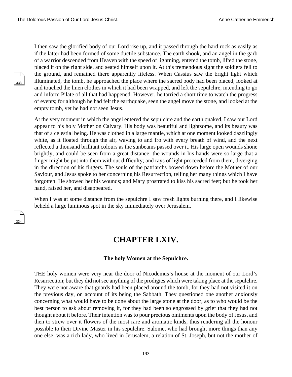334

<span id="page-198-0"></span>I then saw the glorified body of our Lord rise up, and it passed through the hard rock as easily as if the latter had been formed of some ductile substance. The earth shook, and an angel in the garb of a warrior descended from Heaven with the speed of lightning, entered the tomb, lifted the stone, placed it on the right side, and seated himself upon it. At this tremendous sight the soldiers fell to the ground, and remained there apparently lifeless. When Cassius saw the bright light which illuminated, the tomb, he approached the place where the sacred body had been placed, looked at and touched the linen clothes in which it had been wrapped, and left the sepulchre, intending to go and inform Pilate of all that had happened. However, he tarried a short time to watch the progress of events; for although he had felt the earthquake, seen the angel move the stone, and looked at the empty tomb, yet he had not seen Jesus.

At the very moment in which the angel entered the sepulchre and the earth quaked, I saw our Lord appear to his holy Mother on Calvary. His body was beautiful and lightsome, and its beauty was that of a celestial being. He was clothed in a large mantle, which at one moment looked dazzlingly white, as it floated through the air, waving to and fro with every breath of wind, and the next reflected a thousand brilliant colours as the sunbeams passed over it. His large open wounds shone brightly, and could be seen from a great distance: the wounds in his hands were so large that a finger might be put into them without difficulty; and rays of light proceeded from them, diverging in the direction of his fingers. The souls of the patriarchs bowed down before the Mother of our Saviour, and Jesus spoke to her concerning his Resurrection, telling her many things which I have forgotten. He showed her his wounds; and Mary prostrated to kiss his sacred feet; but he took her hand, raised her, and disappeared.

<span id="page-198-1"></span>When I was at some distance from the sepulchre I saw fresh lights burning there, and I likewise beheld a large luminous spot in the sky immediately over Jerusalem.

### **CHAPTER LXIV.**

#### **The holy Women at the Sepulchre.**

THE holy women were very near the door of Nicodemus's house at the moment of our Lord's Resurrection; but they did not see anything of the prodigies which were taking place at the sepulchre. They were not aware that guards had been placed around the tomb, for they had not visited it on the previous day, on account of its being the Sabbath. They questioned one another anxiously concerning what would have to be done about the large stone at the door, as to who would be the best person to ask about removing it, for they had been so engrossed by grief that they had not thought about it before. Their intention was to pour precious ointments upon the body of Jesus, and then to strew over it flowers of the most rare and aromatic kinds, thus rendering all the honour possible to their Divine Master in his sepulchre. Salome, who had brought more things than any one else, was a rich lady, who lived in Jerusalem, a relation of St. Joseph, but not the mother of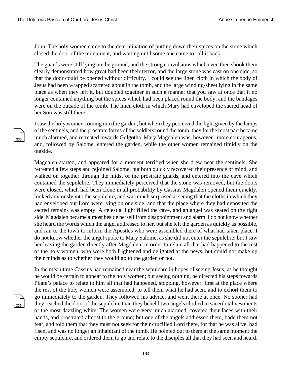John. The holy women came to the determination of putting down their spices on the stone which closed the door of the monument, and waiting until some one came to roll it back.

The guards were still lying on the ground, and the strong convulsions which even then shook them clearly demonstrated how great had been their terror, and the large stone was cast on one side, so that the door could be opened without difficulty. I could see the linen cloth in which the body of Jesus had been wrapped scattered about in the tomb, and the large winding-sheet lying in the same place as when they left it, but doubled together in such a manner that you saw at once that it no longer contained anything but the spices which had been placed round the body, and the bandages were on the outside of the tomb. The linen cloth in which Mary had enveloped the sacred head of her Son was still there.

<span id="page-199-0"></span>I saw the holy women coming into the garden; but when they perceived the light given by the lamps of the sentinels, and the prostrate forms of the soldiers round the tomb, they for the most part became much alarmed, and retreated towards Golgotha. Mary Magdalen was, however., more courageous, and, followed by Salome, entered the garden, while the other women remained timidly on the outside.

Magdalen started, and appeared for a moment terrified when she drew near the sentinels. She retreated a few steps and rejoined Salome, but both quickly recovered their presence of mind, and walked on together through the midst of the prostrate guards, and entered into the cave which contained the sepulchre. They immediately perceived that the stone was removed, but the doors were closed, which had been clone in all probability by Cassius Magdalen opened them quickly, looked anxiously into the sepulchre, and was much surprised at seeing that the cloths in which they had enveloped our Lord were lying on one side, and that the place where they had deposited the sacred remains was empty. A celestial light filled the cave, and an angel was seated on the right side. Magdalen became almost beside herself from disappointment and alarm. I do not know whether she heard the words which the angel addressed to her, but she left the garden as quickly as possible, and ran to the town to inform the Apostles who were assembled there of what had taken place. I do not know whether the angel spoke to Mary Salome, as she did not enter the sepulchre; but I saw her leaving the garden directly after Magdalen, in order to relate all that had happened to the rest of the holy women, who were both frightened and delighted at the news, but could not make up their minds as to whether they would go to the garden or not.

<span id="page-199-1"></span>In the mean time Cassius had remained near the sepulchre in hopes of seeing Jesus, as he thought he would be certain to appear to the holy women; but seeing nothing, he directed his steps towards Pilate's palace to relate to him all that had happened, stopping, however, first at the place where the rest of the holy women were assembled, to tell them what he had seen, and to exhort them to go immediately to the garden. They followed his advice, and went there at once. No sooner had they reached the door of the sepulchre than they beheld two angels clothed in sacerdotal vestments of the most dazzling white. The women were very much alarmed, covered their faces with their hands, and prostrated almost to the ground; but one of the angels addressed them, bade them not fear, and told them that they must not seek for their crucified Lord there, for that he was alive, had risen, and was no longer an inhabitant of the tomb. He pointed out to them at the same moment the empty sepulchre, and ordered them to go and relate to the disciples all that they had seen and heard.

335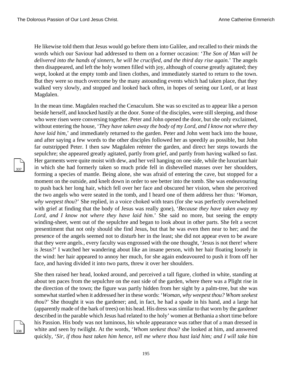He likewise told them that Jesus would go before them into Galilee, and recalled to their minds the words which our Saviour had addressed to them on a former occasion: '*The Son of Man will be delivered into the hands of sinners, he will be crucified, and the third day rise again*.' The angels then disappeared, and left the holy women filled with joy, although of course greatly agitated; they wept, looked at the empty tomb and linen clothes, and immediately started to return to the town. But they were so much overcome by the many astounding events which had taken place, that they walked very slowly, and stopped and looked back often, in hopes of seeing our Lord, or at least Magdalen.

In the mean time. Magdalen reached the Cenaculum. She was so excited as to appear like a person beside herself, and knocked hastily at the door. Some of the disciples, were still sleeping, and those who were risen were conversing together. Peter and John opened the door, but she only exclaimed, without entering the house, '*They have taken away the body of my Lord, and I know not where they have laid him*,' and immediately returned to the garden. Peter and John went back into the house, and after saying a few words to the other disciples followed her as speedily as possible, but John far outstripped Peter. I then saw Magdalen reënter the garden, and direct her steps towards the sepulchre; she appeared greatly agitated, partly from grief, and partly from having walked so fast. Her garments were quite moist with dew, and her veil hanging on one side, while the luxuriant hair in which she had formerly taken so much pride fell in dishevelled masses over her shoulders, forming a species of mantle. Being alone, she was afraid of entering the cave, but stopped for a moment on the outside, and knelt down in order to see better into the tomb. She was endeavouring to push back her long hair, which fell over her face and obscured her vision, when she perceived the two angels who were seated in the tomb, and I heard one of them address her thus: '*Woman, why weepest thou*?' She replied, in a voice choked with tears (for she was perfectly overwhelmed with grief at finding that the body of Jesus was really gone), '*Because they have taken away my Lord, and I know not where they have laid him*.' She said no more, but seeing the empty winding-sheet, went out of the sepulchre and began to look about in other parts. She felt a secret presentiment that not only should she find Jesus, but that he was even then near to her; and the presence of the angels seemed not to disturb her in the least; she did not appear even to be aware that they were angels., every faculty was engrossed with the one thought, 'Jesus is not there! where is Jesus?' I watched her wandering about like an insane person, with her hair floating loosely in the wind: her hair appeared to annoy her much, for she again endeavoured to push it from off her face, and having divided it into two parts, threw it over her shoulders.

<span id="page-200-1"></span>She then raised her head, looked around, and perceived a tall figure, clothed in white, standing at about ten paces from the sepulchre on the east side of the garden, where there was a Plight rise in the direction of the town; the figure was partly hidden from her sight by a palm-tree, but she was somewhat startled when it addressed her in these words: '*Woman, why weepest thou? Whom seekest thou*?' She thought it was the gardener; and, in fact, he had a spade in his hand, and a large hat (apparently made of the bark of trees) on his head. His dress was similar to that worn by the gardener described in the parable which Jesus had related to the holy' women at Bethania a short time before his Passion. His body was not luminous, his whole appearance was rather that of a man dressed in white and seen by twilight. At the words, '*Whom seekest thou*? she looked at him, and answered quickly, '*Sir, if thou hast taken him hence, tell me where thou hast laid him; and I will take him*

<span id="page-200-0"></span>

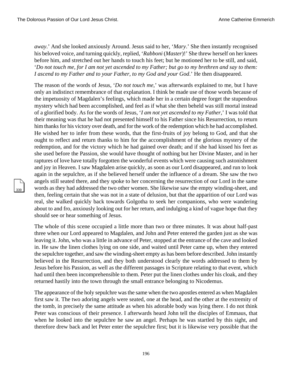*away*.' And she looked anxiously Around. Jesus said to her, '*Mary*.' She then instantly recognised his beloved voice, and turning quickly, replied, '*Rabboni* (*Master*)!' She threw herself on her knees before him, and stretched out her hands to touch his feet; but he motioned her to be still, and said, '*Do not touch me, for I am not yet ascended to my Father; but go to my brethren and say to them: I ascend to my Father and to your Father, to my God and your God*.' He then disappeared.

The reason of the words of Jesus, '*Do not touch me*,' was afterwards explained to me, but I have only an indistinct remembrance of that explanation. I think be made use of those words because of the impetuosity of Magdalen's feelings, which made her in a certain degree forget the stupendous mystery which had been accomplished, and feel as if what she then beheld was still mortal instead of a glorified body. As for the words of Jesus, '*I am not yet ascended to my Father*,' I was told that their meaning was that he had not presented himself to his Father since his Resurrection, to return him thanks for his victory over death, and for the work of the redemption which he had accomplished. He wished her to infer from these words, that the first-fruits of joy belong to God, and that she ought to reflect and return thanks to him for the accomplishment of the glorious mystery of the redemption, and for the victory which he had gained over death; and if she had kissed his feet as she used before the Passion, she would have thought of nothing but her Divine Master, and in her raptures of love have totally forgotten the wonderful events which were causing such astonishment and joy in Heaven. I saw Magdalen arise quickly, as soon as our Lord disappeared, and run to look again in the sepulchre, as if she believed herself under the influence of a dream. She saw the two angels still seated there, and they spoke to her concerning the resurrection of our Lord in the same words as they had addressed the two other women. She likewise saw the empty winding-sheet, and then, feeling certain that she was not in a state of delusion, but that the apparition of our Lord was real, she walked quickly back towards Golgotha to seek her companions, who were wandering about to and fro, anxiously looking out for her return, and indulging a kind of vague hope that they should see or hear something of Jesus.

<span id="page-201-0"></span>The whole of this scene occupied a little more than two or three minutes. It was about half-past three when our Lord appeared to Magdalen, and John and Peter entered the garden just as she was leaving it. John, who was a little in advance of Peter, stopped at the entrance of the cave and looked in. He saw the linen clothes lying on one side, and waited until Peter came up, when they entered the sepulchre together, and saw the winding-sheet empty as has been before described. John instantly believed in the Resurrection, and they both understood clearly the words addressed to them by Jesus before his Passion, as well as the different passages in Scripture relating to that event, which had until then been incomprehensible to them. Peter put the linen clothes under his cloak, and they returned hastily into the town through the small entrance belonging to Nicodemus.

The appearance of the holy sepulchre was the same when the two apostles entered as when Magdalen first saw it. The two adoring angels were seated, one at the head, and the other at the extremity of the tomb, in precisely the same attitude as when his adorable body was lying there. I do not think Peter was conscious of their presence. I afterwards heard John tell the disciples of Emmaus, that when he looked into the sepulchre he saw an angel. Perhaps he was startled by this sight, and therefore drew back and let Peter enter the sepulchre first; but it is likewise very possible that the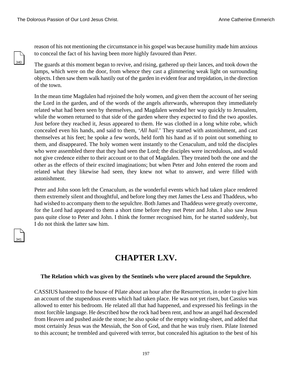341

<span id="page-202-0"></span>reason of his not mentioning the circumstance in his gospel was because humility made him anxious to conceal the fact of his having been more highly favoured than Peter.

The guards at this moment began to revive, and rising, gathered up their lances, and took down the lamps, which were on the door, from whence they cast a glimmering weak light on surrounding objects. I then saw them walk hastily out of the garden in evident fear and trepidation, in the direction of the town.

In the mean time Magdalen had rejoined the holy women, and given them the account of her seeing the Lord in the garden, and of the words of the angels afterwards, whereupon they immediately related what had been seen by themselves, and Magdalen wended her way quickly to Jerusalem, while the women returned to that side of the garden where they expected to find the two apostles. Just before they reached it, Jesus appeared to them. He was clothed in a long white robe, which concealed even his hands, and said to them, '*All hail*.' They started with astonishment, and cast themselves at his feet; he spoke a few words, held forth his hand as if to point out something to them, and disappeared. The holy women went instantly to the Cenaculum, and told the disciples who were assembled there that they had seen the Lord; the disciples were incredulous, and would not give credence either to their account or to that of Magdalen. They treated both the one and the other as the effects of their excited imaginations; but when Peter and John entered the room and related what they likewise had seen, they knew not what to answer, and were filled with astonishment.

<span id="page-202-1"></span>Peter and John soon left the Cenaculum, as the wonderful events which had taken place rendered them extremely silent and thoughtful, and before long they met James the Less and Thaddeus, who had wished to accompany them to the sepulchre. Both James and Thaddeus were greatly overcome, for the Lord had appeared to them a short time before they met Peter and John. I also saw Jesus pass quite close to Peter and John. I think the former recognised him, for he started suddenly, but I do not think the latter saw him.

# **CHAPTER LXV.**

#### **The Relation which was given by the Sentinels who were placed around the Sepulchre.**

CASSIUS hastened to the house of Pilate about an hour after the Resurrection, in order to give him an account of the stupendous events which had taken place. He was not yet risen, but Cassius was allowed to enter his bedroom. He related all that had happened, and expressed his feelings in the most forcible language. He described how the rock had been rent, and how an angel had descended from Heaven and pushed aside the stone; he also spoke of the empty winding-sheet, and added that most certainly Jesus was the Messiah, the Son of God, and that he was truly risen. Pilate listened to this account; he trembled and quivered with terror, but concealed his agitation to the best of his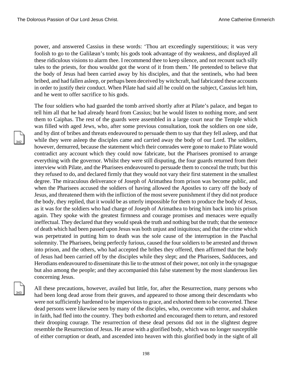power, and answered Cassius in these words: 'Thou art exceedingly superstitious; it was very foolish to go to the Galilæan's tomb; his gods took advantage of thy weakness, and displayed all these ridiculous visions to alarm thee. I recommend thee to keep silence, and not recount such silly tales to the priests, for thou wouldst got the worst of it from them.' He pretended to believe that the body of Jesus had been carried away by his disciples, and that the sentinels, who had been bribed, and had fallen asleep, or perhaps been deceived by witchcraft, had fabricated these accounts in order to justify their conduct. When Pilate had said all he could on the subject, Cassius left him, and he went to offer sacrifice to his gods.

<span id="page-203-0"></span>The four soldiers who had guarded the tomb arrived shortly after at Pilate's palace, and began to tell him all that he had already heard from Cassius; but he would listen to nothing more, and sent them to Caiphas. The rest of the guards were assembled in a large court near the Temple which was filled with aged Jews, who, after some previous consultation, took the soldiers on one side, and by dint of bribes and threats endeavoured to persuade them to say that they fell asleep, and that while they were asleep the disciples came and carried away the body of our Lord. The soldiers, however, demurred, because the statement which their comrades were gone to make to Pilate would contradict any account which they could now fabricate, but the Pharisees promised to arrange everything with the governor. Whilst they were still disputing, the four guards returned from their interview with Pilate, and the Pharisees endeavoured to persuade them to conceal the truth; but this they refused to do, and declared firmly that they would not vary their first statement in the smallest degree. The miraculous deliverance of Joseph of Arimathea from prison was become public, and when the Pharisees accused the soldiers of having allowed the Apostles to carry off the body of Jesus, and threatened them with the infliction of the most severe punishment if they did not produce the body, they replied, that it would be as utterly impossible for them to produce the body of Jesus, as it was for the soldiers who had charge of Joseph of Arimathea to bring him back into his prison again. They spoke with the greatest firmness and courage promises and menaces were equally ineffectual. They declared that they would speak the truth and nothing but the truth; that the sentence of death which had been passed upon Jesus was both unjust and iniquitous; and that the crime which was perpetrated in putting him to death was the sole cause of the interruption in the Paschal solemnity. The Pharisees, being perfectly furious, caused the four soldiers to be arrested and thrown into prison, and the others, who had accepted the bribes they offered, then affirmed that the body of Jesus had been carried off by the disciples while they slept; and the Pharisees, Sadducees, and Herodians endeavoured to disseminate this lie to the utmost of their power, not only in the synagogue but also among the people; and they accompanied this false statement by the most slanderous lies concerning Jesus.

<span id="page-203-1"></span>343

342

All these precautions, however, availed but little, for, after the Resurrection, many persons who had been long dead arose from their graves, and appeared to those among their descendants who were not sufficiently hardened to be impervious to grace, and exhorted them to be converted. These dead persons were likewise seen by many of the disciples, who, overcome with terror, and shaken in faith, had fled into the country. They both exhorted and encouraged them to return, and restored their drooping courage. The resurrection of these dead persons did not in the slightest degree resemble the Resurrection of Jesus. He arose with a glorified body, which was no longer susceptible of either corruption or death, and ascended into heaven with this glorified body in the sight of all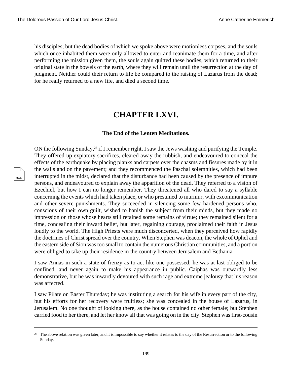his disciples; but the dead bodies of which we spoke above were motionless corpses, and the souls which once inhabited them were only allowed to enter and reanimate them for a time, and after performing the mission given them, the souls again quitted these bodies, which returned to their original state in the bowels of the earth, where they will remain until the resurrection at the day of judgment. Neither could their return to life be compared to the raising of Lazarus from the dead; for he really returned to a new life, and died a second time.

### **CHAPTER LXVI.**

#### **The End of the Lenten Meditations.**

<span id="page-204-0"></span>ON the following Sunday,<sup>23</sup> if I remember right, I saw the Jews washing and purifying the Temple. They offered up expiatory sacrifices, cleared away the rubbish, and endeavoured to conceal the effects of the earthquake by placing planks and carpets over the chasms and fissures made by it in the walls and on the pavement; and they recommenced the Paschal solemnities, which had been interrupted in the midst, declared that the disturbance had been caused by the presence of impure persons, and endeavoured to explain away the apparition of the dead. They referred to a vision of Ezechiel, but how I can no longer remember. They threatened all who dared to say a syllable concerning the events which had taken place, or who presumed to murmur, with excommunication and other severe punishments. They succeeded in silencing some few hardened persons who, conscious of their own guilt, wished to banish the subject from their minds, but they made no impression on those whose hearts still retained some remains of virtue; they remained silent for a time, concealing their inward belief, but later, regaining courage, proclaimed their faith in Jesus loudly to the world. The High Priests were much disconcerted, when they perceived how rapidly the doctrines of Christ spread over the country. When Stephen was deacon, the whole of Ophel and the eastern side of Sion was too small to contain the numerous Christian communities, and a portion were obliged to take up their residence in the country between Jerusalem and Bethania.

I saw Annas in such a state of frenzy as to act like one possessed; he was at last obliged to be confined, and never again to make his appearance in public. Caiphas was outwardly less demonstrative, but he was inwardly devoured with such rage and extreme jealousy that his reason was affected.

I saw Pilate on Easter Thursday; he was instituting a search for his wife in every part of the city, but his efforts for her recovery were fruitless; she was concealed in the house of Lazarus, in Jerusalem. No one thought of looking there, as the house contained no other female; but Stephen carried food to her there, and let her know all that was going on in the city. Stephen was first-cousin

<sup>&</sup>lt;sup>23</sup> The above relation was given later, and it is impossible to say whether it relates to the day of the Resurrection or to the following Sunday.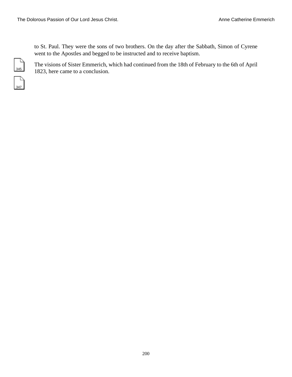<span id="page-205-0"></span>to St. Paul. They were the sons of two brothers. On the day after the Sabbath, Simon of Cyrene went to the Apostles and begged to be instructed and to receive baptism.



<span id="page-205-1"></span>The visions of Sister Emmerich, which had continued from the 18th of February to the 6th of April 1823, here came to a conclusion.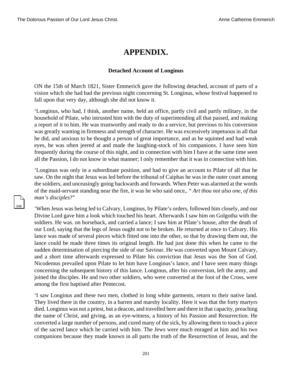# **APPENDIX.**

#### **Detached Account of Longinus**

ON the 15th of March 1821, Sister Emmerich gave the following detached, account of parts of a vision which she had had the previous night concerning St. Longinus, whose festival happened to fall upon that very day, although she did not know it.

'Longinus, who had, I think, another name, held an office, partly civil and partly military, in the household of Pilate, who intrusted him with the duty of superintending all that passed, and making a report of it to him. He was trustworthy and ready to do a service, but previous to his conversion was greatly wanting in firmness and strength of character. He was excessively impetuous in all that he did, and anxious to be thought a person of great importance, and as he squinted and had weak eyes, he was often jeered at and made the laughing-stock of his companions. I have seen him frequently during the course of this night, and in connection with him I have at the same time seen all the Passion, I do not know in what manner; I only remember that it was in connection with him.

<span id="page-206-0"></span>'Longinus was only in a subordinate position, and had to give an account to Pilate of all that he saw. On the night that Jesus was led before the tribunal of Caiphas he was in the outer court among the soldiers, and unceasingly going backwards and forwards. When Peter was alarmed at the words of the maid-servant standing near the fire, it was he who said once,. " *Art thou not also one, of this man's disciples*?"

'When Jesus was being led to Calvary, Longinus, by Pilate's orders, followed him closely, and our Divine Lord gave him a look which touched his heart. Afterwards I saw him on Golgotha with the soldiers. He was. on horseback, and carried a lance; I saw him at Pilate's house, after the death of our Lord, saying that the legs of Jesus ought not to be broken. He returned at once to Calvary. His lance was made of several pieces which fitted one into the other, so that by drawing them out, the lance could be made three times its original length. He had just done this when he came to the sudden determination of piercing the side of our Saviour. He was converted upon Mount Calvary, and a short time afterwards expressed to Pilate his conviction that Jesus was the Son of God. Nicodemus prevailed upon Pilate to let him have Longinus's lance, and I have seen many things concerning the subsequent history of this lance. Longinus, after his conversion, left the army, and joined the disciples. He and two other soldiers, who were converted at the foot of the Cross, were among the first baptised after Pentecost.

'I saw Longinus and these two men, clothed in long white garments, return to their native land. They lived there in the country, in a barren and marshy locality. Here it was that the forty martyrs died. Longinus was not a priest, but a deacon, and travelled here and there in that capacity, preaching the name of Christ, and giving, as an eye-witness, a history of his Passion and Resurrection. He converted a large number of persons, and cured many of the sick, by allowing them to touch a piece of the sacred lance which he carried with him. The Jews were much enraged at him and his two companions because they made known in all parts the truth of the Resurrection of Jesus, and the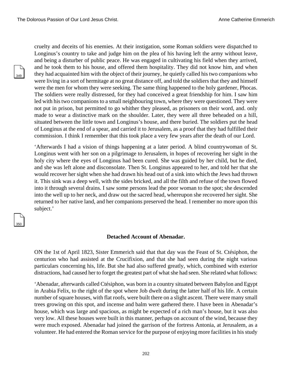<span id="page-207-1"></span>350

<span id="page-207-0"></span>cruelty and deceits of his enemies. At their instigation, some Roman soldiers were dispatched to Longinus's country to take and judge him on the plea of his having left the army without leave, and being a disturber of public peace. He was engaged in cultivating his field when they arrived, and he took them to his house, and offered them hospitality. They did not know him, and when they had acquainted him with the object of their journey, he quietly called his two companions who were living in a sort of hermitage at no great distance off, and told the soldiers that they and himself were the men for whom they were seeking. The same thing happened to the holy gardener, Phocas. The soldiers were really distressed, for they had conceived a great friendship for him. I saw him led with his two companions to a small neighbouring town, where they were questioned. They were not put in prison, but permitted to go whither they pleased, as prisoners on their word, and. only made to wear a distinctive mark on the shoulder. Later, they were all three beheaded on a hill, situated between the little town and Longinus's house, and there buried. The soldiers put the head of Longinus at the end of a spear, and carried it to Jerusalem, as a proof that they had fulfilled their commission. I think I remember that this took place a very few years after the death of our Lord.

'Afterwards I had a vision of things happening at a later period. A blind countrywoman of St. Longinus went with her son on a pilgrimage to Jerusalem, in hopes of recovering her sight in the holy city where the eyes of Longinus had been cured. She was guided by her child, but he died, and she was left alone and disconsolate. Then St. Longinus appeared to her, and told her that she would recover her sight when she had drawn his head out of a sink into which the Jews had thrown it. This sink was a deep well, with the sides bricked, and all the filth and refuse of the town flowed into it through several drains. I saw some persons lead the poor woman to the spot; she descended into the well up to her neck, and draw out the sacred head, whereupon she recovered her sight. She returned to her native land, and her companions preserved the head. I remember no more upon this subject.'

#### **Detached Account of Abenadar.**

ON the 1st of April 1823, Sister Emmerich said that that day was the Feast of St. Ctésiphon, the centurion who had assisted at the Crucifixion, and that she had seen during the night various particulars concerning his, life. But she had also suffered greatly, which, combined with exterior distractions, had caused her to forget the greatest part of what she had seen. She related what follows:

'Abenadar, afterwards called Ctésiphon, was born in a country situated between Babylon and Egypt in Arabia Felix, to the right of the spot where Job dwelt during the latter half of his life. A certain number of square houses, with flat roofs, were built there on a slight ascent. There were many small trees growing on this spot, and incense and balm were gathered there. I have been in Abenadar's house, which was large and spacious, as might be expected of a rich man's house, but it was also very low. All these houses were built in this manner, perhaps on account of the wind, because they were much exposed. Abenadar had joined the garrison of the fortress Antonia, at Jerusalem, as a volunteer. He had entered the Roman service for the purpose of enjoying more facilities in his study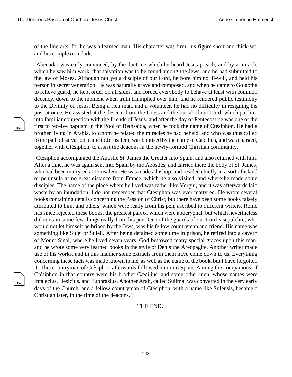<span id="page-208-1"></span>352

of the fine arts, for he was a learned man. His character was firm, his figure short and thick-set, and his complexion dark.

<span id="page-208-0"></span>'Abenadar was early convinced, by the doctrine which he heard Jesus preach, and by a miracle which he saw him work, that salvation was to be found among the Jews, and he had submitted to the law of Moses. Although not yet a disciple of our Lord, he bore him no ill-will, and held his person in secret veneration. He was naturally grave and composed, and when he came to Golgotha to relieve guard, he kept order on all sides, and forced everybody to behave at least with common decency, down to the moment when truth triumphed over him, and he rendered public testimony to the Divinity of Jesus. Being a rich man, and a volunteer, he had no difficulty in resigning his post at once. He assisted at the descent from the Cross and the burial of our Lord, which put him into familiar connection with the friends of Jesus, and after the day of Pentecost he was one of the first to receive baptism in the Pool of Bethsaida, when he took the name of Ctésiphon. He had a brother living in Arabia, to whom he related the miracles he had beheld, and who was thus called to the path of salvation, came to Jerusalem, was baptised by the name of Cæcilius, and was charged, together with Ctésiphon, to assist the deacons in the newly-formed Christian community.

'Ctésiphon accompanied the Apostle St. James the Greater into Spain, and also returned with him. After a time, he was again sent into Spain by the Apostles, and carried there the body of St. James, who had been martyred at Jerusalem. He was made a bishop, and resided chiefly in a sort of island or peninsula at no great distance from France, which he also visited, and where he made some disciples. The name of the place where he lived was rather like Vergui, and it was afterwards laid waste by an inundation. I do not remember that Ctésiphon was ever martyred. He wrote several books containing details concerning the Passion of Christ; but there have been some books falsely attributed to him, and others, which were really from his pen, ascribed to different writers. Rome has since rejected these books, the greatest part of which were apocryphal, but which nevertheless did contain some few things really from his pen. One of the guards of our Lord's sepulchre, who would not let himself be bribed by the Jews, was his fellow countryman and friend. His name was something like Sulei or Suleii. After being detained some time in prison, he retired into a cavern of Mount Sinai, where he lived seven years. God bestowed many special graces upon this man, and he wrote some very learned books in the style of Denis the Areopagite, Another writer made use of his works, and in this manner some extracts from them have come down to us. Everything concerning these facts was made known to me, as well as the name of the book, but I have forgotten it. This countryman of Ctésiphon afterwards followed him into Spain. Among the companions of Ctésiphon in that country were his brother Cæcilius, and some other men, whose names were Intalecius, Hesicius, and Euphrasius. Another Arab, called Sulima, was converted in the very early days of the Church, and a fellow countryman of Ctésiphon, with a name like Sulensis, became a Christian later, in the time of the deacons.'

#### THE END.

203